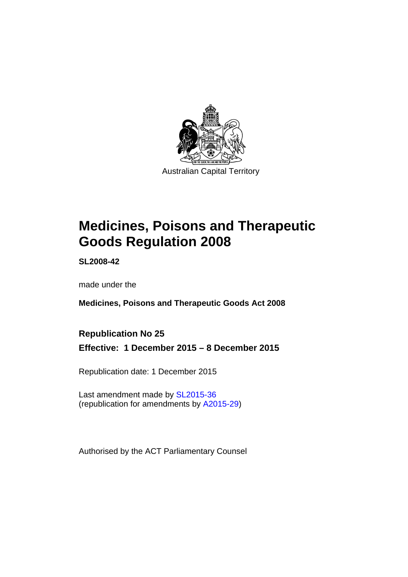

# **Medicines, Poisons and Therapeutic Goods Regulation 2008**

**SL2008-42** 

made under the

**Medicines, Poisons and Therapeutic Goods Act 2008** 

# **Republication No 25**

**Effective: 1 December 2015 – 8 December 2015** 

Republication date: 1 December 2015

Last amendment made by [SL2015-36](http://www.legislation.act.gov.au/sl/2015-36) (republication for amendments by [A2015-29](http://www.legislation.act.gov.au/a/2015-29))

Authorised by the ACT Parliamentary Counsel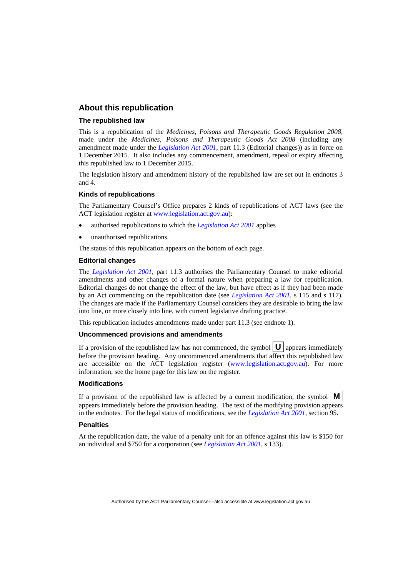### **About this republication**

#### **The republished law**

This is a republication of the *Medicines, Poisons and Therapeutic Goods Regulation 2008*, made under the *Medicines, Poisons and Therapeutic Goods Act 2008* (including any amendment made under the *[Legislation Act 2001](http://www.legislation.act.gov.au/a/2001-14)*, part 11.3 (Editorial changes)) as in force on 1 December 2015*.* It also includes any commencement, amendment, repeal or expiry affecting this republished law to 1 December 2015.

The legislation history and amendment history of the republished law are set out in endnotes 3 and 4.

#### **Kinds of republications**

The Parliamentary Counsel's Office prepares 2 kinds of republications of ACT laws (see the ACT legislation register at [www.legislation.act.gov.au](http://www.legislation.act.gov.au/)):

- authorised republications to which the *[Legislation Act 2001](http://www.legislation.act.gov.au/a/2001-14)* applies
- unauthorised republications.

The status of this republication appears on the bottom of each page.

#### **Editorial changes**

The *[Legislation Act 2001](http://www.legislation.act.gov.au/a/2001-14)*, part 11.3 authorises the Parliamentary Counsel to make editorial amendments and other changes of a formal nature when preparing a law for republication. Editorial changes do not change the effect of the law, but have effect as if they had been made by an Act commencing on the republication date (see *[Legislation Act 2001](http://www.legislation.act.gov.au/a/2001-14)*, s 115 and s 117). The changes are made if the Parliamentary Counsel considers they are desirable to bring the law into line, or more closely into line, with current legislative drafting practice.

This republication includes amendments made under part 11.3 (see endnote 1).

#### **Uncommenced provisions and amendments**

If a provision of the republished law has not commenced, the symbol  $\mathbf{U}$  appears immediately before the provision heading. Any uncommenced amendments that affect this republished law are accessible on the ACT legislation register [\(www.legislation.act.gov.au\)](http://www.legislation.act.gov.au/). For more information, see the home page for this law on the register.

#### **Modifications**

If a provision of the republished law is affected by a current modification, the symbol  $\mathbf{M}$ appears immediately before the provision heading. The text of the modifying provision appears in the endnotes. For the legal status of modifications, see the *[Legislation Act 2001](http://www.legislation.act.gov.au/a/2001-14)*, section 95.

#### **Penalties**

At the republication date, the value of a penalty unit for an offence against this law is \$150 for an individual and \$750 for a corporation (see *[Legislation Act 2001](http://www.legislation.act.gov.au/a/2001-14)*, s 133).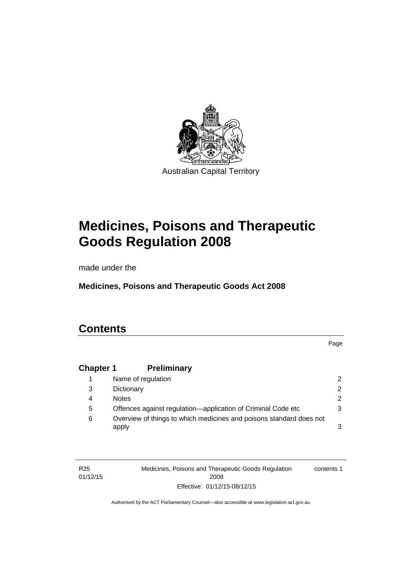

# **Medicines, Poisons and Therapeutic Goods Regulation 2008**

made under the

**Medicines, Poisons and Therapeutic Goods Act 2008** 

# **Contents**

Page

# **Chapter 1 [Preliminary](#page-25-0)**

|   | Name of regulation                                                           |   |
|---|------------------------------------------------------------------------------|---|
| 3 | Dictionary                                                                   |   |
| 4 | <b>Notes</b>                                                                 | 2 |
| 5 | Offences against regulation-application of Criminal Code etc                 |   |
| 6 | Overview of things to which medicines and poisons standard does not<br>apply |   |

| R <sub>25</sub> | Medicines, Poisons and Therapeutic Goods Regulation | contents 1 |
|-----------------|-----------------------------------------------------|------------|
| 01/12/15        | 2008                                                |            |
|                 | Effective: 01/12/15-08/12/15                        |            |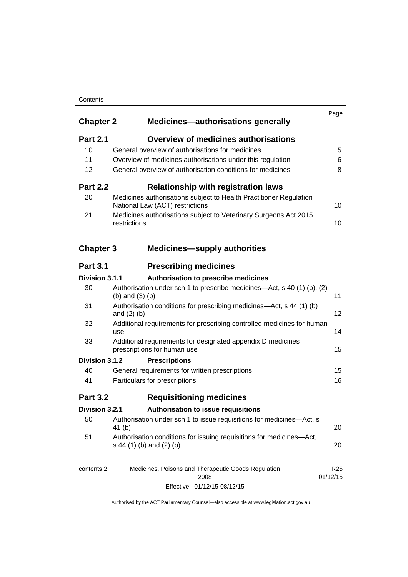### **Contents**

| <b>Chapter 2</b> | <b>Medicines-authorisations generally</b>                                                             | Page                        |
|------------------|-------------------------------------------------------------------------------------------------------|-----------------------------|
| <b>Part 2.1</b>  | <b>Overview of medicines authorisations</b>                                                           |                             |
| 10               | General overview of authorisations for medicines                                                      | 5                           |
| 11               | Overview of medicines authorisations under this regulation                                            | 6                           |
| 12               | General overview of authorisation conditions for medicines                                            | 8                           |
| <b>Part 2.2</b>  | <b>Relationship with registration laws</b>                                                            |                             |
| 20               | Medicines authorisations subject to Health Practitioner Regulation<br>National Law (ACT) restrictions | 10                          |
| 21               | Medicines authorisations subject to Veterinary Surgeons Act 2015<br>restrictions                      | 10                          |
| <b>Chapter 3</b> | <b>Medicines-supply authorities</b>                                                                   |                             |
| <b>Part 3.1</b>  | <b>Prescribing medicines</b>                                                                          |                             |
| Division 3.1.1   | Authorisation to prescribe medicines                                                                  |                             |
| 30               | Authorisation under sch 1 to prescribe medicines—Act, s 40 (1) (b), (2)<br>(b) and $(3)$ (b)          | 11                          |
| 31               | Authorisation conditions for prescribing medicines—Act, s 44 (1) (b)<br>and $(2)$ $(b)$               | 12                          |
| 32               | Additional requirements for prescribing controlled medicines for human<br>use                         | 14                          |
| 33               | Additional requirements for designated appendix D medicines<br>prescriptions for human use            | 15                          |
| Division 3.1.2   | <b>Prescriptions</b>                                                                                  |                             |
| 40               | General requirements for written prescriptions                                                        | 15                          |
| 41               | Particulars for prescriptions                                                                         | 16                          |
| <b>Part 3.2</b>  | <b>Requisitioning medicines</b>                                                                       |                             |
| Division 3.2.1   | Authorisation to issue requisitions                                                                   |                             |
| 50               | Authorisation under sch 1 to issue requisitions for medicines-Act, s<br>41 (b)                        | 20                          |
| 51               | Authorisation conditions for issuing requisitions for medicines-Act,<br>s 44 (1) (b) and (2) (b)      | 20                          |
| contents 2       | Medicines, Poisons and Therapeutic Goods Regulation<br>2008                                           | R <sub>25</sub><br>01/12/15 |

Effective: 01/12/15-08/12/15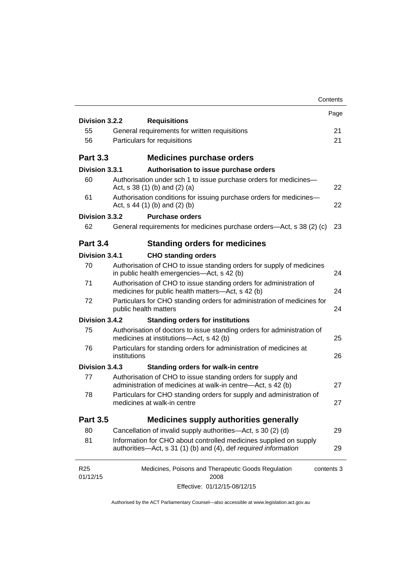|                 |                                                                                                                                      | Contents   |
|-----------------|--------------------------------------------------------------------------------------------------------------------------------------|------------|
| Division 3.2.2  |                                                                                                                                      | Page       |
| 55              | <b>Requisitions</b><br>General requirements for written requisitions                                                                 | 21         |
| 56              | Particulars for requisitions                                                                                                         | 21         |
|                 |                                                                                                                                      |            |
| <b>Part 3.3</b> | <b>Medicines purchase orders</b>                                                                                                     |            |
| Division 3.3.1  | Authorisation to issue purchase orders                                                                                               |            |
| 60              | Authorisation under sch 1 to issue purchase orders for medicines-<br>Act, $s$ 38 (1) (b) and (2) (a)                                 | 22         |
| 61              | Authorisation conditions for issuing purchase orders for medicines-<br>Act, $s$ 44 (1) (b) and (2) (b)                               | 22         |
| Division 3.3.2  | <b>Purchase orders</b>                                                                                                               |            |
| 62              | General requirements for medicines purchase orders—Act, s 38 (2) (c)                                                                 | 23         |
| <b>Part 3.4</b> | <b>Standing orders for medicines</b>                                                                                                 |            |
| Division 3.4.1  | <b>CHO standing orders</b>                                                                                                           |            |
| 70              | Authorisation of CHO to issue standing orders for supply of medicines<br>in public health emergencies—Act, s 42 (b)                  | 24         |
| 71              | Authorisation of CHO to issue standing orders for administration of<br>medicines for public health matters-Act, s 42 (b)             | 24         |
| 72              | Particulars for CHO standing orders for administration of medicines for<br>public health matters                                     | 24         |
| Division 3.4.2  | <b>Standing orders for institutions</b>                                                                                              |            |
| 75              | Authorisation of doctors to issue standing orders for administration of<br>medicines at institutions-Act, s 42 (b)                   | 25         |
| 76              | Particulars for standing orders for administration of medicines at<br>institutions                                                   | 26         |
| Division 3.4.3  | <b>Standing orders for walk-in centre</b>                                                                                            |            |
| 77              | Authorisation of CHO to issue standing orders for supply and<br>administration of medicines at walk-in centre-Act, s 42 (b)          | 27         |
| 78              | Particulars for CHO standing orders for supply and administration of<br>medicines at walk-in centre                                  | 27         |
| <b>Part 3.5</b> | <b>Medicines supply authorities generally</b>                                                                                        |            |
| 80              | Cancellation of invalid supply authorities—Act, s 30 (2) (d)                                                                         | 29         |
| 81              | Information for CHO about controlled medicines supplied on supply<br>authorities-Act, s 31 (1) (b) and (4), def required information | 29         |
| R <sub>25</sub> | Medicines, Poisons and Therapeutic Goods Regulation                                                                                  | contents 3 |
| 01/12/15        | 2008<br>Effective: 01/12/15-08/12/15                                                                                                 |            |
|                 |                                                                                                                                      |            |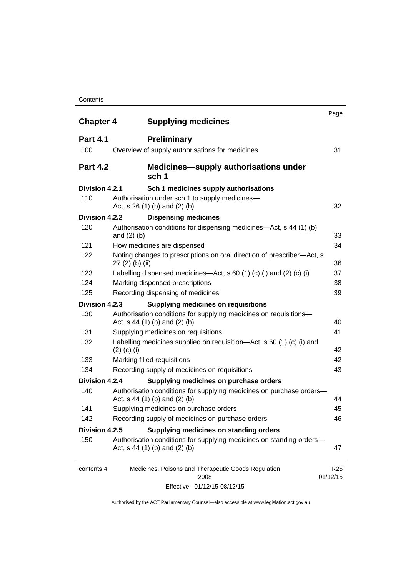#### **Contents**

| <b>Chapter 4</b> | <b>Supplying medicines</b>                                                                              | Page                        |
|------------------|---------------------------------------------------------------------------------------------------------|-----------------------------|
| <b>Part 4.1</b>  | <b>Preliminary</b>                                                                                      |                             |
| 100              | Overview of supply authorisations for medicines                                                         | 31                          |
| <b>Part 4.2</b>  | <b>Medicines—supply authorisations under</b><br>sch 1                                                   |                             |
| Division 4.2.1   | Sch 1 medicines supply authorisations                                                                   |                             |
| 110              | Authorisation under sch 1 to supply medicines-<br>Act, s 26 (1) (b) and (2) (b)                         | 32                          |
| Division 4.2.2   | <b>Dispensing medicines</b>                                                                             |                             |
| 120              | Authorisation conditions for dispensing medicines—Act, s 44 (1) (b)<br>and $(2)$ $(b)$                  | 33                          |
| 121              | How medicines are dispensed                                                                             | 34                          |
| 122              | Noting changes to prescriptions on oral direction of prescriber-Act, s<br>$27(2)$ (b) (ii)              | 36                          |
| 123              | Labelling dispensed medicines—Act, s 60 (1) (c) (i) and (2) (c) (i)                                     | 37                          |
| 124              | Marking dispensed prescriptions                                                                         | 38                          |
| 125              | Recording dispensing of medicines                                                                       | 39                          |
| Division 4.2.3   | <b>Supplying medicines on requisitions</b>                                                              |                             |
| 130              | Authorisation conditions for supplying medicines on requisitions-<br>Act, $s$ 44 (1) (b) and (2) (b)    | 40                          |
| 131              | Supplying medicines on requisitions                                                                     | 41                          |
| 132              | Labelling medicines supplied on requisition-Act, s 60 (1) (c) (i) and<br>$(2)$ (c) (i)                  | 42                          |
| 133              | Marking filled requisitions                                                                             | 42                          |
| 134              | Recording supply of medicines on requisitions                                                           | 43                          |
| Division 4.2.4   | Supplying medicines on purchase orders                                                                  |                             |
| 140              | Authorisation conditions for supplying medicines on purchase orders-<br>Act, $s$ 44 (1) (b) and (2) (b) | 44                          |
| 141              | Supplying medicines on purchase orders                                                                  | 45                          |
| 142              | Recording supply of medicines on purchase orders                                                        | 46                          |
| Division 4.2.5   | Supplying medicines on standing orders                                                                  |                             |
| 150              | Authorisation conditions for supplying medicines on standing orders-<br>Act, s 44 (1) (b) and (2) (b)   | 47                          |
| contents 4       | Medicines, Poisons and Therapeutic Goods Regulation<br>2008                                             | R <sub>25</sub><br>01/12/15 |
|                  | Effective: 01/12/15-08/12/15                                                                            |                             |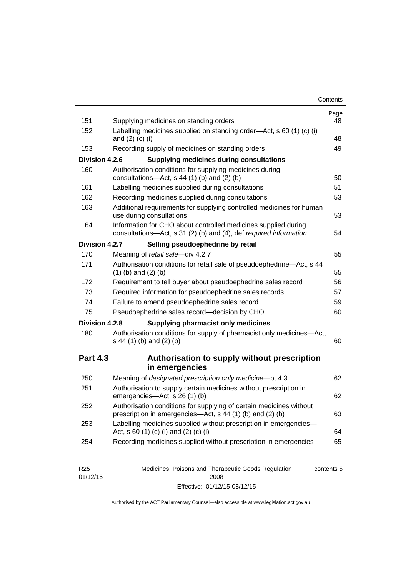| Contents |
|----------|
|----------|

| 151             | Supplying medicines on standing orders                                                                                              | Page<br>48 |
|-----------------|-------------------------------------------------------------------------------------------------------------------------------------|------------|
| 152             | Labelling medicines supplied on standing order-Act, s 60 (1) (c) (i)<br>and $(2)$ $(c)$ $(i)$                                       | 48         |
| 153             | Recording supply of medicines on standing orders                                                                                    | 49         |
| Division 4.2.6  | <b>Supplying medicines during consultations</b>                                                                                     |            |
| 160             | Authorisation conditions for supplying medicines during                                                                             |            |
|                 | consultations-Act, s 44 (1) (b) and (2) (b)                                                                                         | 50         |
| 161             | Labelling medicines supplied during consultations                                                                                   | 51         |
| 162             | Recording medicines supplied during consultations                                                                                   | 53         |
| 163             | Additional requirements for supplying controlled medicines for human<br>use during consultations                                    | 53         |
| 164             | Information for CHO about controlled medicines supplied during<br>consultations-Act, s 31 (2) (b) and (4), def required information | 54         |
| Division 4.2.7  | Selling pseudoephedrine by retail                                                                                                   |            |
| 170             | Meaning of retail sale-div 4.2.7                                                                                                    | 55         |
| 171             | Authorisation conditions for retail sale of pseudoephedrine-Act, s 44<br>$(1)$ (b) and $(2)$ (b)                                    | 55         |
| 172             | Requirement to tell buyer about pseudoephedrine sales record                                                                        | 56         |
| 173             | Required information for pseudoephedrine sales records                                                                              | 57         |
| 174             | Failure to amend pseudoephedrine sales record                                                                                       | 59         |
| 175             | Pseudoephedrine sales record-decision by CHO                                                                                        | 60         |
| Division 4.2.8  | <b>Supplying pharmacist only medicines</b>                                                                                          |            |
| 180             | Authorisation conditions for supply of pharmacist only medicines-Act,<br>s 44 (1) (b) and (2) (b)                                   | 60         |
| <b>Part 4.3</b> | Authorisation to supply without prescription                                                                                        |            |
|                 | in emergencies                                                                                                                      |            |
| 250             | Meaning of designated prescription only medicine-pt 4.3                                                                             | 62         |
|                 | Authorisation to supply certain medicines without prescription in                                                                   |            |
| 251             | emergencies-Act, s 26 (1) (b)                                                                                                       | 62         |
| 252             | Authorisation conditions for supplying of certain medicines without<br>prescription in emergencies—Act, s 44 (1) (b) and (2) (b)    | 63         |
| 253             | Labelling medicines supplied without prescription in emergencies-<br>Act, s 60 (1) (c) (i) and (2) (c) (i)                          | 64         |

| R <sub>25</sub> | Medicines, Poisons and Therapeutic Goods Regulation | contents 5 |
|-----------------|-----------------------------------------------------|------------|
| 01/12/15        | 2008                                                |            |
|                 | Effective: 01/12/15-08/12/15                        |            |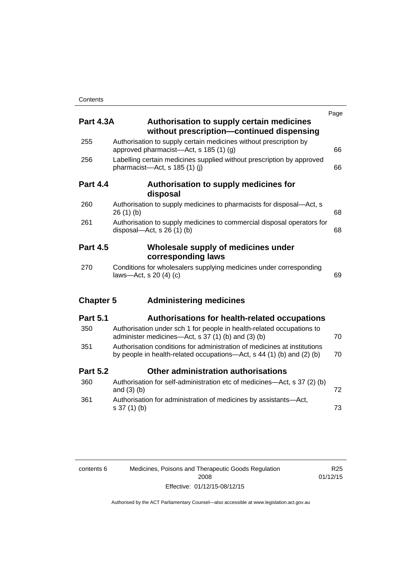| <b>Part 4.3A</b> | <b>Authorisation to supply certain medicines</b><br>without prescription-continued dispensing                                                     | Page |
|------------------|---------------------------------------------------------------------------------------------------------------------------------------------------|------|
| 255              | Authorisation to supply certain medicines without prescription by<br>approved pharmacist—Act, s 185 (1) (g)                                       | 66   |
| 256              | Labelling certain medicines supplied without prescription by approved<br>pharmacist-Act, s 185 (1) (j)                                            | 66   |
| <b>Part 4.4</b>  | Authorisation to supply medicines for<br>disposal                                                                                                 |      |
| 260              | Authorisation to supply medicines to pharmacists for disposal-Act, s<br>26(1)(b)                                                                  | 68   |
| 261              | Authorisation to supply medicines to commercial disposal operators for<br>disposal—Act, s $26(1)(b)$                                              | 68   |
| <b>Part 4.5</b>  | Wholesale supply of medicines under<br>corresponding laws                                                                                         |      |
| 270              | Conditions for wholesalers supplying medicines under corresponding<br>laws-Act, s 20 (4) (c)                                                      | 69   |
| <b>Chapter 5</b> | <b>Administering medicines</b>                                                                                                                    |      |
| <b>Part 5.1</b>  | <b>Authorisations for health-related occupations</b>                                                                                              |      |
| 350              | Authorisation under sch 1 for people in health-related occupations to<br>administer medicines—Act, s 37 (1) (b) and (3) (b)                       | 70   |
| 351              | Authorisation conditions for administration of medicines at institutions<br>by people in health-related occupations—Act, s 44 (1) (b) and (2) (b) | 70   |
| <b>Part 5.2</b>  | <b>Other administration authorisations</b>                                                                                                        |      |
| 360              | Authorisation for self-administration etc of medicines-Act, s 37 (2) (b)<br>and $(3)$ $(b)$                                                       | 72   |
| 361              | Authorisation for administration of medicines by assistants-Act,<br>s 37 (1) (b)                                                                  | 73   |

| contents 6 | Medicines, Poisons and Therapeutic Goods Regulation |
|------------|-----------------------------------------------------|
|            | 2008                                                |
|            | Effective: 01/12/15-08/12/15                        |

R25 01/12/15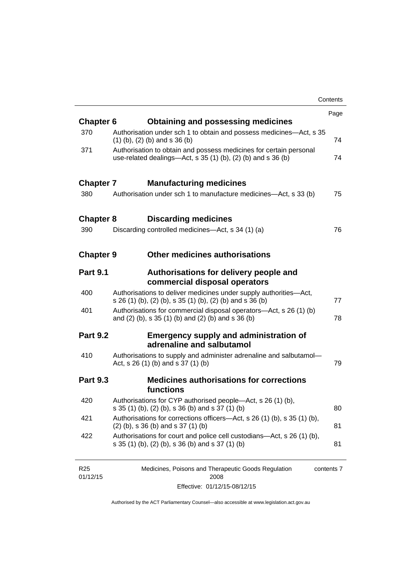|                  |                                                                                                                                    | Contents |
|------------------|------------------------------------------------------------------------------------------------------------------------------------|----------|
|                  |                                                                                                                                    | Page     |
| <b>Chapter 6</b> | <b>Obtaining and possessing medicines</b>                                                                                          |          |
| 370              | Authorisation under sch 1 to obtain and possess medicines—Act, s 35<br>$(1)$ (b), (2) (b) and s 36 (b)                             | 74       |
| 371              | Authorisation to obtain and possess medicines for certain personal<br>use-related dealings-Act, s 35 (1) (b), (2) (b) and s 36 (b) | 74       |
| <b>Chapter 7</b> | <b>Manufacturing medicines</b>                                                                                                     |          |
| 380              | Authorisation under sch 1 to manufacture medicines—Act, s 33 (b)                                                                   | 75       |
| <b>Chapter 8</b> | <b>Discarding medicines</b>                                                                                                        |          |
| 390              | Discarding controlled medicines—Act, s 34 (1) (a)                                                                                  | 76       |
| <b>Chapter 9</b> | Other medicines authorisations                                                                                                     |          |
| <b>Part 9.1</b>  | Authorisations for delivery people and<br>commercial disposal operators                                                            |          |
| 400              | Authorisations to deliver medicines under supply authorities-Act,<br>s 26 (1) (b), (2) (b), s 35 (1) (b), (2) (b) and s 36 (b)     | 77       |
| 401              | Authorisations for commercial disposal operators—Act, s 26 (1) (b)<br>and (2) (b), s 35 (1) (b) and (2) (b) and s 36 (b)           | 78       |
| <b>Part 9.2</b>  | <b>Emergency supply and administration of</b><br>adrenaline and salbutamol                                                         |          |
| 410              | Authorisations to supply and administer adrenaline and salbutamol-<br>Act, s 26 (1) (b) and s 37 (1) (b)                           | 79       |
| <b>Part 9.3</b>  | <b>Medicines authorisations for corrections</b><br>functions                                                                       |          |
| 420              | Authorisations for CYP authorised people—Act, s 26 (1) (b),<br>s 35 (1) (b), (2) (b), s 36 (b) and s 37 (1) (b)                    | 80       |
| 421              | Authorisations for corrections officers-Act, s 26 (1) (b), s 35 (1) (b),<br>$(2)$ (b), s 36 (b) and s 37 (1) (b)                   | 81       |
| 422              | Authorisations for court and police cell custodians-Act, s 26 (1) (b),<br>s 35 (1) (b), (2) (b), s 36 (b) and s 37 (1) (b)         | 81       |
|                  |                                                                                                                                    |          |

| R <sub>25</sub> | Medicines, Poisons and Therapeutic Goods Regulation | contents 7 |
|-----------------|-----------------------------------------------------|------------|
| 01/12/15        | 2008                                                |            |
|                 | Effective: 01/12/15-08/12/15                        |            |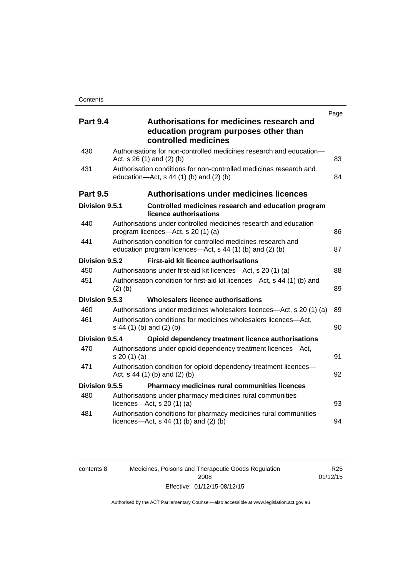| <b>Part 9.4</b> | Authorisations for medicines research and                                                                                 | Page |
|-----------------|---------------------------------------------------------------------------------------------------------------------------|------|
|                 | education program purposes other than<br>controlled medicines                                                             |      |
| 430             | Authorisations for non-controlled medicines research and education-<br>Act, $s$ 26 (1) and (2) (b)                        | 83   |
| 431             | Authorisation conditions for non-controlled medicines research and<br>education- $Act$ , s 44 (1) (b) and (2) (b)         | 84   |
| <b>Part 9.5</b> | <b>Authorisations under medicines licences</b>                                                                            |      |
| Division 9.5.1  | Controlled medicines research and education program<br>licence authorisations                                             |      |
| 440             | Authorisations under controlled medicines research and education<br>program licences-Act, s 20 (1) (a)                    | 86   |
| 441             | Authorisation condition for controlled medicines research and<br>education program licences—Act, s 44 (1) (b) and (2) (b) | 87   |
| Division 9.5.2  | <b>First-aid kit licence authorisations</b>                                                                               |      |
| 450             | Authorisations under first-aid kit licences—Act, s 20 (1) (a)                                                             | 88   |
| 451             | Authorisation condition for first-aid kit licences—Act, s 44 (1) (b) and<br>$(2)$ (b)                                     | 89   |
| Division 9.5.3  | Wholesalers licence authorisations                                                                                        |      |
| 460             | Authorisations under medicines wholesalers licences—Act, s 20 (1) (a)                                                     | 89   |
| 461             | Authorisation conditions for medicines wholesalers licences-Act,<br>s 44 (1) (b) and (2) (b)                              | 90   |
| Division 9.5.4  | Opioid dependency treatment licence authorisations                                                                        |      |
| 470             | Authorisations under opioid dependency treatment licences-Act,<br>s 20(1)(a)                                              | 91   |
| 471             | Authorisation condition for opioid dependency treatment licences-<br>Act, $s$ 44 (1) (b) and (2) (b)                      | 92   |
| Division 9.5.5  | Pharmacy medicines rural communities licences                                                                             |      |
| 480             | Authorisations under pharmacy medicines rural communities<br>licences- $-\text{Act}$ , s 20 (1) (a)                       | 93   |
| 481             | Authorisation conditions for pharmacy medicines rural communities<br>licences—Act, $s$ 44 (1) (b) and (2) (b)             | 94   |

| ontents 8: | Medicines, Po |
|------------|---------------|
|            |               |
|            |               |

contents 8 Medicines, Poisons and Therapeutic Goods Regulation 2008 Effective: 01/12/15-08/12/15

R25 01/12/15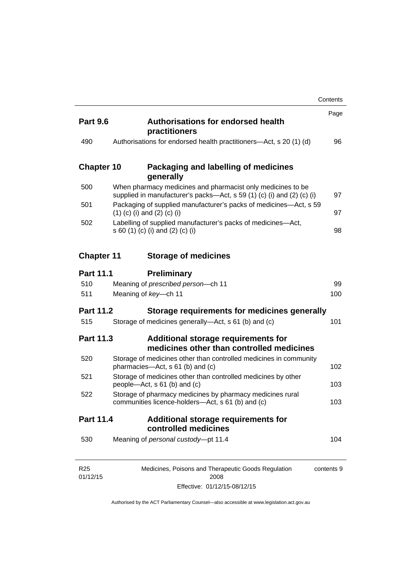|                             |                                                                                                                                       | Contents   |
|-----------------------------|---------------------------------------------------------------------------------------------------------------------------------------|------------|
| <b>Part 9.6</b>             | <b>Authorisations for endorsed health</b><br>practitioners                                                                            | Page       |
| 490                         | Authorisations for endorsed health practitioners—Act, s 20 (1) (d)                                                                    | 96         |
| <b>Chapter 10</b>           | Packaging and labelling of medicines<br>generally                                                                                     |            |
| 500                         | When pharmacy medicines and pharmacist only medicines to be<br>supplied in manufacturer's packs—Act, s 59 (1) (c) (i) and (2) (c) (i) | 97         |
| 501                         | Packaging of supplied manufacturer's packs of medicines—Act, s 59<br>$(1)$ (c) (i) and (2) (c) (i)                                    | 97         |
| 502                         | Labelling of supplied manufacturer's packs of medicines-Act,<br>s 60 (1) (c) (i) and (2) (c) (i)                                      | 98         |
| <b>Chapter 11</b>           | <b>Storage of medicines</b>                                                                                                           |            |
| <b>Part 11.1</b>            | <b>Preliminary</b>                                                                                                                    |            |
| 510                         | Meaning of prescribed person-ch 11                                                                                                    | 99         |
| 511                         | Meaning of key-ch 11                                                                                                                  | 100        |
| <b>Part 11.2</b>            | Storage requirements for medicines generally                                                                                          |            |
| 515                         | Storage of medicines generally-Act, s 61 (b) and (c)                                                                                  | 101        |
| <b>Part 11.3</b>            | Additional storage requirements for<br>medicines other than controlled medicines                                                      |            |
| 520                         | Storage of medicines other than controlled medicines in community<br>pharmacies-Act, s 61 (b) and (c)                                 | 102        |
| 521                         | Storage of medicines other than controlled medicines by other<br>people-Act, s 61 (b) and (c)                                         | 103        |
| 522                         | Storage of pharmacy medicines by pharmacy medicines rural<br>communities licence-holders-Act, s 61 (b) and (c)                        | 103        |
| <b>Part 11.4</b>            | <b>Additional storage requirements for</b><br>controlled medicines                                                                    |            |
| 530                         | Meaning of personal custody-pt 11.4                                                                                                   | 104        |
| R <sub>25</sub><br>01/12/15 | Medicines, Poisons and Therapeutic Goods Regulation<br>2008                                                                           | contents 9 |

Effective: 01/12/15-08/12/15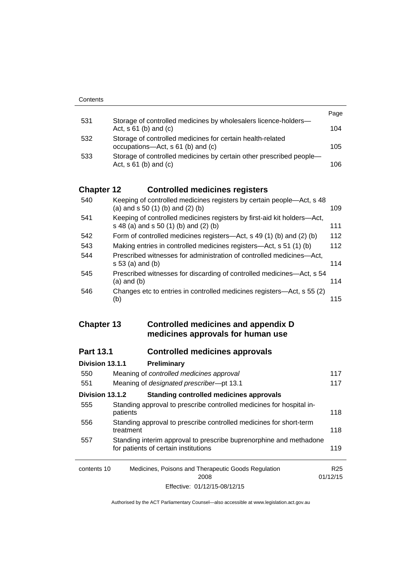|     |                                                                                                   | Page |
|-----|---------------------------------------------------------------------------------------------------|------|
| 531 | Storage of controlled medicines by wholesalers licence-holders-<br>Act, $s \, 61$ (b) and (c)     | 104  |
| 532 | Storage of controlled medicines for certain health-related<br>occupations—Act, s 61 (b) and (c)   | 105  |
| 533 | Storage of controlled medicines by certain other prescribed people-<br>Act, $s \, 61$ (b) and (c) | 106  |

# **Chapter 12 [Controlled medicines registers](#page-132-0)**

| 540 | Keeping of controlled medicines registers by certain people—Act, s 48<br>(a) and $s$ 50 (1) (b) and (2) (b)      | 109 |
|-----|------------------------------------------------------------------------------------------------------------------|-----|
| 541 | Keeping of controlled medicines registers by first-aid kit holders-Act,<br>s 48 (a) and s 50 (1) (b) and (2) (b) | 111 |
| 542 | Form of controlled medicines registers—Act, s 49 (1) (b) and (2) (b)                                             | 112 |
| 543 | Making entries in controlled medicines registers-Act, s 51 (1) (b)                                               | 112 |
| 544 | Prescribed witnesses for administration of controlled medicines—Act,<br>$s 53$ (a) and (b)                       | 114 |
| 545 | Prescribed witnesses for discarding of controlled medicines—Act, s 54<br>$(a)$ and $(b)$                         | 114 |
| 546 | Changes etc to entries in controlled medicines registers—Act, s 55 (2)<br>(b)                                    | 115 |

### **Chapter 13 [Controlled medicines and appendix D](#page-140-0)  [medicines approvals for human use](#page-140-0)**

# **Part 13.1 [Controlled medicines approvals](#page-140-1)**

| Division 13.1.1 | Preliminary                                                                                                |                 |
|-----------------|------------------------------------------------------------------------------------------------------------|-----------------|
| 550             | Meaning of controlled medicines approval                                                                   | 117             |
| 551             | Meaning of designated prescriber-pt 13.1                                                                   | 117             |
| Division 13.1.2 | <b>Standing controlled medicines approvals</b>                                                             |                 |
| 555             | Standing approval to prescribe controlled medicines for hospital in-<br>patients                           | 118             |
| 556             | Standing approval to prescribe controlled medicines for short-term<br>treatment                            | 118             |
| 557             | Standing interim approval to prescribe buprenorphine and methadone<br>for patients of certain institutions | 119             |
| contents 10     | Medicines, Poisons and Therapeutic Goods Regulation<br>2008                                                | R25<br>01/12/15 |
|                 | Effective: 01/12/15-08/12/15                                                                               |                 |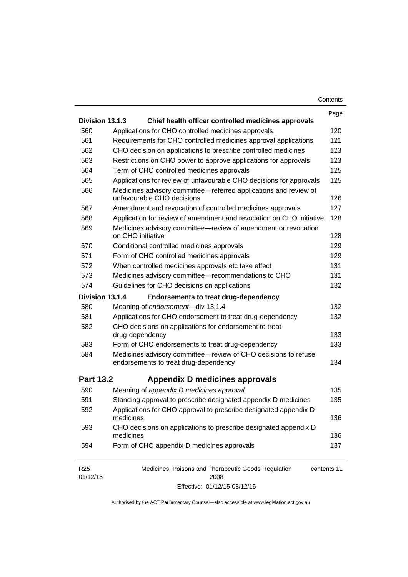| Contents |  |
|----------|--|
|----------|--|

|                             |                                                                                                         | Page        |
|-----------------------------|---------------------------------------------------------------------------------------------------------|-------------|
| Division 13.1.3             | Chief health officer controlled medicines approvals                                                     |             |
| 560                         | Applications for CHO controlled medicines approvals                                                     | 120         |
| 561                         | Requirements for CHO controlled medicines approval applications                                         | 121         |
| 562                         | CHO decision on applications to prescribe controlled medicines                                          | 123         |
| 563                         | Restrictions on CHO power to approve applications for approvals                                         | 123         |
| 564                         | Term of CHO controlled medicines approvals                                                              | 125         |
| 565                         | Applications for review of unfavourable CHO decisions for approvals                                     | 125         |
| 566                         | Medicines advisory committee-referred applications and review of<br>unfavourable CHO decisions          | 126         |
| 567                         | Amendment and revocation of controlled medicines approvals                                              | 127         |
| 568                         | Application for review of amendment and revocation on CHO initiative                                    | 128         |
| 569                         | Medicines advisory committee-review of amendment or revocation<br>on CHO initiative                     | 128         |
| 570                         | Conditional controlled medicines approvals                                                              | 129         |
| 571                         | Form of CHO controlled medicines approvals                                                              | 129         |
| 572                         | When controlled medicines approvals etc take effect                                                     | 131         |
| 573                         | Medicines advisory committee-recommendations to CHO                                                     | 131         |
| 574                         | Guidelines for CHO decisions on applications                                                            | 132         |
| Division 13.1.4             | <b>Endorsements to treat drug-dependency</b>                                                            |             |
| 580                         | Meaning of endorsement-div 13.1.4                                                                       | 132         |
| 581                         | Applications for CHO endorsement to treat drug-dependency                                               | 132         |
| 582                         | CHO decisions on applications for endorsement to treat<br>drug-dependency                               | 133         |
| 583                         | Form of CHO endorsements to treat drug-dependency                                                       | 133         |
| 584                         | Medicines advisory committee-review of CHO decisions to refuse<br>endorsements to treat drug-dependency | 134         |
|                             |                                                                                                         |             |
| <b>Part 13.2</b>            | Appendix D medicines approvals                                                                          |             |
| 590                         | Meaning of appendix D medicines approval                                                                | 135         |
| 591                         | Standing approval to prescribe designated appendix D medicines                                          | 135         |
| 592                         | Applications for CHO approval to prescribe designated appendix D<br>medicines                           | 136         |
| 593                         | CHO decisions on applications to prescribe designated appendix D<br>medicines                           | 136         |
| 594                         | Form of CHO appendix D medicines approvals                                                              | 137         |
| R <sub>25</sub><br>01/12/15 | Medicines, Poisons and Therapeutic Goods Regulation<br>2008                                             | contents 11 |

Effective: 01/12/15-08/12/15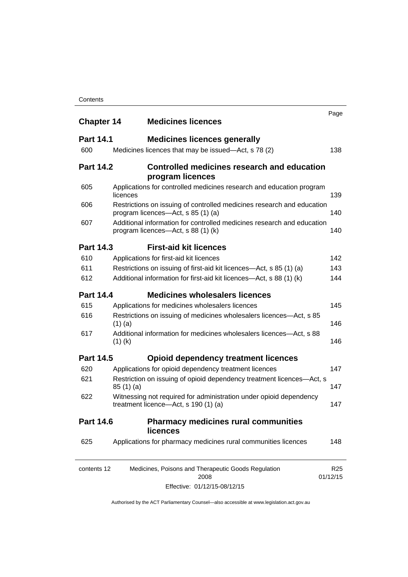#### **Contents**

| <b>Chapter 14</b> | <b>Medicines licences</b>                                                                                    | Page                        |
|-------------------|--------------------------------------------------------------------------------------------------------------|-----------------------------|
| <b>Part 14.1</b>  | <b>Medicines licences generally</b>                                                                          |                             |
| 600               | Medicines licences that may be issued—Act, s 78 (2)                                                          | 138                         |
| <b>Part 14.2</b>  | Controlled medicines research and education<br>program licences                                              |                             |
| 605               | Applications for controlled medicines research and education program<br>licences                             | 139                         |
| 606               | Restrictions on issuing of controlled medicines research and education<br>program licences—Act, s 85 (1) (a) | 140                         |
| 607               | Additional information for controlled medicines research and education<br>program licences—Act, s 88 (1) (k) | 140                         |
| <b>Part 14.3</b>  | <b>First-aid kit licences</b>                                                                                |                             |
| 610               | Applications for first-aid kit licences                                                                      | 142                         |
| 611               | Restrictions on issuing of first-aid kit licences—Act, s 85 (1) (a)                                          | 143                         |
| 612               | Additional information for first-aid kit licences—Act, s 88 (1) (k)                                          | 144                         |
| <b>Part 14.4</b>  | <b>Medicines wholesalers licences</b>                                                                        |                             |
| 615               | Applications for medicines wholesalers licences                                                              | 145                         |
| 616               | Restrictions on issuing of medicines wholesalers licences—Act, s 85<br>$(1)$ (a)                             | 146                         |
| 617               | Additional information for medicines wholesalers licences—Act, s 88<br>$(1)$ (k)                             | 146                         |
| <b>Part 14.5</b>  | <b>Opioid dependency treatment licences</b>                                                                  |                             |
| 620               | Applications for opioid dependency treatment licences                                                        | 147                         |
| 621               | Restriction on issuing of opioid dependency treatment licences-Act, s<br>85(1)(a)                            | 147                         |
| 622               | Witnessing not required for administration under opioid dependency<br>treatment licence—Act, s 190 (1) (a)   | 147                         |
| <b>Part 14.6</b>  | <b>Pharmacy medicines rural communities</b><br><b>licences</b>                                               |                             |
| 625               | Applications for pharmacy medicines rural communities licences                                               | 148                         |
| contents 12       | Medicines, Poisons and Therapeutic Goods Regulation<br>2008                                                  | R <sub>25</sub><br>01/12/15 |

Effective: 01/12/15-08/12/15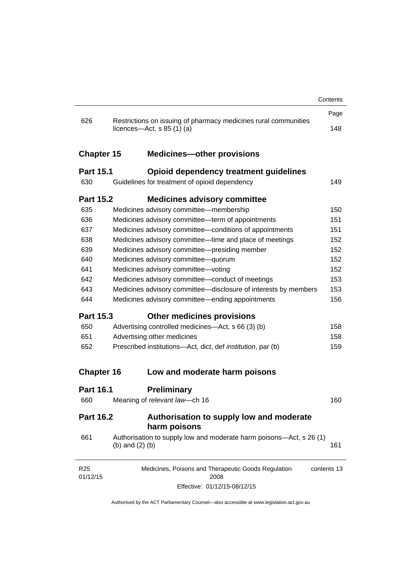|                             |                                                                                                           | Contents    |
|-----------------------------|-----------------------------------------------------------------------------------------------------------|-------------|
|                             |                                                                                                           | Page        |
| 626                         | Restrictions on issuing of pharmacy medicines rural communities<br>licences- $-\text{Act}$ , s 85 (1) (a) | 148         |
| <b>Chapter 15</b>           | <b>Medicines-other provisions</b>                                                                         |             |
| <b>Part 15.1</b>            | <b>Opioid dependency treatment guidelines</b>                                                             |             |
| 630                         | Guidelines for treatment of opioid dependency                                                             | 149         |
| <b>Part 15.2</b>            | <b>Medicines advisory committee</b>                                                                       |             |
| 635                         | Medicines advisory committee-membership                                                                   | 150         |
| 636                         | Medicines advisory committee-term of appointments                                                         | 151         |
| 637                         | Medicines advisory committee-conditions of appointments                                                   | 151         |
| 638                         | Medicines advisory committee-time and place of meetings                                                   | 152         |
| 639                         | Medicines advisory committee-presiding member                                                             | 152         |
| 640                         | Medicines advisory committee-quorum                                                                       | 152         |
| 641                         | Medicines advisory committee-voting                                                                       | 152         |
| 642                         | Medicines advisory committee-conduct of meetings                                                          | 153         |
| 643                         | Medicines advisory committee-disclosure of interests by members                                           | 153         |
| 644                         | Medicines advisory committee—ending appointments                                                          | 156         |
| <b>Part 15.3</b>            | <b>Other medicines provisions</b>                                                                         |             |
| 650                         | Advertising controlled medicines—Act, s 66 (3) (b)                                                        | 158         |
| 651                         | Advertising other medicines                                                                               | 158         |
| 652                         | Prescribed institutions-Act, dict, def <i>institution</i> , par (b)                                       | 159         |
| <b>Chapter 16</b>           | Low and moderate harm poisons                                                                             |             |
| <b>Part 16.1</b>            | <b>Preliminary</b>                                                                                        |             |
| 660                         | Meaning of relevant law-ch 16                                                                             | 160         |
| <b>Part 16.2</b>            | Authorisation to supply low and moderate<br>harm poisons                                                  |             |
| 661                         | Authorisation to supply low and moderate harm poisons—Act, s 26 (1)<br>(b) and $(2)$ (b)                  | 161         |
| R <sub>25</sub><br>01/12/15 | Medicines, Poisons and Therapeutic Goods Regulation<br>2008                                               | contents 13 |
|                             | Effective: 01/12/15-08/12/15                                                                              |             |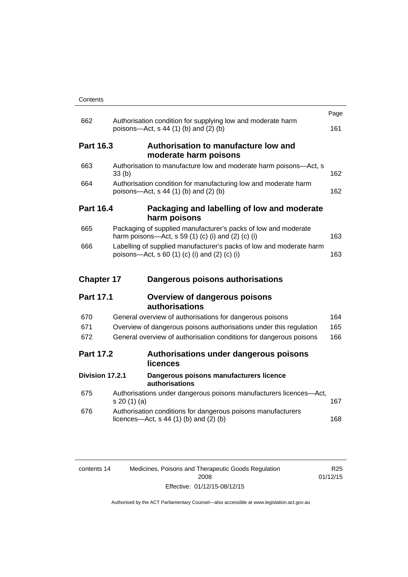|                   |                                                                                                                      | Page       |
|-------------------|----------------------------------------------------------------------------------------------------------------------|------------|
| 662               | Authorisation condition for supplying low and moderate harm<br>poisons-Act, s 44 (1) (b) and (2) (b)                 | 161        |
| <b>Part 16.3</b>  | Authorisation to manufacture low and<br>moderate harm poisons                                                        |            |
| 663               | Authorisation to manufacture low and moderate harm poisons-Act, s<br>33(b)                                           | 162        |
| 664               | Authorisation condition for manufacturing low and moderate harm<br>poisons—Act, s 44 (1) (b) and (2) (b)             | 162        |
| <b>Part 16.4</b>  | Packaging and labelling of low and moderate<br>harm poisons                                                          |            |
| 665               | Packaging of supplied manufacturer's packs of low and moderate<br>harm poisons-Act, s 59 (1) (c) (i) and (2) (c) (i) | 163        |
| 666               | Labelling of supplied manufacturer's packs of low and moderate harm<br>poisons—Act, s 60 (1) (c) (i) and (2) (c) (i) | 163        |
|                   |                                                                                                                      |            |
| <b>Chapter 17</b> | Dangerous poisons authorisations                                                                                     |            |
| <b>Part 17.1</b>  | <b>Overview of dangerous poisons</b><br>authorisations                                                               |            |
| 670               | General overview of authorisations for dangerous poisons                                                             | 164        |
| 671<br>672        | Overview of dangerous poisons authorisations under this regulation                                                   | 165<br>166 |
| <b>Part 17.2</b>  | General overview of authorisation conditions for dangerous poisons<br>Authorisations under dangerous poisons         |            |
|                   | licences                                                                                                             |            |
| Division 17.2.1   | Dangerous poisons manufacturers licence<br>authorisations                                                            |            |
| 675               | Authorisations under dangerous poisons manufacturers licences—Act,<br>s 20(1)(a)                                     | 167        |
| 676               | Authorisation conditions for dangerous poisons manufacturers<br>licences—Act, $s$ 44 (1) (b) and (2) (b)             | 168        |

| contents 14 | Medicines, Poisons and Therapeutic Goods Regulation | R25.     |
|-------------|-----------------------------------------------------|----------|
|             | 2008                                                | 01/12/15 |
|             | Effective: 01/12/15-08/12/15                        |          |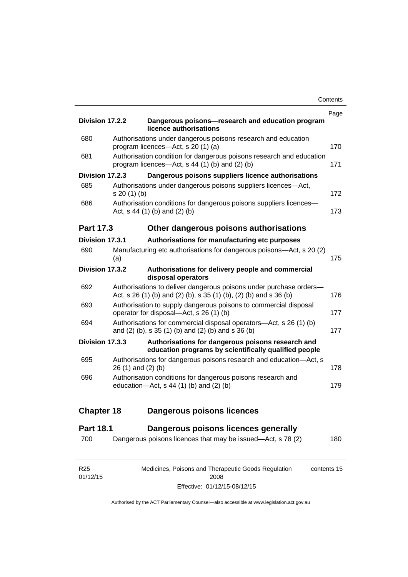| Division 17.2.2   | Dangerous poisons-research and education program<br>licence authorisations                                                              | Page |
|-------------------|-----------------------------------------------------------------------------------------------------------------------------------------|------|
| 680               | Authorisations under dangerous poisons research and education<br>program licences-Act, s 20 (1) (a)                                     | 170  |
| 681               | Authorisation condition for dangerous poisons research and education<br>program licences—Act, $s$ 44 (1) (b) and (2) (b)                | 171  |
| Division 17.2.3   | Dangerous poisons suppliers licence authorisations                                                                                      |      |
| 685               | Authorisations under dangerous poisons suppliers licences-Act,<br>s 20(1)(b)                                                            | 172  |
| 686               | Authorisation conditions for dangerous poisons suppliers licences-<br>Act, $s$ 44 (1) (b) and (2) (b)                                   | 173  |
| <b>Part 17.3</b>  | Other dangerous poisons authorisations                                                                                                  |      |
| Division 17.3.1   | Authorisations for manufacturing etc purposes                                                                                           |      |
| 690               | Manufacturing etc authorisations for dangerous poisons—Act, s 20 (2)<br>(a)                                                             | 175  |
| Division 17.3.2   | Authorisations for delivery people and commercial<br>disposal operators                                                                 |      |
| 692               | Authorisations to deliver dangerous poisons under purchase orders-<br>Act, s 26 (1) (b) and (2) (b), s 35 (1) (b), (2) (b) and s 36 (b) | 176  |
| 693               | Authorisation to supply dangerous poisons to commercial disposal<br>operator for disposal—Act, s 26 (1) (b)                             | 177  |
| 694               | Authorisations for commercial disposal operators-Act, s 26 (1) (b)<br>and (2) (b), s 35 (1) (b) and (2) (b) and s 36 (b)                | 177  |
| Division 17.3.3   | Authorisations for dangerous poisons research and<br>education programs by scientifically qualified people                              |      |
| 695               | Authorisations for dangerous poisons research and education-Act, s<br>$26(1)$ and $(2)(b)$                                              | 178  |
| 696               | Authorisation conditions for dangerous poisons research and<br>education- $Act$ , s 44 (1) (b) and (2) (b)                              | 179  |
| <b>Chapter 18</b> | <b>Dangerous poisons licences</b>                                                                                                       |      |
| <b>Part 18.1</b>  | Dangerous poisons licences generally                                                                                                    |      |
| 700               | Dangerous poisons licences that may be issued-Act, s 78 (2)                                                                             | 180  |

| R25      | Medicines, Poisons and Therapeutic Goods Regulation | contents 15 |
|----------|-----------------------------------------------------|-------------|
| 01/12/15 | 2008                                                |             |
|          | Effective: 01/12/15-08/12/15                        |             |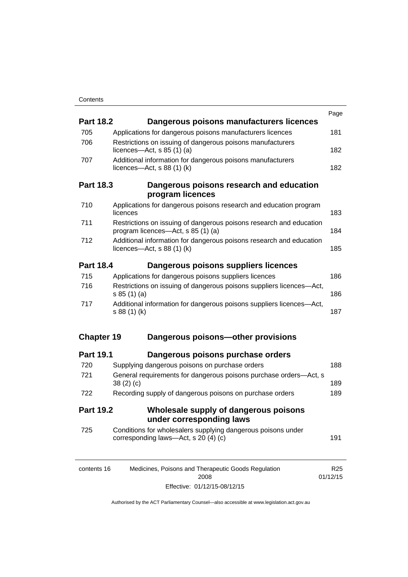| <b>Part 18.2</b>  | Dangerous poisons manufacturers licences                                                                  | Page |
|-------------------|-----------------------------------------------------------------------------------------------------------|------|
| 705               | Applications for dangerous poisons manufacturers licences                                                 | 181  |
| 706               | Restrictions on issuing of dangerous poisons manufacturers                                                |      |
|                   | licences- $-\text{Act}$ , s 85 (1) (a)                                                                    | 182  |
| 707               | Additional information for dangerous poisons manufacturers<br>licences- $-\text{Act}$ , s 88 (1) (k)      | 182  |
| <b>Part 18.3</b>  | Dangerous poisons research and education<br>program licences                                              |      |
| 710               | Applications for dangerous poisons research and education program<br>licences                             | 183  |
| 711               | Restrictions on issuing of dangerous poisons research and education<br>program licences—Act, s 85 (1) (a) | 184  |
| 712               | Additional information for dangerous poisons research and education<br>licences—Act, $s$ 88 (1) (k)       | 185  |
| <b>Part 18.4</b>  | Dangerous poisons suppliers licences                                                                      |      |
| 715               | Applications for dangerous poisons suppliers licences                                                     | 186  |
| 716               | Restrictions on issuing of dangerous poisons suppliers licences-Act,<br>s 85(1)(a)                        | 186  |
| 717               | Additional information for dangerous poisons suppliers licences-Act,<br>s 88 (1) (k)                      | 187  |
| <b>Chapter 19</b> | Dangerous poisons-other provisions                                                                        |      |
| <b>Part 19.1</b>  | Dangerous poisons purchase orders                                                                         |      |
| 720               | Supplying dangerous poisons on purchase orders                                                            | 188  |
| 721               | General requirements for dangerous poisons purchase orders-Act, s<br>38(2)(c)                             | 189  |
| 722               | Recording supply of dangerous poisons on purchase orders                                                  | 189  |
| <b>Part 19.2</b>  | Wholesale supply of dangerous poisons<br>under corresponding laws                                         |      |
| 725               | Conditions for wholesalers supplying dangerous poisons under<br>corresponding laws-Act, s 20 (4) (c)      | 191  |
|                   |                                                                                                           |      |

| contents 16 | Medicines, Poisons and Therapeutic Goods Regulation | R25      |
|-------------|-----------------------------------------------------|----------|
|             | 2008                                                | 01/12/15 |
|             | Effective: 01/12/15-08/12/15                        |          |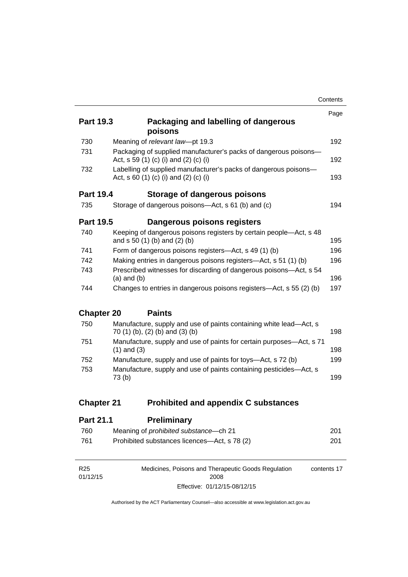|                   |                                                                                                                                 | Contents |
|-------------------|---------------------------------------------------------------------------------------------------------------------------------|----------|
|                   |                                                                                                                                 | Page     |
| <b>Part 19.3</b>  | Packaging and labelling of dangerous<br>poisons                                                                                 |          |
| 730               | Meaning of relevant law-pt 19.3                                                                                                 | 192      |
| 731               | Packaging of supplied manufacturer's packs of dangerous poisons-<br>Act, s 59 (1) (c) (i) and (2) (c) (i)                       | 192      |
| 732               | Labelling of supplied manufacturer's packs of dangerous poisons-<br>Act, $s \, 60 \, (1) \, (c) \, (i)$ and $(2) \, (c) \, (i)$ | 193      |
| <b>Part 19.4</b>  | Storage of dangerous poisons                                                                                                    |          |
| 735               | Storage of dangerous poisons—Act, s 61 (b) and (c)                                                                              | 194      |
| <b>Part 19.5</b>  | Dangerous poisons registers                                                                                                     |          |
| 740               | Keeping of dangerous poisons registers by certain people—Act, s 48<br>and s 50 (1) (b) and (2) (b)                              | 195      |
| 741               | Form of dangerous poisons registers-Act, s 49 (1) (b)                                                                           | 196      |
| 742               | Making entries in dangerous poisons registers—Act, s 51 (1) (b)                                                                 | 196      |
| 743               | Prescribed witnesses for discarding of dangerous poisons-Act, s 54<br>$(a)$ and $(b)$                                           | 196      |
| 744               | Changes to entries in dangerous poisons registers—Act, s 55 (2) (b)                                                             | 197      |
| <b>Chapter 20</b> | <b>Paints</b>                                                                                                                   |          |
| 750               | Manufacture, supply and use of paints containing white lead-Act, s<br>70 (1) (b), (2) (b) and (3) (b)                           | 198      |
| 751               | Manufacture, supply and use of paints for certain purposes-Act, s 71<br>$(1)$ and $(3)$                                         | 198      |
| 752               | Manufacture, supply and use of paints for toys—Act, s 72 (b)                                                                    | 199      |
| 753               | Manufacture, supply and use of paints containing pesticides-Act, s<br>73 <sub>(b)</sub>                                         | 199      |
| <b>Chapter 21</b> | <b>Prohibited and appendix C substances</b>                                                                                     |          |

| <b>Part 21.1</b> | <b>Preliminary</b>                           |     |
|------------------|----------------------------------------------|-----|
| 760              | Meaning of <i>prohibited</i> substance—ch 21 | 201 |
| 761              | Prohibited substances licences—Act, s 78 (2) | 201 |

| R25      | Medicines, Poisons and Therapeutic Goods Regulation | contents 17 |
|----------|-----------------------------------------------------|-------------|
| 01/12/15 | 2008                                                |             |
|          | Effective: 01/12/15-08/12/15                        |             |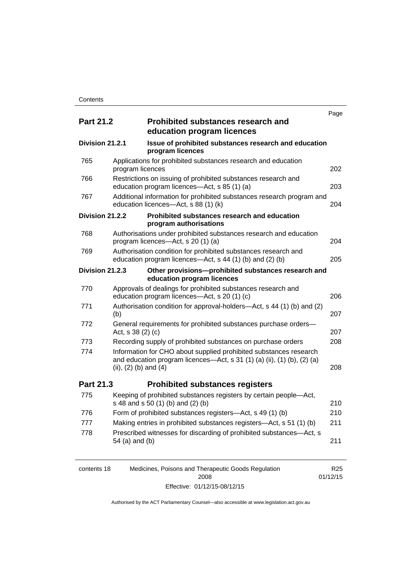|                  |                           |                                                                                                                                              | Page |
|------------------|---------------------------|----------------------------------------------------------------------------------------------------------------------------------------------|------|
| <b>Part 21.2</b> |                           | <b>Prohibited substances research and</b><br>education program licences                                                                      |      |
| Division 21.2.1  |                           | Issue of prohibited substances research and education<br>program licences                                                                    |      |
| 765              | program licences          | Applications for prohibited substances research and education                                                                                | 202  |
| 766              |                           | Restrictions on issuing of prohibited substances research and<br>education program licences-Act, s 85 (1) (a)                                | 203  |
| 767              |                           | Additional information for prohibited substances research program and<br>education licences-Act, s 88 (1) (k)                                | 204  |
| Division 21.2.2  |                           | Prohibited substances research and education<br>program authorisations                                                                       |      |
| 768              |                           | Authorisations under prohibited substances research and education<br>program licences—Act, s 20 (1) (a)                                      | 204  |
| 769              |                           | Authorisation condition for prohibited substances research and<br>education program licences—Act, s 44 (1) (b) and (2) (b)                   | 205  |
| Division 21.2.3  |                           | Other provisions-prohibited substances research and<br>education program licences                                                            |      |
| 770              |                           | Approvals of dealings for prohibited substances research and<br>education program licences-Act, s 20 (1) (c)                                 | 206  |
| 771              | (b)                       | Authorisation condition for approval-holders—Act, s 44 (1) (b) and (2)                                                                       | 207  |
| 772              | Act, s 38 (2) (c)         | General requirements for prohibited substances purchase orders-                                                                              | 207  |
| 773              |                           | Recording supply of prohibited substances on purchase orders                                                                                 | 208  |
| 774              | (ii), $(2)$ (b) and $(4)$ | Information for CHO about supplied prohibited substances research<br>and education program licences—Act, s 31 (1) (a) (ii), (1) (b), (2) (a) | 208  |
| Part 21.3        |                           | <b>Prohibited substances registers</b>                                                                                                       |      |
| 775              |                           | Keeping of prohibited substances registers by certain people-Act,<br>s 48 and s 50 (1) (b) and (2) (b)                                       | 210  |
| 776              |                           | Form of prohibited substances registers—Act, s 49 (1) (b)                                                                                    | 210  |
| 777              |                           | Making entries in prohibited substances registers-Act, s 51 (1) (b)                                                                          | 211  |
| 778              | 54 (a) and (b)            | Prescribed witnesses for discarding of prohibited substances-Act, s                                                                          | 211  |

| contents 18 | Medicines, Poisons and Therapeutic Goods Regulation | R25      |
|-------------|-----------------------------------------------------|----------|
|             | 2008                                                | 01/12/15 |
|             | Effective: 01/12/15-08/12/15                        |          |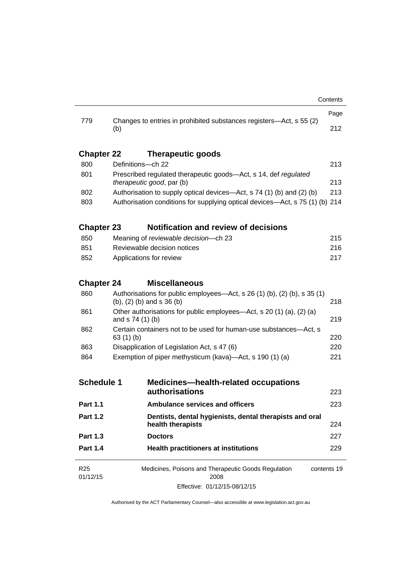| 779                         | Changes to entries in prohibited substances registers—Act, s 55 (2)<br>(b)                                            |             |  |
|-----------------------------|-----------------------------------------------------------------------------------------------------------------------|-------------|--|
| <b>Chapter 22</b>           | <b>Therapeutic goods</b>                                                                                              |             |  |
| 800                         | Definitions-ch 22                                                                                                     | 213         |  |
| 801                         | Prescribed regulated therapeutic goods-Act, s 14, def regulated                                                       |             |  |
|                             | therapeutic good, par (b)                                                                                             | 213         |  |
| 802                         | Authorisation to supply optical devices—Act, s 74 (1) (b) and (2) (b)                                                 |             |  |
| 803                         | Authorisation conditions for supplying optical devices—Act, s 75 (1) (b) 214                                          |             |  |
| <b>Chapter 23</b>           | <b>Notification and review of decisions</b>                                                                           |             |  |
| 850                         | Meaning of reviewable decision--- ch 23                                                                               |             |  |
| 851                         | Reviewable decision notices                                                                                           |             |  |
| 852                         | Applications for review                                                                                               |             |  |
| <b>Chapter 24</b>           | <b>Miscellaneous</b>                                                                                                  |             |  |
| 860                         | Authorisations for public employees—Act, s 26 (1) (b), (2) (b), s 35 (1)<br>$(b)$ , $(2)$ $(b)$ and s 36 $(b)$<br>218 |             |  |
| 861                         | Other authorisations for public employees—Act, s 20 (1) (a), (2) (a)<br>and $s$ 74 (1) (b)                            |             |  |
| 862                         | Certain containers not to be used for human-use substances—Act, s<br>63 $(1)$ $(b)$                                   |             |  |
| 863                         | Disapplication of Legislation Act, s 47 (6)                                                                           |             |  |
| 864                         | Exemption of piper methysticum (kava)—Act, s 190 (1) (a)                                                              |             |  |
| <b>Schedule 1</b>           | <b>Medicines-health-related occupations</b>                                                                           |             |  |
|                             | authorisations                                                                                                        | 223         |  |
| <b>Part 1.1</b>             | <b>Ambulance services and officers</b>                                                                                | 223         |  |
| <b>Part 1.2</b>             | Dentists, dental hygienists, dental therapists and oral<br>health therapists                                          | 224         |  |
| <b>Part 1.3</b>             | <b>Doctors</b>                                                                                                        | 227         |  |
| <b>Part 1.4</b>             | <b>Health practitioners at institutions</b>                                                                           | 229         |  |
| R <sub>25</sub><br>01/12/15 | Medicines, Poisons and Therapeutic Goods Regulation<br>2008                                                           | contents 19 |  |
|                             | Effective: 01/12/15-08/12/15                                                                                          |             |  |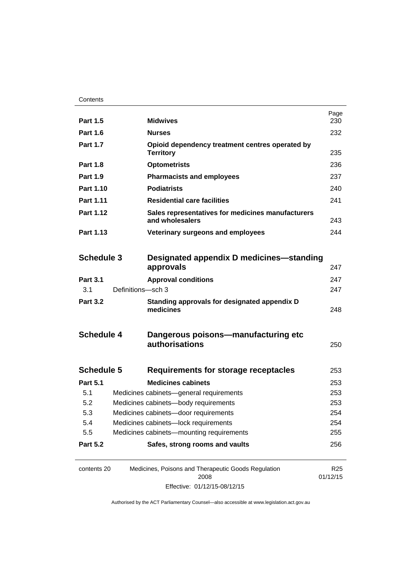| <b>Part 1.5</b>   |                                      | <b>Midwives</b>                                                      | Page<br>230                 |  |
|-------------------|--------------------------------------|----------------------------------------------------------------------|-----------------------------|--|
| <b>Part 1.6</b>   |                                      | Nurses                                                               | 232                         |  |
| <b>Part 1.7</b>   |                                      | Opioid dependency treatment centres operated by<br><b>Territory</b>  |                             |  |
| <b>Part 1.8</b>   |                                      | <b>Optometrists</b>                                                  | 236                         |  |
| <b>Part 1.9</b>   |                                      | <b>Pharmacists and employees</b>                                     | 237                         |  |
| Part 1.10         |                                      | <b>Podiatrists</b>                                                   | 240                         |  |
| <b>Part 1.11</b>  |                                      | <b>Residential care facilities</b>                                   | 241                         |  |
| Part 1.12         |                                      | Sales representatives for medicines manufacturers<br>and wholesalers |                             |  |
| Part 1.13         |                                      | Veterinary surgeons and employees                                    | 244                         |  |
|                   |                                      |                                                                      |                             |  |
| <b>Schedule 3</b> |                                      | Designated appendix D medicines—standing                             |                             |  |
|                   |                                      | approvals                                                            | 247                         |  |
| <b>Part 3.1</b>   |                                      | <b>Approval conditions</b>                                           | 247                         |  |
| 3.1               | Definitions-sch 3                    |                                                                      | 247                         |  |
| <b>Part 3.2</b>   |                                      | Standing approvals for designated appendix D<br>medicines            | 248                         |  |
| <b>Schedule 4</b> |                                      | Dangerous poisons-manufacturing etc<br>authorisations                | 250                         |  |
| <b>Schedule 5</b> |                                      | Requirements for storage receptacles                                 | 253                         |  |
| <b>Part 5.1</b>   |                                      | <b>Medicines cabinets</b>                                            | 253                         |  |
| 5.1               |                                      | Medicines cabinets-general requirements                              | 253                         |  |
| 5.2               | Medicines cabinets-body requirements |                                                                      | 253                         |  |
| 5.3               | Medicines cabinets-door requirements |                                                                      | 254                         |  |
| 5.4               | Medicines cabinets-lock requirements |                                                                      | 254                         |  |
| 5.5               |                                      | Medicines cabinets-mounting requirements                             | 255                         |  |
| <b>Part 5.2</b>   |                                      | Safes, strong rooms and vaults                                       | 256                         |  |
| contents 20       |                                      | Medicines, Poisons and Therapeutic Goods Regulation<br>2008          | R <sub>25</sub><br>01/12/15 |  |

Effective: 01/12/15-08/12/15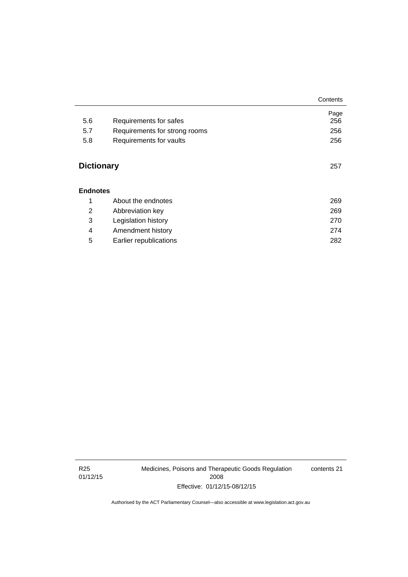|                   |                               | Contents |
|-------------------|-------------------------------|----------|
|                   |                               | Page     |
| 5.6               | Requirements for safes        | 256      |
| 5.7               | Requirements for strong rooms | 256      |
| 5.8               | Requirements for vaults       | 256      |
| <b>Dictionary</b> |                               | 257      |
| <b>Endnotes</b>   |                               |          |
| 1                 | About the endnotes            | 269      |
| 2                 | Abbreviation key              | 269      |
| 3                 | Legislation history           | 270      |
| 4                 | Amendment history             | 274      |
| 5                 | Earlier republications        | 282      |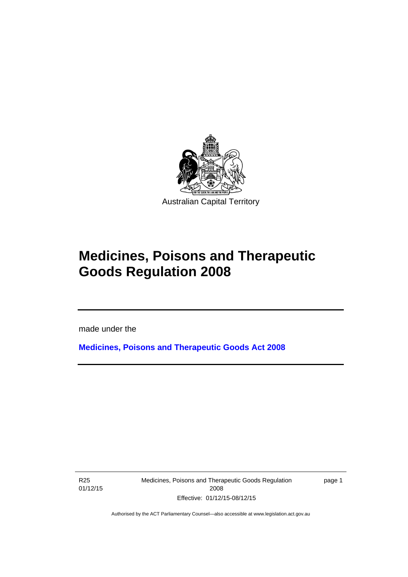

# **Medicines, Poisons and Therapeutic Goods Regulation 2008**

made under the

**[Medicines, Poisons and Therapeutic Goods Act 2008](http://www.legislation.act.gov.au/a/2008-26)**

R25 01/12/15

l

Medicines, Poisons and Therapeutic Goods Regulation 2008 Effective: 01/12/15-08/12/15

page 1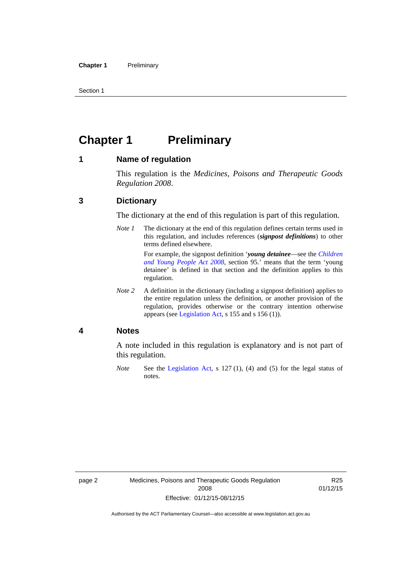Section 1

# <span id="page-25-0"></span>**Chapter 1 Preliminary**

#### <span id="page-25-1"></span>**1 Name of regulation**

This regulation is the *Medicines, Poisons and Therapeutic Goods Regulation 2008*.

### <span id="page-25-2"></span>**3 Dictionary**

The dictionary at the end of this regulation is part of this regulation.

*Note 1* The dictionary at the end of this regulation defines certain terms used in this regulation, and includes references (*signpost definitions*) to other terms defined elsewhere. For example, the signpost definition '*young detainee*—see the *[Children](http://www.legislation.act.gov.au/a/2008-19)* 

*[and Young People Act 2008](http://www.legislation.act.gov.au/a/2008-19)*, section 95.' means that the term 'young detainee' is defined in that section and the definition applies to this regulation.

*Note 2* A definition in the dictionary (including a signpost definition) applies to the entire regulation unless the definition, or another provision of the regulation, provides otherwise or the contrary intention otherwise appears (see [Legislation Act,](http://www.legislation.act.gov.au/a/2001-14) s 155 and s 156 (1)).

#### <span id="page-25-3"></span>**4 Notes**

A note included in this regulation is explanatory and is not part of this regulation.

*Note* See the [Legislation Act,](http://www.legislation.act.gov.au/a/2001-14) s 127 (1), (4) and (5) for the legal status of notes.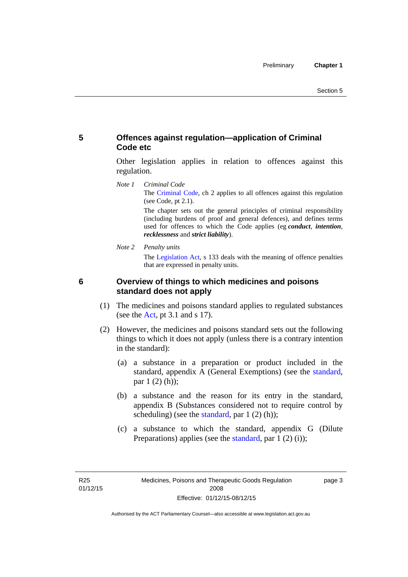## <span id="page-26-0"></span>**5 Offences against regulation—application of Criminal Code etc**

Other legislation applies in relation to offences against this regulation.

*Note 1 Criminal Code* The [Criminal Code](http://www.legislation.act.gov.au/a/2002-51), ch 2 applies to all offences against this regulation (see Code, pt 2.1).

> The chapter sets out the general principles of criminal responsibility (including burdens of proof and general defences), and defines terms used for offences to which the Code applies (eg *conduct*, *intention*, *recklessness* and *strict liability*).

*Note 2 Penalty units* 

The [Legislation Act](http://www.legislation.act.gov.au/a/2001-14), s 133 deals with the meaning of offence penalties that are expressed in penalty units.

# <span id="page-26-1"></span>**6 Overview of things to which medicines and poisons standard does not apply**

- (1) The medicines and poisons standard applies to regulated substances (see the [Act](http://www.legislation.act.gov.au/a/2008-26/default.asp), pt 3.1 and s 17).
- (2) However, the medicines and poisons standard sets out the following things to which it does not apply (unless there is a contrary intention in the standard):
	- (a) a substance in a preparation or product included in the standard, appendix A (General Exemptions) (see the [standard](http://www.comlaw.gov.au/Series/F2012L01200), par 1 (2) (h));
	- (b) a substance and the reason for its entry in the standard, appendix B (Substances considered not to require control by scheduling) (see the [standard,](http://www.comlaw.gov.au/Series/F2012L01200) par  $1(2)(h)$ );
	- (c) a substance to which the standard, appendix G (Dilute Preparations) applies (see the [standard,](http://www.comlaw.gov.au/Series/F2012L01200) par 1 (2) (i));

page 3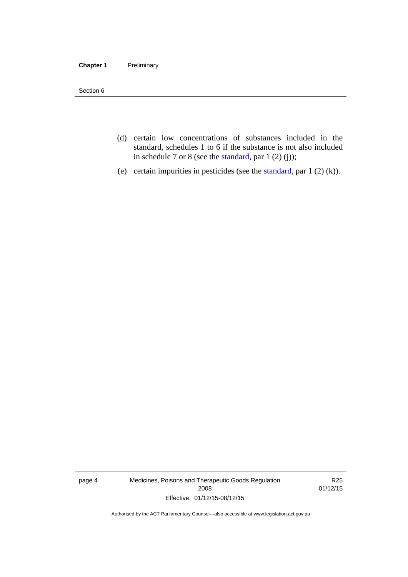#### **Chapter 1** Preliminary

Section 6

- (d) certain low concentrations of substances included in the standard, schedules 1 to 6 if the substance is not also included in schedule 7 or 8 (see the [standard,](http://www.comlaw.gov.au/Series/F2012L01200) par 1 (2) (j));
- (e) certain impurities in pesticides (see the [standard,](http://www.comlaw.gov.au/Series/F2012L01200) par  $1(2)(k)$ ).

page 4 Medicines, Poisons and Therapeutic Goods Regulation 2008 Effective: 01/12/15-08/12/15

R25 01/12/15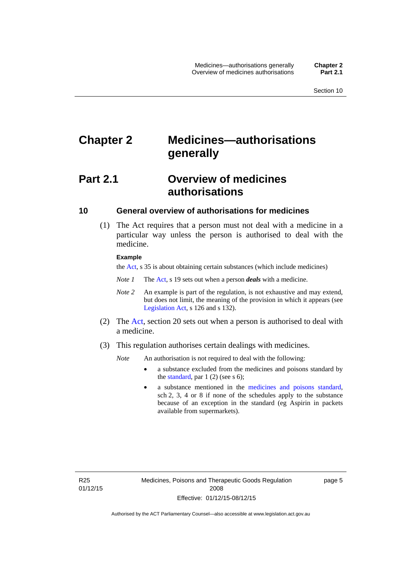# <span id="page-28-0"></span>**Chapter 2 Medicines—authorisations generally**

# <span id="page-28-1"></span>**Part 2.1 Overview of medicines authorisations**

### <span id="page-28-2"></span>**10 General overview of authorisations for medicines**

 (1) The Act requires that a person must not deal with a medicine in a particular way unless the person is authorised to deal with the medicine.

#### **Example**

the [Act](http://www.legislation.act.gov.au/a/2008-26/default.asp), s 35 is about obtaining certain substances (which include medicines)

- *Note 1* The [Act,](http://www.legislation.act.gov.au/a/2008-26/default.asp) s 19 sets out when a person *deals* with a medicine.
- *Note 2* An example is part of the regulation, is not exhaustive and may extend, but does not limit, the meaning of the provision in which it appears (see [Legislation Act,](http://www.legislation.act.gov.au/a/2001-14) s 126 and s 132).
- (2) The [Act](http://www.legislation.act.gov.au/a/2008-26/default.asp), section 20 sets out when a person is authorised to deal with a medicine.
- (3) This regulation authorises certain dealings with medicines.

*Note* An authorisation is not required to deal with the following:

- a substance excluded from the medicines and poisons standard by the [standard,](http://www.comlaw.gov.au/Series/F2012L01200) par  $1(2)$  (see s 6);
- a substance mentioned in the [medicines and poisons standard,](http://www.comlaw.gov.au/Series/F2012L01200) sch 2, 3, 4 or 8 if none of the schedules apply to the substance because of an exception in the standard (eg Aspirin in packets available from supermarkets).

R25 01/12/15 page 5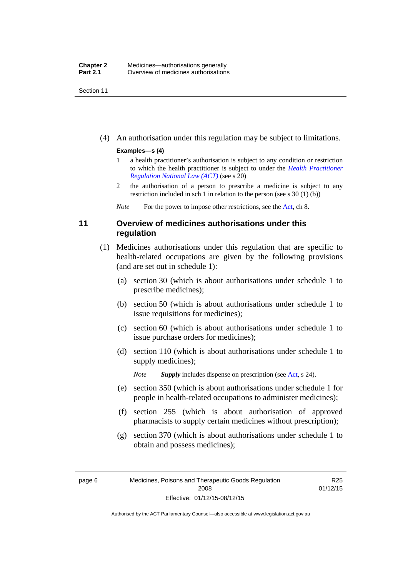Section 11

(4) An authorisation under this regulation may be subject to limitations.

#### **Examples—s (4)**

- 1 a health practitioner's authorisation is subject to any condition or restriction to which the health practitioner is subject to under the *[Health Practitioner](http://www.legislation.act.gov.au/a/db_39269/default.asp)  [Regulation National Law \(ACT\)](http://www.legislation.act.gov.au/a/db_39269/default.asp)* (see s 20)
- 2 the authorisation of a person to prescribe a medicine is subject to any restriction included in sch 1 in relation to the person (see s 30 (1) (b))

*Note* For the power to impose other restrictions, see the [Act](http://www.legislation.act.gov.au/a/2008-26/default.asp), ch 8.

## <span id="page-29-0"></span>**11 Overview of medicines authorisations under this regulation**

- (1) Medicines authorisations under this regulation that are specific to health-related occupations are given by the following provisions (and are set out in schedule 1):
	- (a) section 30 (which is about authorisations under schedule 1 to prescribe medicines);
	- (b) section 50 (which is about authorisations under schedule 1 to issue requisitions for medicines);
	- (c) section 60 (which is about authorisations under schedule 1 to issue purchase orders for medicines);
	- (d) section 110 (which is about authorisations under schedule 1 to supply medicines);

*Note Supply* includes dispense on prescription (see [Act,](http://www.legislation.act.gov.au/a/2008-26/default.asp) s 24).

- (e) section 350 (which is about authorisations under schedule 1 for people in health-related occupations to administer medicines);
- (f) section 255 (which is about authorisation of approved pharmacists to supply certain medicines without prescription);
- (g) section 370 (which is about authorisations under schedule 1 to obtain and possess medicines);

R25 01/12/15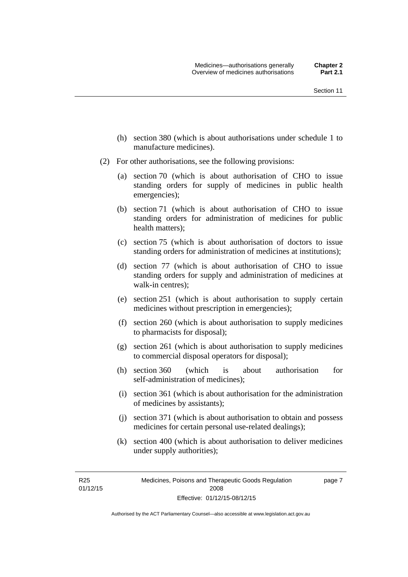- (h) section 380 (which is about authorisations under schedule 1 to manufacture medicines).
- (2) For other authorisations, see the following provisions:
	- (a) section 70 (which is about authorisation of CHO to issue standing orders for supply of medicines in public health emergencies);
	- (b) section 71 (which is about authorisation of CHO to issue standing orders for administration of medicines for public health matters);
	- (c) section 75 (which is about authorisation of doctors to issue standing orders for administration of medicines at institutions);
	- (d) section 77 (which is about authorisation of CHO to issue standing orders for supply and administration of medicines at walk-in centres);
	- (e) section 251 (which is about authorisation to supply certain medicines without prescription in emergencies);
	- (f) section 260 (which is about authorisation to supply medicines to pharmacists for disposal);
	- (g) section 261 (which is about authorisation to supply medicines to commercial disposal operators for disposal);
	- (h) section 360 (which is about authorisation for self-administration of medicines);
	- (i) section 361 (which is about authorisation for the administration of medicines by assistants);
	- (j) section 371 (which is about authorisation to obtain and possess medicines for certain personal use-related dealings);
	- (k) section 400 (which is about authorisation to deliver medicines under supply authorities);

R25 01/12/15 page 7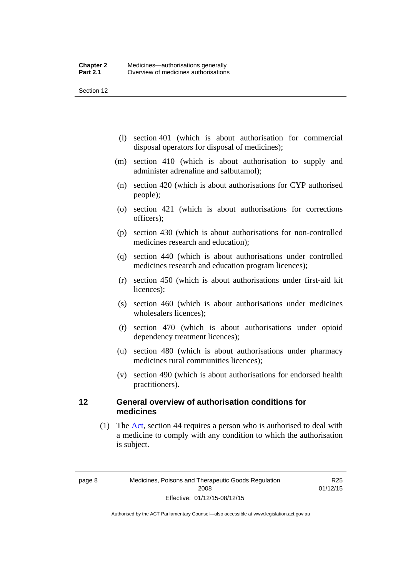Section 12

- (l) section 401 (which is about authorisation for commercial disposal operators for disposal of medicines);
- (m) section 410 (which is about authorisation to supply and administer adrenaline and salbutamol);
- (n) section 420 (which is about authorisations for CYP authorised people);
- (o) section 421 (which is about authorisations for corrections officers);
- (p) section 430 (which is about authorisations for non-controlled medicines research and education);
- (q) section 440 (which is about authorisations under controlled medicines research and education program licences);
- (r) section 450 (which is about authorisations under first-aid kit licences);
- (s) section 460 (which is about authorisations under medicines wholesalers licences);
- (t) section 470 (which is about authorisations under opioid dependency treatment licences);
- (u) section 480 (which is about authorisations under pharmacy medicines rural communities licences);
- (v) section 490 (which is about authorisations for endorsed health practitioners).

### <span id="page-31-0"></span>**12 General overview of authorisation conditions for medicines**

 (1) The [Act](http://www.legislation.act.gov.au/a/2008-26/default.asp), section 44 requires a person who is authorised to deal with a medicine to comply with any condition to which the authorisation is subject.

R25 01/12/15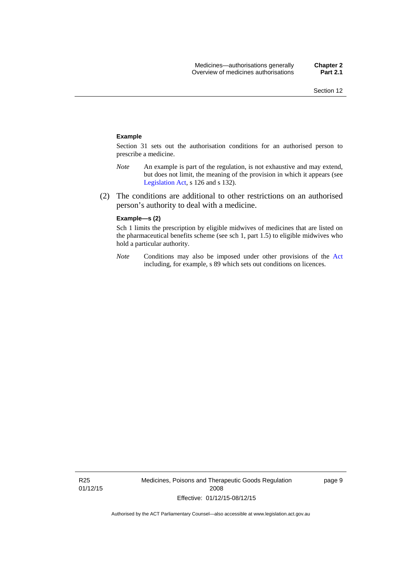#### **Example**

Section 31 sets out the authorisation conditions for an authorised person to prescribe a medicine.

- *Note* An example is part of the regulation, is not exhaustive and may extend, but does not limit, the meaning of the provision in which it appears (see [Legislation Act,](http://www.legislation.act.gov.au/a/2001-14) s 126 and s 132).
- (2) The conditions are additional to other restrictions on an authorised person's authority to deal with a medicine.

#### **Example—s (2)**

Sch 1 limits the prescription by eligible midwives of medicines that are listed on the pharmaceutical benefits scheme (see sch 1, part 1.5) to eligible midwives who hold a particular authority.

*Note* Conditions may also be imposed under other provisions of the [Act](http://www.legislation.act.gov.au/a/2008-26/default.asp) including, for example, s 89 which sets out conditions on licences.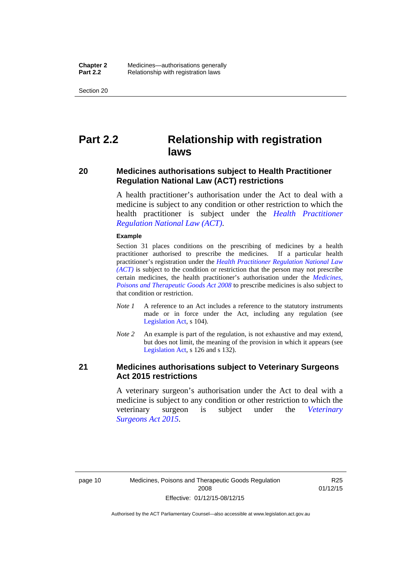Section 20

# <span id="page-33-0"></span>**Part 2.2 Relationship with registration laws**

### <span id="page-33-1"></span>**20 Medicines authorisations subject to Health Practitioner Regulation National Law (ACT) restrictions**

A health practitioner's authorisation under the Act to deal with a medicine is subject to any condition or other restriction to which the health practitioner is subject under the *[Health Practitioner](http://www.legislation.act.gov.au/a/db_39269/default.asp)  [Regulation National Law \(ACT\)](http://www.legislation.act.gov.au/a/db_39269/default.asp)*.

#### **Example**

Section 31 places conditions on the prescribing of medicines by a health practitioner authorised to prescribe the medicines. If a particular health practitioner's registration under the *[Health Practitioner Regulation National Law](http://www.legislation.act.gov.au/a/db_39269/default.asp)  [\(ACT\)](http://www.legislation.act.gov.au/a/db_39269/default.asp)* is subject to the condition or restriction that the person may not prescribe certain medicines, the health practitioner's authorisation under the *[Medicines,](http://www.legislation.act.gov.au/a/2008-26)  [Poisons and Therapeutic Goods Act 2008](http://www.legislation.act.gov.au/a/2008-26)* to prescribe medicines is also subject to that condition or restriction.

- *Note 1* A reference to an Act includes a reference to the statutory instruments made or in force under the Act, including any regulation (see [Legislation Act,](http://www.legislation.act.gov.au/a/2001-14) s 104).
- *Note 2* An example is part of the regulation, is not exhaustive and may extend, but does not limit, the meaning of the provision in which it appears (see [Legislation Act,](http://www.legislation.act.gov.au/a/2001-14) s 126 and s 132).

### <span id="page-33-2"></span>**21 Medicines authorisations subject to Veterinary Surgeons Act 2015 restrictions**

A veterinary surgeon's authorisation under the Act to deal with a medicine is subject to any condition or other restriction to which the veterinary surgeon is subject under the *[Veterinary](http://www.legislation.act.gov.au/a/2015-29/default.asp)  [Surgeons Act 2015](http://www.legislation.act.gov.au/a/2015-29/default.asp)*.

R<sub>25</sub> 01/12/15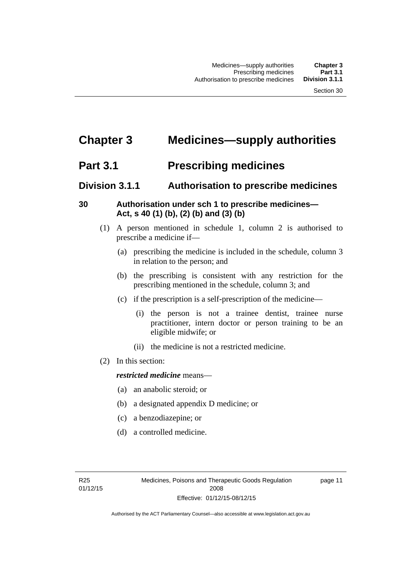# <span id="page-34-0"></span>**Chapter 3 Medicines—supply authorities**

# <span id="page-34-1"></span>**Part 3.1 Prescribing medicines**

# <span id="page-34-2"></span>**Division 3.1.1 Authorisation to prescribe medicines**

# <span id="page-34-3"></span>**30 Authorisation under sch 1 to prescribe medicines— Act, s 40 (1) (b), (2) (b) and (3) (b)**

- (1) A person mentioned in schedule 1, column 2 is authorised to prescribe a medicine if—
	- (a) prescribing the medicine is included in the schedule, column 3 in relation to the person; and
	- (b) the prescribing is consistent with any restriction for the prescribing mentioned in the schedule, column 3; and
	- (c) if the prescription is a self-prescription of the medicine—
		- (i) the person is not a trainee dentist, trainee nurse practitioner, intern doctor or person training to be an eligible midwife; or
		- (ii) the medicine is not a restricted medicine.
- (2) In this section:

## *restricted medicine* means—

- (a) an anabolic steroid; or
- (b) a designated appendix D medicine; or
- (c) a benzodiazepine; or
- (d) a controlled medicine.

page 11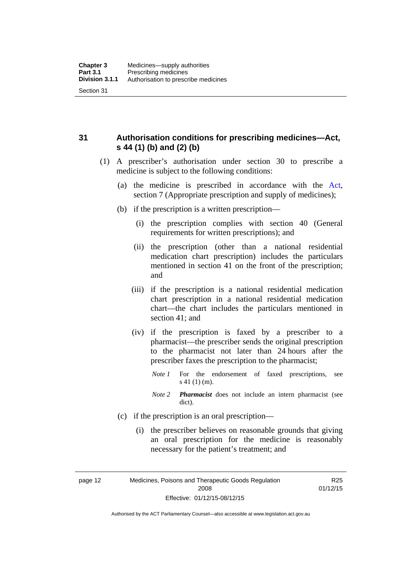<span id="page-35-0"></span>**31 Authorisation conditions for prescribing medicines—Act, s 44 (1) (b) and (2) (b)** 

- (1) A prescriber's authorisation under section 30 to prescribe a medicine is subject to the following conditions:
	- (a) the medicine is prescribed in accordance with the [Act](http://www.legislation.act.gov.au/a/2008-26/default.asp), section 7 (Appropriate prescription and supply of medicines);
	- (b) if the prescription is a written prescription—
		- (i) the prescription complies with section 40 (General requirements for written prescriptions); and
		- (ii) the prescription (other than a national residential medication chart prescription) includes the particulars mentioned in section 41 on the front of the prescription; and
		- (iii) if the prescription is a national residential medication chart prescription in a national residential medication chart––the chart includes the particulars mentioned in section 41; and
		- (iv) if the prescription is faxed by a prescriber to a pharmacist—the prescriber sends the original prescription to the pharmacist not later than 24 hours after the prescriber faxes the prescription to the pharmacist;
			- *Note 1* For the endorsement of faxed prescriptions, see s 41 (1) (m).
			- *Note 2 Pharmacist* does not include an intern pharmacist (see dict).
	- (c) if the prescription is an oral prescription—
		- (i) the prescriber believes on reasonable grounds that giving an oral prescription for the medicine is reasonably necessary for the patient's treatment; and

page 12 Medicines, Poisons and Therapeutic Goods Regulation 2008 Effective: 01/12/15-08/12/15

R25 01/12/15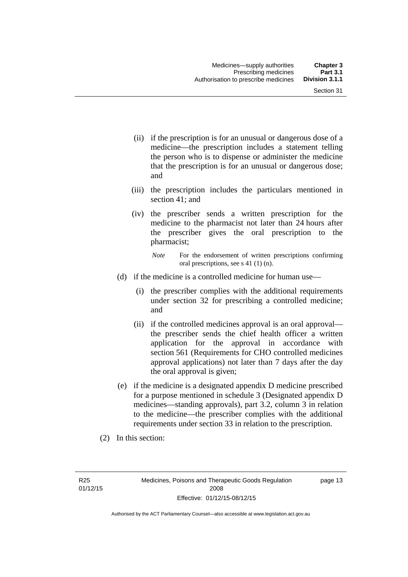- (ii) if the prescription is for an unusual or dangerous dose of a medicine—the prescription includes a statement telling the person who is to dispense or administer the medicine that the prescription is for an unusual or dangerous dose; and
- (iii) the prescription includes the particulars mentioned in section 41; and
- (iv) the prescriber sends a written prescription for the medicine to the pharmacist not later than 24 hours after the prescriber gives the oral prescription to the pharmacist;

- (d) if the medicine is a controlled medicine for human use—
	- (i) the prescriber complies with the additional requirements under section 32 for prescribing a controlled medicine; and
	- (ii) if the controlled medicines approval is an oral approval the prescriber sends the chief health officer a written application for the approval in accordance with section 561 (Requirements for CHO controlled medicines approval applications) not later than 7 days after the day the oral approval is given;
- (e) if the medicine is a designated appendix D medicine prescribed for a purpose mentioned in schedule 3 (Designated appendix D medicines—standing approvals), part 3.2, column 3 in relation to the medicine—the prescriber complies with the additional requirements under section 33 in relation to the prescription.
- (2) In this section:

page 13

*Note* For the endorsement of written prescriptions confirming oral prescriptions, see s 41 (1) (n).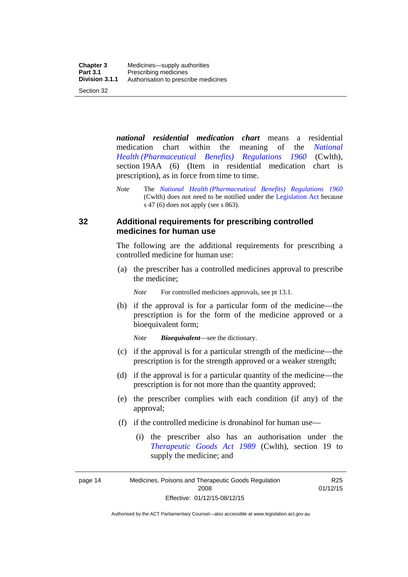*national residential medication chart* means a residential medication chart within the meaning of the *[National](http://www.comlaw.gov.au/Series/F1996B02844)  [Health \(Pharmaceutical Benefits\) Regulations 1960](http://www.comlaw.gov.au/Series/F1996B02844)* (Cwlth), section 19AA (6) (Item in residential medication chart is prescription), as in force from time to time.

#### **32 Additional requirements for prescribing controlled medicines for human use**

The following are the additional requirements for prescribing a controlled medicine for human use:

 (a) the prescriber has a controlled medicines approval to prescribe the medicine;

*Note* For controlled medicines approvals, see pt 13.1.

 (b) if the approval is for a particular form of the medicine—the prescription is for the form of the medicine approved or a bioequivalent form;

*Note Bioequivalent*—see the dictionary.

- (c) if the approval is for a particular strength of the medicine—the prescription is for the strength approved or a weaker strength;
- (d) if the approval is for a particular quantity of the medicine—the prescription is for not more than the quantity approved;
- (e) the prescriber complies with each condition (if any) of the approval;
- (f) if the controlled medicine is dronabinol for human use—
	- (i) the prescriber also has an authorisation under the *[Therapeutic Goods Act 1989](http://www.comlaw.gov.au/Series/C2004A03952)* (Cwlth), section 19 to supply the medicine; and

R25 01/12/15

page 14 Medicines, Poisons and Therapeutic Goods Regulation 2008 Effective: 01/12/15-08/12/15

*Note* The *[National Health \(Pharmaceutical Benefits\) Regulations 1960](http://www.comlaw.gov.au/Series/F1996B02844)* (Cwlth) does not need to be notified under the [Legislation Act](http://www.legislation.act.gov.au/a/2001-14) because s 47 (6) does not apply (see s 863).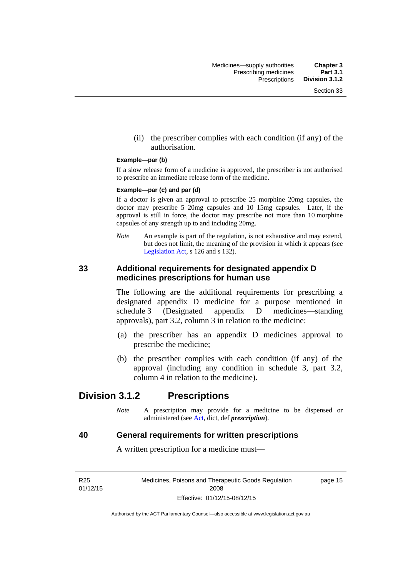(ii) the prescriber complies with each condition (if any) of the authorisation.

#### **Example—par (b)**

If a slow release form of a medicine is approved, the prescriber is not authorised to prescribe an immediate release form of the medicine.

#### **Example—par (c) and par (d)**

If a doctor is given an approval to prescribe 25 morphine 20mg capsules, the doctor may prescribe 5 20mg capsules and 10 15mg capsules. Later, if the approval is still in force, the doctor may prescribe not more than 10 morphine capsules of any strength up to and including 20mg.

*Note* An example is part of the regulation, is not exhaustive and may extend, but does not limit, the meaning of the provision in which it appears (see [Legislation Act,](http://www.legislation.act.gov.au/a/2001-14) s 126 and s 132).

#### **33 Additional requirements for designated appendix D medicines prescriptions for human use**

The following are the additional requirements for prescribing a designated appendix D medicine for a purpose mentioned in schedule 3 (Designated appendix D medicines—standing approvals), part 3.2, column 3 in relation to the medicine:

- (a) the prescriber has an appendix D medicines approval to prescribe the medicine;
- (b) the prescriber complies with each condition (if any) of the approval (including any condition in schedule 3, part 3.2, column 4 in relation to the medicine).

## **Division 3.1.2 Prescriptions**

*Note* A prescription may provide for a medicine to be dispensed or administered (see [Act](http://www.legislation.act.gov.au/a/2008-26/default.asp), dict, def *prescription*).

#### **40 General requirements for written prescriptions**

A written prescription for a medicine must—

R25 01/12/15 Medicines, Poisons and Therapeutic Goods Regulation 2008 Effective: 01/12/15-08/12/15

page 15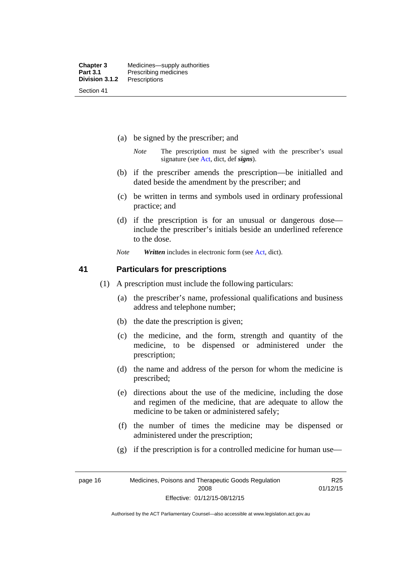- (a) be signed by the prescriber; and
	- *Note* The prescription must be signed with the prescriber's usual signature (see [Act](http://www.legislation.act.gov.au/a/2008-26/default.asp), dict, def *signs*).
- (b) if the prescriber amends the prescription—be initialled and dated beside the amendment by the prescriber; and
- (c) be written in terms and symbols used in ordinary professional practice; and
- (d) if the prescription is for an unusual or dangerous dose include the prescriber's initials beside an underlined reference to the dose.
- *Note Written* includes in electronic form (see [Act,](http://www.legislation.act.gov.au/a/2008-26/default.asp) dict).

#### **41 Particulars for prescriptions**

- (1) A prescription must include the following particulars:
	- (a) the prescriber's name, professional qualifications and business address and telephone number;
	- (b) the date the prescription is given;
	- (c) the medicine, and the form, strength and quantity of the medicine, to be dispensed or administered under the prescription;
	- (d) the name and address of the person for whom the medicine is prescribed;
	- (e) directions about the use of the medicine, including the dose and regimen of the medicine, that are adequate to allow the medicine to be taken or administered safely;
	- (f) the number of times the medicine may be dispensed or administered under the prescription;
	- (g) if the prescription is for a controlled medicine for human use—

R25 01/12/15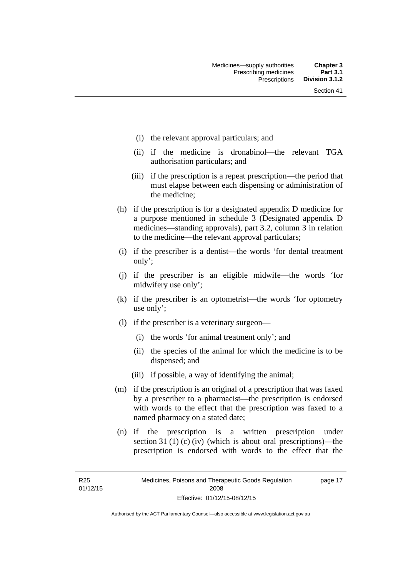- (i) the relevant approval particulars; and
- (ii) if the medicine is dronabinol—the relevant TGA authorisation particulars; and
- (iii) if the prescription is a repeat prescription—the period that must elapse between each dispensing or administration of the medicine;
- (h) if the prescription is for a designated appendix D medicine for a purpose mentioned in schedule 3 (Designated appendix D medicines—standing approvals), part 3.2, column 3 in relation to the medicine—the relevant approval particulars;
- (i) if the prescriber is a dentist—the words 'for dental treatment only';
- (j) if the prescriber is an eligible midwife—the words 'for midwifery use only';
- (k) if the prescriber is an optometrist—the words 'for optometry use only';
- (l) if the prescriber is a veterinary surgeon—
	- (i) the words 'for animal treatment only'; and
	- (ii) the species of the animal for which the medicine is to be dispensed; and
	- (iii) if possible, a way of identifying the animal;
- (m) if the prescription is an original of a prescription that was faxed by a prescriber to a pharmacist—the prescription is endorsed with words to the effect that the prescription was faxed to a named pharmacy on a stated date;
- (n) if the prescription is a written prescription under section 31 (1) (c) (iv) (which is about oral prescriptions)—the prescription is endorsed with words to the effect that the

R25 01/12/15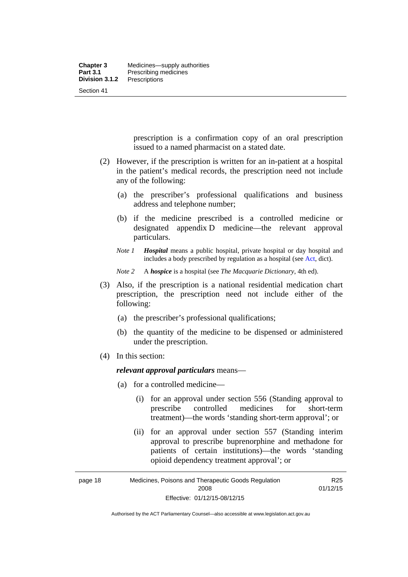prescription is a confirmation copy of an oral prescription issued to a named pharmacist on a stated date.

- (2) However, if the prescription is written for an in-patient at a hospital in the patient's medical records, the prescription need not include any of the following:
	- (a) the prescriber's professional qualifications and business address and telephone number;
	- (b) if the medicine prescribed is a controlled medicine or designated appendix D medicine—the relevant approval particulars.
	- *Note 1 Hospital* means a public hospital, private hospital or day hospital and includes a body prescribed by regulation as a hospital (see [Act,](http://www.legislation.act.gov.au/a/2008-26/default.asp) dict).

*Note 2* A *hospice* is a hospital (see *The Macquarie Dictionary*, 4th ed).

- (3) Also, if the prescription is a national residential medication chart prescription, the prescription need not include either of the following:
	- (a) the prescriber's professional qualifications;
	- (b) the quantity of the medicine to be dispensed or administered under the prescription.
- (4) In this section:

#### *relevant approval particulars* means—

- (a) for a controlled medicine—
	- (i) for an approval under section 556 (Standing approval to prescribe controlled medicines for short-term treatment)—the words 'standing short-term approval'; or
	- (ii) for an approval under section 557 (Standing interim approval to prescribe buprenorphine and methadone for patients of certain institutions)—the words 'standing opioid dependency treatment approval'; or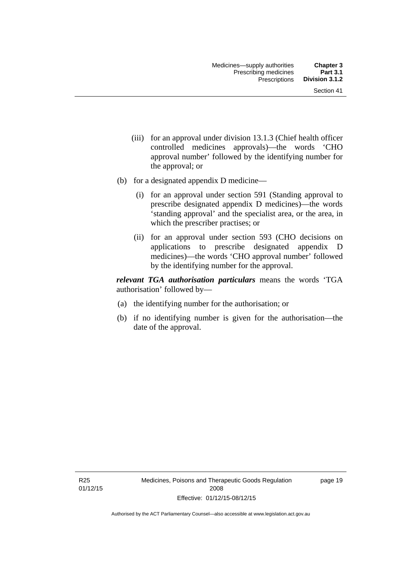- (iii) for an approval under division 13.1.3 (Chief health officer controlled medicines approvals)—the words 'CHO approval number' followed by the identifying number for the approval; or
- (b) for a designated appendix D medicine—
	- (i) for an approval under section 591 (Standing approval to prescribe designated appendix D medicines)—the words 'standing approval' and the specialist area, or the area, in which the prescriber practises; or
	- (ii) for an approval under section 593 (CHO decisions on applications to prescribe designated appendix D medicines)—the words 'CHO approval number' followed by the identifying number for the approval.

*relevant TGA authorisation particulars* means the words 'TGA authorisation' followed by—

- (a) the identifying number for the authorisation; or
- (b) if no identifying number is given for the authorisation—the date of the approval.

page 19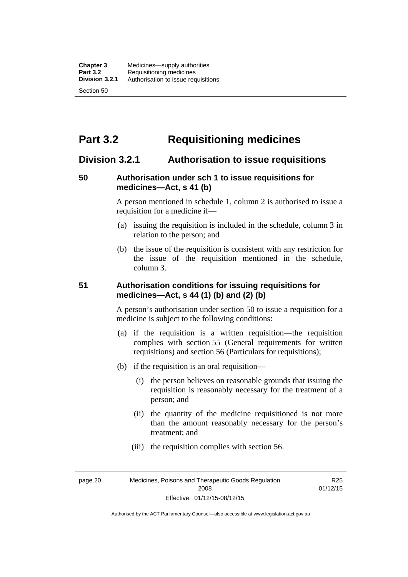# **Part 3.2 Requisitioning medicines**

## **Division 3.2.1 Authorisation to issue requisitions**

#### **50 Authorisation under sch 1 to issue requisitions for medicines—Act, s 41 (b)**

A person mentioned in schedule 1, column 2 is authorised to issue a requisition for a medicine if—

- (a) issuing the requisition is included in the schedule, column 3 in relation to the person; and
- (b) the issue of the requisition is consistent with any restriction for the issue of the requisition mentioned in the schedule, column 3.

#### **51 Authorisation conditions for issuing requisitions for medicines—Act, s 44 (1) (b) and (2) (b)**

A person's authorisation under section 50 to issue a requisition for a medicine is subject to the following conditions:

- (a) if the requisition is a written requisition—the requisition complies with section 55 (General requirements for written requisitions) and section 56 (Particulars for requisitions);
- (b) if the requisition is an oral requisition—
	- (i) the person believes on reasonable grounds that issuing the requisition is reasonably necessary for the treatment of a person; and
	- (ii) the quantity of the medicine requisitioned is not more than the amount reasonably necessary for the person's treatment; and
	- (iii) the requisition complies with section 56.

page 20 Medicines, Poisons and Therapeutic Goods Regulation 2008 Effective: 01/12/15-08/12/15

R25 01/12/15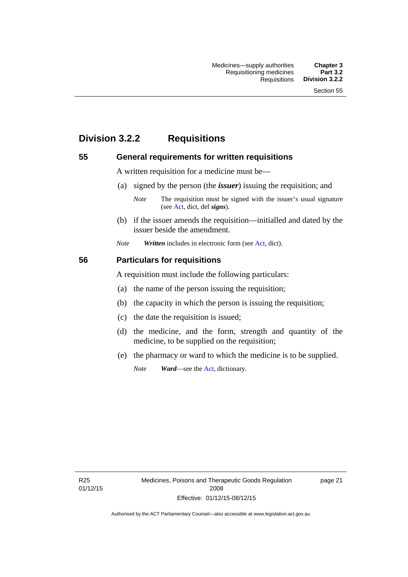# **Division 3.2.2 Requisitions**

#### **55 General requirements for written requisitions**

A written requisition for a medicine must be—

(a) signed by the person (the *issuer*) issuing the requisition; and

 (b) if the issuer amends the requisition—initialled and dated by the issuer beside the amendment.

*Note Written* includes in electronic form (see [Act,](http://www.legislation.act.gov.au/a/2008-26/default.asp) dict).

#### **56 Particulars for requisitions**

A requisition must include the following particulars:

- (a) the name of the person issuing the requisition;
- (b) the capacity in which the person is issuing the requisition;
- (c) the date the requisition is issued;
- (d) the medicine, and the form, strength and quantity of the medicine, to be supplied on the requisition;
- (e) the pharmacy or ward to which the medicine is to be supplied.

*Note Ward*—see the [Act](http://www.legislation.act.gov.au/a/2008-26/default.asp), dictionary.

R25 01/12/15

*Note* The requisition must be signed with the issuer's usual signature (see [Act](http://www.legislation.act.gov.au/a/2008-26/default.asp), dict, def *signs*).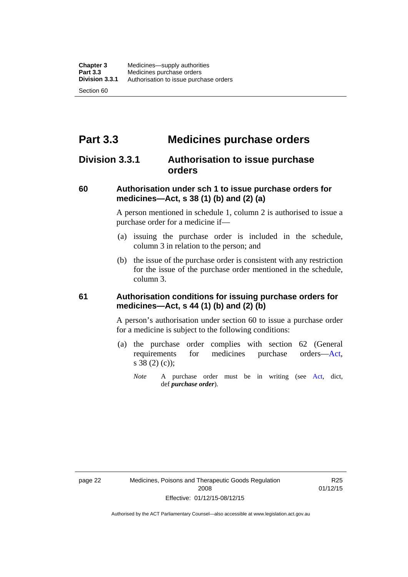# **Part 3.3 Medicines purchase orders**

## **Division 3.3.1 Authorisation to issue purchase orders**

## **60 Authorisation under sch 1 to issue purchase orders for medicines—Act, s 38 (1) (b) and (2) (a)**

A person mentioned in schedule 1, column 2 is authorised to issue a purchase order for a medicine if—

- (a) issuing the purchase order is included in the schedule, column 3 in relation to the person; and
- (b) the issue of the purchase order is consistent with any restriction for the issue of the purchase order mentioned in the schedule, column 3.

#### **61 Authorisation conditions for issuing purchase orders for medicines—Act, s 44 (1) (b) and (2) (b)**

A person's authorisation under section 60 to issue a purchase order for a medicine is subject to the following conditions:

- (a) the purchase order complies with section 62 (General requirements for medicines purchase orders[—Act](http://www.legislation.act.gov.au/a/2008-26/default.asp), s 38 (2) (c));
	- *Note* A purchase order must be in writing (see [Act,](http://www.legislation.act.gov.au/a/2008-26/default.asp) dict, def *purchase order*).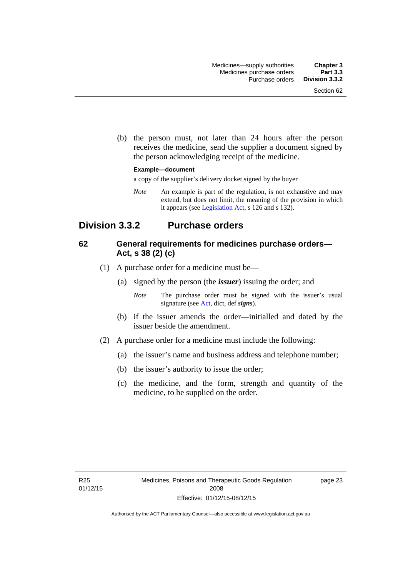(b) the person must, not later than 24 hours after the person receives the medicine, send the supplier a document signed by the person acknowledging receipt of the medicine.

#### **Example—document**

a copy of the supplier's delivery docket signed by the buyer

*Note* An example is part of the regulation, is not exhaustive and may extend, but does not limit, the meaning of the provision in which it appears (see [Legislation Act,](http://www.legislation.act.gov.au/a/2001-14) s 126 and s 132).

## **Division 3.3.2 Purchase orders**

#### **62 General requirements for medicines purchase orders— Act, s 38 (2) (c)**

- (1) A purchase order for a medicine must be—
	- (a) signed by the person (the *issuer*) issuing the order; and
		- *Note* The purchase order must be signed with the issuer's usual signature (see [Act](http://www.legislation.act.gov.au/a/2008-26/default.asp), dict, def *signs*).
	- (b) if the issuer amends the order—initialled and dated by the issuer beside the amendment.
- (2) A purchase order for a medicine must include the following:
	- (a) the issuer's name and business address and telephone number;
	- (b) the issuer's authority to issue the order;
	- (c) the medicine, and the form, strength and quantity of the medicine, to be supplied on the order.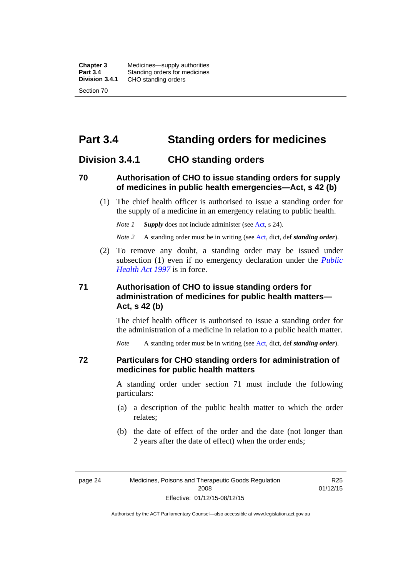**Chapter 3** Medicines—supply authorities<br>**Part 3.4** Standing orders for medicines **Part 3.4 Standing orders for medicines<br>
<b>Division 3.4.1** CHO standing orders **Division 3.4.1** CHO standing orders Section 70

# **Part 3.4 Standing orders for medicines**

## **Division 3.4.1 CHO standing orders**

#### **70 Authorisation of CHO to issue standing orders for supply of medicines in public health emergencies—Act, s 42 (b)**

 (1) The chief health officer is authorised to issue a standing order for the supply of a medicine in an emergency relating to public health.

*Note 1 Supply* does not include administer (see [Act,](http://www.legislation.act.gov.au/a/2008-26/default.asp) s 24).

*Note 2* A standing order must be in writing (see [Act](http://www.legislation.act.gov.au/a/2008-26/default.asp), dict, def *standing order*).

 (2) To remove any doubt, a standing order may be issued under subsection (1) even if no emergency declaration under the *[Public](http://www.legislation.act.gov.au/a/1997-69)  [Health Act 1997](http://www.legislation.act.gov.au/a/1997-69)* is in force.

#### **71 Authorisation of CHO to issue standing orders for administration of medicines for public health matters— Act, s 42 (b)**

The chief health officer is authorised to issue a standing order for the administration of a medicine in relation to a public health matter.

*Note* A standing order must be in writing (see [Act](http://www.legislation.act.gov.au/a/2008-26/default.asp), dict, def *standing order*).

#### **72 Particulars for CHO standing orders for administration of medicines for public health matters**

A standing order under section 71 must include the following particulars:

- (a) a description of the public health matter to which the order relates;
- (b) the date of effect of the order and the date (not longer than 2 years after the date of effect) when the order ends;

R<sub>25</sub> 01/12/15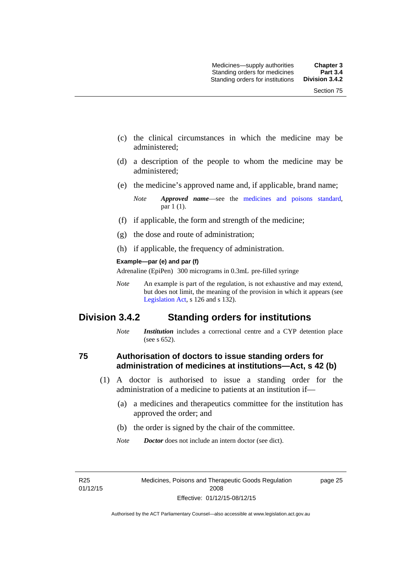- (c) the clinical circumstances in which the medicine may be administered;
- (d) a description of the people to whom the medicine may be administered;
- (e) the medicine's approved name and, if applicable, brand name;

- (f) if applicable, the form and strength of the medicine;
- (g) the dose and route of administration;
- (h) if applicable, the frequency of administration.

#### **Example—par (e) and par (f)**

Adrenaline (EpiPen) 300 micrograms in 0.3mL pre-filled syringe

*Note* An example is part of the regulation, is not exhaustive and may extend, but does not limit, the meaning of the provision in which it appears (see [Legislation Act,](http://www.legislation.act.gov.au/a/2001-14) s 126 and s 132).

## **Division 3.4.2 Standing orders for institutions**

*Note Institution* includes a correctional centre and a CYP detention place (see s 652).

#### **75 Authorisation of doctors to issue standing orders for administration of medicines at institutions—Act, s 42 (b)**

- (1) A doctor is authorised to issue a standing order for the administration of a medicine to patients at an institution if—
	- (a) a medicines and therapeutics committee for the institution has approved the order; and
	- (b) the order is signed by the chair of the committee.
	- *Note Doctor* does not include an intern doctor (see dict).

R25 01/12/15 page 25

*Note Approved name*—see the [medicines and poisons standard,](http://www.comlaw.gov.au/Series/F2012L01200) par 1 (1).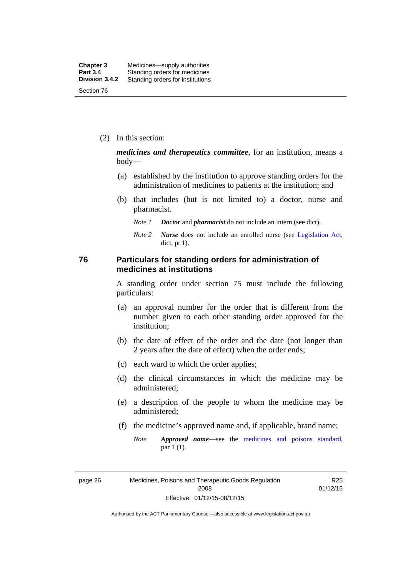(2) In this section:

*medicines and therapeutics committee*, for an institution, means a body—

- (a) established by the institution to approve standing orders for the administration of medicines to patients at the institution; and
- (b) that includes (but is not limited to) a doctor, nurse and pharmacist.
	- *Note 1 Doctor* and *pharmacist* do not include an intern (see dict).
	- *Note 2 Nurse* does not include an enrolled nurse (see [Legislation Act,](http://www.legislation.act.gov.au/a/2001-14) dict, pt 1).

#### **76 Particulars for standing orders for administration of medicines at institutions**

A standing order under section 75 must include the following particulars:

- (a) an approval number for the order that is different from the number given to each other standing order approved for the institution;
- (b) the date of effect of the order and the date (not longer than 2 years after the date of effect) when the order ends;
- (c) each ward to which the order applies;
- (d) the clinical circumstances in which the medicine may be administered;
- (e) a description of the people to whom the medicine may be administered;
- (f) the medicine's approved name and, if applicable, brand name;
	- *Note Approved name*—see the [medicines and poisons standard,](http://www.comlaw.gov.au/Series/F2012L01200) par 1 (1).

page 26 Medicines, Poisons and Therapeutic Goods Regulation 2008 Effective: 01/12/15-08/12/15

R25 01/12/15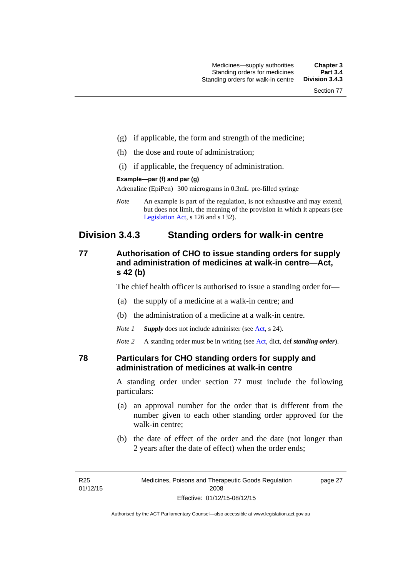- (g) if applicable, the form and strength of the medicine;
- (h) the dose and route of administration;
- (i) if applicable, the frequency of administration.

#### **Example—par (f) and par (g)**

Adrenaline (EpiPen) 300 micrograms in 0.3mL pre-filled syringe

*Note* An example is part of the regulation, is not exhaustive and may extend, but does not limit, the meaning of the provision in which it appears (see [Legislation Act,](http://www.legislation.act.gov.au/a/2001-14) s 126 and s 132).

## **Division 3.4.3 Standing orders for walk-in centre**

## **77 Authorisation of CHO to issue standing orders for supply and administration of medicines at walk-in centre—Act, s 42 (b)**

The chief health officer is authorised to issue a standing order for—

- (a) the supply of a medicine at a walk-in centre; and
- (b) the administration of a medicine at a walk-in centre.

*Note 1 Supply* does not include administer (see [Act,](http://www.legislation.act.gov.au/a/2008-26/default.asp) s 24).

*Note 2* A standing order must be in writing (see [Act](http://www.legislation.act.gov.au/a/2008-26/default.asp), dict, def *standing order*).

#### **78 Particulars for CHO standing orders for supply and administration of medicines at walk-in centre**

A standing order under section 77 must include the following particulars:

- (a) an approval number for the order that is different from the number given to each other standing order approved for the walk-in centre;
- (b) the date of effect of the order and the date (not longer than 2 years after the date of effect) when the order ends;

page 27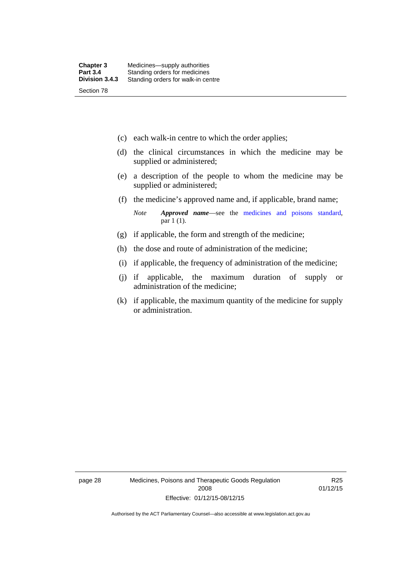- (c) each walk-in centre to which the order applies;
- (d) the clinical circumstances in which the medicine may be supplied or administered;
- (e) a description of the people to whom the medicine may be supplied or administered;
- (f) the medicine's approved name and, if applicable, brand name;

*Note Approved name*—see the [medicines and poisons standard,](http://www.comlaw.gov.au/Series/F2012L01200) par 1 (1).

- (g) if applicable, the form and strength of the medicine;
- (h) the dose and route of administration of the medicine;
- (i) if applicable, the frequency of administration of the medicine;
- (j) if applicable, the maximum duration of supply or administration of the medicine;
- (k) if applicable, the maximum quantity of the medicine for supply or administration.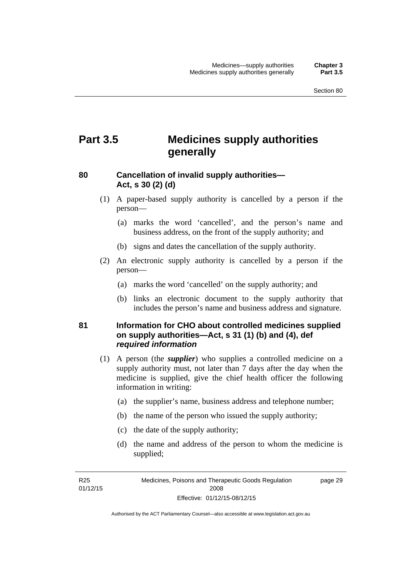# **Part 3.5 Medicines supply authorities generally**

## **80 Cancellation of invalid supply authorities— Act, s 30 (2) (d)**

- (1) A paper-based supply authority is cancelled by a person if the person—
	- (a) marks the word 'cancelled', and the person's name and business address, on the front of the supply authority; and
	- (b) signs and dates the cancellation of the supply authority.
- (2) An electronic supply authority is cancelled by a person if the person—
	- (a) marks the word 'cancelled' on the supply authority; and
	- (b) links an electronic document to the supply authority that includes the person's name and business address and signature.

## **81 Information for CHO about controlled medicines supplied on supply authorities—Act, s 31 (1) (b) and (4), def**  *required information*

- (1) A person (the *supplier*) who supplies a controlled medicine on a supply authority must, not later than 7 days after the day when the medicine is supplied, give the chief health officer the following information in writing:
	- (a) the supplier's name, business address and telephone number;
	- (b) the name of the person who issued the supply authority;
	- (c) the date of the supply authority;
	- (d) the name and address of the person to whom the medicine is supplied;

R25 01/12/15 page 29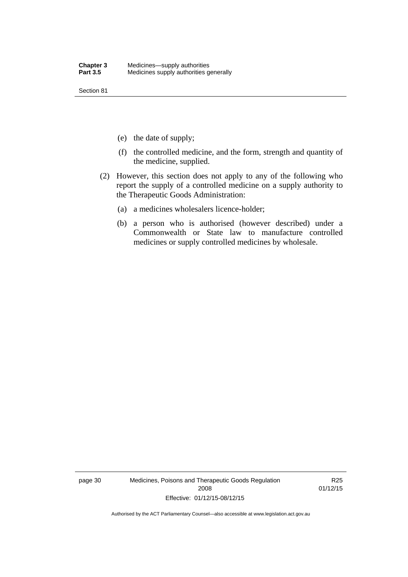Section 81

- (e) the date of supply;
- (f) the controlled medicine, and the form, strength and quantity of the medicine, supplied.
- (2) However, this section does not apply to any of the following who report the supply of a controlled medicine on a supply authority to the Therapeutic Goods Administration:
	- (a) a medicines wholesalers licence-holder;
	- (b) a person who is authorised (however described) under a Commonwealth or State law to manufacture controlled medicines or supply controlled medicines by wholesale.

page 30 Medicines, Poisons and Therapeutic Goods Regulation 2008 Effective: 01/12/15-08/12/15

R25 01/12/15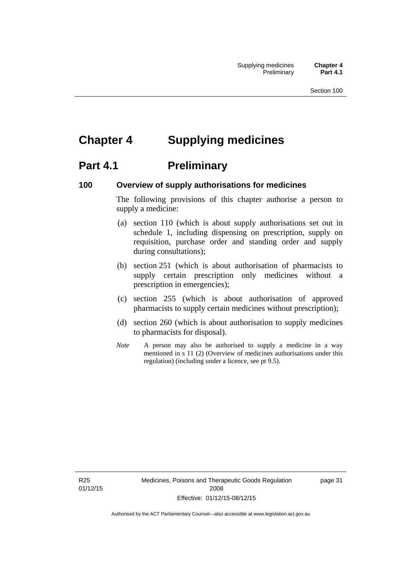# **Chapter 4 Supplying medicines**

# **Part 4.1** Preliminary

#### **100 Overview of supply authorisations for medicines**

The following provisions of this chapter authorise a person to supply a medicine:

- (a) section 110 (which is about supply authorisations set out in schedule 1, including dispensing on prescription, supply on requisition, purchase order and standing order and supply during consultations);
- (b) section 251 (which is about authorisation of pharmacists to supply certain prescription only medicines without a prescription in emergencies);
- (c) section 255 (which is about authorisation of approved pharmacists to supply certain medicines without prescription);
- (d) section 260 (which is about authorisation to supply medicines to pharmacists for disposal).
- *Note* A person may also be authorised to supply a medicine in a way mentioned in s 11 (2) (Overview of medicines authorisations under this regulation) (including under a licence, see pt 9.5).

R25 01/12/15 page 31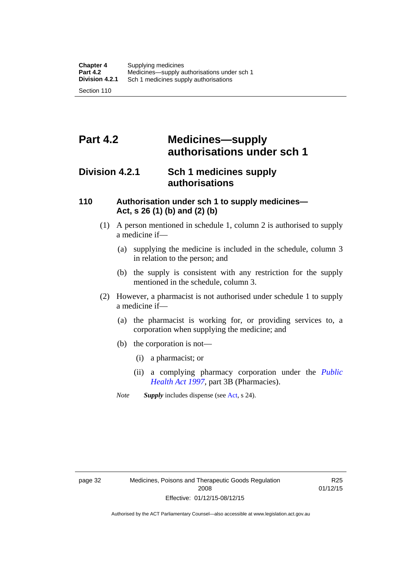# **Part 4.2 Medicines—supply authorisations under sch 1**

## **Division 4.2.1 Sch 1 medicines supply authorisations**

#### **110 Authorisation under sch 1 to supply medicines— Act, s 26 (1) (b) and (2) (b)**

- (1) A person mentioned in schedule 1, column 2 is authorised to supply a medicine if—
	- (a) supplying the medicine is included in the schedule, column 3 in relation to the person; and
	- (b) the supply is consistent with any restriction for the supply mentioned in the schedule, column 3.
- (2) However, a pharmacist is not authorised under schedule 1 to supply a medicine if—
	- (a) the pharmacist is working for, or providing services to, a corporation when supplying the medicine; and
	- (b) the corporation is not—
		- (i) a pharmacist; or
		- (ii) a complying pharmacy corporation under the *[Public](http://www.legislation.act.gov.au/a/1997-69)  [Health Act 1997](http://www.legislation.act.gov.au/a/1997-69)*, part 3B (Pharmacies).
	- *Note Supply* includes dispense (see [Act,](http://www.legislation.act.gov.au/a/2008-26/default.asp) s 24).

R25 01/12/15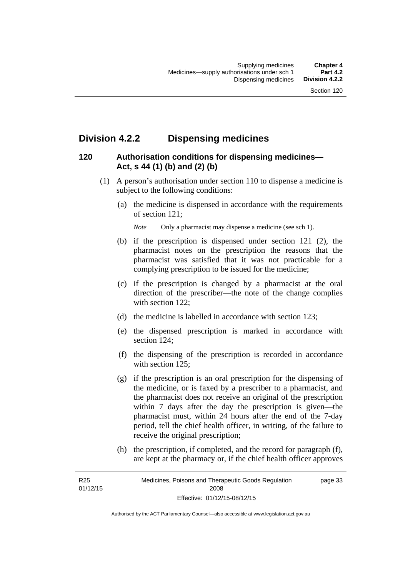# **Division 4.2.2 Dispensing medicines**

## **120 Authorisation conditions for dispensing medicines— Act, s 44 (1) (b) and (2) (b)**

- (1) A person's authorisation under section 110 to dispense a medicine is subject to the following conditions:
	- (a) the medicine is dispensed in accordance with the requirements of section 121;

*Note* Only a pharmacist may dispense a medicine (see sch 1).

- (b) if the prescription is dispensed under section 121 (2), the pharmacist notes on the prescription the reasons that the pharmacist was satisfied that it was not practicable for a complying prescription to be issued for the medicine;
- (c) if the prescription is changed by a pharmacist at the oral direction of the prescriber—the note of the change complies with section 122:
- (d) the medicine is labelled in accordance with section 123;
- (e) the dispensed prescription is marked in accordance with section 124;
- (f) the dispensing of the prescription is recorded in accordance with section 125:
- (g) if the prescription is an oral prescription for the dispensing of the medicine, or is faxed by a prescriber to a pharmacist, and the pharmacist does not receive an original of the prescription within 7 days after the day the prescription is given—the pharmacist must, within 24 hours after the end of the 7-day period, tell the chief health officer, in writing, of the failure to receive the original prescription;
- (h) the prescription, if completed, and the record for paragraph (f), are kept at the pharmacy or, if the chief health officer approves

R25 01/12/15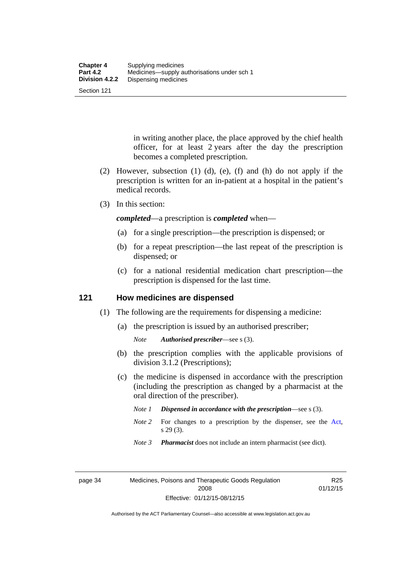Section 121

in writing another place, the place approved by the chief health officer, for at least 2 years after the day the prescription becomes a completed prescription.

- (2) However, subsection (1) (d), (e), (f) and (h) do not apply if the prescription is written for an in-patient at a hospital in the patient's medical records.
- (3) In this section:

*completed*—a prescription is *completed* when—

- (a) for a single prescription—the prescription is dispensed; or
- (b) for a repeat prescription—the last repeat of the prescription is dispensed; or
- (c) for a national residential medication chart prescription––the prescription is dispensed for the last time.

#### **121 How medicines are dispensed**

- (1) The following are the requirements for dispensing a medicine:
	- (a) the prescription is issued by an authorised prescriber;
		- *Note Authorised prescriber*—see s (3).
	- (b) the prescription complies with the applicable provisions of division 3.1.2 (Prescriptions);
	- (c) the medicine is dispensed in accordance with the prescription (including the prescription as changed by a pharmacist at the oral direction of the prescriber).
		- *Note 1 Dispensed in accordance with the prescription*—see s (3).
		- *Note* 2 For changes to a prescription by the dispenser, see the [Act,](http://www.legislation.act.gov.au/a/2008-26/default.asp) s 29 (3).
		- *Note 3 Pharmacist* does not include an intern pharmacist (see dict).

R25 01/12/15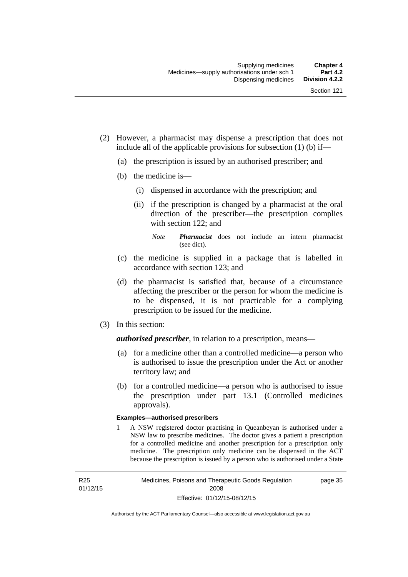- (2) However, a pharmacist may dispense a prescription that does not include all of the applicable provisions for subsection (1) (b) if—
	- (a) the prescription is issued by an authorised prescriber; and
	- (b) the medicine is—
		- (i) dispensed in accordance with the prescription; and
		- (ii) if the prescription is changed by a pharmacist at the oral direction of the prescriber—the prescription complies with section 122; and

*Note Pharmacist* does not include an intern pharmacist (see dict).

- (c) the medicine is supplied in a package that is labelled in accordance with section 123; and
- (d) the pharmacist is satisfied that, because of a circumstance affecting the prescriber or the person for whom the medicine is to be dispensed, it is not practicable for a complying prescription to be issued for the medicine.
- (3) In this section:

*authorised prescriber*, in relation to a prescription, means—

- (a) for a medicine other than a controlled medicine—a person who is authorised to issue the prescription under the Act or another territory law; and
- (b) for a controlled medicine—a person who is authorised to issue the prescription under part 13.1 (Controlled medicines approvals).

#### **Examples—authorised prescribers**

1 A NSW registered doctor practising in Queanbeyan is authorised under a NSW law to prescribe medicines. The doctor gives a patient a prescription for a controlled medicine and another prescription for a prescription only medicine. The prescription only medicine can be dispensed in the ACT because the prescription is issued by a person who is authorised under a State

R25 01/12/15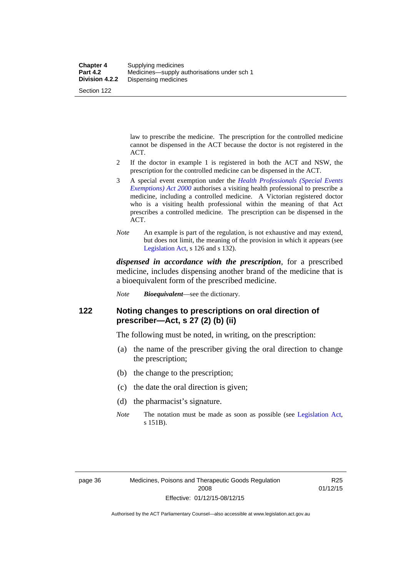law to prescribe the medicine. The prescription for the controlled medicine cannot be dispensed in the ACT because the doctor is not registered in the ACT.

- 2 If the doctor in example 1 is registered in both the ACT and NSW, the prescription for the controlled medicine can be dispensed in the ACT.
- 3 A special event exemption under the *[Health Professionals \(Special Events](http://www.legislation.act.gov.au/a/2000-25)  [Exemptions\) Act 2000](http://www.legislation.act.gov.au/a/2000-25)* authorises a visiting health professional to prescribe a medicine, including a controlled medicine. A Victorian registered doctor who is a visiting health professional within the meaning of that Act prescribes a controlled medicine. The prescription can be dispensed in the ACT.
- *Note* An example is part of the regulation, is not exhaustive and may extend, but does not limit, the meaning of the provision in which it appears (see [Legislation Act,](http://www.legislation.act.gov.au/a/2001-14) s 126 and s 132).

*dispensed in accordance with the prescription*, for a prescribed medicine, includes dispensing another brand of the medicine that is a bioequivalent form of the prescribed medicine.

*Note Bioequivalent*—see the dictionary.

#### **122 Noting changes to prescriptions on oral direction of prescriber—Act, s 27 (2) (b) (ii)**

The following must be noted, in writing, on the prescription:

- (a) the name of the prescriber giving the oral direction to change the prescription;
- (b) the change to the prescription;
- (c) the date the oral direction is given;
- (d) the pharmacist's signature.
- *Note* The notation must be made as soon as possible (see [Legislation Act,](http://www.legislation.act.gov.au/a/2001-14) s 151B).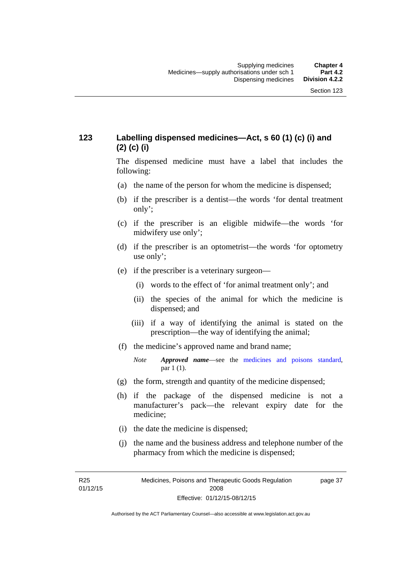## **123 Labelling dispensed medicines—Act, s 60 (1) (c) (i) and (2) (c) (i)**

The dispensed medicine must have a label that includes the following:

- (a) the name of the person for whom the medicine is dispensed;
- (b) if the prescriber is a dentist—the words 'for dental treatment only';
- (c) if the prescriber is an eligible midwife—the words 'for midwifery use only';
- (d) if the prescriber is an optometrist—the words 'for optometry use only';
- (e) if the prescriber is a veterinary surgeon—
	- (i) words to the effect of 'for animal treatment only'; and
	- (ii) the species of the animal for which the medicine is dispensed; and
	- (iii) if a way of identifying the animal is stated on the prescription—the way of identifying the animal;
- (f) the medicine's approved name and brand name;
	- *Note Approved name*—see the [medicines and poisons standard,](http://www.comlaw.gov.au/Series/F2012L01200) par 1 (1).
- (g) the form, strength and quantity of the medicine dispensed;
- (h) if the package of the dispensed medicine is not a manufacturer's pack—the relevant expiry date for the medicine;
- (i) the date the medicine is dispensed;
- (j) the name and the business address and telephone number of the pharmacy from which the medicine is dispensed;

R25 01/12/15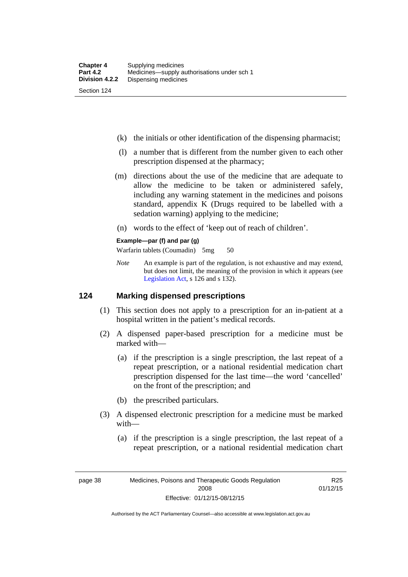- (k) the initials or other identification of the dispensing pharmacist;
- (l) a number that is different from the number given to each other prescription dispensed at the pharmacy;
- (m) directions about the use of the medicine that are adequate to allow the medicine to be taken or administered safely, including any warning statement in the medicines and poisons standard, appendix K (Drugs required to be labelled with a sedation warning) applying to the medicine;
- (n) words to the effect of 'keep out of reach of children'.

#### **Example—par (f) and par (g)**

Warfarin tablets (Coumadin) 5mg 50

*Note* An example is part of the regulation, is not exhaustive and may extend, but does not limit, the meaning of the provision in which it appears (see [Legislation Act,](http://www.legislation.act.gov.au/a/2001-14) s 126 and s 132).

#### **124 Marking dispensed prescriptions**

- (1) This section does not apply to a prescription for an in-patient at a hospital written in the patient's medical records.
- (2) A dispensed paper-based prescription for a medicine must be marked with—
	- (a) if the prescription is a single prescription, the last repeat of a repeat prescription, or a national residential medication chart prescription dispensed for the last time––the word 'cancelled' on the front of the prescription; and
	- (b) the prescribed particulars.
- (3) A dispensed electronic prescription for a medicine must be marked with—
	- (a) if the prescription is a single prescription, the last repeat of a repeat prescription, or a national residential medication chart

R25 01/12/15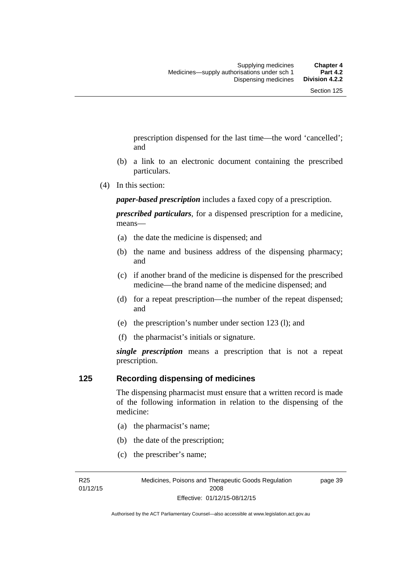prescription dispensed for the last time––the word 'cancelled'; and

- (b) a link to an electronic document containing the prescribed particulars.
- (4) In this section:

*paper-based prescription* includes a faxed copy of a prescription.

*prescribed particulars*, for a dispensed prescription for a medicine, means—

- (a) the date the medicine is dispensed; and
- (b) the name and business address of the dispensing pharmacy; and
- (c) if another brand of the medicine is dispensed for the prescribed medicine—the brand name of the medicine dispensed; and
- (d) for a repeat prescription—the number of the repeat dispensed; and
- (e) the prescription's number under section 123 (l); and
- (f) the pharmacist's initials or signature.

*single prescription* means a prescription that is not a repeat prescription.

#### **125 Recording dispensing of medicines**

The dispensing pharmacist must ensure that a written record is made of the following information in relation to the dispensing of the medicine:

- (a) the pharmacist's name;
- (b) the date of the prescription;
- (c) the prescriber's name;

R25 01/12/15 page 39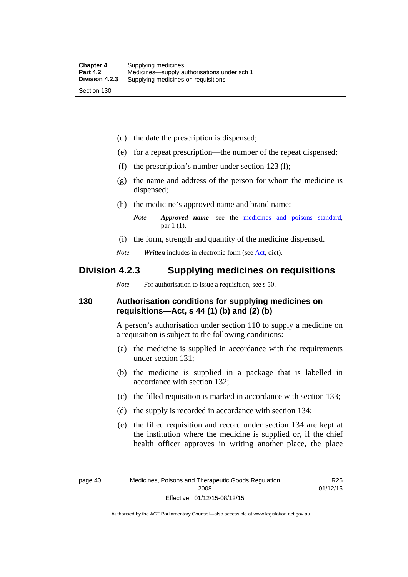(d) the date the prescription is dispensed;

- (e) for a repeat prescription—the number of the repeat dispensed;
- (f) the prescription's number under section 123 (l);
- (g) the name and address of the person for whom the medicine is dispensed;
- (h) the medicine's approved name and brand name;

- (i) the form, strength and quantity of the medicine dispensed.
- *Note Written* includes in electronic form (see [Act,](http://www.legislation.act.gov.au/a/2008-26/default.asp) dict).

## **Division 4.2.3 Supplying medicines on requisitions**

*Note* For authorisation to issue a requisition, see s 50.

#### **130 Authorisation conditions for supplying medicines on requisitions—Act, s 44 (1) (b) and (2) (b)**

A person's authorisation under section 110 to supply a medicine on a requisition is subject to the following conditions:

- (a) the medicine is supplied in accordance with the requirements under section 131;
- (b) the medicine is supplied in a package that is labelled in accordance with section 132;
- (c) the filled requisition is marked in accordance with section 133;
- (d) the supply is recorded in accordance with section 134;
- (e) the filled requisition and record under section 134 are kept at the institution where the medicine is supplied or, if the chief health officer approves in writing another place, the place

*Note Approved name*—see the [medicines and poisons standard,](http://www.comlaw.gov.au/Series/F2012L01200) par 1 (1).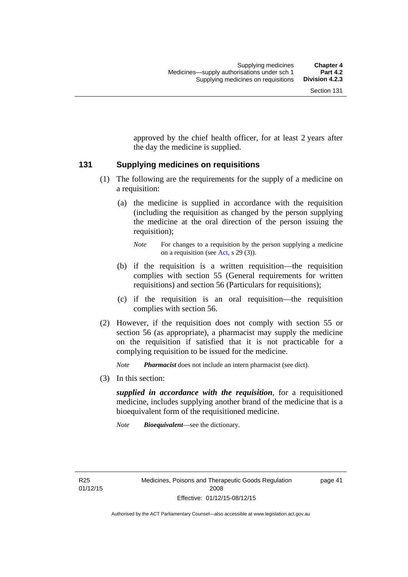approved by the chief health officer, for at least 2 years after the day the medicine is supplied.

#### **131 Supplying medicines on requisitions**

- (1) The following are the requirements for the supply of a medicine on a requisition:
	- (a) the medicine is supplied in accordance with the requisition (including the requisition as changed by the person supplying the medicine at the oral direction of the person issuing the requisition);

- (b) if the requisition is a written requisition—the requisition complies with section 55 (General requirements for written requisitions) and section 56 (Particulars for requisitions);
- (c) if the requisition is an oral requisition—the requisition complies with section 56.
- (2) However, if the requisition does not comply with section 55 or section 56 (as appropriate), a pharmacist may supply the medicine on the requisition if satisfied that it is not practicable for a complying requisition to be issued for the medicine.

*Note Pharmacist* does not include an intern pharmacist (see dict).

(3) In this section:

*supplied in accordance with the requisition*, for a requisitioned medicine, includes supplying another brand of the medicine that is a bioequivalent form of the requisitioned medicine.

*Note Bioequivalent*—see the dictionary.

R25 01/12/15 page 41

*Note* For changes to a requisition by the person supplying a medicine on a requisition (see [Act,](http://www.legislation.act.gov.au/a/2008-26/default.asp) s 29 (3)).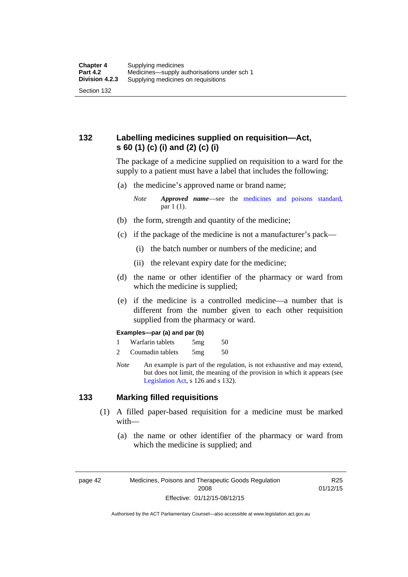## **132 Labelling medicines supplied on requisition—Act, s 60 (1) (c) (i) and (2) (c) (i)**

The package of a medicine supplied on requisition to a ward for the supply to a patient must have a label that includes the following:

(a) the medicine's approved name or brand name;

*Note Approved name*—see the [medicines and poisons standard,](http://www.comlaw.gov.au/Series/F2012L01200) par 1 (1).

- (b) the form, strength and quantity of the medicine;
- (c) if the package of the medicine is not a manufacturer's pack—
	- (i) the batch number or numbers of the medicine; and
	- (ii) the relevant expiry date for the medicine;
- (d) the name or other identifier of the pharmacy or ward from which the medicine is supplied;
- (e) if the medicine is a controlled medicine—a number that is different from the number given to each other requisition supplied from the pharmacy or ward.

#### **Examples—par (a) and par (b)**

- 1 Warfarin tablets 5mg 50
- 2 Coumadin tablets 5mg 50
- *Note* An example is part of the regulation, is not exhaustive and may extend, but does not limit, the meaning of the provision in which it appears (see [Legislation Act,](http://www.legislation.act.gov.au/a/2001-14) s 126 and s 132).

#### **133 Marking filled requisitions**

- (1) A filled paper-based requisition for a medicine must be marked with—
	- (a) the name or other identifier of the pharmacy or ward from which the medicine is supplied; and

page 42 Medicines, Poisons and Therapeutic Goods Regulation 2008 Effective: 01/12/15-08/12/15

R25 01/12/15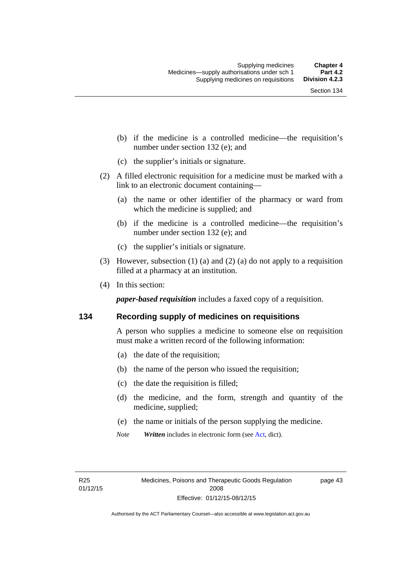- (b) if the medicine is a controlled medicine—the requisition's number under section 132 (e); and
- (c) the supplier's initials or signature.
- (2) A filled electronic requisition for a medicine must be marked with a link to an electronic document containing—
	- (a) the name or other identifier of the pharmacy or ward from which the medicine is supplied; and
	- (b) if the medicine is a controlled medicine—the requisition's number under section 132 (e); and
	- (c) the supplier's initials or signature.
- (3) However, subsection (1) (a) and (2) (a) do not apply to a requisition filled at a pharmacy at an institution.
- (4) In this section:

*paper-based requisition* includes a faxed copy of a requisition.

#### **134 Recording supply of medicines on requisitions**

A person who supplies a medicine to someone else on requisition must make a written record of the following information:

- (a) the date of the requisition;
- (b) the name of the person who issued the requisition;
- (c) the date the requisition is filled;
- (d) the medicine, and the form, strength and quantity of the medicine, supplied;
- (e) the name or initials of the person supplying the medicine.
- *Note Written* includes in electronic form (see [Act,](http://www.legislation.act.gov.au/a/2008-26/default.asp) dict).

R25 01/12/15 page 43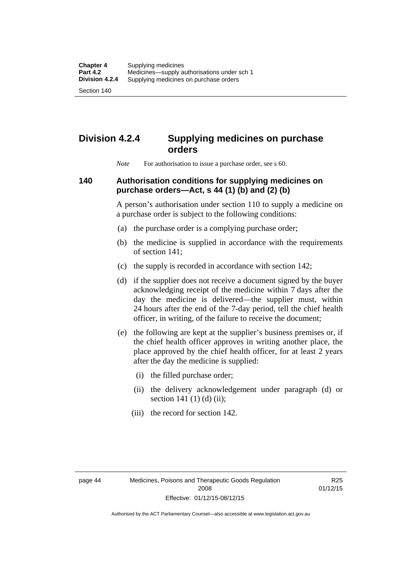Section 140

# **Division 4.2.4 Supplying medicines on purchase orders**

*Note* For authorisation to issue a purchase order, see s 60.

## **140 Authorisation conditions for supplying medicines on purchase orders—Act, s 44 (1) (b) and (2) (b)**

A person's authorisation under section 110 to supply a medicine on a purchase order is subject to the following conditions:

- (a) the purchase order is a complying purchase order;
- (b) the medicine is supplied in accordance with the requirements of section 141;
- (c) the supply is recorded in accordance with section 142;
- (d) if the supplier does not receive a document signed by the buyer acknowledging receipt of the medicine within 7 days after the day the medicine is delivered—the supplier must, within 24 hours after the end of the 7-day period, tell the chief health officer, in writing, of the failure to receive the document;
- (e) the following are kept at the supplier's business premises or, if the chief health officer approves in writing another place, the place approved by the chief health officer, for at least 2 years after the day the medicine is supplied:
	- (i) the filled purchase order;
	- (ii) the delivery acknowledgement under paragraph (d) or section 141 $(1)$  $(d)$  $(ii)$ ;
	- (iii) the record for section 142.

R25 01/12/15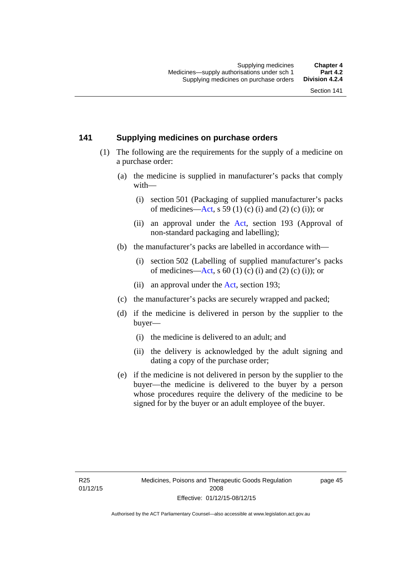#### **141 Supplying medicines on purchase orders**

- (1) The following are the requirements for the supply of a medicine on a purchase order:
	- (a) the medicine is supplied in manufacturer's packs that comply with—
		- (i) section 501 (Packaging of supplied manufacturer's packs of medicines—[Act](http://www.legislation.act.gov.au/a/2008-26/default.asp), s 59 (1) (c) (i) and (2) (c) (i)); or
		- (ii) an approval under the [Act](http://www.legislation.act.gov.au/a/2008-26/default.asp), section 193 (Approval of non-standard packaging and labelling);
	- (b) the manufacturer's packs are labelled in accordance with—
		- (i) section 502 (Labelling of supplied manufacturer's packs of medicines—[Act](http://www.legislation.act.gov.au/a/2008-26/default.asp), s  $60(1)$  (c) (i) and (2) (c) (i)); or
		- (ii) an approval under the [Act,](http://www.legislation.act.gov.au/a/2008-26/default.asp) section 193;
	- (c) the manufacturer's packs are securely wrapped and packed;
	- (d) if the medicine is delivered in person by the supplier to the buyer—
		- (i) the medicine is delivered to an adult; and
		- (ii) the delivery is acknowledged by the adult signing and dating a copy of the purchase order;
	- (e) if the medicine is not delivered in person by the supplier to the buyer—the medicine is delivered to the buyer by a person whose procedures require the delivery of the medicine to be signed for by the buyer or an adult employee of the buyer.

page 45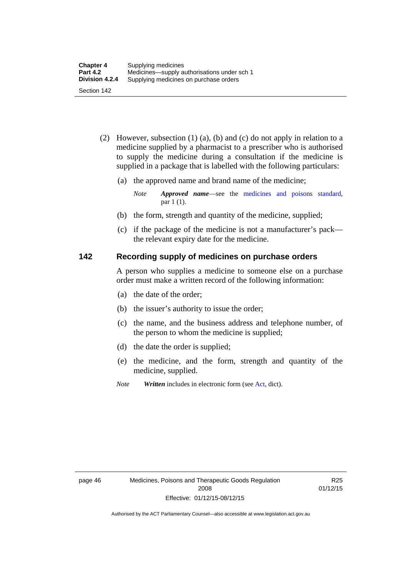- (2) However, subsection (1) (a), (b) and (c) do not apply in relation to a medicine supplied by a pharmacist to a prescriber who is authorised to supply the medicine during a consultation if the medicine is supplied in a package that is labelled with the following particulars:
	- (a) the approved name and brand name of the medicine;

*Note Approved name*—see the [medicines and poisons standard,](http://www.comlaw.gov.au/Series/F2012L01200) par 1 (1).

- (b) the form, strength and quantity of the medicine, supplied;
- (c) if the package of the medicine is not a manufacturer's pack the relevant expiry date for the medicine.

#### **142 Recording supply of medicines on purchase orders**

A person who supplies a medicine to someone else on a purchase order must make a written record of the following information:

- (a) the date of the order;
- (b) the issuer's authority to issue the order;
- (c) the name, and the business address and telephone number, of the person to whom the medicine is supplied;
- (d) the date the order is supplied;
- (e) the medicine, and the form, strength and quantity of the medicine, supplied.
- *Note Written* includes in electronic form (see [Act,](http://www.legislation.act.gov.au/a/2008-26/default.asp) dict).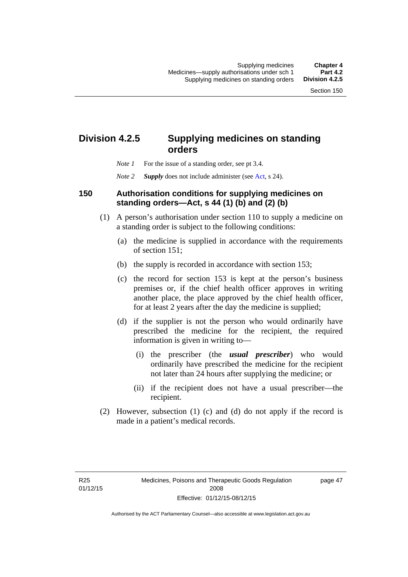# **Division 4.2.5 Supplying medicines on standing orders**

- *Note 1* For the issue of a standing order, see pt 3.4.
- *Note 2 Supply* does not include administer (see [Act,](http://www.legislation.act.gov.au/a/2008-26/default.asp) s 24).

#### **150 Authorisation conditions for supplying medicines on standing orders—Act, s 44 (1) (b) and (2) (b)**

- (1) A person's authorisation under section 110 to supply a medicine on a standing order is subject to the following conditions:
	- (a) the medicine is supplied in accordance with the requirements of section 151;
	- (b) the supply is recorded in accordance with section 153;
	- (c) the record for section 153 is kept at the person's business premises or, if the chief health officer approves in writing another place, the place approved by the chief health officer, for at least 2 years after the day the medicine is supplied;
	- (d) if the supplier is not the person who would ordinarily have prescribed the medicine for the recipient, the required information is given in writing to—
		- (i) the prescriber (the *usual prescriber*) who would ordinarily have prescribed the medicine for the recipient not later than 24 hours after supplying the medicine; or
		- (ii) if the recipient does not have a usual prescriber—the recipient.
- (2) However, subsection (1) (c) and (d) do not apply if the record is made in a patient's medical records.

page 47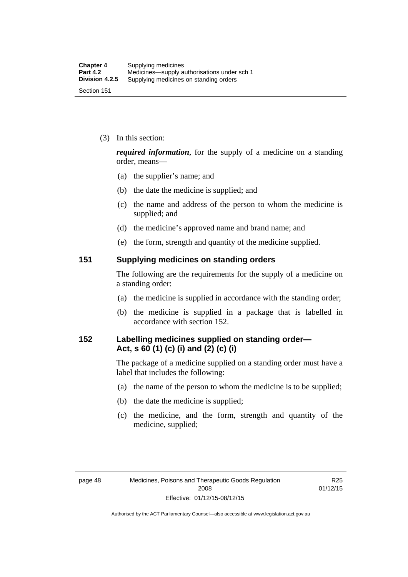(3) In this section:

*required information*, for the supply of a medicine on a standing order, means—

- (a) the supplier's name; and
- (b) the date the medicine is supplied; and
- (c) the name and address of the person to whom the medicine is supplied; and
- (d) the medicine's approved name and brand name; and
- (e) the form, strength and quantity of the medicine supplied.

#### **151 Supplying medicines on standing orders**

The following are the requirements for the supply of a medicine on a standing order:

- (a) the medicine is supplied in accordance with the standing order;
- (b) the medicine is supplied in a package that is labelled in accordance with section 152.

## **152 Labelling medicines supplied on standing order— Act, s 60 (1) (c) (i) and (2) (c) (i)**

The package of a medicine supplied on a standing order must have a label that includes the following:

- (a) the name of the person to whom the medicine is to be supplied;
- (b) the date the medicine is supplied;
- (c) the medicine, and the form, strength and quantity of the medicine, supplied;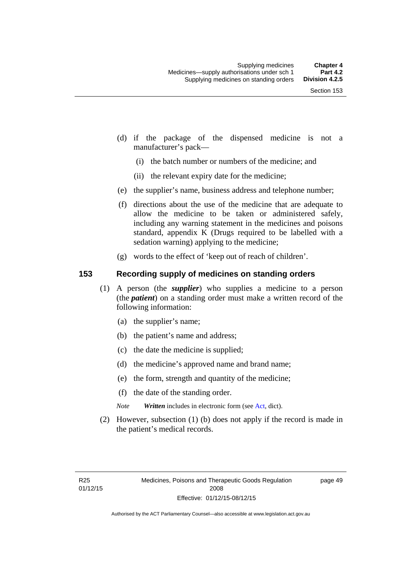- (d) if the package of the dispensed medicine is not a manufacturer's pack—
	- (i) the batch number or numbers of the medicine; and
	- (ii) the relevant expiry date for the medicine;
- (e) the supplier's name, business address and telephone number;
- (f) directions about the use of the medicine that are adequate to allow the medicine to be taken or administered safely, including any warning statement in the medicines and poisons standard, appendix K (Drugs required to be labelled with a sedation warning) applying to the medicine;
- (g) words to the effect of 'keep out of reach of children'.

### **153 Recording supply of medicines on standing orders**

- (1) A person (the *supplier*) who supplies a medicine to a person (the *patient*) on a standing order must make a written record of the following information:
	- (a) the supplier's name;
	- (b) the patient's name and address;
	- (c) the date the medicine is supplied;
	- (d) the medicine's approved name and brand name;
	- (e) the form, strength and quantity of the medicine;
	- (f) the date of the standing order.
	- *Note Written* includes in electronic form (see [Act,](http://www.legislation.act.gov.au/a/2008-26/default.asp) dict).
- (2) However, subsection (1) (b) does not apply if the record is made in the patient's medical records.

page 49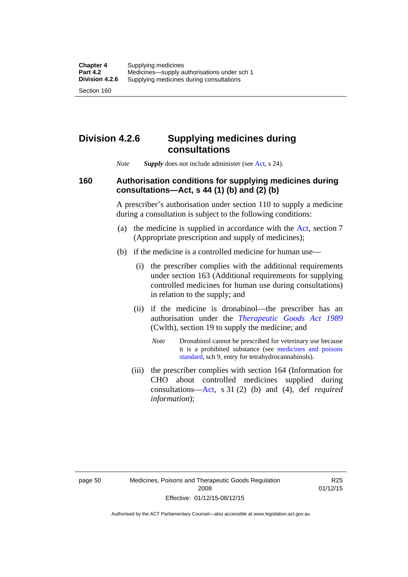## **Division 4.2.6 Supplying medicines during consultations**

*Note Supply* does not include administer (see [Act,](http://www.legislation.act.gov.au/a/2008-26/default.asp) s 24).

## **160 Authorisation conditions for supplying medicines during consultations—Act, s 44 (1) (b) and (2) (b)**

A prescriber's authorisation under section 110 to supply a medicine during a consultation is subject to the following conditions:

- (a) the medicine is supplied in accordance with the [Act](http://www.legislation.act.gov.au/a/2008-26/default.asp), section 7 (Appropriate prescription and supply of medicines);
- (b) if the medicine is a controlled medicine for human use—
	- (i) the prescriber complies with the additional requirements under section 163 (Additional requirements for supplying controlled medicines for human use during consultations) in relation to the supply; and
	- (ii) if the medicine is dronabinol—the prescriber has an authorisation under the *[Therapeutic Goods Act 1989](http://www.comlaw.gov.au/Series/C2004A03952)* (Cwlth), section 19 to supply the medicine; and
		- *Note* Dronabinol cannot be prescribed for veterinary use because it is a prohibited substance (see [medicines and poisons](http://www.comlaw.gov.au/Series/F2012L01200)  [standard,](http://www.comlaw.gov.au/Series/F2012L01200) sch 9, entry for tetrahydrocannabinols).
	- (iii) the prescriber complies with section 164 (Information for CHO about controlled medicines supplied during consultations[—Act,](http://www.legislation.act.gov.au/a/2008-26/default.asp) s 31 (2) (b) and (4), def *required information*);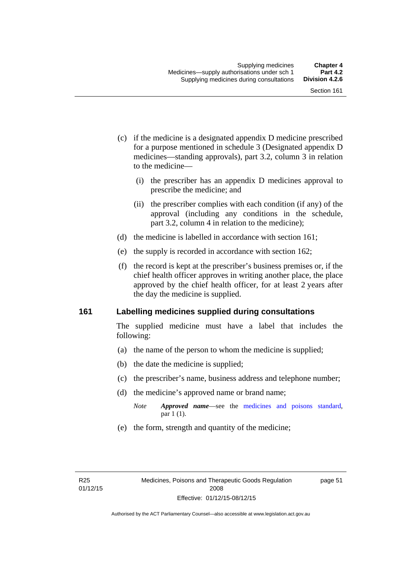- (c) if the medicine is a designated appendix D medicine prescribed for a purpose mentioned in schedule 3 (Designated appendix D medicines—standing approvals), part 3.2, column 3 in relation to the medicine—
	- (i) the prescriber has an appendix D medicines approval to prescribe the medicine; and
	- (ii) the prescriber complies with each condition (if any) of the approval (including any conditions in the schedule, part 3.2, column 4 in relation to the medicine);
- (d) the medicine is labelled in accordance with section 161;
- (e) the supply is recorded in accordance with section 162;
- (f) the record is kept at the prescriber's business premises or, if the chief health officer approves in writing another place, the place approved by the chief health officer, for at least 2 years after the day the medicine is supplied.

### **161 Labelling medicines supplied during consultations**

The supplied medicine must have a label that includes the following:

- (a) the name of the person to whom the medicine is supplied;
- (b) the date the medicine is supplied;
- (c) the prescriber's name, business address and telephone number;
- (d) the medicine's approved name or brand name;
	- *Note Approved name*—see the [medicines and poisons standard,](http://www.comlaw.gov.au/Series/F2012L01200) par 1 (1).
- (e) the form, strength and quantity of the medicine;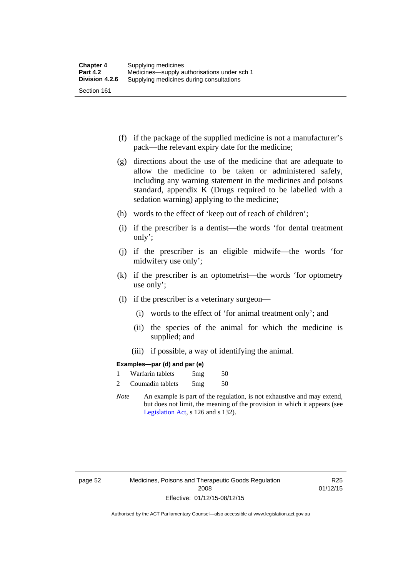- (f) if the package of the supplied medicine is not a manufacturer's pack—the relevant expiry date for the medicine;
- (g) directions about the use of the medicine that are adequate to allow the medicine to be taken or administered safely, including any warning statement in the medicines and poisons standard, appendix K (Drugs required to be labelled with a sedation warning) applying to the medicine;
- (h) words to the effect of 'keep out of reach of children';
- (i) if the prescriber is a dentist—the words 'for dental treatment only';
- (j) if the prescriber is an eligible midwife—the words 'for midwifery use only';
- (k) if the prescriber is an optometrist—the words 'for optometry use only';
- (l) if the prescriber is a veterinary surgeon—
	- (i) words to the effect of 'for animal treatment only'; and
	- (ii) the species of the animal for which the medicine is supplied; and
	- (iii) if possible, a way of identifying the animal.

### **Examples—par (d) and par (e)**

| Warfarin tablets | 5mg | 50 |
|------------------|-----|----|
| Coumadin tablets | 5mg | 50 |

*Note* An example is part of the regulation, is not exhaustive and may extend, but does not limit, the meaning of the provision in which it appears (see [Legislation Act,](http://www.legislation.act.gov.au/a/2001-14) s 126 and s 132).

page 52 Medicines, Poisons and Therapeutic Goods Regulation 2008 Effective: 01/12/15-08/12/15

R25 01/12/15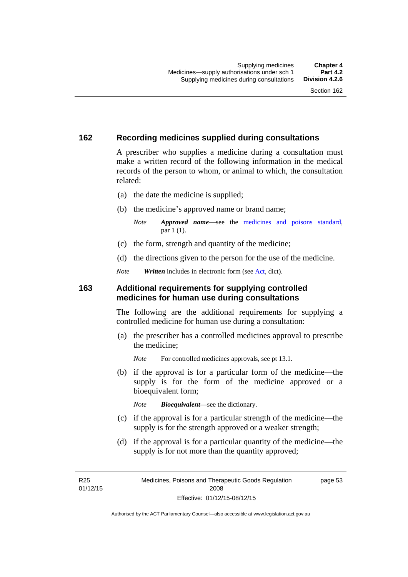### **162 Recording medicines supplied during consultations**

A prescriber who supplies a medicine during a consultation must make a written record of the following information in the medical records of the person to whom, or animal to which, the consultation related:

- (a) the date the medicine is supplied;
- (b) the medicine's approved name or brand name;

*Note Approved name*—see the [medicines and poisons standard,](http://www.comlaw.gov.au/Series/F2012L01200) par 1 (1).

- (c) the form, strength and quantity of the medicine;
- (d) the directions given to the person for the use of the medicine.

*Note Written* includes in electronic form (see [Act,](http://www.legislation.act.gov.au/a/2008-26/default.asp) dict).

### **163 Additional requirements for supplying controlled medicines for human use during consultations**

The following are the additional requirements for supplying a controlled medicine for human use during a consultation:

- (a) the prescriber has a controlled medicines approval to prescribe the medicine;
	- *Note* For controlled medicines approvals, see pt 13.1.
- (b) if the approval is for a particular form of the medicine—the supply is for the form of the medicine approved or a bioequivalent form;

*Note Bioequivalent*—see the dictionary.

- (c) if the approval is for a particular strength of the medicine—the supply is for the strength approved or a weaker strength;
- (d) if the approval is for a particular quantity of the medicine—the supply is for not more than the quantity approved;

R25 01/12/15 page 53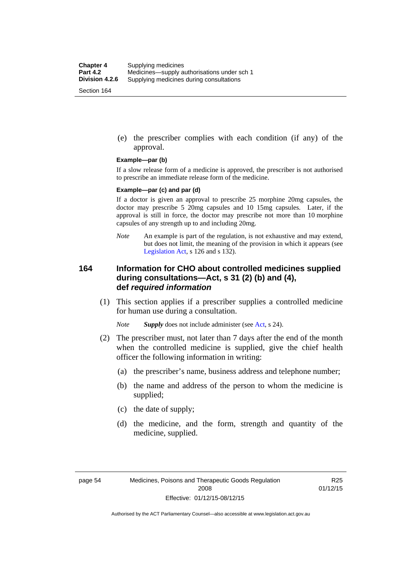(e) the prescriber complies with each condition (if any) of the approval.

#### **Example—par (b)**

If a slow release form of a medicine is approved, the prescriber is not authorised to prescribe an immediate release form of the medicine.

#### **Example—par (c) and par (d)**

If a doctor is given an approval to prescribe 25 morphine 20mg capsules, the doctor may prescribe 5 20mg capsules and 10 15mg capsules. Later, if the approval is still in force, the doctor may prescribe not more than 10 morphine capsules of any strength up to and including 20mg.

*Note* An example is part of the regulation, is not exhaustive and may extend, but does not limit, the meaning of the provision in which it appears (see [Legislation Act,](http://www.legislation.act.gov.au/a/2001-14) s 126 and s 132).

### **164 Information for CHO about controlled medicines supplied during consultations—Act, s 31 (2) (b) and (4), def** *required information*

 (1) This section applies if a prescriber supplies a controlled medicine for human use during a consultation.

*Note Supply* does not include administer (see [Act,](http://www.legislation.act.gov.au/a/2008-26/default.asp) s 24).

- (2) The prescriber must, not later than 7 days after the end of the month when the controlled medicine is supplied, give the chief health officer the following information in writing:
	- (a) the prescriber's name, business address and telephone number;
	- (b) the name and address of the person to whom the medicine is supplied;
	- (c) the date of supply;
	- (d) the medicine, and the form, strength and quantity of the medicine, supplied.

R25 01/12/15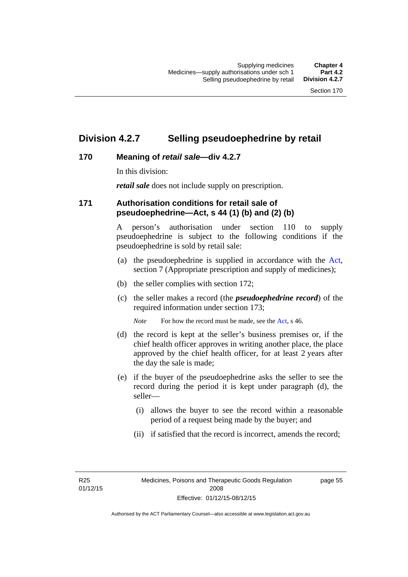## **Division 4.2.7 Selling pseudoephedrine by retail**

### **170 Meaning of** *retail sale***—div 4.2.7**

In this division:

*retail sale* does not include supply on prescription.

### **171 Authorisation conditions for retail sale of pseudoephedrine—Act, s 44 (1) (b) and (2) (b)**

A person's authorisation under section 110 to supply pseudoephedrine is subject to the following conditions if the pseudoephedrine is sold by retail sale:

- (a) the pseudoephedrine is supplied in accordance with the [Act](http://www.legislation.act.gov.au/a/2008-26/default.asp), section 7 (Appropriate prescription and supply of medicines);
- (b) the seller complies with section 172;
- (c) the seller makes a record (the *pseudoephedrine record*) of the required information under section 173;

*Note* For how the record must be made, see the [Act,](http://www.legislation.act.gov.au/a/2008-26/default.asp) s 46.

- (d) the record is kept at the seller's business premises or, if the chief health officer approves in writing another place, the place approved by the chief health officer, for at least 2 years after the day the sale is made;
- (e) if the buyer of the pseudoephedrine asks the seller to see the record during the period it is kept under paragraph (d), the seller—
	- (i) allows the buyer to see the record within a reasonable period of a request being made by the buyer; and
	- (ii) if satisfied that the record is incorrect, amends the record;

R25 01/12/15 page 55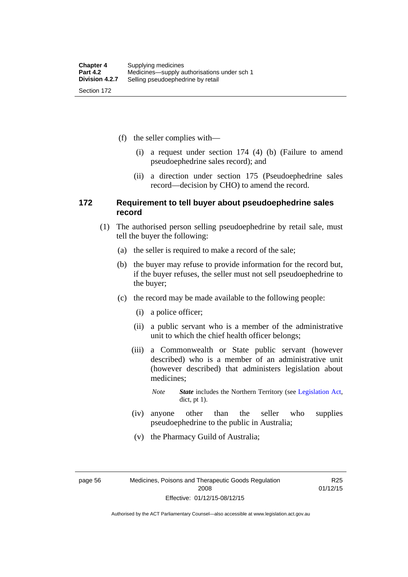(f) the seller complies with—

- (i) a request under section 174 (4) (b) (Failure to amend pseudoephedrine sales record); and
- (ii) a direction under section 175 (Pseudoephedrine sales record—decision by CHO) to amend the record.

### **172 Requirement to tell buyer about pseudoephedrine sales record**

- (1) The authorised person selling pseudoephedrine by retail sale, must tell the buyer the following:
	- (a) the seller is required to make a record of the sale;
	- (b) the buyer may refuse to provide information for the record but, if the buyer refuses, the seller must not sell pseudoephedrine to the buyer;
	- (c) the record may be made available to the following people:
		- (i) a police officer;
		- (ii) a public servant who is a member of the administrative unit to which the chief health officer belongs;
		- (iii) a Commonwealth or State public servant (however described) who is a member of an administrative unit (however described) that administers legislation about medicines;

*Note State* includes the Northern Territory (see [Legislation Act,](http://www.legislation.act.gov.au/a/2001-14) dict, pt 1).

- (iv) anyone other than the seller who supplies pseudoephedrine to the public in Australia;
- (v) the Pharmacy Guild of Australia;

page 56 Medicines, Poisons and Therapeutic Goods Regulation 2008 Effective: 01/12/15-08/12/15

R25 01/12/15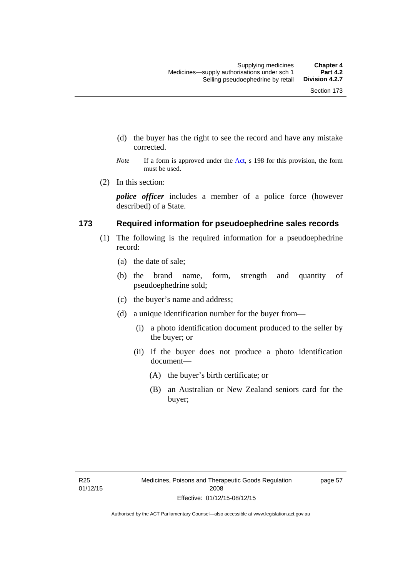- (d) the buyer has the right to see the record and have any mistake corrected.
- *Note* If a form is approved under the [Act](http://www.legislation.act.gov.au/a/2008-26/default.asp), s 198 for this provision, the form must be used.
- (2) In this section:

*police officer* includes a member of a police force (however described) of a State.

### **173 Required information for pseudoephedrine sales records**

- (1) The following is the required information for a pseudoephedrine record:
	- (a) the date of sale;
	- (b) the brand name, form, strength and quantity of pseudoephedrine sold;
	- (c) the buyer's name and address;
	- (d) a unique identification number for the buyer from—
		- (i) a photo identification document produced to the seller by the buyer; or
		- (ii) if the buyer does not produce a photo identification document—
			- (A) the buyer's birth certificate; or
			- (B) an Australian or New Zealand seniors card for the buyer;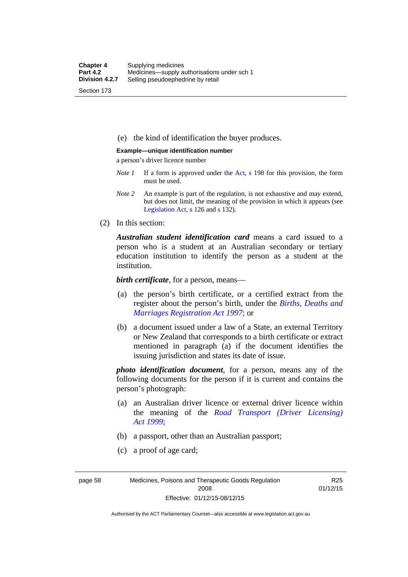(e) the kind of identification the buyer produces.

#### **Example—unique identification number**

a person's driver licence number

- *Note 1* If a form is approved under the [Act](http://www.legislation.act.gov.au/a/2008-26/default.asp), s 198 for this provision, the form must be used.
- *Note 2* An example is part of the regulation, is not exhaustive and may extend, but does not limit, the meaning of the provision in which it appears (see [Legislation Act,](http://www.legislation.act.gov.au/a/2001-14) s 126 and s 132).
- (2) In this section:

*Australian student identification card* means a card issued to a person who is a student at an Australian secondary or tertiary education institution to identify the person as a student at the institution.

*birth certificate*, for a person, means—

- (a) the person's birth certificate, or a certified extract from the register about the person's birth, under the *[Births, Deaths and](http://www.legislation.act.gov.au/a/1997-112)  [Marriages Registration Act 1997](http://www.legislation.act.gov.au/a/1997-112)*; or
- (b) a document issued under a law of a State, an external Territory or New Zealand that corresponds to a birth certificate or extract mentioned in paragraph (a) if the document identifies the issuing jurisdiction and states its date of issue.

*photo identification document*, for a person, means any of the following documents for the person if it is current and contains the person's photograph:

- (a) an Australian driver licence or external driver licence within the meaning of the *[Road Transport \(Driver Licensing\)](http://www.legislation.act.gov.au/a/1999-78)  [Act 1999](http://www.legislation.act.gov.au/a/1999-78)*;
- (b) a passport, other than an Australian passport;
- (c) a proof of age card;

page 58 Medicines, Poisons and Therapeutic Goods Regulation 2008 Effective: 01/12/15-08/12/15

R25 01/12/15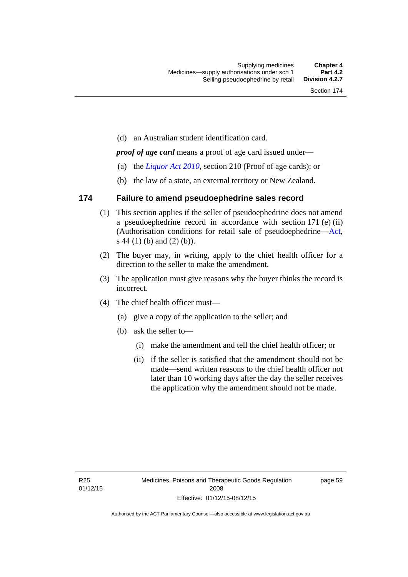(d) an Australian student identification card.

*proof of age card* means a proof of age card issued under—

- (a) the *[Liquor Act 2010](http://www.legislation.act.gov.au/a/2010-35)*, section 210 (Proof of age cards); or
- (b) the law of a state, an external territory or New Zealand.

### **174 Failure to amend pseudoephedrine sales record**

- (1) This section applies if the seller of pseudoephedrine does not amend a pseudoephedrine record in accordance with section 171 (e) (ii) (Authorisation conditions for retail sale of pseudoephedrine—[Act](http://www.legislation.act.gov.au/a/2008-26/default.asp), s 44 (1) (b) and (2) (b)).
- (2) The buyer may, in writing, apply to the chief health officer for a direction to the seller to make the amendment.
- (3) The application must give reasons why the buyer thinks the record is incorrect.
- (4) The chief health officer must—
	- (a) give a copy of the application to the seller; and
	- (b) ask the seller to—
		- (i) make the amendment and tell the chief health officer; or
		- (ii) if the seller is satisfied that the amendment should not be made—send written reasons to the chief health officer not later than 10 working days after the day the seller receives the application why the amendment should not be made.

page 59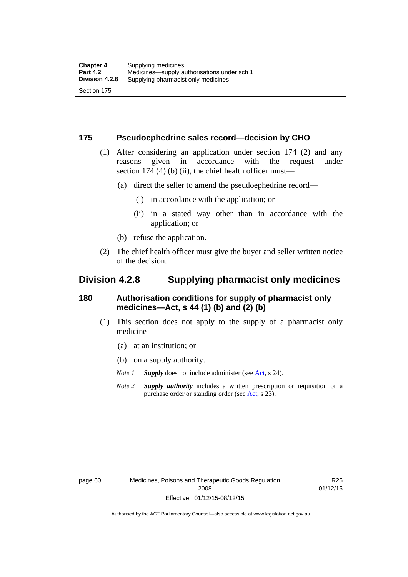### **175 Pseudoephedrine sales record—decision by CHO**

- (1) After considering an application under section 174 (2) and any reasons given in accordance with the request under section 174  $(4)$  (b)  $(ii)$ , the chief health officer must—
	- (a) direct the seller to amend the pseudoephedrine record—
		- (i) in accordance with the application; or
		- (ii) in a stated way other than in accordance with the application; or
	- (b) refuse the application.
- (2) The chief health officer must give the buyer and seller written notice of the decision.

## **Division 4.2.8 Supplying pharmacist only medicines**

### **180 Authorisation conditions for supply of pharmacist only medicines—Act, s 44 (1) (b) and (2) (b)**

- (1) This section does not apply to the supply of a pharmacist only medicine—
	- (a) at an institution; or
	- (b) on a supply authority.
	- *Note 1 Supply* does not include administer (see [Act,](http://www.legislation.act.gov.au/a/2008-26/default.asp) s 24).
	- *Note 2 Supply authority* includes a written prescription or requisition or a purchase order or standing order (see [Act,](http://www.legislation.act.gov.au/a/2008-26/default.asp) s 23).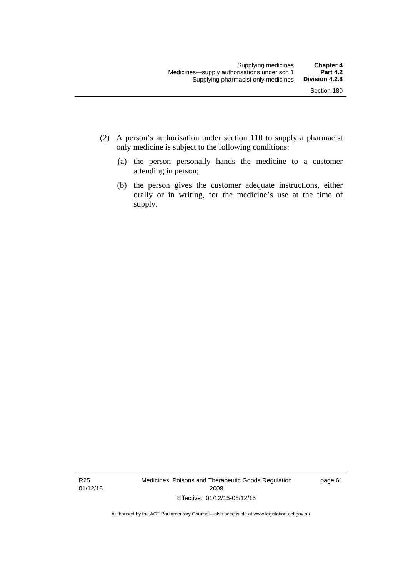- (2) A person's authorisation under section 110 to supply a pharmacist only medicine is subject to the following conditions:
	- (a) the person personally hands the medicine to a customer attending in person;
	- (b) the person gives the customer adequate instructions, either orally or in writing, for the medicine's use at the time of supply.

R25 01/12/15 Medicines, Poisons and Therapeutic Goods Regulation 2008 Effective: 01/12/15-08/12/15

page 61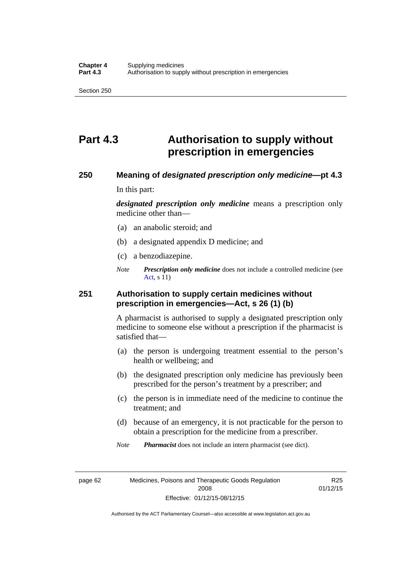# **Part 4.3 Authorisation to supply without prescription in emergencies**

### **250 Meaning of** *designated prescription only medicine***—pt 4.3**

In this part:

*designated prescription only medicine* means a prescription only medicine other than—

- (a) an anabolic steroid; and
- (b) a designated appendix D medicine; and
- (c) a benzodiazepine.
- *Note Prescription only medicine* does not include a controlled medicine (see [Act](http://www.legislation.act.gov.au/a/2008-26/default.asp), s 11)

### **251 Authorisation to supply certain medicines without prescription in emergencies—Act, s 26 (1) (b)**

A pharmacist is authorised to supply a designated prescription only medicine to someone else without a prescription if the pharmacist is satisfied that—

- (a) the person is undergoing treatment essential to the person's health or wellbeing; and
- (b) the designated prescription only medicine has previously been prescribed for the person's treatment by a prescriber; and
- (c) the person is in immediate need of the medicine to continue the treatment; and
- (d) because of an emergency, it is not practicable for the person to obtain a prescription for the medicine from a prescriber.

*Note Pharmacist* does not include an intern pharmacist (see dict).

page 62 Medicines, Poisons and Therapeutic Goods Regulation 2008 Effective: 01/12/15-08/12/15

R25 01/12/15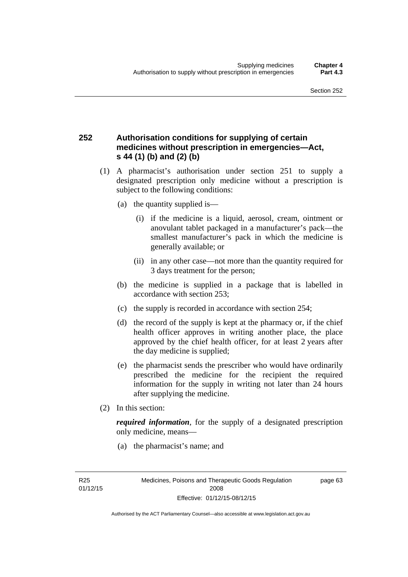## **252 Authorisation conditions for supplying of certain medicines without prescription in emergencies—Act, s 44 (1) (b) and (2) (b)**

- (1) A pharmacist's authorisation under section 251 to supply a designated prescription only medicine without a prescription is subject to the following conditions:
	- (a) the quantity supplied is—
		- (i) if the medicine is a liquid, aerosol, cream, ointment or anovulant tablet packaged in a manufacturer's pack—the smallest manufacturer's pack in which the medicine is generally available; or
		- (ii) in any other case—not more than the quantity required for 3 days treatment for the person;
	- (b) the medicine is supplied in a package that is labelled in accordance with section 253;
	- (c) the supply is recorded in accordance with section 254;
	- (d) the record of the supply is kept at the pharmacy or, if the chief health officer approves in writing another place, the place approved by the chief health officer, for at least 2 years after the day medicine is supplied;
	- (e) the pharmacist sends the prescriber who would have ordinarily prescribed the medicine for the recipient the required information for the supply in writing not later than 24 hours after supplying the medicine.
- (2) In this section:

*required information*, for the supply of a designated prescription only medicine, means—

(a) the pharmacist's name; and

page 63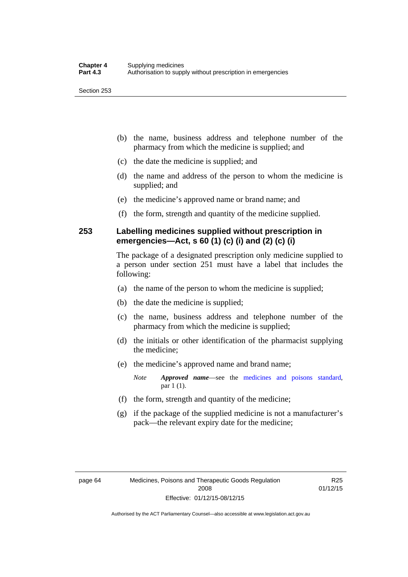- (b) the name, business address and telephone number of the pharmacy from which the medicine is supplied; and
- (c) the date the medicine is supplied; and
- (d) the name and address of the person to whom the medicine is supplied; and
- (e) the medicine's approved name or brand name; and
- (f) the form, strength and quantity of the medicine supplied.

### **253 Labelling medicines supplied without prescription in emergencies—Act, s 60 (1) (c) (i) and (2) (c) (i)**

The package of a designated prescription only medicine supplied to a person under section 251 must have a label that includes the following:

- (a) the name of the person to whom the medicine is supplied;
- (b) the date the medicine is supplied;
- (c) the name, business address and telephone number of the pharmacy from which the medicine is supplied;
- (d) the initials or other identification of the pharmacist supplying the medicine;
- (e) the medicine's approved name and brand name;

*Note Approved name*—see the [medicines and poisons standard,](http://www.comlaw.gov.au/Series/F2012L01200) par 1 (1).

- (f) the form, strength and quantity of the medicine;
- (g) if the package of the supplied medicine is not a manufacturer's pack—the relevant expiry date for the medicine;

R25 01/12/15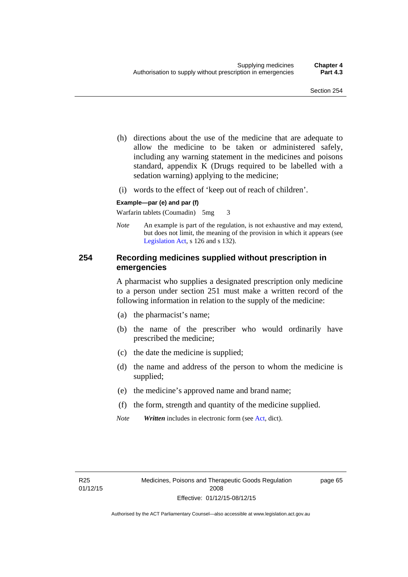- (h) directions about the use of the medicine that are adequate to allow the medicine to be taken or administered safely, including any warning statement in the medicines and poisons standard, appendix K (Drugs required to be labelled with a sedation warning) applying to the medicine;
- (i) words to the effect of 'keep out of reach of children'.

### **Example—par (e) and par (f)**

Warfarin tablets (Coumadin) 5mg 3

*Note* An example is part of the regulation, is not exhaustive and may extend, but does not limit, the meaning of the provision in which it appears (see [Legislation Act,](http://www.legislation.act.gov.au/a/2001-14) s 126 and s 132).

### **254 Recording medicines supplied without prescription in emergencies**

A pharmacist who supplies a designated prescription only medicine to a person under section 251 must make a written record of the following information in relation to the supply of the medicine:

- (a) the pharmacist's name;
- (b) the name of the prescriber who would ordinarily have prescribed the medicine;
- (c) the date the medicine is supplied;
- (d) the name and address of the person to whom the medicine is supplied;
- (e) the medicine's approved name and brand name;
- (f) the form, strength and quantity of the medicine supplied.
- *Note Written* includes in electronic form (see [Act,](http://www.legislation.act.gov.au/a/2008-26/default.asp) dict).

page 65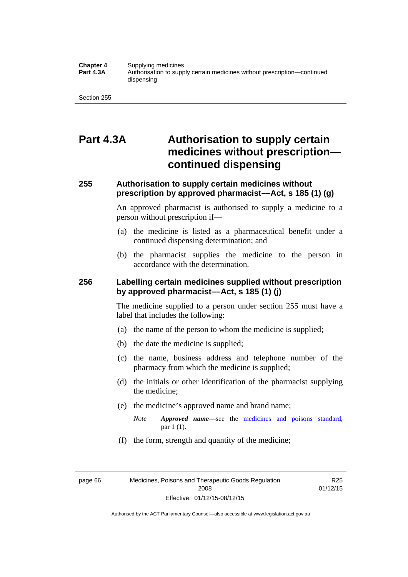#### **Chapter 4** Supplying medicines<br>**Part 4.3A** Authorisation to supp **Part 4.3A** Authorisation to supply certain medicines without prescription—continued dispensing

Section 255

# **Part 4.3A Authorisation to supply certain medicines without prescription continued dispensing**

## **255 Authorisation to supply certain medicines without prescription by approved pharmacist––Act, s 185 (1) (g)**

An approved pharmacist is authorised to supply a medicine to a person without prescription if––

- (a) the medicine is listed as a pharmaceutical benefit under a continued dispensing determination; and
- (b) the pharmacist supplies the medicine to the person in accordance with the determination.

### **256 Labelling certain medicines supplied without prescription by approved pharmacist––Act, s 185 (1) (j)**

The medicine supplied to a person under section 255 must have a label that includes the following:

- (a) the name of the person to whom the medicine is supplied;
- (b) the date the medicine is supplied;
- (c) the name, business address and telephone number of the pharmacy from which the medicine is supplied;
- (d) the initials or other identification of the pharmacist supplying the medicine;
- (e) the medicine's approved name and brand name;
	- *Note Approved name––*see the [medicines and poisons standard,](http://www.comlaw.gov.au/Series/F2012L01200) par 1 (1).
- (f) the form, strength and quantity of the medicine;

page 66 Medicines, Poisons and Therapeutic Goods Regulation 2008 Effective: 01/12/15-08/12/15

R25 01/12/15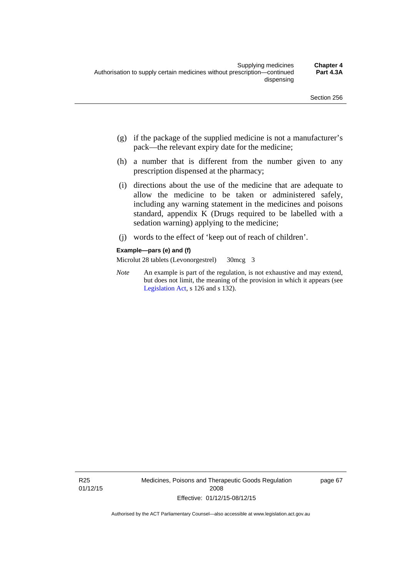- (g) if the package of the supplied medicine is not a manufacturer's pack—the relevant expiry date for the medicine;
- (h) a number that is different from the number given to any prescription dispensed at the pharmacy;
- (i) directions about the use of the medicine that are adequate to allow the medicine to be taken or administered safely, including any warning statement in the medicines and poisons standard, appendix K (Drugs required to be labelled with a sedation warning) applying to the medicine;
- (j) words to the effect of 'keep out of reach of children'.

#### **Example—pars (e) and (f)**

Microlut 28 tablets (Levonorgestrel) 30mcg 3

*Note* An example is part of the regulation, is not exhaustive and may extend, but does not limit, the meaning of the provision in which it appears (see [Legislation Act,](http://www.legislation.act.gov.au/a/2001-14) s 126 and s 132).

R25 01/12/15 Medicines, Poisons and Therapeutic Goods Regulation 2008 Effective: 01/12/15-08/12/15

page 67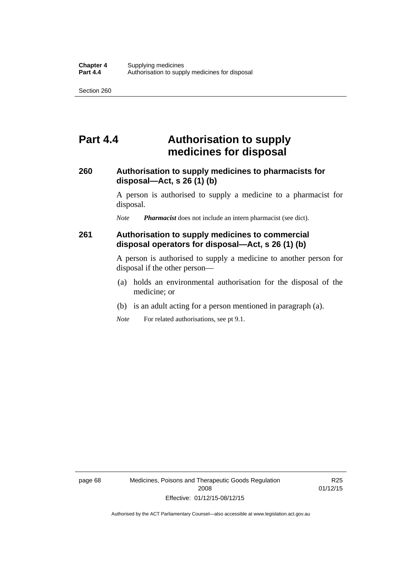## **Part 4.4 Authorisation to supply medicines for disposal**

### **260 Authorisation to supply medicines to pharmacists for disposal—Act, s 26 (1) (b)**

A person is authorised to supply a medicine to a pharmacist for disposal.

*Note Pharmacist* does not include an intern pharmacist (see dict).

### **261 Authorisation to supply medicines to commercial disposal operators for disposal—Act, s 26 (1) (b)**

A person is authorised to supply a medicine to another person for disposal if the other person—

- (a) holds an environmental authorisation for the disposal of the medicine; or
- (b) is an adult acting for a person mentioned in paragraph (a).
- *Note* For related authorisations, see pt 9.1.

page 68 Medicines, Poisons and Therapeutic Goods Regulation 2008 Effective: 01/12/15-08/12/15

R25 01/12/15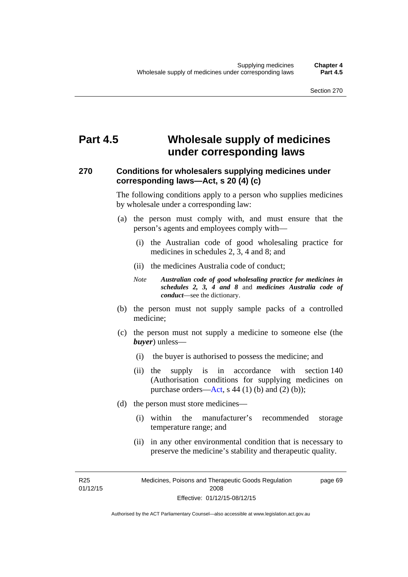# **Part 4.5 Wholesale supply of medicines under corresponding laws**

### **270 Conditions for wholesalers supplying medicines under corresponding laws—Act, s 20 (4) (c)**

The following conditions apply to a person who supplies medicines by wholesale under a corresponding law:

- (a) the person must comply with, and must ensure that the person's agents and employees comply with—
	- (i) the Australian code of good wholesaling practice for medicines in schedules 2, 3, 4 and 8; and
	- (ii) the medicines Australia code of conduct;
	- *Note Australian code of good wholesaling practice for medicines in schedules 2, 3, 4 and 8* and *medicines Australia code of conduct*—see the dictionary.
- (b) the person must not supply sample packs of a controlled medicine;
- (c) the person must not supply a medicine to someone else (the *buyer*) unless—
	- (i) the buyer is authorised to possess the medicine; and
	- (ii) the supply is in accordance with section 140 (Authorisation conditions for supplying medicines on purchase orders—[Act,](http://www.legislation.act.gov.au/a/2008-26/default.asp) s 44 (1) (b) and (2) (b));
- (d) the person must store medicines—
	- (i) within the manufacturer's recommended storage temperature range; and
	- (ii) in any other environmental condition that is necessary to preserve the medicine's stability and therapeutic quality.

R25 01/12/15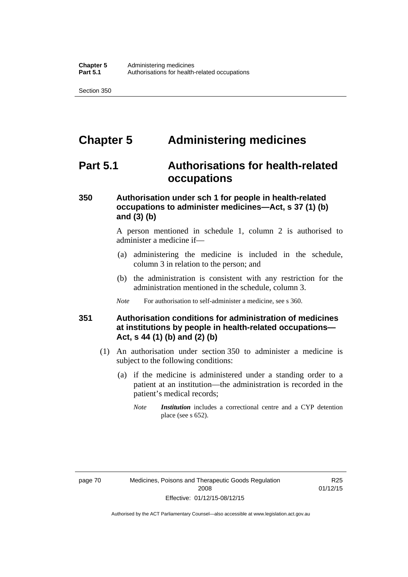# **Chapter 5 Administering medicines**

## **Part 5.1 Authorisations for health-related occupations**

## **350 Authorisation under sch 1 for people in health-related occupations to administer medicines—Act, s 37 (1) (b) and (3) (b)**

A person mentioned in schedule 1, column 2 is authorised to administer a medicine if—

- (a) administering the medicine is included in the schedule, column 3 in relation to the person; and
- (b) the administration is consistent with any restriction for the administration mentioned in the schedule, column 3.
- *Note* For authorisation to self-administer a medicine, see s 360.

### **351 Authorisation conditions for administration of medicines at institutions by people in health-related occupations— Act, s 44 (1) (b) and (2) (b)**

- (1) An authorisation under section 350 to administer a medicine is subject to the following conditions:
	- (a) if the medicine is administered under a standing order to a patient at an institution—the administration is recorded in the patient's medical records;
		- *Note Institution* includes a correctional centre and a CYP detention place (see s 652).

R25 01/12/15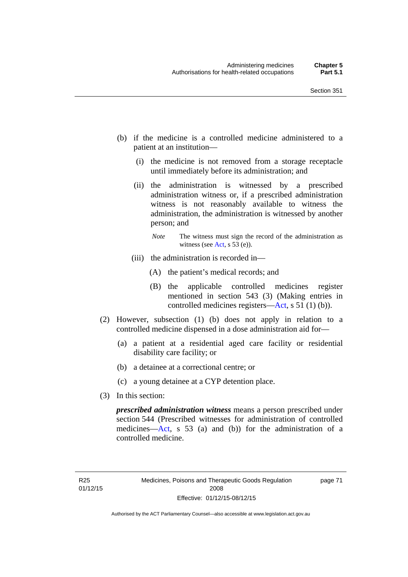- (b) if the medicine is a controlled medicine administered to a patient at an institution—
	- (i) the medicine is not removed from a storage receptacle until immediately before its administration; and
	- (ii) the administration is witnessed by a prescribed administration witness or, if a prescribed administration witness is not reasonably available to witness the administration, the administration is witnessed by another person; and
		- *Note* The witness must sign the record of the administration as witness (see [Act,](http://www.legislation.act.gov.au/a/2008-26/default.asp) s 53 (e)).
	- (iii) the administration is recorded in—
		- (A) the patient's medical records; and
		- (B) the applicable controlled medicines register mentioned in section 543 (3) (Making entries in controlled medicines registers[—Act](http://www.legislation.act.gov.au/a/2008-26/default.asp), s 51 (1) (b)).
- (2) However, subsection (1) (b) does not apply in relation to a controlled medicine dispensed in a dose administration aid for—
	- (a) a patient at a residential aged care facility or residential disability care facility; or
	- (b) a detainee at a correctional centre; or
	- (c) a young detainee at a CYP detention place.
- (3) In this section:

*prescribed administration witness* means a person prescribed under section 544 (Prescribed witnesses for administration of controlled medicines—[Act](http://www.legislation.act.gov.au/a/2008-26/default.asp), s 53 (a) and (b)) for the administration of a controlled medicine.

page 71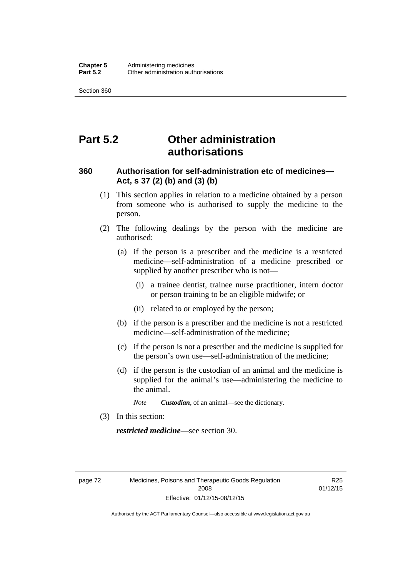# **Part 5.2 Other administration authorisations**

### **360 Authorisation for self-administration etc of medicines— Act, s 37 (2) (b) and (3) (b)**

- (1) This section applies in relation to a medicine obtained by a person from someone who is authorised to supply the medicine to the person.
- (2) The following dealings by the person with the medicine are authorised:
	- (a) if the person is a prescriber and the medicine is a restricted medicine—self-administration of a medicine prescribed or supplied by another prescriber who is not—
		- (i) a trainee dentist, trainee nurse practitioner, intern doctor or person training to be an eligible midwife; or
		- (ii) related to or employed by the person;
	- (b) if the person is a prescriber and the medicine is not a restricted medicine—self-administration of the medicine;
	- (c) if the person is not a prescriber and the medicine is supplied for the person's own use—self-administration of the medicine;
	- (d) if the person is the custodian of an animal and the medicine is supplied for the animal's use—administering the medicine to the animal.
		- *Note Custodian*, of an animal—see the dictionary.
- (3) In this section:

*restricted medicine*—see section 30.

page 72 Medicines, Poisons and Therapeutic Goods Regulation 2008 Effective: 01/12/15-08/12/15

R25 01/12/15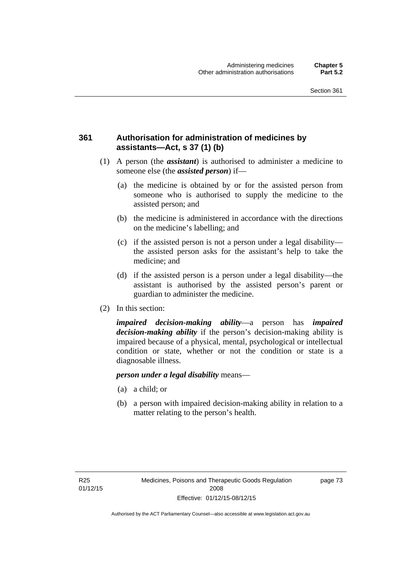## **361 Authorisation for administration of medicines by assistants—Act, s 37 (1) (b)**

- (1) A person (the *assistant*) is authorised to administer a medicine to someone else (the *assisted person*) if—
	- (a) the medicine is obtained by or for the assisted person from someone who is authorised to supply the medicine to the assisted person; and
	- (b) the medicine is administered in accordance with the directions on the medicine's labelling; and
	- (c) if the assisted person is not a person under a legal disability the assisted person asks for the assistant's help to take the medicine; and
	- (d) if the assisted person is a person under a legal disability—the assistant is authorised by the assisted person's parent or guardian to administer the medicine.
- (2) In this section:

*impaired decision-making ability*—a person has *impaired decision-making ability* if the person's decision-making ability is impaired because of a physical, mental, psychological or intellectual condition or state, whether or not the condition or state is a diagnosable illness.

### *person under a legal disability* means—

- (a) a child; or
- (b) a person with impaired decision-making ability in relation to a matter relating to the person's health.

page 73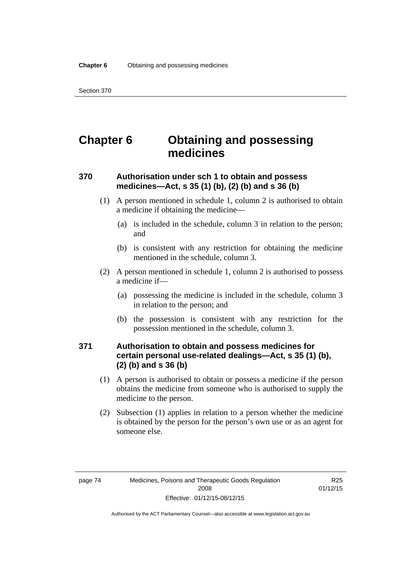# **Chapter 6 Obtaining and possessing medicines**

## **370 Authorisation under sch 1 to obtain and possess medicines—Act, s 35 (1) (b), (2) (b) and s 36 (b)**

- (1) A person mentioned in schedule 1, column 2 is authorised to obtain a medicine if obtaining the medicine—
	- (a) is included in the schedule, column 3 in relation to the person; and
	- (b) is consistent with any restriction for obtaining the medicine mentioned in the schedule, column 3.
- (2) A person mentioned in schedule 1, column 2 is authorised to possess a medicine if—
	- (a) possessing the medicine is included in the schedule, column 3 in relation to the person; and
	- (b) the possession is consistent with any restriction for the possession mentioned in the schedule, column 3.

## **371 Authorisation to obtain and possess medicines for certain personal use-related dealings—Act, s 35 (1) (b), (2) (b) and s 36 (b)**

- (1) A person is authorised to obtain or possess a medicine if the person obtains the medicine from someone who is authorised to supply the medicine to the person.
- (2) Subsection (1) applies in relation to a person whether the medicine is obtained by the person for the person's own use or as an agent for someone else.

R25 01/12/15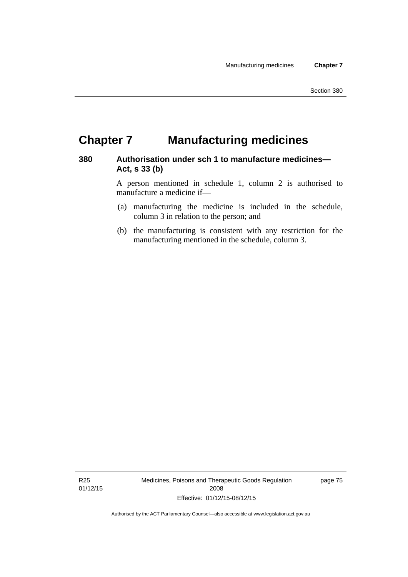# **Chapter 7 Manufacturing medicines**

### **380 Authorisation under sch 1 to manufacture medicines— Act, s 33 (b)**

A person mentioned in schedule 1, column 2 is authorised to manufacture a medicine if—

- (a) manufacturing the medicine is included in the schedule, column 3 in relation to the person; and
- (b) the manufacturing is consistent with any restriction for the manufacturing mentioned in the schedule, column 3.

R25 01/12/15 Medicines, Poisons and Therapeutic Goods Regulation 2008 Effective: 01/12/15-08/12/15

page 75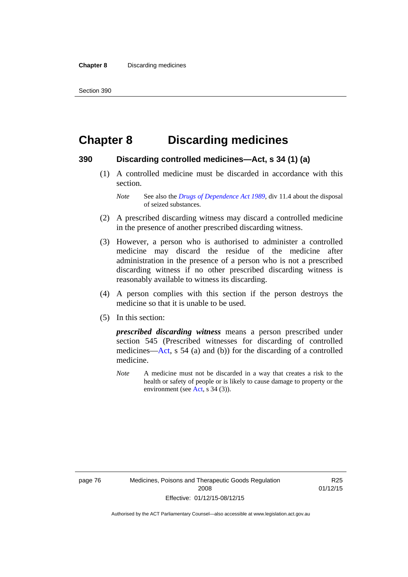# **Chapter 8 Discarding medicines**

### **390 Discarding controlled medicines—Act, s 34 (1) (a)**

 (1) A controlled medicine must be discarded in accordance with this section.

*Note* See also the *[Drugs of Dependence Act 1989](http://www.legislation.act.gov.au/a/alt_a1989-11co)*, div 11.4 about the disposal of seized substances.

- (2) A prescribed discarding witness may discard a controlled medicine in the presence of another prescribed discarding witness.
- (3) However, a person who is authorised to administer a controlled medicine may discard the residue of the medicine after administration in the presence of a person who is not a prescribed discarding witness if no other prescribed discarding witness is reasonably available to witness its discarding.
- (4) A person complies with this section if the person destroys the medicine so that it is unable to be used.
- (5) In this section:

*prescribed discarding witness* means a person prescribed under section 545 (Prescribed witnesses for discarding of controlled medicines—[Act](http://www.legislation.act.gov.au/a/2008-26/default.asp), s 54 (a) and (b)) for the discarding of a controlled medicine.

*Note* A medicine must not be discarded in a way that creates a risk to the health or safety of people or is likely to cause damage to property or the environment (see [Act](http://www.legislation.act.gov.au/a/2008-26/default.asp), s 34 (3)).

R25 01/12/15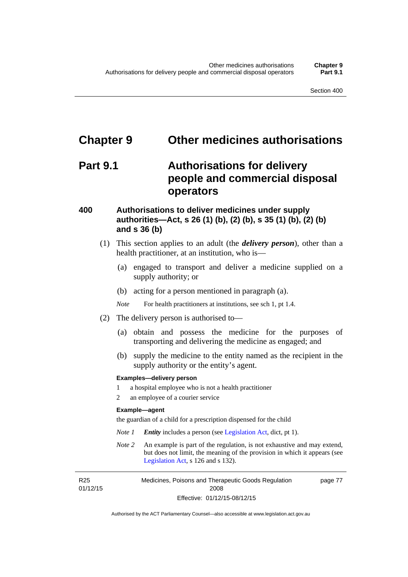# **Chapter 9 Other medicines authorisations**

## **Part 9.1 Authorisations for delivery people and commercial disposal operators**

### **400 Authorisations to deliver medicines under supply authorities—Act, s 26 (1) (b), (2) (b), s 35 (1) (b), (2) (b) and s 36 (b)**

- (1) This section applies to an adult (the *delivery person*), other than a health practitioner, at an institution, who is—
	- (a) engaged to transport and deliver a medicine supplied on a supply authority; or
	- (b) acting for a person mentioned in paragraph (a).
	- *Note* For health practitioners at institutions, see sch 1, pt 1.4.
- (2) The delivery person is authorised to—
	- (a) obtain and possess the medicine for the purposes of transporting and delivering the medicine as engaged; and
	- (b) supply the medicine to the entity named as the recipient in the supply authority or the entity's agent.

### **Examples—delivery person**

- 1 a hospital employee who is not a health practitioner
- 2 an employee of a courier service

#### **Example—agent**

the guardian of a child for a prescription dispensed for the child

- *Note 1 Entity* includes a person (see [Legislation Act,](http://www.legislation.act.gov.au/a/2001-14) dict, pt 1).
- *Note 2* An example is part of the regulation, is not exhaustive and may extend, but does not limit, the meaning of the provision in which it appears (see [Legislation Act,](http://www.legislation.act.gov.au/a/2001-14) s 126 and s 132).

R25 01/12/15 Medicines, Poisons and Therapeutic Goods Regulation 2008 Effective: 01/12/15-08/12/15 page 77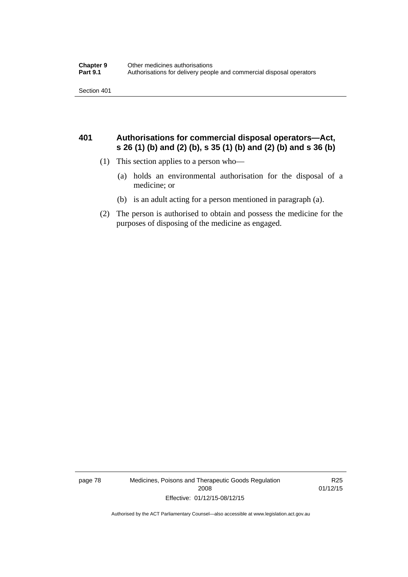### **401 Authorisations for commercial disposal operators—Act, s 26 (1) (b) and (2) (b), s 35 (1) (b) and (2) (b) and s 36 (b)**

- (1) This section applies to a person who—
	- (a) holds an environmental authorisation for the disposal of a medicine; or
	- (b) is an adult acting for a person mentioned in paragraph (a).
- (2) The person is authorised to obtain and possess the medicine for the purposes of disposing of the medicine as engaged.

page 78 Medicines, Poisons and Therapeutic Goods Regulation 2008 Effective: 01/12/15-08/12/15

R25 01/12/15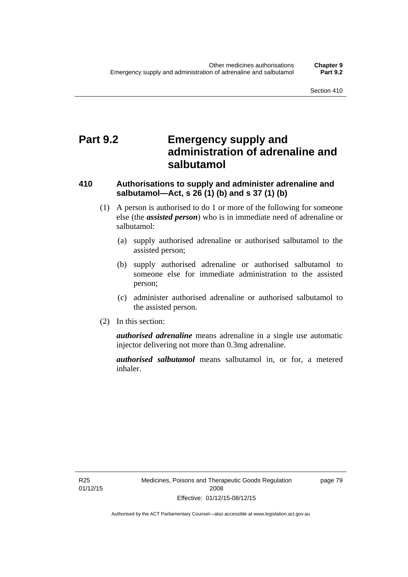## **Part 9.2 Emergency supply and administration of adrenaline and salbutamol**

## **410 Authorisations to supply and administer adrenaline and salbutamol—Act, s 26 (1) (b) and s 37 (1) (b)**

- (1) A person is authorised to do 1 or more of the following for someone else (the *assisted person*) who is in immediate need of adrenaline or salbutamol:
	- (a) supply authorised adrenaline or authorised salbutamol to the assisted person;
	- (b) supply authorised adrenaline or authorised salbutamol to someone else for immediate administration to the assisted person;
	- (c) administer authorised adrenaline or authorised salbutamol to the assisted person.
- (2) In this section:

*authorised adrenaline* means adrenaline in a single use automatic injector delivering not more than 0.3mg adrenaline.

*authorised salbutamol* means salbutamol in, or for, a metered inhaler.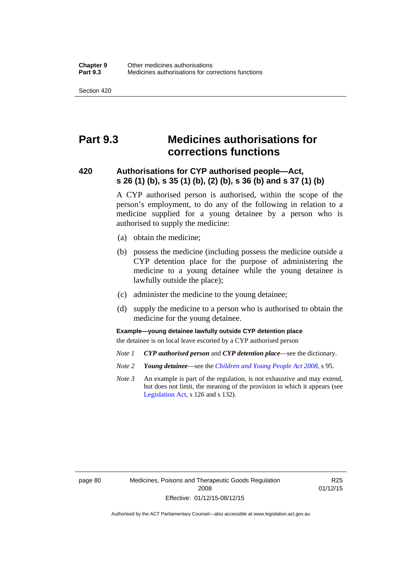# **Part 9.3 Medicines authorisations for corrections functions**

### **420 Authorisations for CYP authorised people—Act, s 26 (1) (b), s 35 (1) (b), (2) (b), s 36 (b) and s 37 (1) (b)**

A CYP authorised person is authorised, within the scope of the person's employment, to do any of the following in relation to a medicine supplied for a young detainee by a person who is authorised to supply the medicine:

- (a) obtain the medicine;
- (b) possess the medicine (including possess the medicine outside a CYP detention place for the purpose of administering the medicine to a young detainee while the young detainee is lawfully outside the place);
- (c) administer the medicine to the young detainee;
- (d) supply the medicine to a person who is authorised to obtain the medicine for the young detainee.

### **Example—young detainee lawfully outside CYP detention place**

the detainee is on local leave escorted by a CYP authorised person

- *Note 1 CYP authorised person* and *CYP detention place*—see the dictionary.
- *Note 2 Young detainee*—see the *[Children and Young People Act 2008](http://www.legislation.act.gov.au/a/2008-19)*, s 95.
- *Note 3* An example is part of the regulation, is not exhaustive and may extend, but does not limit, the meaning of the provision in which it appears (see [Legislation Act,](http://www.legislation.act.gov.au/a/2001-14) s 126 and s 132).

R25 01/12/15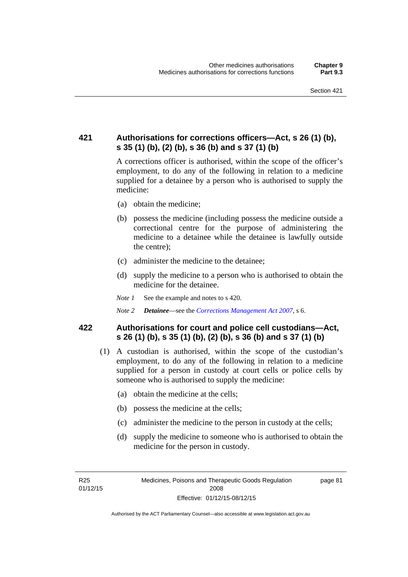page 81

## **421 Authorisations for corrections officers—Act, s 26 (1) (b), s 35 (1) (b), (2) (b), s 36 (b) and s 37 (1) (b)**

A corrections officer is authorised, within the scope of the officer's employment, to do any of the following in relation to a medicine supplied for a detainee by a person who is authorised to supply the medicine:

- (a) obtain the medicine;
- (b) possess the medicine (including possess the medicine outside a correctional centre for the purpose of administering the medicine to a detainee while the detainee is lawfully outside the centre);
- (c) administer the medicine to the detainee;
- (d) supply the medicine to a person who is authorised to obtain the medicine for the detainee.
- *Note 1* See the example and notes to s 420.
- *Note 2 Detainee*—see the *[Corrections Management Act 2007](http://www.legislation.act.gov.au/a/2007-15)*, s 6.

### **422 Authorisations for court and police cell custodians—Act, s 26 (1) (b), s 35 (1) (b), (2) (b), s 36 (b) and s 37 (1) (b)**

- (1) A custodian is authorised, within the scope of the custodian's employment, to do any of the following in relation to a medicine supplied for a person in custody at court cells or police cells by someone who is authorised to supply the medicine:
	- (a) obtain the medicine at the cells;
	- (b) possess the medicine at the cells;
	- (c) administer the medicine to the person in custody at the cells;
	- (d) supply the medicine to someone who is authorised to obtain the medicine for the person in custody.

R25 01/12/15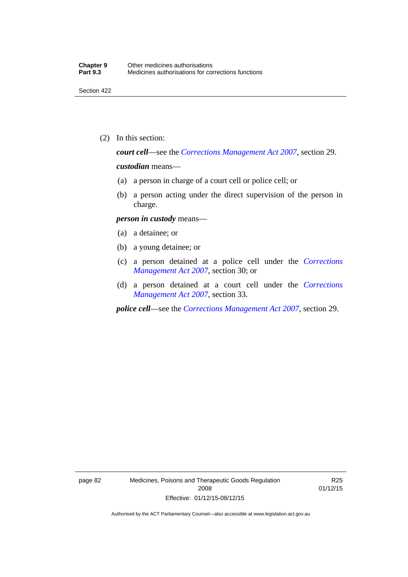(2) In this section:

*court cell*—see the *[Corrections Management Act 2007](http://www.legislation.act.gov.au/a/2007-15)*, section 29.

### *custodian* means—

- (a) a person in charge of a court cell or police cell; or
- (b) a person acting under the direct supervision of the person in charge.

### *person in custody* means—

- (a) a detainee; or
- (b) a young detainee; or
- (c) a person detained at a police cell under the *[Corrections](http://www.legislation.act.gov.au/a/2007-15)  [Management Act 2007](http://www.legislation.act.gov.au/a/2007-15)*, section 30; or
- (d) a person detained at a court cell under the *[Corrections](http://www.legislation.act.gov.au/a/2007-15)  [Management Act 2007](http://www.legislation.act.gov.au/a/2007-15)*, section 33.

*police cell*—see the *[Corrections Management Act 2007](http://www.legislation.act.gov.au/a/2007-15)*, section 29.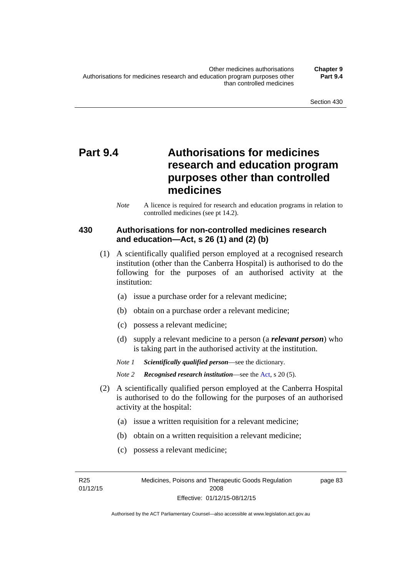# **Part 9.4 Authorisations for medicines research and education program purposes other than controlled medicines**

*Note* A licence is required for research and education programs in relation to controlled medicines (see pt 14.2).

## **430 Authorisations for non-controlled medicines research and education—Act, s 26 (1) and (2) (b)**

- (1) A scientifically qualified person employed at a recognised research institution (other than the Canberra Hospital) is authorised to do the following for the purposes of an authorised activity at the institution:
	- (a) issue a purchase order for a relevant medicine;
	- (b) obtain on a purchase order a relevant medicine;
	- (c) possess a relevant medicine;
	- (d) supply a relevant medicine to a person (a *relevant person*) who is taking part in the authorised activity at the institution.
	- *Note 1 Scientifically qualified person*—see the dictionary.

*Note 2 Recognised research institution*—see the [Act](http://www.legislation.act.gov.au/a/2008-26/default.asp), s 20 (5).

- (2) A scientifically qualified person employed at the Canberra Hospital is authorised to do the following for the purposes of an authorised activity at the hospital:
	- (a) issue a written requisition for a relevant medicine;
	- (b) obtain on a written requisition a relevant medicine;
	- (c) possess a relevant medicine;

R25 01/12/15 page 83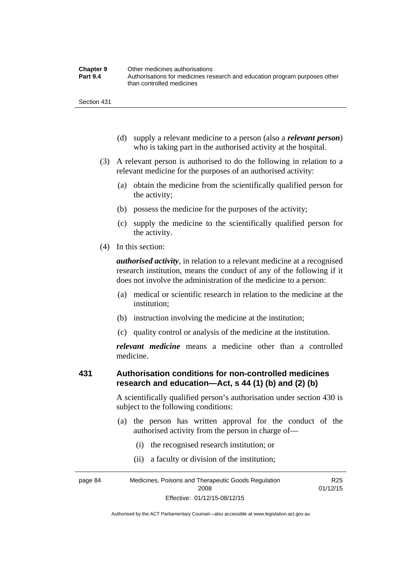| <b>Chapter 9</b> | Other medicines authorisations                                             |
|------------------|----------------------------------------------------------------------------|
| <b>Part 9.4</b>  | Authorisations for medicines research and education program purposes other |
|                  | than controlled medicines                                                  |

- (d) supply a relevant medicine to a person (also a *relevant person*) who is taking part in the authorised activity at the hospital.
- (3) A relevant person is authorised to do the following in relation to a relevant medicine for the purposes of an authorised activity:
	- (a) obtain the medicine from the scientifically qualified person for the activity;
	- (b) possess the medicine for the purposes of the activity;
	- (c) supply the medicine to the scientifically qualified person for the activity.
- (4) In this section:

*authorised activity*, in relation to a relevant medicine at a recognised research institution, means the conduct of any of the following if it does not involve the administration of the medicine to a person:

- (a) medical or scientific research in relation to the medicine at the institution;
- (b) instruction involving the medicine at the institution;
- (c) quality control or analysis of the medicine at the institution.

*relevant medicine* means a medicine other than a controlled medicine.

### **431 Authorisation conditions for non-controlled medicines research and education—Act, s 44 (1) (b) and (2) (b)**

A scientifically qualified person's authorisation under section 430 is subject to the following conditions:

- (a) the person has written approval for the conduct of the authorised activity from the person in charge of—
	- (i) the recognised research institution; or
	- (ii) a faculty or division of the institution;

page 84 Medicines, Poisons and Therapeutic Goods Regulation 2008 Effective: 01/12/15-08/12/15 R25 01/12/15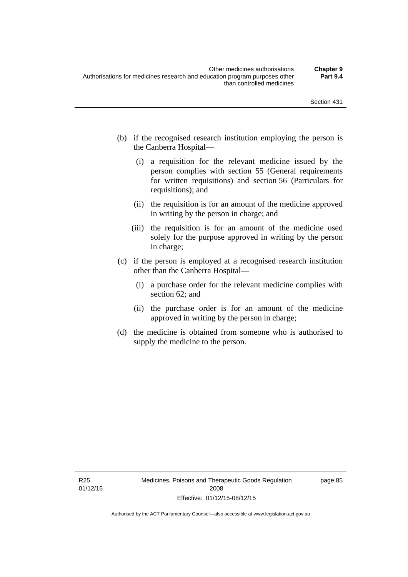- (b) if the recognised research institution employing the person is the Canberra Hospital—
	- (i) a requisition for the relevant medicine issued by the person complies with section 55 (General requirements for written requisitions) and section 56 (Particulars for requisitions); and
	- (ii) the requisition is for an amount of the medicine approved in writing by the person in charge; and
	- (iii) the requisition is for an amount of the medicine used solely for the purpose approved in writing by the person in charge;
- (c) if the person is employed at a recognised research institution other than the Canberra Hospital—
	- (i) a purchase order for the relevant medicine complies with section 62; and
	- (ii) the purchase order is for an amount of the medicine approved in writing by the person in charge;
- (d) the medicine is obtained from someone who is authorised to supply the medicine to the person.

page 85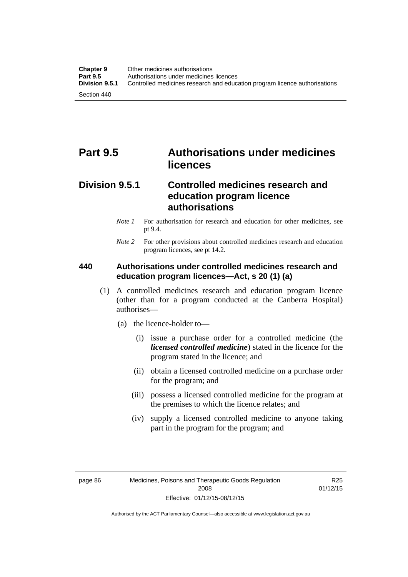# **Part 9.5 Authorisations under medicines licences**

## **Division 9.5.1 Controlled medicines research and education program licence authorisations**

- *Note 1* For authorisation for research and education for other medicines, see pt 9.4.
- *Note 2* For other provisions about controlled medicines research and education program licences, see pt 14.2.

### **440 Authorisations under controlled medicines research and education program licences—Act, s 20 (1) (a)**

- (1) A controlled medicines research and education program licence (other than for a program conducted at the Canberra Hospital) authorises—
	- (a) the licence-holder to—
		- (i) issue a purchase order for a controlled medicine (the *licensed controlled medicine*) stated in the licence for the program stated in the licence; and
		- (ii) obtain a licensed controlled medicine on a purchase order for the program; and
		- (iii) possess a licensed controlled medicine for the program at the premises to which the licence relates; and
		- (iv) supply a licensed controlled medicine to anyone taking part in the program for the program; and

R25 01/12/15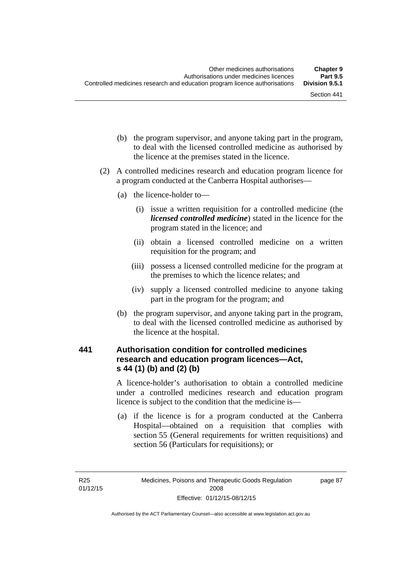- (b) the program supervisor, and anyone taking part in the program, to deal with the licensed controlled medicine as authorised by the licence at the premises stated in the licence.
- (2) A controlled medicines research and education program licence for a program conducted at the Canberra Hospital authorises—
	- (a) the licence-holder to—
		- (i) issue a written requisition for a controlled medicine (the *licensed controlled medicine*) stated in the licence for the program stated in the licence; and
		- (ii) obtain a licensed controlled medicine on a written requisition for the program; and
		- (iii) possess a licensed controlled medicine for the program at the premises to which the licence relates; and
		- (iv) supply a licensed controlled medicine to anyone taking part in the program for the program; and
	- (b) the program supervisor, and anyone taking part in the program, to deal with the licensed controlled medicine as authorised by the licence at the hospital.

### **441 Authorisation condition for controlled medicines research and education program licences—Act, s 44 (1) (b) and (2) (b)**

A licence-holder's authorisation to obtain a controlled medicine under a controlled medicines research and education program licence is subject to the condition that the medicine is—

 (a) if the licence is for a program conducted at the Canberra Hospital—obtained on a requisition that complies with section 55 (General requirements for written requisitions) and section 56 (Particulars for requisitions); or

page 87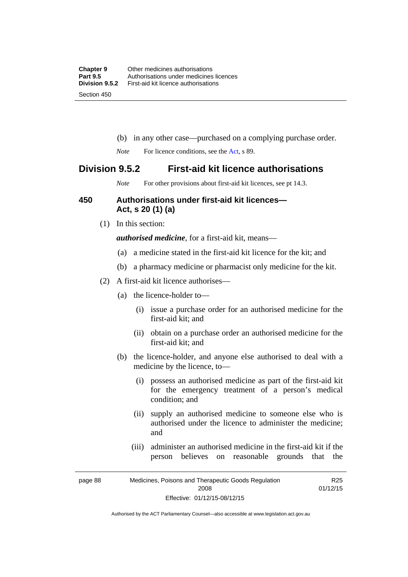- (b) in any other case—purchased on a complying purchase order.
- *Note* For licence conditions, see the [Act](http://www.legislation.act.gov.au/a/2008-26/default.asp), s 89.

### **Division 9.5.2 First-aid kit licence authorisations**

*Note* For other provisions about first-aid kit licences, see pt 14.3.

### **450 Authorisations under first-aid kit licences— Act, s 20 (1) (a)**

(1) In this section:

*authorised medicine*, for a first-aid kit, means—

- (a) a medicine stated in the first-aid kit licence for the kit; and
- (b) a pharmacy medicine or pharmacist only medicine for the kit.
- (2) A first-aid kit licence authorises—
	- (a) the licence-holder to—
		- (i) issue a purchase order for an authorised medicine for the first-aid kit; and
		- (ii) obtain on a purchase order an authorised medicine for the first-aid kit; and
	- (b) the licence-holder, and anyone else authorised to deal with a medicine by the licence, to—
		- (i) possess an authorised medicine as part of the first-aid kit for the emergency treatment of a person's medical condition; and
		- (ii) supply an authorised medicine to someone else who is authorised under the licence to administer the medicine; and
		- (iii) administer an authorised medicine in the first-aid kit if the person believes on reasonable grounds that the

page 88 Medicines, Poisons and Therapeutic Goods Regulation 2008 Effective: 01/12/15-08/12/15 R25 01/12/15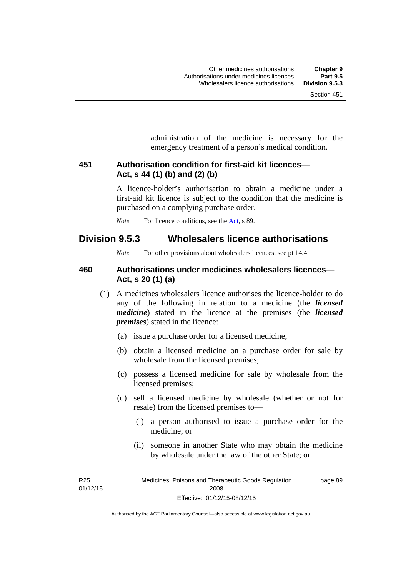administration of the medicine is necessary for the emergency treatment of a person's medical condition.

### **451 Authorisation condition for first-aid kit licences— Act, s 44 (1) (b) and (2) (b)**

A licence-holder's authorisation to obtain a medicine under a first-aid kit licence is subject to the condition that the medicine is purchased on a complying purchase order.

*Note* For licence conditions, see the [Act](http://www.legislation.act.gov.au/a/2008-26/default.asp), s 89.

## **Division 9.5.3 Wholesalers licence authorisations**

*Note* For other provisions about wholesalers licences, see pt 14.4.

### **460 Authorisations under medicines wholesalers licences— Act, s 20 (1) (a)**

- (1) A medicines wholesalers licence authorises the licence-holder to do any of the following in relation to a medicine (the *licensed medicine*) stated in the licence at the premises (the *licensed premises*) stated in the licence:
	- (a) issue a purchase order for a licensed medicine;
	- (b) obtain a licensed medicine on a purchase order for sale by wholesale from the licensed premises;
	- (c) possess a licensed medicine for sale by wholesale from the licensed premises;
	- (d) sell a licensed medicine by wholesale (whether or not for resale) from the licensed premises to—
		- (i) a person authorised to issue a purchase order for the medicine; or
		- (ii) someone in another State who may obtain the medicine by wholesale under the law of the other State; or

R25 01/12/15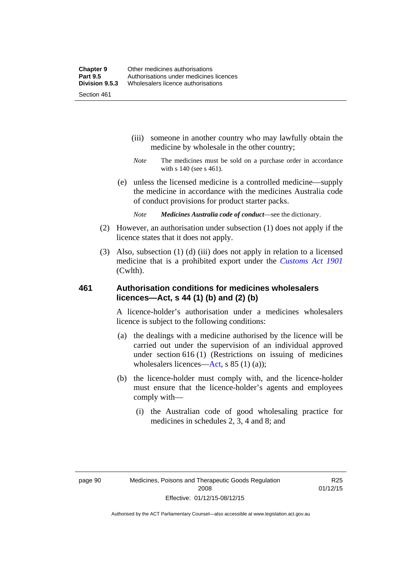- (iii) someone in another country who may lawfully obtain the medicine by wholesale in the other country;
- *Note* The medicines must be sold on a purchase order in accordance with s 140 (see s 461).
- (e) unless the licensed medicine is a controlled medicine—supply the medicine in accordance with the medicines Australia code of conduct provisions for product starter packs.
	- *Note Medicines Australia code of conduct*—see the dictionary.
- (2) However, an authorisation under subsection (1) does not apply if the licence states that it does not apply.
- (3) Also, subsection (1) (d) (iii) does not apply in relation to a licensed medicine that is a prohibited export under the *[Customs Act 1901](http://www.comlaw.gov.au/Series/C1901A00006)* (Cwlth).

### **461 Authorisation conditions for medicines wholesalers licences—Act, s 44 (1) (b) and (2) (b)**

A licence-holder's authorisation under a medicines wholesalers licence is subject to the following conditions:

- (a) the dealings with a medicine authorised by the licence will be carried out under the supervision of an individual approved under section 616 (1) (Restrictions on issuing of medicines wholesalers licences[—Act,](http://www.legislation.act.gov.au/a/2008-26/default.asp) s 85 (1) (a));
- (b) the licence-holder must comply with, and the licence-holder must ensure that the licence-holder's agents and employees comply with—
	- (i) the Australian code of good wholesaling practice for medicines in schedules 2, 3, 4 and 8; and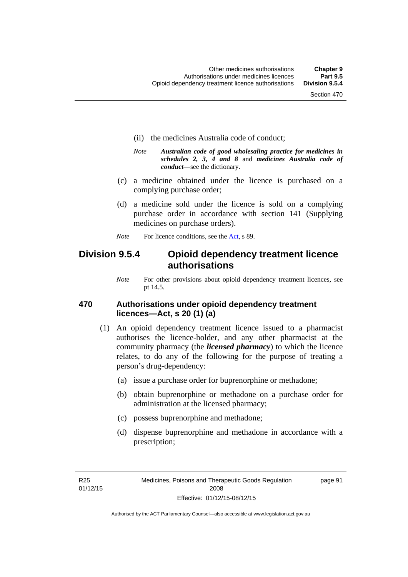- (ii) the medicines Australia code of conduct;
- *Note Australian code of good wholesaling practice for medicines in schedules 2, 3, 4 and 8* and *medicines Australia code of conduct*—see the dictionary.
- (c) a medicine obtained under the licence is purchased on a complying purchase order;
- (d) a medicine sold under the licence is sold on a complying purchase order in accordance with section 141 (Supplying medicines on purchase orders).
- *Note* For licence conditions, see the [Act](http://www.legislation.act.gov.au/a/2008-26/default.asp), s 89.

## **Division 9.5.4 Opioid dependency treatment licence authorisations**

*Note* For other provisions about opioid dependency treatment licences, see pt 14.5.

### **470 Authorisations under opioid dependency treatment licences—Act, s 20 (1) (a)**

- (1) An opioid dependency treatment licence issued to a pharmacist authorises the licence-holder, and any other pharmacist at the community pharmacy (the *licensed pharmacy*) to which the licence relates, to do any of the following for the purpose of treating a person's drug-dependency:
	- (a) issue a purchase order for buprenorphine or methadone;
	- (b) obtain buprenorphine or methadone on a purchase order for administration at the licensed pharmacy;
	- (c) possess buprenorphine and methadone;
	- (d) dispense buprenorphine and methadone in accordance with a prescription;

R25 01/12/15 page 91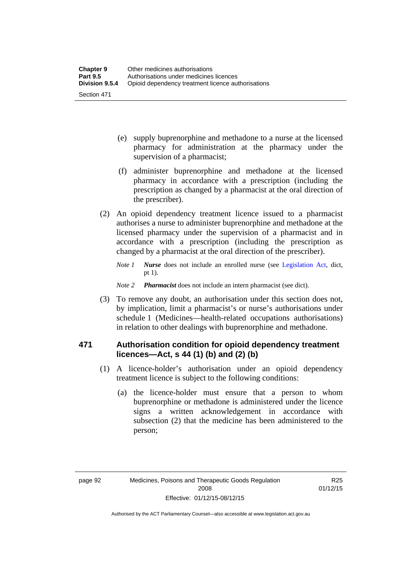- (e) supply buprenorphine and methadone to a nurse at the licensed pharmacy for administration at the pharmacy under the supervision of a pharmacist;
- (f) administer buprenorphine and methadone at the licensed pharmacy in accordance with a prescription (including the prescription as changed by a pharmacist at the oral direction of the prescriber).
- (2) An opioid dependency treatment licence issued to a pharmacist authorises a nurse to administer buprenorphine and methadone at the licensed pharmacy under the supervision of a pharmacist and in accordance with a prescription (including the prescription as changed by a pharmacist at the oral direction of the prescriber).
	- *Note 1 Nurse* does not include an enrolled nurse (see [Legislation Act,](http://www.legislation.act.gov.au/a/2001-14) dict, pt 1).
	- *Note 2 Pharmacist* does not include an intern pharmacist (see dict).
- (3) To remove any doubt, an authorisation under this section does not, by implication, limit a pharmacist's or nurse's authorisations under schedule 1 (Medicines—health-related occupations authorisations) in relation to other dealings with buprenorphine and methadone.

### **471 Authorisation condition for opioid dependency treatment licences—Act, s 44 (1) (b) and (2) (b)**

- (1) A licence-holder's authorisation under an opioid dependency treatment licence is subject to the following conditions:
	- (a) the licence-holder must ensure that a person to whom buprenorphine or methadone is administered under the licence signs a written acknowledgement in accordance with subsection (2) that the medicine has been administered to the person;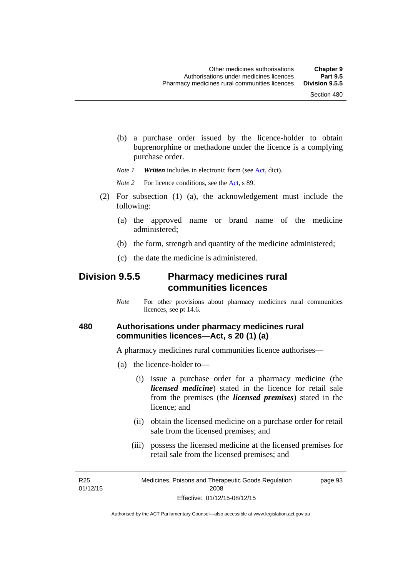(b) a purchase order issued by the licence-holder to obtain buprenorphine or methadone under the licence is a complying purchase order.

*Note 1 Written* includes in electronic form (see [Act,](http://www.legislation.act.gov.au/a/2008-26/default.asp) dict).

*Note* 2 For licence conditions, see the [Act](http://www.legislation.act.gov.au/a/2008-26/default.asp), s 89.

- (2) For subsection (1) (a), the acknowledgement must include the following:
	- (a) the approved name or brand name of the medicine administered;
	- (b) the form, strength and quantity of the medicine administered;
	- (c) the date the medicine is administered.

## **Division 9.5.5 Pharmacy medicines rural communities licences**

*Note* For other provisions about pharmacy medicines rural communities licences, see pt 14.6.

### **480 Authorisations under pharmacy medicines rural communities licences—Act, s 20 (1) (a)**

A pharmacy medicines rural communities licence authorises—

- (a) the licence-holder to—
	- (i) issue a purchase order for a pharmacy medicine (the *licensed medicine*) stated in the licence for retail sale from the premises (the *licensed premises*) stated in the licence; and
	- (ii) obtain the licensed medicine on a purchase order for retail sale from the licensed premises; and
	- (iii) possess the licensed medicine at the licensed premises for retail sale from the licensed premises; and

R25 01/12/15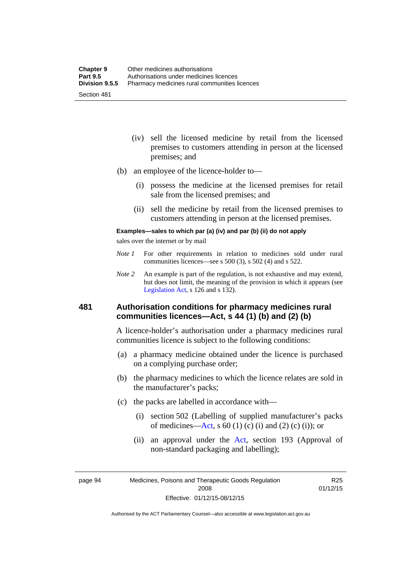- (iv) sell the licensed medicine by retail from the licensed premises to customers attending in person at the licensed premises; and
- (b) an employee of the licence-holder to—
	- (i) possess the medicine at the licensed premises for retail sale from the licensed premises; and
	- (ii) sell the medicine by retail from the licensed premises to customers attending in person at the licensed premises.

#### **Examples—sales to which par (a) (iv) and par (b) (ii) do not apply**

sales over the internet or by mail

- *Note 1* For other requirements in relation to medicines sold under rural communities licences—see s 500 (3), s 502 (4) and s 522.
- *Note 2* An example is part of the regulation, is not exhaustive and may extend, but does not limit, the meaning of the provision in which it appears (see [Legislation Act,](http://www.legislation.act.gov.au/a/2001-14) s 126 and s 132).

### **481 Authorisation conditions for pharmacy medicines rural communities licences—Act, s 44 (1) (b) and (2) (b)**

A licence-holder's authorisation under a pharmacy medicines rural communities licence is subject to the following conditions:

- (a) a pharmacy medicine obtained under the licence is purchased on a complying purchase order;
- (b) the pharmacy medicines to which the licence relates are sold in the manufacturer's packs;
- (c) the packs are labelled in accordance with—
	- (i) section 502 (Labelling of supplied manufacturer's packs of medicines—[Act](http://www.legislation.act.gov.au/a/2008-26/default.asp), s  $60(1)$  (c) (i) and (2) (c) (i)); or
	- (ii) an approval under the [Act](http://www.legislation.act.gov.au/a/2008-26/default.asp), section 193 (Approval of non-standard packaging and labelling);

page 94 Medicines, Poisons and Therapeutic Goods Regulation 2008 Effective: 01/12/15-08/12/15

R25 01/12/15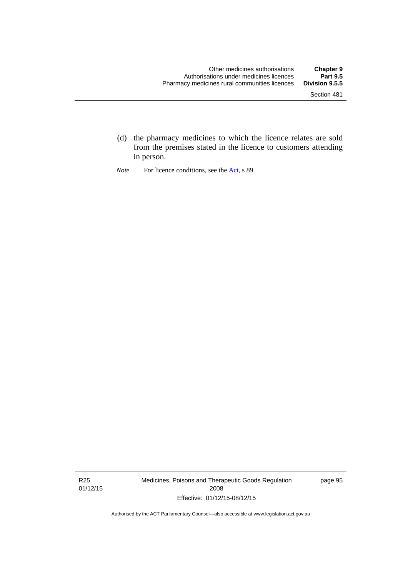- (d) the pharmacy medicines to which the licence relates are sold from the premises stated in the licence to customers attending in person.
- *Note* For licence conditions, see the [Act](http://www.legislation.act.gov.au/a/2008-26/default.asp), s 89.

R25 01/12/15 Medicines, Poisons and Therapeutic Goods Regulation 2008 Effective: 01/12/15-08/12/15

page 95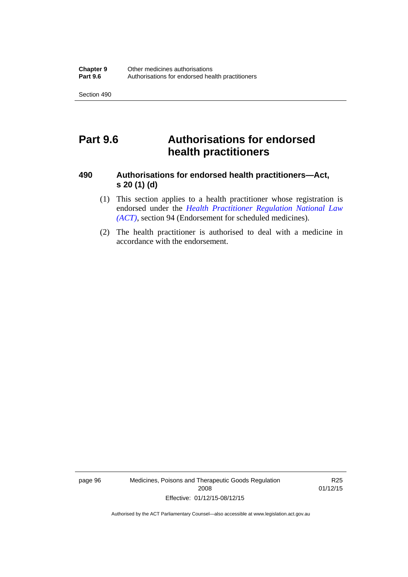Section 490

# **Part 9.6 Authorisations for endorsed health practitioners**

### **490 Authorisations for endorsed health practitioners—Act, s 20 (1) (d)**

- (1) This section applies to a health practitioner whose registration is endorsed under the 5*[Health Practitioner Regulation National Law](#page-52-0)  (ACT)*[, section 94 \(End](#page-52-0)orsement for scheduled medicines).
- (2) The health practitioner is authorised to deal with a medicine in accordance with the endorsement.

page 96 Medicines, Poisons and Therapeutic Goods Regulation 2008 Effective: 01/12/15-08/12/15

R25 01/12/15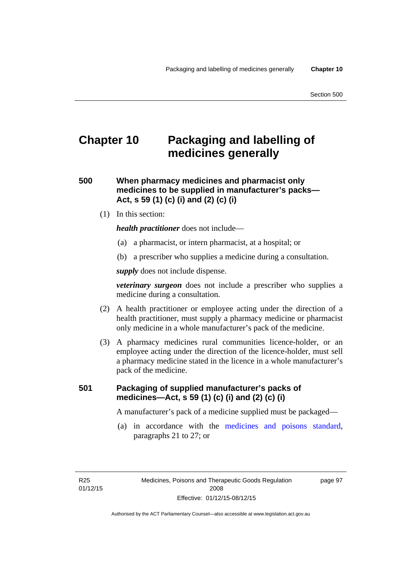# **Chapter 10 Packaging and labelling of medicines generally**

**500 When pharmacy medicines and pharmacist only medicines to be supplied in manufacturer's packs— Act, s 59 (1) (c) (i) and (2) (c) (i)** 

(1) In this section:

*health practitioner* does not include—

- (a) a pharmacist, or intern pharmacist, at a hospital; or
- (b) a prescriber who supplies a medicine during a consultation.

*supply* does not include dispense.

*veterinary surgeon* does not include a prescriber who supplies a medicine during a consultation.

- (2) A health practitioner or employee acting under the direction of a health practitioner, must supply a pharmacy medicine or pharmacist only medicine in a whole manufacturer's pack of the medicine.
- (3) A pharmacy medicines rural communities licence-holder, or an employee acting under the direction of the licence-holder, must sell a pharmacy medicine stated in the licence in a whole manufacturer's pack of the medicine.

### **501 Packaging of supplied manufacturer's packs of medicines—Act, s 59 (1) (c) (i) and (2) (c) (i)**

A manufacturer's pack of a medicine supplied must be packaged—

 (a) in accordance with the [medicines and poisons standard](http://www.comlaw.gov.au/Series/F2012L01200), paragraphs 21 to 27; or

page 97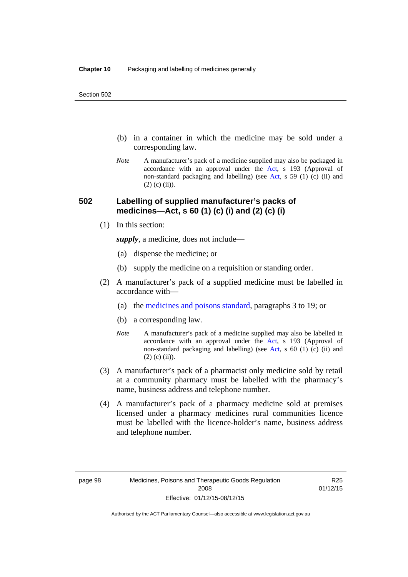- (b) in a container in which the medicine may be sold under a corresponding law.
- *Note* A manufacturer's pack of a medicine supplied may also be packaged in accordance with an approval under the [Act](http://www.legislation.act.gov.au/a/2008-26/default.asp), s 193 (Approval of non-standard packaging and labelling) (see [Act](http://www.legislation.act.gov.au/a/2008-26/default.asp), s 59 (1) (c) (ii) and  $(2)$  (c) (ii)).

### **502 Labelling of supplied manufacturer's packs of medicines—Act, s 60 (1) (c) (i) and (2) (c) (i)**

(1) In this section:

*supply*, a medicine, does not include—

- (a) dispense the medicine; or
- (b) supply the medicine on a requisition or standing order.
- (2) A manufacturer's pack of a supplied medicine must be labelled in accordance with—
	- (a) the [medicines and poisons standard](http://www.comlaw.gov.au/Series/F2012L01200), paragraphs 3 to 19; or
	- (b) a corresponding law.
	- *Note* A manufacturer's pack of a medicine supplied may also be labelled in accordance with an approval under the [Act](http://www.legislation.act.gov.au/a/2008-26/default.asp), s 193 (Approval of non-standard packaging and labelling) (see [Act](http://www.legislation.act.gov.au/a/2008-26/default.asp), s 60 (1) (c) (ii) and  $(2)$  (c) (ii)).
- (3) A manufacturer's pack of a pharmacist only medicine sold by retail at a community pharmacy must be labelled with the pharmacy's name, business address and telephone number.
- (4) A manufacturer's pack of a pharmacy medicine sold at premises licensed under a pharmacy medicines rural communities licence must be labelled with the licence-holder's name, business address and telephone number.

R25 01/12/15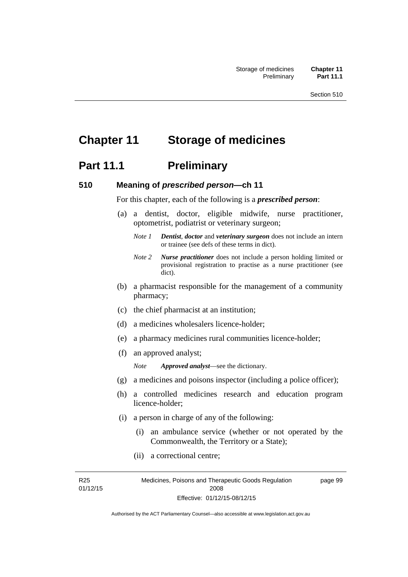# **Chapter 11 Storage of medicines**

## **Part 11.1** Preliminary

### **510 Meaning of** *prescribed person***—ch 11**

For this chapter, each of the following is a *prescribed person*:

- (a) a dentist, doctor, eligible midwife, nurse practitioner, optometrist, podiatrist or veterinary surgeon;
	- *Note 1 Dentist*, *doctor* and *veterinary surgeon* does not include an intern or trainee (see defs of these terms in dict).
	- *Note 2 Nurse practitioner* does not include a person holding limited or provisional registration to practise as a nurse practitioner (see dict).
- (b) a pharmacist responsible for the management of a community pharmacy;
- (c) the chief pharmacist at an institution;
- (d) a medicines wholesalers licence-holder;
- (e) a pharmacy medicines rural communities licence-holder;
- (f) an approved analyst;

*Note Approved analyst*—see the dictionary.

- (g) a medicines and poisons inspector (including a police officer);
- (h) a controlled medicines research and education program licence-holder;
- (i) a person in charge of any of the following:
	- (i) an ambulance service (whether or not operated by the Commonwealth, the Territory or a State);
	- (ii) a correctional centre;

R25 01/12/15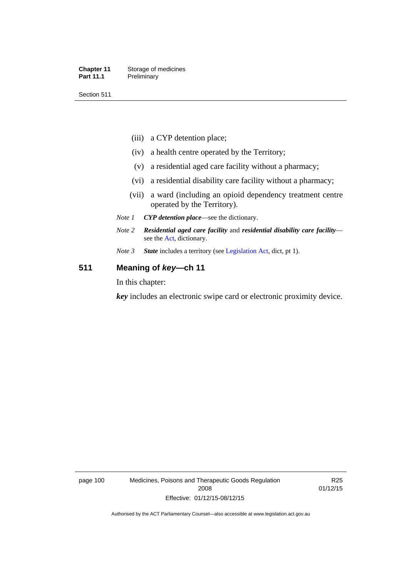#### **Chapter 11** Storage of medicines Part 11.1 Preliminary

Section 511

- (iii) a CYP detention place;
- (iv) a health centre operated by the Territory;
- (v) a residential aged care facility without a pharmacy;
- (vi) a residential disability care facility without a pharmacy;
- (vii) a ward (including an opioid dependency treatment centre operated by the Territory).
- *Note 1 CYP detention place*—see the dictionary.
- *Note 2 Residential aged care facility* and *residential disability care facility* see the [Act](http://www.legislation.act.gov.au/a/2008-26/default.asp), dictionary.
- *Note 3 State* includes a territory (see [Legislation Act,](http://www.legislation.act.gov.au/a/2001-14) dict, pt 1).

### **511 Meaning of** *key***—ch 11**

In this chapter:

*key* includes an electronic swipe card or electronic proximity device.

page 100 Medicines, Poisons and Therapeutic Goods Regulation 2008 Effective: 01/12/15-08/12/15

R25 01/12/15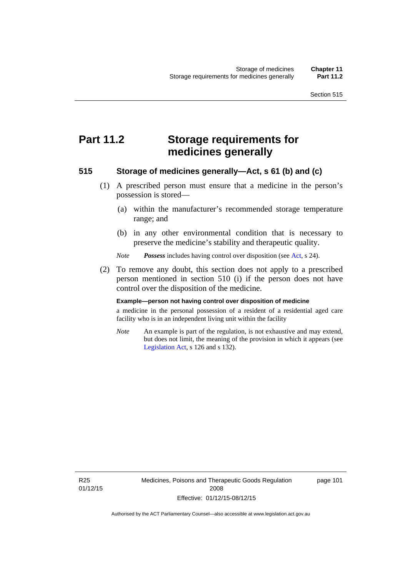# **Part 11.2 Storage requirements for medicines generally**

### **515 Storage of medicines generally—Act, s 61 (b) and (c)**

- (1) A prescribed person must ensure that a medicine in the person's possession is stored—
	- (a) within the manufacturer's recommended storage temperature range; and
	- (b) in any other environmental condition that is necessary to preserve the medicine's stability and therapeutic quality.

*Note Possess* includes having control over disposition (see [Act,](http://www.legislation.act.gov.au/a/2008-26/default.asp) s 24).

 (2) To remove any doubt, this section does not apply to a prescribed person mentioned in section 510 (i) if the person does not have control over the disposition of the medicine.

#### **Example—person not having control over disposition of medicine**

a medicine in the personal possession of a resident of a residential aged care facility who is in an independent living unit within the facility

*Note* An example is part of the regulation, is not exhaustive and may extend, but does not limit, the meaning of the provision in which it appears (see [Legislation Act,](http://www.legislation.act.gov.au/a/2001-14) s 126 and s 132).

R25 01/12/15 Medicines, Poisons and Therapeutic Goods Regulation 2008 Effective: 01/12/15-08/12/15

page 101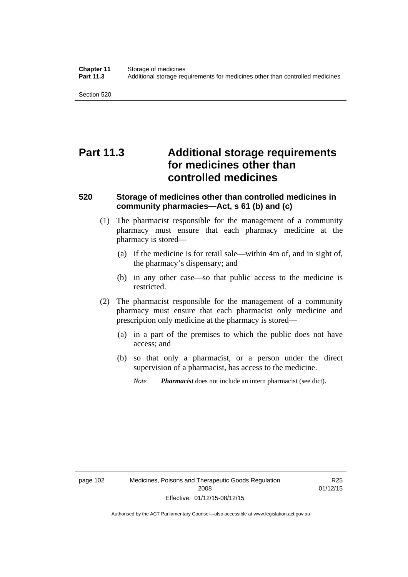Section 520

# **Part 11.3 Additional storage requirements for medicines other than controlled medicines**

### **520 Storage of medicines other than controlled medicines in community pharmacies—Act, s 61 (b) and (c)**

- (1) The pharmacist responsible for the management of a community pharmacy must ensure that each pharmacy medicine at the pharmacy is stored—
	- (a) if the medicine is for retail sale—within 4m of, and in sight of, the pharmacy's dispensary; and
	- (b) in any other case—so that public access to the medicine is restricted.
- (2) The pharmacist responsible for the management of a community pharmacy must ensure that each pharmacist only medicine and prescription only medicine at the pharmacy is stored—
	- (a) in a part of the premises to which the public does not have access; and
	- (b) so that only a pharmacist, or a person under the direct supervision of a pharmacist, has access to the medicine.

*Note Pharmacist* does not include an intern pharmacist (see dict).

R25 01/12/15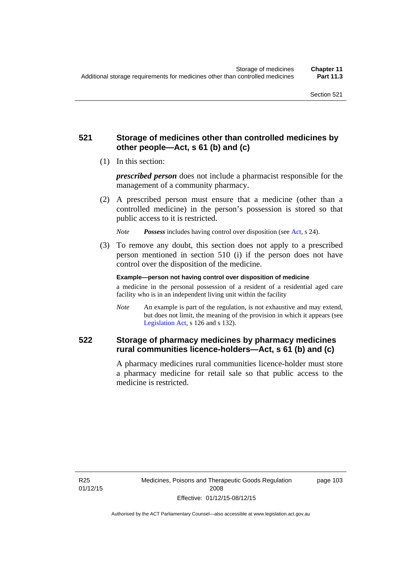### **521 Storage of medicines other than controlled medicines by other people—Act, s 61 (b) and (c)**

(1) In this section:

*prescribed person* does not include a pharmacist responsible for the management of a community pharmacy.

 (2) A prescribed person must ensure that a medicine (other than a controlled medicine) in the person's possession is stored so that public access to it is restricted.

*Note Possess* includes having control over disposition (see [Act,](http://www.legislation.act.gov.au/a/2008-26/default.asp) s 24).

 (3) To remove any doubt, this section does not apply to a prescribed person mentioned in section 510 (i) if the person does not have control over the disposition of the medicine.

**Example—person not having control over disposition of medicine** 

a medicine in the personal possession of a resident of a residential aged care facility who is in an independent living unit within the facility

*Note* An example is part of the regulation, is not exhaustive and may extend, but does not limit, the meaning of the provision in which it appears (see [Legislation Act,](http://www.legislation.act.gov.au/a/2001-14) s 126 and s 132).

### **522 Storage of pharmacy medicines by pharmacy medicines rural communities licence-holders—Act, s 61 (b) and (c)**

A pharmacy medicines rural communities licence-holder must store a pharmacy medicine for retail sale so that public access to the medicine is restricted.

R25 01/12/15 page 103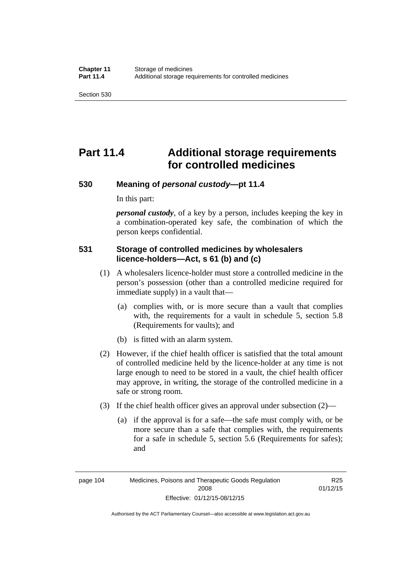# **Part 11.4 Additional storage requirements for controlled medicines**

### **530 Meaning of** *personal custody***—pt 11.4**

In this part:

*personal custody*, of a key by a person, includes keeping the key in a combination-operated key safe, the combination of which the person keeps confidential.

### **531 Storage of controlled medicines by wholesalers licence-holders—Act, s 61 (b) and (c)**

- (1) A wholesalers licence-holder must store a controlled medicine in the person's possession (other than a controlled medicine required for immediate supply) in a vault that—
	- (a) complies with, or is more secure than a vault that complies with, the requirements for a vault in schedule 5, section 5.8 (Requirements for vaults); and
	- (b) is fitted with an alarm system.
- (2) However, if the chief health officer is satisfied that the total amount of controlled medicine held by the licence-holder at any time is not large enough to need to be stored in a vault, the chief health officer may approve, in writing, the storage of the controlled medicine in a safe or strong room.
- (3) If the chief health officer gives an approval under subsection (2)—
	- (a) if the approval is for a safe—the safe must comply with, or be more secure than a safe that complies with, the requirements for a safe in schedule 5, section 5.6 (Requirements for safes); and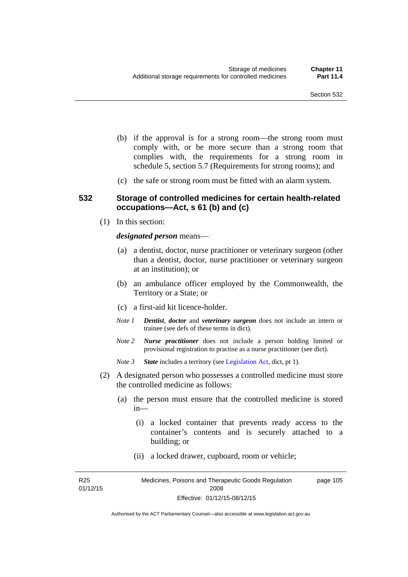- (b) if the approval is for a strong room—the strong room must comply with, or be more secure than a strong room that complies with, the requirements for a strong room in schedule 5, section 5.7 (Requirements for strong rooms); and
- (c) the safe or strong room must be fitted with an alarm system.

### **532 Storage of controlled medicines for certain health-related occupations—Act, s 61 (b) and (c)**

(1) In this section:

#### *designated person* means—

- (a) a dentist, doctor, nurse practitioner or veterinary surgeon (other than a dentist, doctor, nurse practitioner or veterinary surgeon at an institution); or
- (b) an ambulance officer employed by the Commonwealth, the Territory or a State; or
- (c) a first-aid kit licence-holder.
- *Note 1 Dentist*, *doctor* and *veterinary surgeon* does not include an intern or trainee (see defs of these terms in dict).
- *Note 2 Nurse practitioner* does not include a person holding limited or provisional registration to practise as a nurse practitioner (see dict).
- *Note 3 State* includes a territory (see [Legislation Act,](http://www.legislation.act.gov.au/a/2001-14) dict, pt 1).
- (2) A designated person who possesses a controlled medicine must store the controlled medicine as follows:
	- (a) the person must ensure that the controlled medicine is stored in—
		- (i) a locked container that prevents ready access to the container's contents and is securely attached to a building; or
		- (ii) a locked drawer, cupboard, room or vehicle;

R25 01/12/15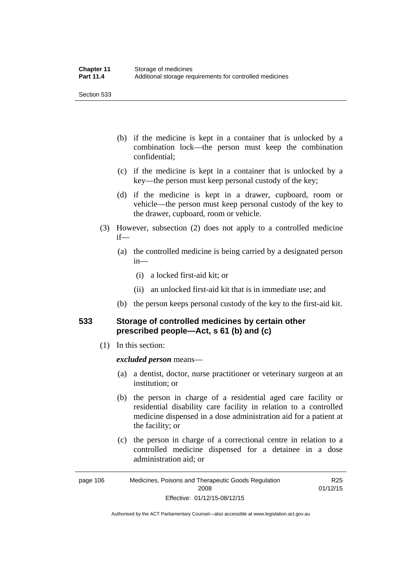Section 533

- (b) if the medicine is kept in a container that is unlocked by a combination lock—the person must keep the combination confidential;
- (c) if the medicine is kept in a container that is unlocked by a key—the person must keep personal custody of the key;
- (d) if the medicine is kept in a drawer, cupboard, room or vehicle—the person must keep personal custody of the key to the drawer, cupboard, room or vehicle.
- (3) However, subsection (2) does not apply to a controlled medicine if—
	- (a) the controlled medicine is being carried by a designated person in—
		- (i) a locked first-aid kit; or
		- (ii) an unlocked first-aid kit that is in immediate use; and
	- (b) the person keeps personal custody of the key to the first-aid kit.

### **533 Storage of controlled medicines by certain other prescribed people—Act, s 61 (b) and (c)**

(1) In this section:

#### *excluded person* means—

- (a) a dentist, doctor, nurse practitioner or veterinary surgeon at an institution; or
- (b) the person in charge of a residential aged care facility or residential disability care facility in relation to a controlled medicine dispensed in a dose administration aid for a patient at the facility; or
- (c) the person in charge of a correctional centre in relation to a controlled medicine dispensed for a detainee in a dose administration aid; or

Authorised by the ACT Parliamentary Counsel—also accessible at www.legislation.act.gov.au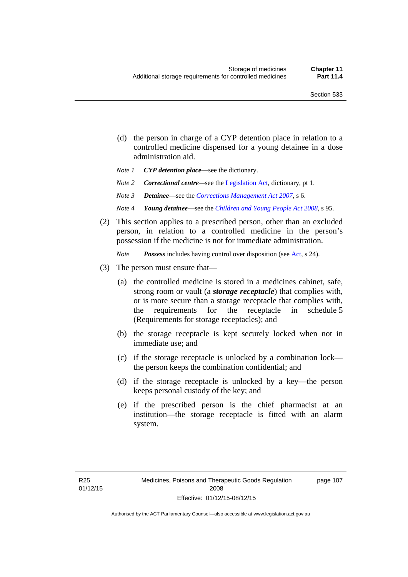- (d) the person in charge of a CYP detention place in relation to a controlled medicine dispensed for a young detainee in a dose administration aid.
- *Note 1 CYP detention place*—see the dictionary.
- *Note 2 Correctional centre—see the [Legislation Act](http://www.legislation.act.gov.au/a/2001-14), dictionary, pt 1.*
- *Note 3 Detainee*—see the *[Corrections Management Act 2007](http://www.legislation.act.gov.au/a/2007-15)*, s 6.
- *Note 4 Young detainee*—see the *[Children and Young People Act 2008](http://www.legislation.act.gov.au/a/2008-19)*, s 95.
- (2) This section applies to a prescribed person, other than an excluded person, in relation to a controlled medicine in the person's possession if the medicine is not for immediate administration.

*Note Possess* includes having control over disposition (see [Act,](http://www.legislation.act.gov.au/a/2008-26/default.asp) s 24).

- (3) The person must ensure that—
	- (a) the controlled medicine is stored in a medicines cabinet, safe, strong room or vault (a *storage receptacle*) that complies with, or is more secure than a storage receptacle that complies with, the requirements for the receptacle in schedule 5 (Requirements for storage receptacles); and
	- (b) the storage receptacle is kept securely locked when not in immediate use; and
	- (c) if the storage receptacle is unlocked by a combination lock the person keeps the combination confidential; and
	- (d) if the storage receptacle is unlocked by a key—the person keeps personal custody of the key; and
	- (e) if the prescribed person is the chief pharmacist at an institution—the storage receptacle is fitted with an alarm system.

page 107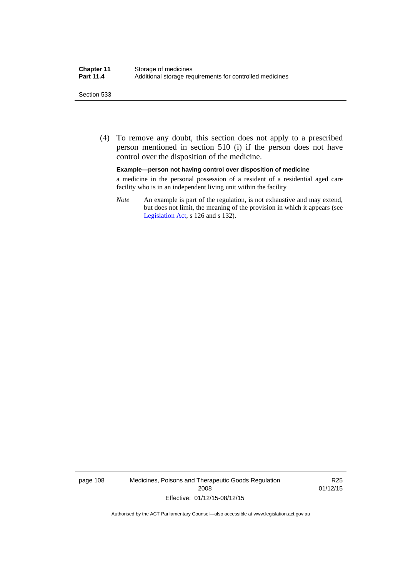#### Section 533

 (4) To remove any doubt, this section does not apply to a prescribed person mentioned in section 510 (i) if the person does not have control over the disposition of the medicine.

#### **Example—person not having control over disposition of medicine**

a medicine in the personal possession of a resident of a residential aged care facility who is in an independent living unit within the facility

*Note* An example is part of the regulation, is not exhaustive and may extend, but does not limit, the meaning of the provision in which it appears (see [Legislation Act,](http://www.legislation.act.gov.au/a/2001-14) s 126 and s 132).

page 108 Medicines, Poisons and Therapeutic Goods Regulation 2008 Effective: 01/12/15-08/12/15

R25 01/12/15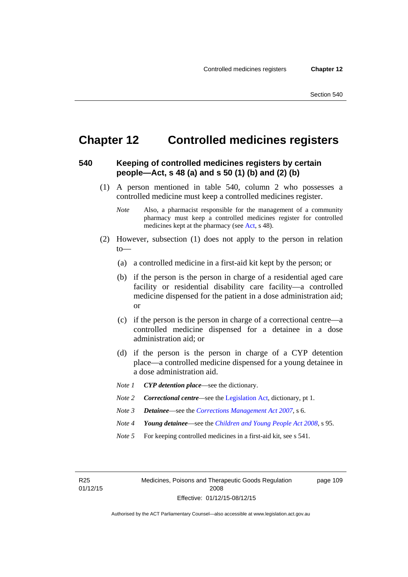page 109

## **Chapter 12 Controlled medicines registers**

### **540 Keeping of controlled medicines registers by certain people—Act, s 48 (a) and s 50 (1) (b) and (2) (b)**

- (1) A person mentioned in table 540, column 2 who possesses a controlled medicine must keep a controlled medicines register.
	- *Note* Also, a pharmacist responsible for the management of a community pharmacy must keep a controlled medicines register for controlled medicines kept at the pharmacy (see [Act](http://www.legislation.act.gov.au/a/2008-26/default.asp), s 48).
- (2) However, subsection (1) does not apply to the person in relation to—
	- (a) a controlled medicine in a first-aid kit kept by the person; or
	- (b) if the person is the person in charge of a residential aged care facility or residential disability care facility—a controlled medicine dispensed for the patient in a dose administration aid; or
	- (c) if the person is the person in charge of a correctional centre—a controlled medicine dispensed for a detainee in a dose administration aid; or
	- (d) if the person is the person in charge of a CYP detention place—a controlled medicine dispensed for a young detainee in a dose administration aid.
	- *Note 1 CYP detention place*—see the dictionary.
	- *Note 2 Correctional centre—see the [Legislation Act](http://www.legislation.act.gov.au/a/2001-14), dictionary, pt 1.*
	- *Note 3 Detainee*—see the *[Corrections Management Act 2007](http://www.legislation.act.gov.au/a/2007-15)*, s 6.
	- *Note 4 Young detainee*—see the *[Children and Young People Act 2008](http://www.legislation.act.gov.au/a/2008-19)*, s 95.
	- *Note* 5 For keeping controlled medicines in a first-aid kit, see s 541.

R25 01/12/15 Medicines, Poisons and Therapeutic Goods Regulation 2008 Effective: 01/12/15-08/12/15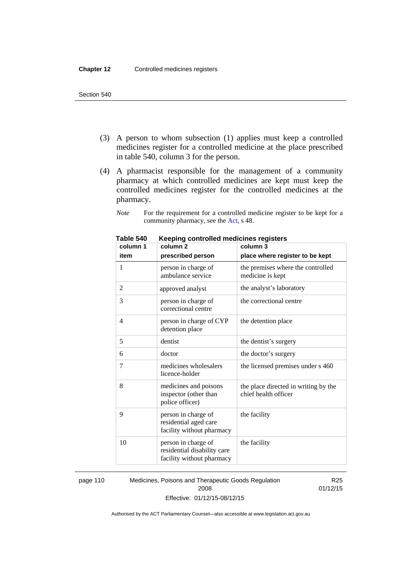- (3) A person to whom subsection (1) applies must keep a controlled medicines register for a controlled medicine at the place prescribed in table 540, column 3 for the person.
- (4) A pharmacist responsible for the management of a community pharmacy at which controlled medicines are kept must keep the controlled medicines register for the controlled medicines at the pharmacy.

*Note* For the requirement for a controlled medicine register to be kept for a community pharmacy, see the [Act,](http://www.legislation.act.gov.au/a/2008-26/default.asp) s 48.

| column 1 | column <sub>2</sub>                                                             | column 3                                                     |
|----------|---------------------------------------------------------------------------------|--------------------------------------------------------------|
| item     | prescribed person                                                               | place where register to be kept                              |
| 1        | person in charge of<br>ambulance service                                        | the premises where the controlled<br>medicine is kept        |
| 2        | approved analyst                                                                | the analyst's laboratory                                     |
| 3        | person in charge of<br>correctional centre                                      | the correctional centre                                      |
| 4        | person in charge of CYP<br>detention place                                      | the detention place                                          |
| 5        | dentist                                                                         | the dentist's surgery                                        |
| 6        | doctor                                                                          | the doctor's surgery                                         |
| 7        | medicines wholesalers<br>licence-holder                                         | the licensed premises under s 460                            |
| 8        | medicines and poisons<br>inspector (other than<br>police officer)               | the place directed in writing by the<br>chief health officer |
| 9        | person in charge of<br>residential aged care<br>facility without pharmacy       | the facility                                                 |
| 10       | person in charge of<br>residential disability care<br>facility without pharmacy | the facility                                                 |

**Table 540 Keeping controlled medicines registers** 

page 110 Medicines, Poisons and Therapeutic Goods Regulation 2008 Effective: 01/12/15-08/12/15

R25 01/12/15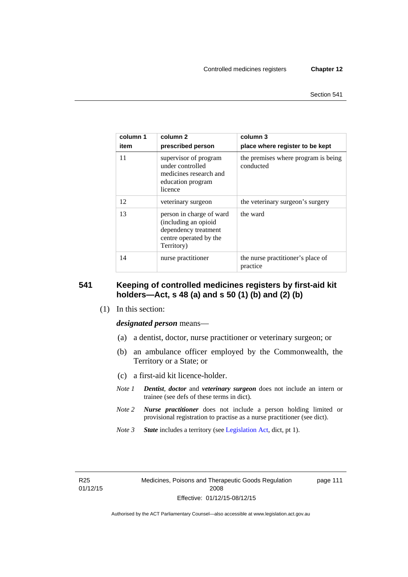| column 1<br>item | column 2<br>prescribed person                                                                                    | column 3<br>place where register to be kept      |
|------------------|------------------------------------------------------------------------------------------------------------------|--------------------------------------------------|
| 11               | supervisor of program<br>under controlled<br>medicines research and<br>education program<br>licence              | the premises where program is being<br>conducted |
| 12               | veterinary surgeon                                                                                               | the veterinary surgeon's surgery                 |
| 13               | person in charge of ward<br>(including an opioid<br>dependency treatment<br>centre operated by the<br>Territory) | the ward                                         |
| 14               | nurse practitioner                                                                                               | the nurse practitioner's place of<br>practice    |

### **541 Keeping of controlled medicines registers by first-aid kit holders—Act, s 48 (a) and s 50 (1) (b) and (2) (b)**

(1) In this section:

*designated person* means—

- (a) a dentist, doctor, nurse practitioner or veterinary surgeon; or
- (b) an ambulance officer employed by the Commonwealth, the Territory or a State; or
- (c) a first-aid kit licence-holder.
- *Note 1 Dentist*, *doctor* and *veterinary surgeon* does not include an intern or trainee (see defs of these terms in dict).
- *Note 2 Nurse practitioner* does not include a person holding limited or provisional registration to practise as a nurse practitioner (see dict).
- *Note 3 State* includes a territory (see [Legislation Act,](http://www.legislation.act.gov.au/a/2001-14) dict, pt 1).

R25 01/12/15 page 111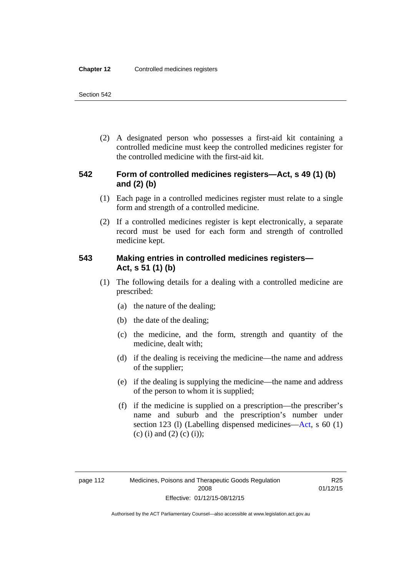(2) A designated person who possesses a first-aid kit containing a controlled medicine must keep the controlled medicines register for the controlled medicine with the first-aid kit.

### **542 Form of controlled medicines registers—Act, s 49 (1) (b) and (2) (b)**

- (1) Each page in a controlled medicines register must relate to a single form and strength of a controlled medicine.
- (2) If a controlled medicines register is kept electronically, a separate record must be used for each form and strength of controlled medicine kept.

### **543 Making entries in controlled medicines registers— Act, s 51 (1) (b)**

- (1) The following details for a dealing with a controlled medicine are prescribed:
	- (a) the nature of the dealing;
	- (b) the date of the dealing;
	- (c) the medicine, and the form, strength and quantity of the medicine, dealt with;
	- (d) if the dealing is receiving the medicine—the name and address of the supplier;
	- (e) if the dealing is supplying the medicine—the name and address of the person to whom it is supplied;
	- (f) if the medicine is supplied on a prescription—the prescriber's name and suburb and the prescription's number under section 123 (l) (Labelling dispensed medicines[—Act,](http://www.legislation.act.gov.au/a/2008-26/default.asp) s 60 (1) (c) (i) and (2) (c) (i));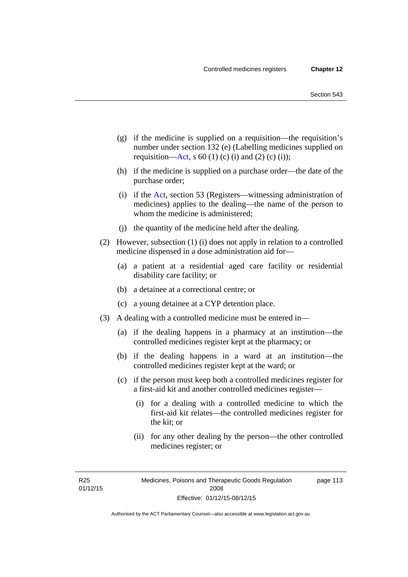- (g) if the medicine is supplied on a requisition—the requisition's number under section 132 (e) (Labelling medicines supplied on requisition[—Act,](http://www.legislation.act.gov.au/a/2008-26/default.asp) s 60 (1) (c) (i) and (2) (c) (i));
- (h) if the medicine is supplied on a purchase order—the date of the purchase order;
- (i) if the [Act,](http://www.legislation.act.gov.au/a/2008-26/default.asp) section 53 (Registers—witnessing administration of medicines) applies to the dealing—the name of the person to whom the medicine is administered;
- (j) the quantity of the medicine held after the dealing.
- (2) However, subsection (1) (i) does not apply in relation to a controlled medicine dispensed in a dose administration aid for—
	- (a) a patient at a residential aged care facility or residential disability care facility; or
	- (b) a detainee at a correctional centre; or
	- (c) a young detainee at a CYP detention place.
- (3) A dealing with a controlled medicine must be entered in—
	- (a) if the dealing happens in a pharmacy at an institution—the controlled medicines register kept at the pharmacy; or
	- (b) if the dealing happens in a ward at an institution—the controlled medicines register kept at the ward; or
	- (c) if the person must keep both a controlled medicines register for a first-aid kit and another controlled medicines register—
		- (i) for a dealing with a controlled medicine to which the first-aid kit relates—the controlled medicines register for the kit; or
		- (ii) for any other dealing by the person—the other controlled medicines register; or

R25 01/12/15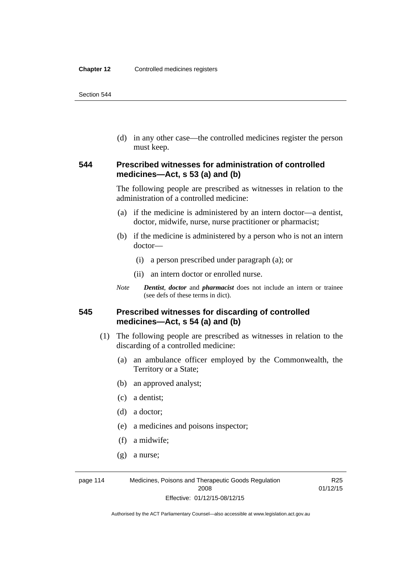(d) in any other case—the controlled medicines register the person must keep.

### **544 Prescribed witnesses for administration of controlled medicines—Act, s 53 (a) and (b)**

The following people are prescribed as witnesses in relation to the administration of a controlled medicine:

- (a) if the medicine is administered by an intern doctor—a dentist, doctor, midwife, nurse, nurse practitioner or pharmacist;
- (b) if the medicine is administered by a person who is not an intern doctor—
	- (i) a person prescribed under paragraph (a); or
	- (ii) an intern doctor or enrolled nurse.
- *Note Dentist*, *doctor* and *pharmacist* does not include an intern or trainee (see defs of these terms in dict).

### **545 Prescribed witnesses for discarding of controlled medicines—Act, s 54 (a) and (b)**

- (1) The following people are prescribed as witnesses in relation to the discarding of a controlled medicine:
	- (a) an ambulance officer employed by the Commonwealth, the Territory or a State;
	- (b) an approved analyst;
	- (c) a dentist;
	- (d) a doctor;
	- (e) a medicines and poisons inspector;
	- (f) a midwife;
	- (g) a nurse;

page 114 Medicines, Poisons and Therapeutic Goods Regulation 2008 Effective: 01/12/15-08/12/15

R25 01/12/15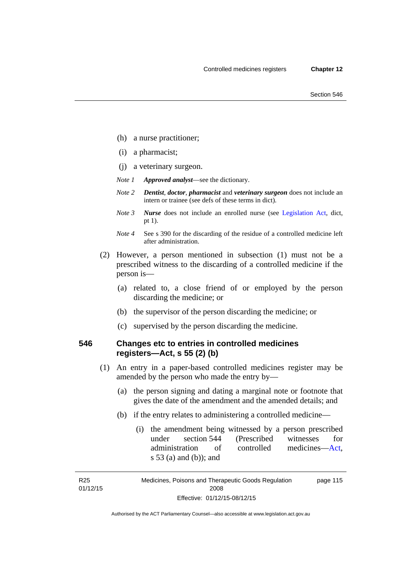- (h) a nurse practitioner;
- (i) a pharmacist;
- (j) a veterinary surgeon.
- *Note 1 Approved analyst*—see the dictionary.
- *Note 2 Dentist*, *doctor*, *pharmacist* and *veterinary surgeon* does not include an intern or trainee (see defs of these terms in dict).
- *Note 3 Nurse* does not include an enrolled nurse (see [Legislation Act,](http://www.legislation.act.gov.au/a/2001-14) dict, pt 1).
- *Note 4* See s 390 for the discarding of the residue of a controlled medicine left after administration.
- (2) However, a person mentioned in subsection (1) must not be a prescribed witness to the discarding of a controlled medicine if the person is—
	- (a) related to, a close friend of or employed by the person discarding the medicine; or
	- (b) the supervisor of the person discarding the medicine; or
	- (c) supervised by the person discarding the medicine.

### **546 Changes etc to entries in controlled medicines registers—Act, s 55 (2) (b)**

- (1) An entry in a paper-based controlled medicines register may be amended by the person who made the entry by—
	- (a) the person signing and dating a marginal note or footnote that gives the date of the amendment and the amended details; and
	- (b) if the entry relates to administering a controlled medicine—
		- (i) the amendment being witnessed by a person prescribed under section 544 (Prescribed witnesses for administration of controlled medicines[—Act](http://www.legislation.act.gov.au/a/2008-26/default.asp), s 53 (a) and (b)); and

R25 01/12/15

Medicines, Poisons and Therapeutic Goods Regulation 2008 Effective: 01/12/15-08/12/15 page 115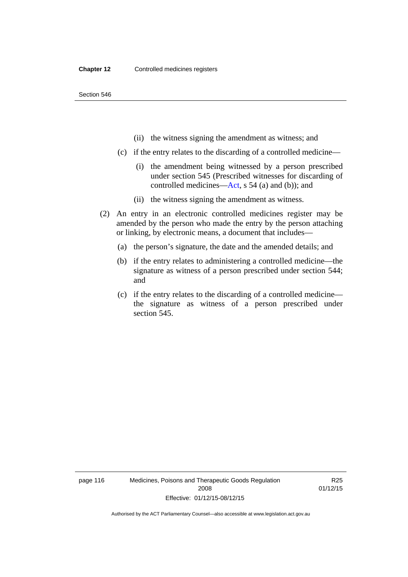- (ii) the witness signing the amendment as witness; and
- (c) if the entry relates to the discarding of a controlled medicine—
	- (i) the amendment being witnessed by a person prescribed under section 545 (Prescribed witnesses for discarding of controlled medicines[—Act,](http://www.legislation.act.gov.au/a/2008-26/default.asp) s 54 (a) and (b)); and
	- (ii) the witness signing the amendment as witness.
- (2) An entry in an electronic controlled medicines register may be amended by the person who made the entry by the person attaching or linking, by electronic means, a document that includes—
	- (a) the person's signature, the date and the amended details; and
	- (b) if the entry relates to administering a controlled medicine—the signature as witness of a person prescribed under section 544; and
	- (c) if the entry relates to the discarding of a controlled medicine the signature as witness of a person prescribed under section 545.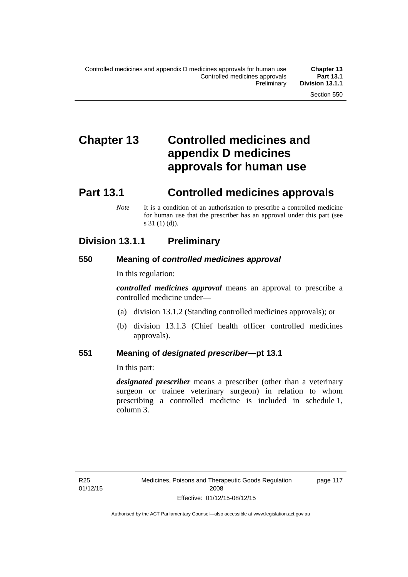# **Chapter 13 Controlled medicines and appendix D medicines approvals for human use**

## **Part 13.1 Controlled medicines approvals**

*Note* It is a condition of an authorisation to prescribe a controlled medicine for human use that the prescriber has an approval under this part (see s 31 (1) (d)).

## **Division 13.1.1 Preliminary**

### **550 Meaning of** *controlled medicines approval*

In this regulation:

*controlled medicines approval* means an approval to prescribe a controlled medicine under—

- (a) division 13.1.2 (Standing controlled medicines approvals); or
- (b) division 13.1.3 (Chief health officer controlled medicines approvals).

### **551 Meaning of** *designated prescriber***—pt 13.1**

In this part:

*designated prescriber* means a prescriber (other than a veterinary surgeon or trainee veterinary surgeon) in relation to whom prescribing a controlled medicine is included in schedule 1, column 3.

R25 01/12/15 page 117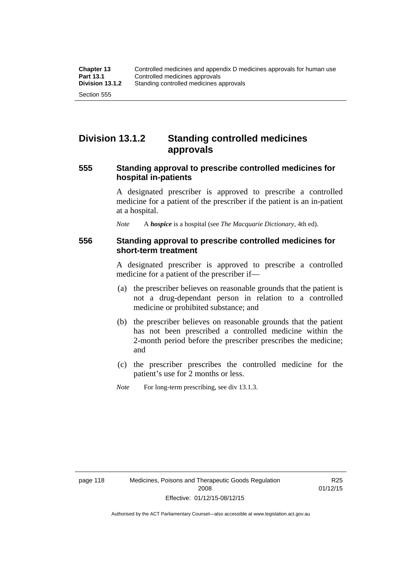## **Division 13.1.2 Standing controlled medicines approvals**

### **555 Standing approval to prescribe controlled medicines for hospital in-patients**

A designated prescriber is approved to prescribe a controlled medicine for a patient of the prescriber if the patient is an in-patient at a hospital.

*Note* A *hospice* is a hospital (see *The Macquarie Dictionary*, 4th ed).

#### **556 Standing approval to prescribe controlled medicines for short-term treatment**

A designated prescriber is approved to prescribe a controlled medicine for a patient of the prescriber if—

- (a) the prescriber believes on reasonable grounds that the patient is not a drug-dependant person in relation to a controlled medicine or prohibited substance; and
- (b) the prescriber believes on reasonable grounds that the patient has not been prescribed a controlled medicine within the 2-month period before the prescriber prescribes the medicine; and
- (c) the prescriber prescribes the controlled medicine for the patient's use for 2 months or less.
- *Note* For long-term prescribing, see div 13.1.3.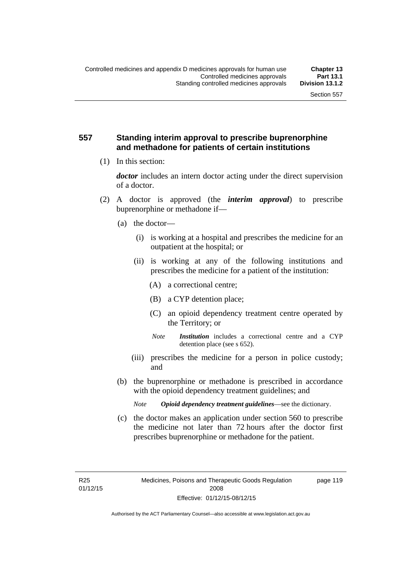page 119

### **557 Standing interim approval to prescribe buprenorphine and methadone for patients of certain institutions**

(1) In this section:

*doctor* includes an intern doctor acting under the direct supervision of a doctor.

- (2) A doctor is approved (the *interim approval*) to prescribe buprenorphine or methadone if—
	- (a) the doctor—
		- (i) is working at a hospital and prescribes the medicine for an outpatient at the hospital; or
		- (ii) is working at any of the following institutions and prescribes the medicine for a patient of the institution:
			- (A) a correctional centre;
			- (B) a CYP detention place;
			- (C) an opioid dependency treatment centre operated by the Territory; or
			- *Note Institution* includes a correctional centre and a CYP detention place (see s 652).
		- (iii) prescribes the medicine for a person in police custody; and
	- (b) the buprenorphine or methadone is prescribed in accordance with the opioid dependency treatment guidelines; and
		- *Note Opioid dependency treatment guidelines*—see the dictionary.
	- (c) the doctor makes an application under section 560 to prescribe the medicine not later than 72 hours after the doctor first prescribes buprenorphine or methadone for the patient.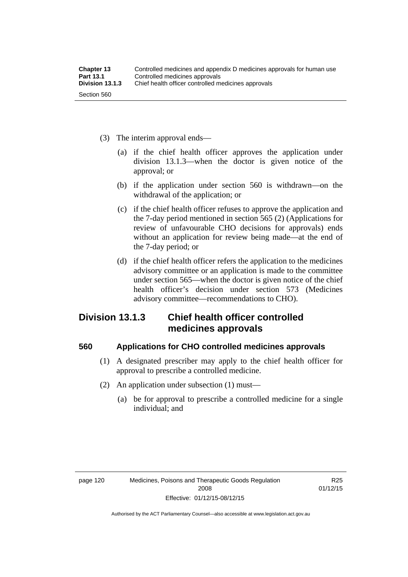- (3) The interim approval ends—
	- (a) if the chief health officer approves the application under division 13.1.3—when the doctor is given notice of the approval; or
	- (b) if the application under section 560 is withdrawn—on the withdrawal of the application; or
	- (c) if the chief health officer refuses to approve the application and the 7-day period mentioned in section 565 (2) (Applications for review of unfavourable CHO decisions for approvals) ends without an application for review being made—at the end of the 7-day period; or
	- (d) if the chief health officer refers the application to the medicines advisory committee or an application is made to the committee under section 565—when the doctor is given notice of the chief health officer's decision under section 573 (Medicines advisory committee—recommendations to CHO).

## **Division 13.1.3 Chief health officer controlled medicines approvals**

### **560 Applications for CHO controlled medicines approvals**

- (1) A designated prescriber may apply to the chief health officer for approval to prescribe a controlled medicine.
- (2) An application under subsection (1) must—
	- (a) be for approval to prescribe a controlled medicine for a single individual; and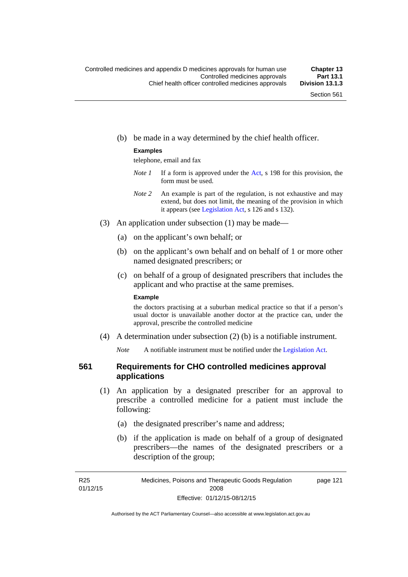(b) be made in a way determined by the chief health officer.

#### **Examples**

telephone, email and fax

- *Note 1* If a form is approved under the [Act](http://www.legislation.act.gov.au/a/2008-26/default.asp), s 198 for this provision, the form must be used.
- *Note 2* An example is part of the regulation, is not exhaustive and may extend, but does not limit, the meaning of the provision in which it appears (see [Legislation Act,](http://www.legislation.act.gov.au/a/2001-14) s 126 and s 132).
- (3) An application under subsection (1) may be made—
	- (a) on the applicant's own behalf; or
	- (b) on the applicant's own behalf and on behalf of 1 or more other named designated prescribers; or
	- (c) on behalf of a group of designated prescribers that includes the applicant and who practise at the same premises.

#### **Example**

the doctors practising at a suburban medical practice so that if a person's usual doctor is unavailable another doctor at the practice can, under the approval, prescribe the controlled medicine

(4) A determination under subsection (2) (b) is a notifiable instrument.

*Note* A notifiable instrument must be notified under the [Legislation Act](http://www.legislation.act.gov.au/a/2001-14).

## **561 Requirements for CHO controlled medicines approval applications**

- (1) An application by a designated prescriber for an approval to prescribe a controlled medicine for a patient must include the following:
	- (a) the designated prescriber's name and address;
	- (b) if the application is made on behalf of a group of designated prescribers—the names of the designated prescribers or a description of the group;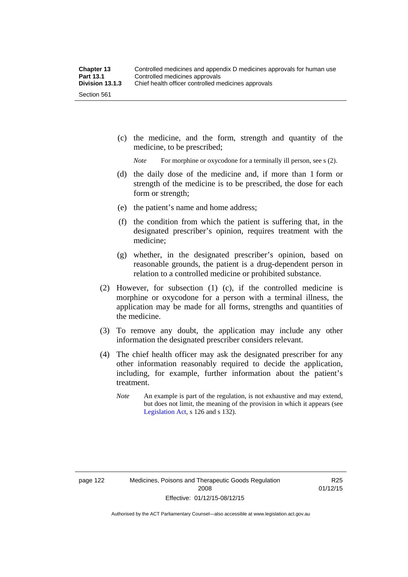(c) the medicine, and the form, strength and quantity of the medicine, to be prescribed;

*Note* For morphine or oxycodone for a terminally ill person, see s (2).

- (d) the daily dose of the medicine and, if more than 1 form or strength of the medicine is to be prescribed, the dose for each form or strength;
- (e) the patient's name and home address;
- (f) the condition from which the patient is suffering that, in the designated prescriber's opinion, requires treatment with the medicine;
- (g) whether, in the designated prescriber's opinion, based on reasonable grounds, the patient is a drug-dependent person in relation to a controlled medicine or prohibited substance.
- (2) However, for subsection (1) (c), if the controlled medicine is morphine or oxycodone for a person with a terminal illness, the application may be made for all forms, strengths and quantities of the medicine.
- (3) To remove any doubt, the application may include any other information the designated prescriber considers relevant.
- (4) The chief health officer may ask the designated prescriber for any other information reasonably required to decide the application, including, for example, further information about the patient's treatment.
	- *Note* An example is part of the regulation, is not exhaustive and may extend, but does not limit, the meaning of the provision in which it appears (see [Legislation Act,](http://www.legislation.act.gov.au/a/2001-14) s 126 and s 132).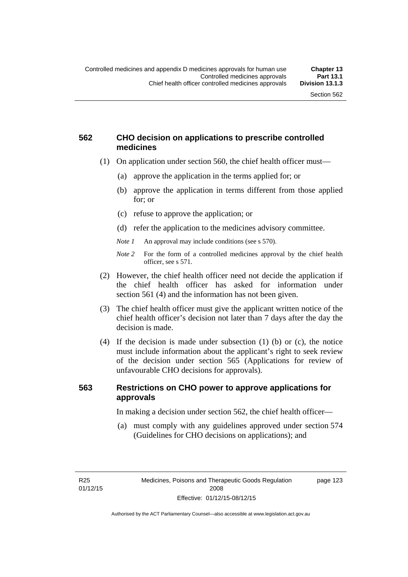## **562 CHO decision on applications to prescribe controlled medicines**

- (1) On application under section 560, the chief health officer must—
	- (a) approve the application in the terms applied for; or
	- (b) approve the application in terms different from those applied for; or
	- (c) refuse to approve the application; or
	- (d) refer the application to the medicines advisory committee.
	- *Note 1* An approval may include conditions (see s 570).
	- *Note 2* For the form of a controlled medicines approval by the chief health officer, see s 571.
- (2) However, the chief health officer need not decide the application if the chief health officer has asked for information under section 561 (4) and the information has not been given.
- (3) The chief health officer must give the applicant written notice of the chief health officer's decision not later than 7 days after the day the decision is made.
- (4) If the decision is made under subsection (1) (b) or (c), the notice must include information about the applicant's right to seek review of the decision under section 565 (Applications for review of unfavourable CHO decisions for approvals).

## **563 Restrictions on CHO power to approve applications for approvals**

In making a decision under section 562, the chief health officer—

 (a) must comply with any guidelines approved under section 574 (Guidelines for CHO decisions on applications); and

page 123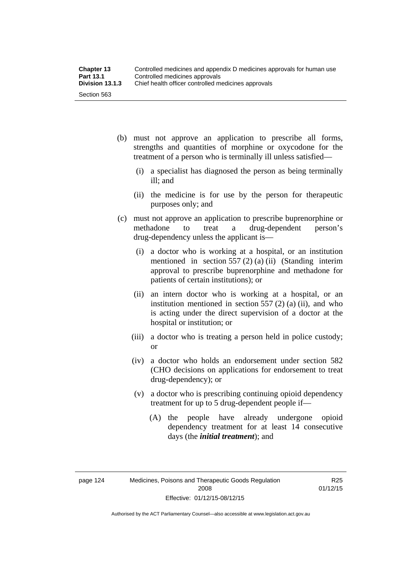- (b) must not approve an application to prescribe all forms, strengths and quantities of morphine or oxycodone for the treatment of a person who is terminally ill unless satisfied—
	- (i) a specialist has diagnosed the person as being terminally ill; and
	- (ii) the medicine is for use by the person for therapeutic purposes only; and
- (c) must not approve an application to prescribe buprenorphine or methadone to treat a drug-dependent person's drug-dependency unless the applicant is—
	- (i) a doctor who is working at a hospital, or an institution mentioned in section 557 (2) (a) (ii) (Standing interim approval to prescribe buprenorphine and methadone for patients of certain institutions); or
	- (ii) an intern doctor who is working at a hospital, or an institution mentioned in section  $557(2)$  (a) (ii), and who is acting under the direct supervision of a doctor at the hospital or institution; or
	- (iii) a doctor who is treating a person held in police custody; or
	- (iv) a doctor who holds an endorsement under section 582 (CHO decisions on applications for endorsement to treat drug-dependency); or
	- (v) a doctor who is prescribing continuing opioid dependency treatment for up to 5 drug-dependent people if—
		- (A) the people have already undergone opioid dependency treatment for at least 14 consecutive days (the *initial treatment*); and

R25 01/12/15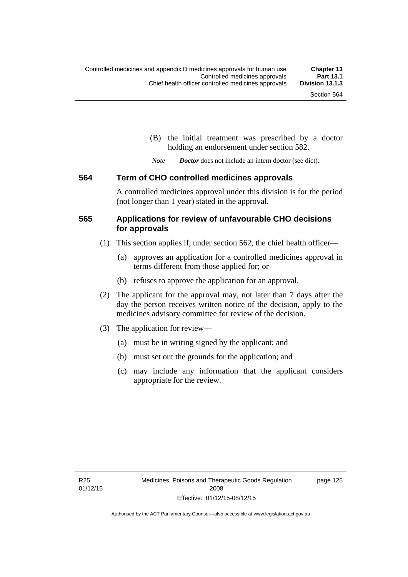(B) the initial treatment was prescribed by a doctor holding an endorsement under section 582.

*Note Doctor* does not include an intern doctor (see dict).

#### **564 Term of CHO controlled medicines approvals**

A controlled medicines approval under this division is for the period (not longer than 1 year) stated in the approval.

## **565 Applications for review of unfavourable CHO decisions for approvals**

- (1) This section applies if, under section 562, the chief health officer—
	- (a) approves an application for a controlled medicines approval in terms different from those applied for; or
	- (b) refuses to approve the application for an approval.
- (2) The applicant for the approval may, not later than 7 days after the day the person receives written notice of the decision, apply to the medicines advisory committee for review of the decision.
- (3) The application for review—
	- (a) must be in writing signed by the applicant; and
	- (b) must set out the grounds for the application; and
	- (c) may include any information that the applicant considers appropriate for the review.

page 125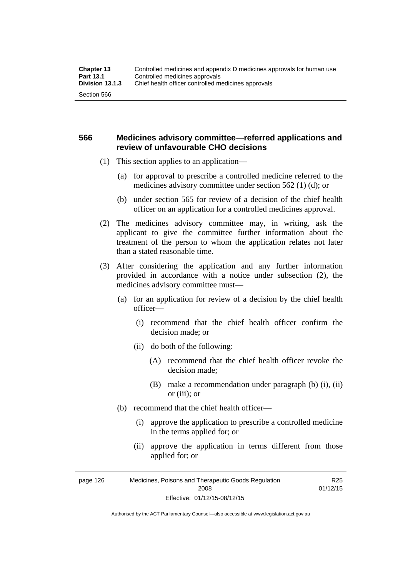## **566 Medicines advisory committee—referred applications and review of unfavourable CHO decisions**

- (1) This section applies to an application—
	- (a) for approval to prescribe a controlled medicine referred to the medicines advisory committee under section 562 (1) (d); or
	- (b) under section 565 for review of a decision of the chief health officer on an application for a controlled medicines approval.
- (2) The medicines advisory committee may, in writing, ask the applicant to give the committee further information about the treatment of the person to whom the application relates not later than a stated reasonable time.
- (3) After considering the application and any further information provided in accordance with a notice under subsection (2), the medicines advisory committee must—
	- (a) for an application for review of a decision by the chief health officer—
		- (i) recommend that the chief health officer confirm the decision made; or
		- (ii) do both of the following:
			- (A) recommend that the chief health officer revoke the decision made;
			- (B) make a recommendation under paragraph (b) (i), (ii) or (iii); or
	- (b) recommend that the chief health officer—
		- (i) approve the application to prescribe a controlled medicine in the terms applied for; or
		- (ii) approve the application in terms different from those applied for; or

page 126 Medicines, Poisons and Therapeutic Goods Regulation 2008 Effective: 01/12/15-08/12/15 R25 01/12/15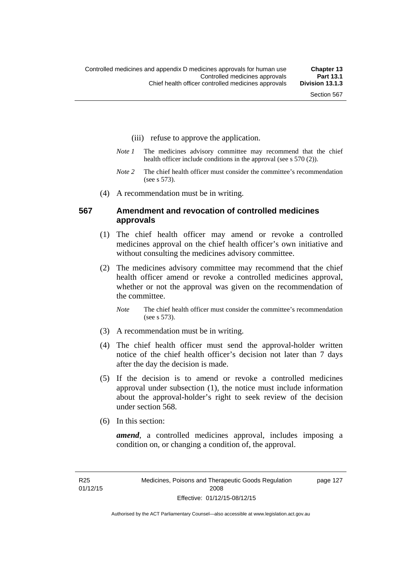- (iii) refuse to approve the application.
- *Note 1* The medicines advisory committee may recommend that the chief health officer include conditions in the approval (see s 570 (2)).
- *Note 2* The chief health officer must consider the committee's recommendation (see s 573).
- (4) A recommendation must be in writing.

### **567 Amendment and revocation of controlled medicines approvals**

- (1) The chief health officer may amend or revoke a controlled medicines approval on the chief health officer's own initiative and without consulting the medicines advisory committee.
- (2) The medicines advisory committee may recommend that the chief health officer amend or revoke a controlled medicines approval, whether or not the approval was given on the recommendation of the committee.

*Note* The chief health officer must consider the committee's recommendation (see s 573).

- (3) A recommendation must be in writing.
- (4) The chief health officer must send the approval-holder written notice of the chief health officer's decision not later than 7 days after the day the decision is made.
- (5) If the decision is to amend or revoke a controlled medicines approval under subsection (1), the notice must include information about the approval-holder's right to seek review of the decision under section 568.
- (6) In this section:

*amend*, a controlled medicines approval, includes imposing a condition on, or changing a condition of, the approval.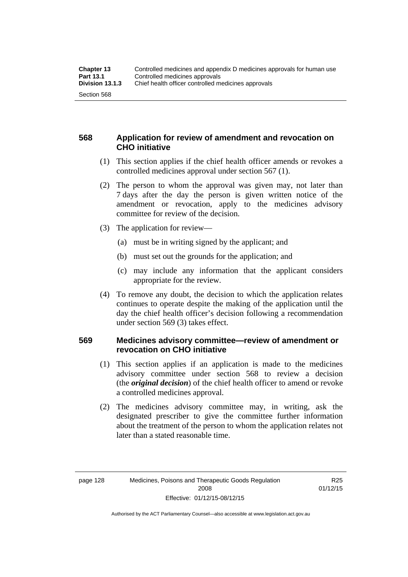## **568 Application for review of amendment and revocation on CHO initiative**

- (1) This section applies if the chief health officer amends or revokes a controlled medicines approval under section 567 (1).
- (2) The person to whom the approval was given may, not later than 7 days after the day the person is given written notice of the amendment or revocation, apply to the medicines advisory committee for review of the decision.
- (3) The application for review—
	- (a) must be in writing signed by the applicant; and
	- (b) must set out the grounds for the application; and
	- (c) may include any information that the applicant considers appropriate for the review.
- (4) To remove any doubt, the decision to which the application relates continues to operate despite the making of the application until the day the chief health officer's decision following a recommendation under section 569 (3) takes effect.

## **569 Medicines advisory committee—review of amendment or revocation on CHO initiative**

- (1) This section applies if an application is made to the medicines advisory committee under section 568 to review a decision (the *original decision*) of the chief health officer to amend or revoke a controlled medicines approval.
- (2) The medicines advisory committee may, in writing, ask the designated prescriber to give the committee further information about the treatment of the person to whom the application relates not later than a stated reasonable time.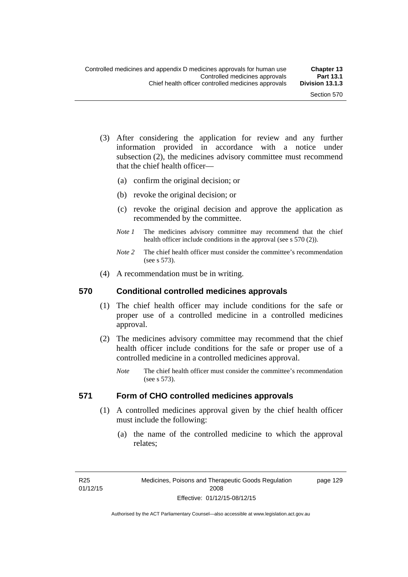- (3) After considering the application for review and any further information provided in accordance with a notice under subsection (2), the medicines advisory committee must recommend that the chief health officer—
	- (a) confirm the original decision; or
	- (b) revoke the original decision; or
	- (c) revoke the original decision and approve the application as recommended by the committee.
	- *Note 1* The medicines advisory committee may recommend that the chief health officer include conditions in the approval (see s 570 (2)).
	- *Note 2* The chief health officer must consider the committee's recommendation (see s 573).
- (4) A recommendation must be in writing.

### **570 Conditional controlled medicines approvals**

- (1) The chief health officer may include conditions for the safe or proper use of a controlled medicine in a controlled medicines approval.
- (2) The medicines advisory committee may recommend that the chief health officer include conditions for the safe or proper use of a controlled medicine in a controlled medicines approval.
	- *Note* The chief health officer must consider the committee's recommendation (see s 573).

## **571 Form of CHO controlled medicines approvals**

- (1) A controlled medicines approval given by the chief health officer must include the following:
	- (a) the name of the controlled medicine to which the approval relates;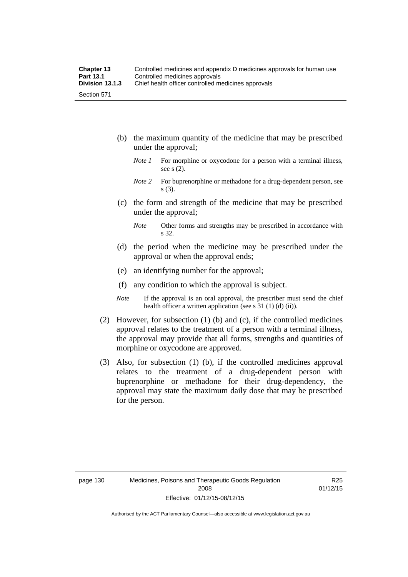- (b) the maximum quantity of the medicine that may be prescribed under the approval;
	- *Note 1* For morphine or oxycodone for a person with a terminal illness, see s (2).
	- *Note* 2 For buprenorphine or methadone for a drug-dependent person, see s (3).
- (c) the form and strength of the medicine that may be prescribed under the approval;
	- *Note* Other forms and strengths may be prescribed in accordance with s 32.
- (d) the period when the medicine may be prescribed under the approval or when the approval ends;
- (e) an identifying number for the approval;
- (f) any condition to which the approval is subject.
- *Note* If the approval is an oral approval, the prescriber must send the chief health officer a written application (see s  $31$  (1) (d) (ii)).
- (2) However, for subsection (1) (b) and (c), if the controlled medicines approval relates to the treatment of a person with a terminal illness, the approval may provide that all forms, strengths and quantities of morphine or oxycodone are approved.
- (3) Also, for subsection (1) (b), if the controlled medicines approval relates to the treatment of a drug-dependent person with buprenorphine or methadone for their drug-dependency, the approval may state the maximum daily dose that may be prescribed for the person.

R25 01/12/15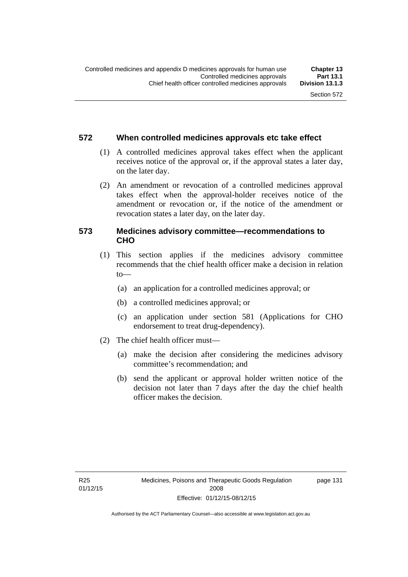## **572 When controlled medicines approvals etc take effect**

- (1) A controlled medicines approval takes effect when the applicant receives notice of the approval or, if the approval states a later day, on the later day.
- (2) An amendment or revocation of a controlled medicines approval takes effect when the approval-holder receives notice of the amendment or revocation or, if the notice of the amendment or revocation states a later day, on the later day.

## **573 Medicines advisory committee—recommendations to CHO**

- (1) This section applies if the medicines advisory committee recommends that the chief health officer make a decision in relation  $to$ 
	- (a) an application for a controlled medicines approval; or
	- (b) a controlled medicines approval; or
	- (c) an application under section 581 (Applications for CHO endorsement to treat drug-dependency).
- (2) The chief health officer must—
	- (a) make the decision after considering the medicines advisory committee's recommendation; and
	- (b) send the applicant or approval holder written notice of the decision not later than 7 days after the day the chief health officer makes the decision.

page 131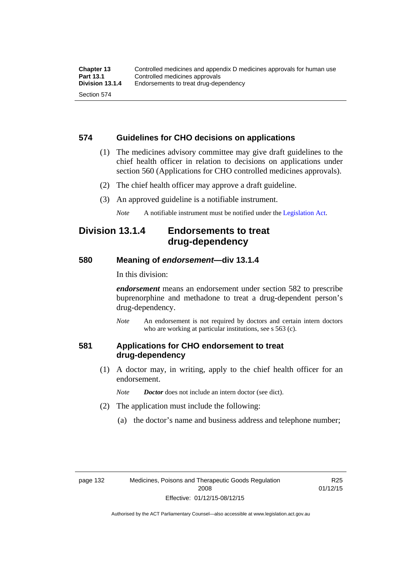## **574 Guidelines for CHO decisions on applications**

- (1) The medicines advisory committee may give draft guidelines to the chief health officer in relation to decisions on applications under section 560 (Applications for CHO controlled medicines approvals).
- (2) The chief health officer may approve a draft guideline.
- (3) An approved guideline is a notifiable instrument.

*Note* A notifiable instrument must be notified under the [Legislation Act](http://www.legislation.act.gov.au/a/2001-14).

## **Division 13.1.4 Endorsements to treat drug-dependency**

### **580 Meaning of** *endorsement***—div 13.1.4**

In this division:

*endorsement* means an endorsement under section 582 to prescribe buprenorphine and methadone to treat a drug-dependent person's drug-dependency.

*Note* An endorsement is not required by doctors and certain intern doctors who are working at particular institutions, see s 563 (c).

## **581 Applications for CHO endorsement to treat drug-dependency**

 (1) A doctor may, in writing, apply to the chief health officer for an endorsement.

*Note Doctor* does not include an intern doctor (see dict).

- (2) The application must include the following:
	- (a) the doctor's name and business address and telephone number;

R25 01/12/15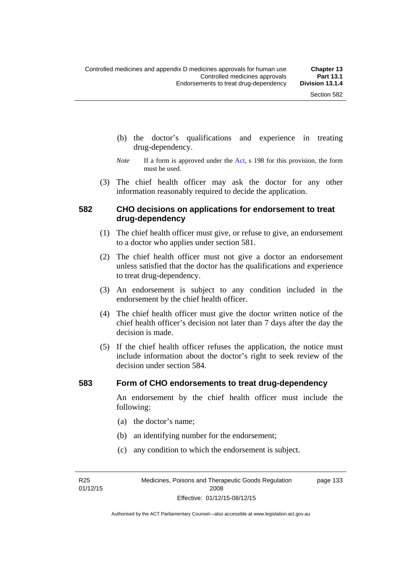- (b) the doctor's qualifications and experience in treating drug-dependency.
- *Note* If a form is approved under the [Act](http://www.legislation.act.gov.au/a/2008-26/default.asp), s 198 for this provision, the form must be used.
- (3) The chief health officer may ask the doctor for any other information reasonably required to decide the application.

### **582 CHO decisions on applications for endorsement to treat drug-dependency**

- (1) The chief health officer must give, or refuse to give, an endorsement to a doctor who applies under section 581.
- (2) The chief health officer must not give a doctor an endorsement unless satisfied that the doctor has the qualifications and experience to treat drug-dependency.
- (3) An endorsement is subject to any condition included in the endorsement by the chief health officer.
- (4) The chief health officer must give the doctor written notice of the chief health officer's decision not later than 7 days after the day the decision is made.
- (5) If the chief health officer refuses the application, the notice must include information about the doctor's right to seek review of the decision under section 584.

#### **583 Form of CHO endorsements to treat drug-dependency**

An endorsement by the chief health officer must include the following:

- (a) the doctor's name;
- (b) an identifying number for the endorsement;
- (c) any condition to which the endorsement is subject.

R25 01/12/15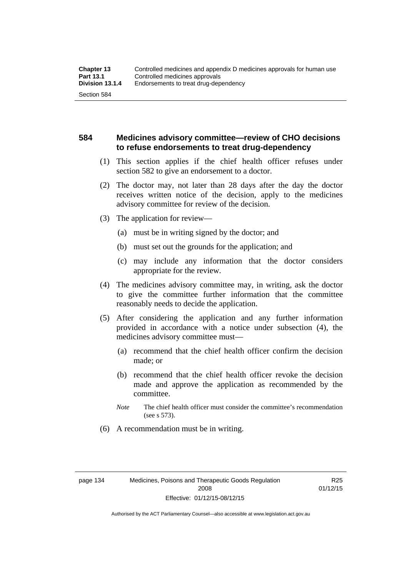## **584 Medicines advisory committee—review of CHO decisions to refuse endorsements to treat drug-dependency**

- (1) This section applies if the chief health officer refuses under section 582 to give an endorsement to a doctor.
- (2) The doctor may, not later than 28 days after the day the doctor receives written notice of the decision, apply to the medicines advisory committee for review of the decision.
- (3) The application for review—
	- (a) must be in writing signed by the doctor; and
	- (b) must set out the grounds for the application; and
	- (c) may include any information that the doctor considers appropriate for the review.
- (4) The medicines advisory committee may, in writing, ask the doctor to give the committee further information that the committee reasonably needs to decide the application.
- (5) After considering the application and any further information provided in accordance with a notice under subsection (4), the medicines advisory committee must—
	- (a) recommend that the chief health officer confirm the decision made; or
	- (b) recommend that the chief health officer revoke the decision made and approve the application as recommended by the committee.
	- *Note* The chief health officer must consider the committee's recommendation (see s 573).
- (6) A recommendation must be in writing.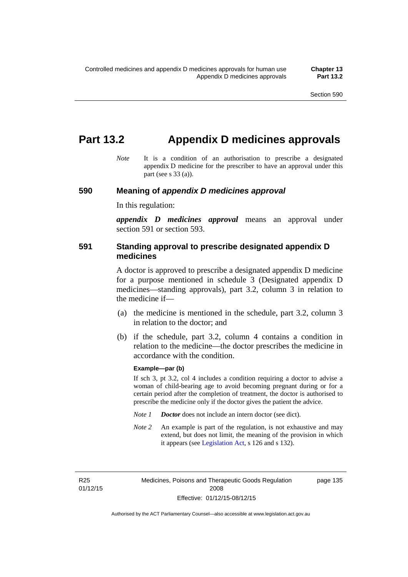# **Part 13.2 Appendix D medicines approvals**

*Note* It is a condition of an authorisation to prescribe a designated appendix D medicine for the prescriber to have an approval under this part (see s 33 (a)).

#### **590 Meaning of** *appendix D medicines approval*

In this regulation:

*appendix D medicines approval* means an approval under section 591 or section 593.

## **591 Standing approval to prescribe designated appendix D medicines**

A doctor is approved to prescribe a designated appendix D medicine for a purpose mentioned in schedule 3 (Designated appendix D medicines—standing approvals), part 3.2, column 3 in relation to the medicine if—

- (a) the medicine is mentioned in the schedule, part 3.2, column 3 in relation to the doctor; and
- (b) if the schedule, part 3.2, column 4 contains a condition in relation to the medicine—the doctor prescribes the medicine in accordance with the condition.

#### **Example—par (b)**

If sch 3, pt 3.2, col 4 includes a condition requiring a doctor to advise a woman of child-bearing age to avoid becoming pregnant during or for a certain period after the completion of treatment, the doctor is authorised to prescribe the medicine only if the doctor gives the patient the advice.

- *Note 1 Doctor* does not include an intern doctor (see dict).
- *Note 2* An example is part of the regulation, is not exhaustive and may extend, but does not limit, the meaning of the provision in which it appears (see [Legislation Act,](http://www.legislation.act.gov.au/a/2001-14) s 126 and s 132).

R25 01/12/15 page 135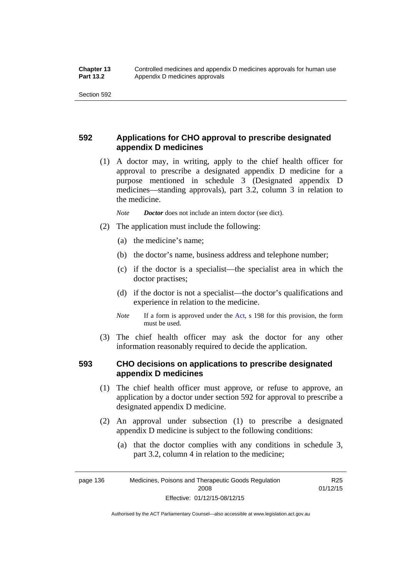## **592 Applications for CHO approval to prescribe designated appendix D medicines**

 (1) A doctor may, in writing, apply to the chief health officer for approval to prescribe a designated appendix D medicine for a purpose mentioned in schedule 3 (Designated appendix D medicines—standing approvals), part 3.2, column 3 in relation to the medicine.

*Note Doctor* does not include an intern doctor (see dict).

- (2) The application must include the following:
	- (a) the medicine's name;
	- (b) the doctor's name, business address and telephone number;
	- (c) if the doctor is a specialist—the specialist area in which the doctor practises;
	- (d) if the doctor is not a specialist—the doctor's qualifications and experience in relation to the medicine.
	- *Note* If a form is approved under the [Act](http://www.legislation.act.gov.au/a/2008-26/default.asp), s 198 for this provision, the form must be used.
- (3) The chief health officer may ask the doctor for any other information reasonably required to decide the application.

## **593 CHO decisions on applications to prescribe designated appendix D medicines**

- (1) The chief health officer must approve, or refuse to approve, an application by a doctor under section 592 for approval to prescribe a designated appendix D medicine.
- (2) An approval under subsection (1) to prescribe a designated appendix D medicine is subject to the following conditions:
	- (a) that the doctor complies with any conditions in schedule 3, part 3.2, column 4 in relation to the medicine;

R25 01/12/15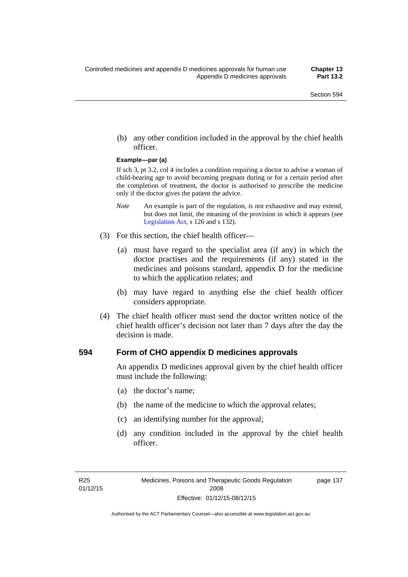(b) any other condition included in the approval by the chief health officer.

#### **Example—par (a)**

If sch 3, pt 3.2, col 4 includes a condition requiring a doctor to advise a woman of child-bearing age to avoid becoming pregnant during or for a certain period after the completion of treatment, the doctor is authorised to prescribe the medicine only if the doctor gives the patient the advice.

- *Note* An example is part of the regulation, is not exhaustive and may extend, but does not limit, the meaning of the provision in which it appears (see [Legislation Act,](http://www.legislation.act.gov.au/a/2001-14) s 126 and s 132).
- (3) For this section, the chief health officer—
	- (a) must have regard to the specialist area (if any) in which the doctor practises and the requirements (if any) stated in the medicines and poisons standard, appendix D for the medicine to which the application relates; and
	- (b) may have regard to anything else the chief health officer considers appropriate.
- (4) The chief health officer must send the doctor written notice of the chief health officer's decision not later than 7 days after the day the decision is made.

#### **594 Form of CHO appendix D medicines approvals**

An appendix D medicines approval given by the chief health officer must include the following:

- (a) the doctor's name;
- (b) the name of the medicine to which the approval relates;
- (c) an identifying number for the approval;
- (d) any condition included in the approval by the chief health officer.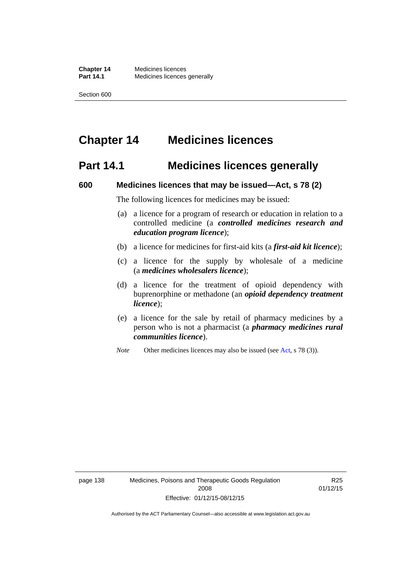# **Chapter 14 Medicines licences**

## **Part 14.1 Medicines licences generally**

#### **600 Medicines licences that may be issued—Act, s 78 (2)**

The following licences for medicines may be issued:

- (a) a licence for a program of research or education in relation to a controlled medicine (a *controlled medicines research and education program licence*);
- (b) a licence for medicines for first-aid kits (a *first-aid kit licence*);
- (c) a licence for the supply by wholesale of a medicine (a *medicines wholesalers licence*);
- (d) a licence for the treatment of opioid dependency with buprenorphine or methadone (an *opioid dependency treatment licence*);
- (e) a licence for the sale by retail of pharmacy medicines by a person who is not a pharmacist (a *pharmacy medicines rural communities licence*).
- *Note* Other medicines licences may also be issued (see [Act,](http://www.legislation.act.gov.au/a/2008-26/default.asp) s 78 (3)).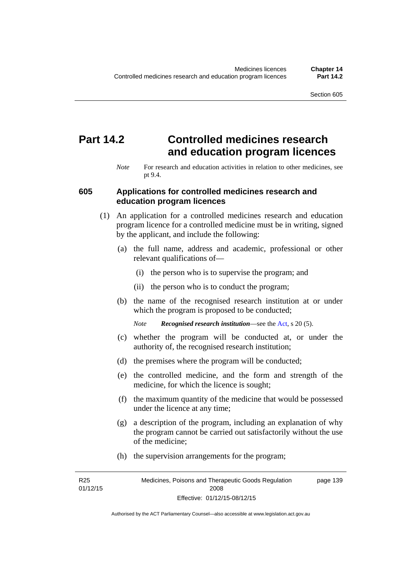# **Part 14.2 Controlled medicines research and education program licences**

*Note* For research and education activities in relation to other medicines, see pt 9.4.

## **605 Applications for controlled medicines research and education program licences**

- (1) An application for a controlled medicines research and education program licence for a controlled medicine must be in writing, signed by the applicant, and include the following:
	- (a) the full name, address and academic, professional or other relevant qualifications of—
		- (i) the person who is to supervise the program; and
		- (ii) the person who is to conduct the program;
	- (b) the name of the recognised research institution at or under which the program is proposed to be conducted;
		- *Note Recognised research institution*—see the [Act](http://www.legislation.act.gov.au/a/2008-26/default.asp), s 20 (5).
	- (c) whether the program will be conducted at, or under the authority of, the recognised research institution;
	- (d) the premises where the program will be conducted;
	- (e) the controlled medicine, and the form and strength of the medicine, for which the licence is sought;
	- (f) the maximum quantity of the medicine that would be possessed under the licence at any time;
	- (g) a description of the program, including an explanation of why the program cannot be carried out satisfactorily without the use of the medicine;
	- (h) the supervision arrangements for the program;

R25 01/12/15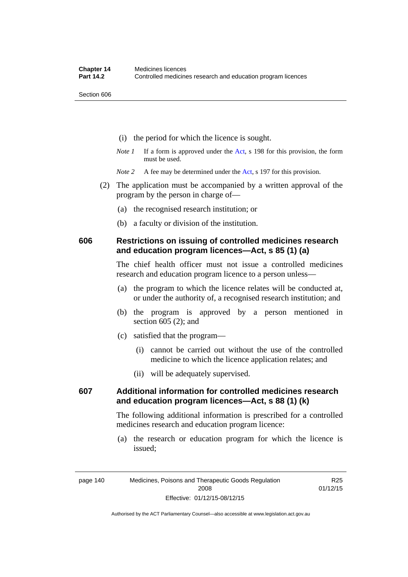- (i) the period for which the licence is sought.
- *Note 1* If a form is approved under the [Act](http://www.legislation.act.gov.au/a/2008-26/default.asp), s 198 for this provision, the form must be used.

*Note* 2 A fee may be determined under the [Act,](http://www.legislation.act.gov.au/a/2008-26/default.asp) s 197 for this provision.

- (2) The application must be accompanied by a written approval of the program by the person in charge of—
	- (a) the recognised research institution; or
	- (b) a faculty or division of the institution.

## **606 Restrictions on issuing of controlled medicines research and education program licences—Act, s 85 (1) (a)**

The chief health officer must not issue a controlled medicines research and education program licence to a person unless—

- (a) the program to which the licence relates will be conducted at, or under the authority of, a recognised research institution; and
- (b) the program is approved by a person mentioned in section 605 (2); and
- (c) satisfied that the program—
	- (i) cannot be carried out without the use of the controlled medicine to which the licence application relates; and
	- (ii) will be adequately supervised.

## **607 Additional information for controlled medicines research and education program licences—Act, s 88 (1) (k)**

The following additional information is prescribed for a controlled medicines research and education program licence:

 (a) the research or education program for which the licence is issued;

Authorised by the ACT Parliamentary Counsel—also accessible at www.legislation.act.gov.au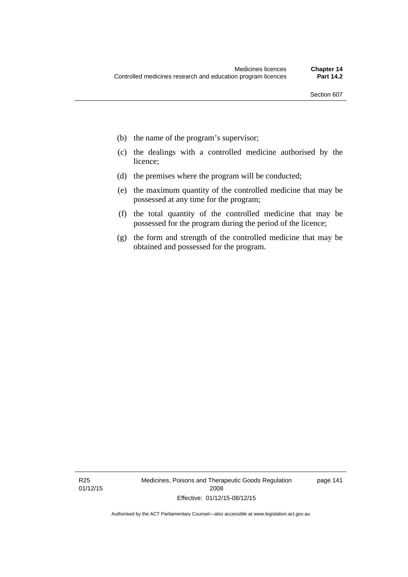- (b) the name of the program's supervisor;
- (c) the dealings with a controlled medicine authorised by the licence;
- (d) the premises where the program will be conducted;
- (e) the maximum quantity of the controlled medicine that may be possessed at any time for the program;
- (f) the total quantity of the controlled medicine that may be possessed for the program during the period of the licence;
- (g) the form and strength of the controlled medicine that may be obtained and possessed for the program.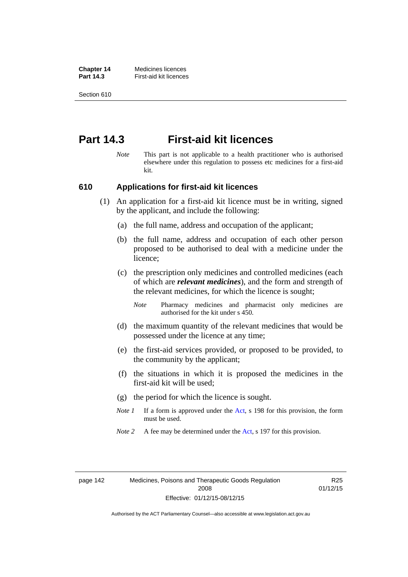**Chapter 14** Medicines licences **Part 14.3 First-aid kit licences** 

Section 610

## **Part 14.3 First-aid kit licences**

*Note* This part is not applicable to a health practitioner who is authorised elsewhere under this regulation to possess etc medicines for a first-aid kit.

#### **610 Applications for first-aid kit licences**

- (1) An application for a first-aid kit licence must be in writing, signed by the applicant, and include the following:
	- (a) the full name, address and occupation of the applicant;
	- (b) the full name, address and occupation of each other person proposed to be authorised to deal with a medicine under the licence;
	- (c) the prescription only medicines and controlled medicines (each of which are *relevant medicines*), and the form and strength of the relevant medicines, for which the licence is sought;

*Note* Pharmacy medicines and pharmacist only medicines are authorised for the kit under s 450.

- (d) the maximum quantity of the relevant medicines that would be possessed under the licence at any time;
- (e) the first-aid services provided, or proposed to be provided, to the community by the applicant;
- (f) the situations in which it is proposed the medicines in the first-aid kit will be used;
- (g) the period for which the licence is sought.
- *Note 1* If a form is approved under the [Act](http://www.legislation.act.gov.au/a/2008-26/default.asp), s 198 for this provision, the form must be used.
- *Note 2* A fee may be determined under the [Act,](http://www.legislation.act.gov.au/a/2008-26/default.asp) s 197 for this provision.

page 142 Medicines, Poisons and Therapeutic Goods Regulation 2008 Effective: 01/12/15-08/12/15

R25 01/12/15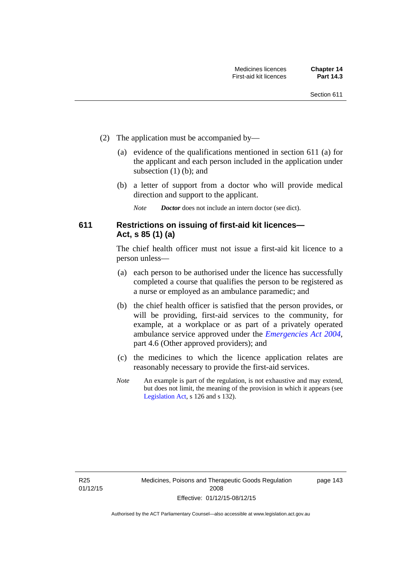- (2) The application must be accompanied by—
	- (a) evidence of the qualifications mentioned in section 611 (a) for the applicant and each person included in the application under subsection (1) (b); and
	- (b) a letter of support from a doctor who will provide medical direction and support to the applicant.
		- *Note Doctor* does not include an intern doctor (see dict).

## **611 Restrictions on issuing of first-aid kit licences— Act, s 85 (1) (a)**

The chief health officer must not issue a first-aid kit licence to a person unless—

- (a) each person to be authorised under the licence has successfully completed a course that qualifies the person to be registered as a nurse or employed as an ambulance paramedic; and
- (b) the chief health officer is satisfied that the person provides, or will be providing, first-aid services to the community, for example, at a workplace or as part of a privately operated ambulance service approved under the *[Emergencies Act 2004](http://www.legislation.act.gov.au/a/2004-28)*, part 4.6 (Other approved providers); and
- (c) the medicines to which the licence application relates are reasonably necessary to provide the first-aid services.
- *Note* An example is part of the regulation, is not exhaustive and may extend, but does not limit, the meaning of the provision in which it appears (see [Legislation Act,](http://www.legislation.act.gov.au/a/2001-14) s 126 and s 132).

page 143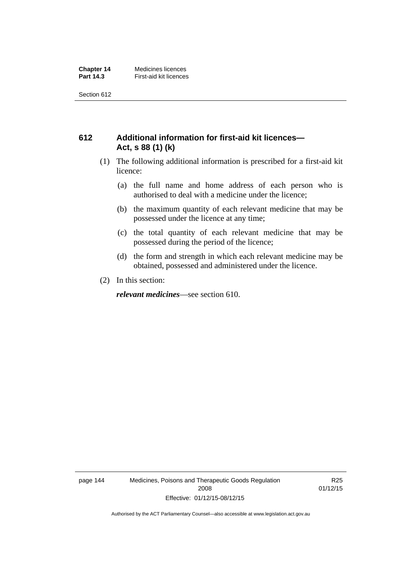## **612 Additional information for first-aid kit licences— Act, s 88 (1) (k)**

- (1) The following additional information is prescribed for a first-aid kit licence:
	- (a) the full name and home address of each person who is authorised to deal with a medicine under the licence;
	- (b) the maximum quantity of each relevant medicine that may be possessed under the licence at any time;
	- (c) the total quantity of each relevant medicine that may be possessed during the period of the licence;
	- (d) the form and strength in which each relevant medicine may be obtained, possessed and administered under the licence.
- (2) In this section:

*relevant medicines*—see section 610.

page 144 Medicines, Poisons and Therapeutic Goods Regulation 2008 Effective: 01/12/15-08/12/15

R25 01/12/15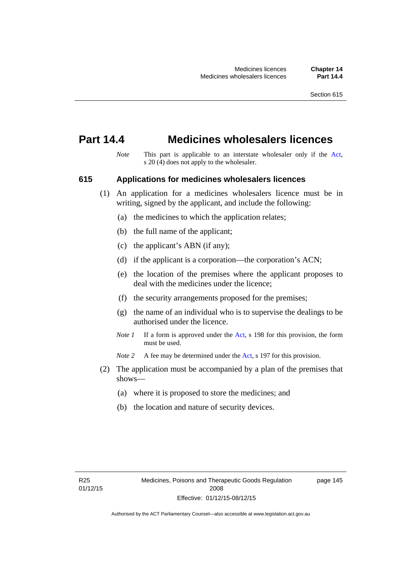## **Part 14.4 Medicines wholesalers licences**

*Note* This part is applicable to an interstate wholesaler only if the [Act,](http://www.legislation.act.gov.au/a/2008-26/default.asp) s  $20(4)$  does not apply to the wholesaler.

#### **615 Applications for medicines wholesalers licences**

- (1) An application for a medicines wholesalers licence must be in writing, signed by the applicant, and include the following:
	- (a) the medicines to which the application relates;
	- (b) the full name of the applicant;
	- (c) the applicant's ABN (if any);
	- (d) if the applicant is a corporation—the corporation's ACN;
	- (e) the location of the premises where the applicant proposes to deal with the medicines under the licence;
	- (f) the security arrangements proposed for the premises;
	- (g) the name of an individual who is to supervise the dealings to be authorised under the licence.
	- *Note 1* If a form is approved under the [Act](http://www.legislation.act.gov.au/a/2008-26/default.asp), s 198 for this provision, the form must be used.

*Note* 2 A fee may be determined under the [Act,](http://www.legislation.act.gov.au/a/2008-26/default.asp) s 197 for this provision.

- (2) The application must be accompanied by a plan of the premises that shows—
	- (a) where it is proposed to store the medicines; and
	- (b) the location and nature of security devices.

page 145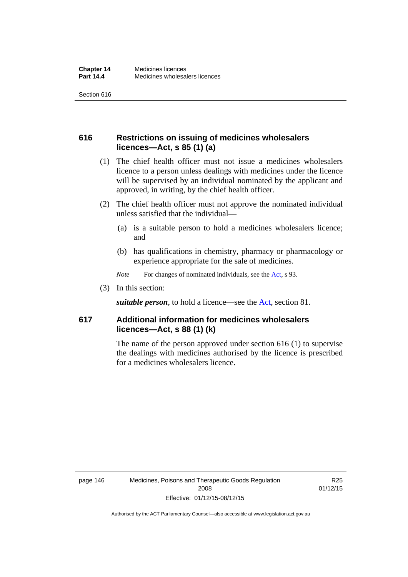## **616 Restrictions on issuing of medicines wholesalers licences—Act, s 85 (1) (a)**

- (1) The chief health officer must not issue a medicines wholesalers licence to a person unless dealings with medicines under the licence will be supervised by an individual nominated by the applicant and approved, in writing, by the chief health officer.
- (2) The chief health officer must not approve the nominated individual unless satisfied that the individual—
	- (a) is a suitable person to hold a medicines wholesalers licence; and
	- (b) has qualifications in chemistry, pharmacy or pharmacology or experience appropriate for the sale of medicines.
	- *Note* For changes of nominated individuals, see the [Act,](http://www.legislation.act.gov.au/a/2008-26/default.asp) s 93.
- (3) In this section:

*suitable person*, to hold a licence—see the [Act](http://www.legislation.act.gov.au/a/2008-26/default.asp), section 81.

## **617 Additional information for medicines wholesalers licences—Act, s 88 (1) (k)**

The name of the person approved under section 616 (1) to supervise the dealings with medicines authorised by the licence is prescribed for a medicines wholesalers licence.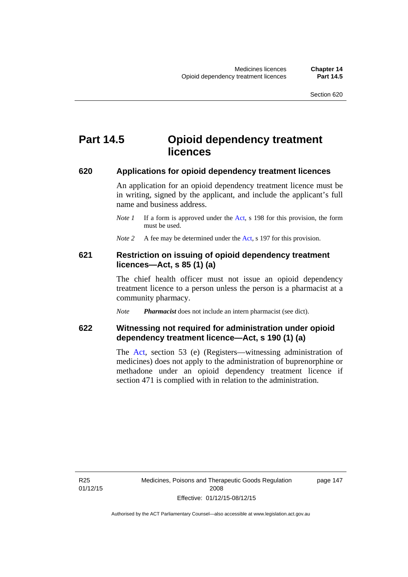# **Part 14.5 Opioid dependency treatment licences**

#### **620 Applications for opioid dependency treatment licences**

An application for an opioid dependency treatment licence must be in writing, signed by the applicant, and include the applicant's full name and business address.

- *Note 1* If a form is approved under the [Act](http://www.legislation.act.gov.au/a/2008-26/default.asp), s 198 for this provision, the form must be used.
- *Note 2* A fee may be determined under the [Act,](http://www.legislation.act.gov.au/a/2008-26/default.asp) s 197 for this provision.

## **621 Restriction on issuing of opioid dependency treatment licences—Act, s 85 (1) (a)**

The chief health officer must not issue an opioid dependency treatment licence to a person unless the person is a pharmacist at a community pharmacy.

*Note Pharmacist* does not include an intern pharmacist (see dict).

## **622 Witnessing not required for administration under opioid dependency treatment licence—Act, s 190 (1) (a)**

The [Act,](http://www.legislation.act.gov.au/a/2008-26/default.asp) section 53 (e) (Registers—witnessing administration of medicines) does not apply to the administration of buprenorphine or methadone under an opioid dependency treatment licence if section 471 is complied with in relation to the administration.

R25 01/12/15 page 147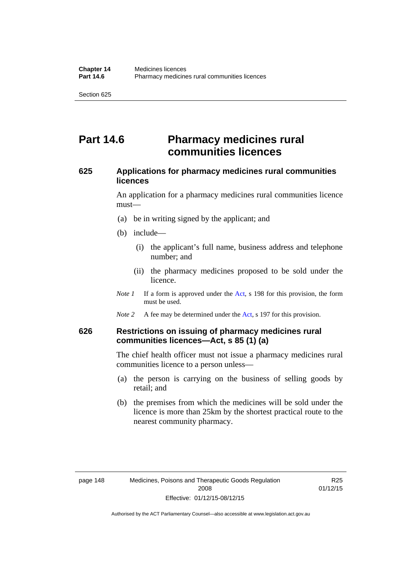# **Part 14.6 Pharmacy medicines rural communities licences**

## **625 Applications for pharmacy medicines rural communities licences**

An application for a pharmacy medicines rural communities licence must—

- (a) be in writing signed by the applicant; and
- (b) include—
	- (i) the applicant's full name, business address and telephone number; and
	- (ii) the pharmacy medicines proposed to be sold under the licence.
- *Note 1* If a form is approved under the [Act](http://www.legislation.act.gov.au/a/2008-26/default.asp), s 198 for this provision, the form must be used.
- *Note 2* A fee may be determined under the [Act,](http://www.legislation.act.gov.au/a/2008-26/default.asp) s 197 for this provision.

## **626 Restrictions on issuing of pharmacy medicines rural communities licences—Act, s 85 (1) (a)**

The chief health officer must not issue a pharmacy medicines rural communities licence to a person unless—

- (a) the person is carrying on the business of selling goods by retail; and
- (b) the premises from which the medicines will be sold under the licence is more than 25km by the shortest practical route to the nearest community pharmacy.

R25 01/12/15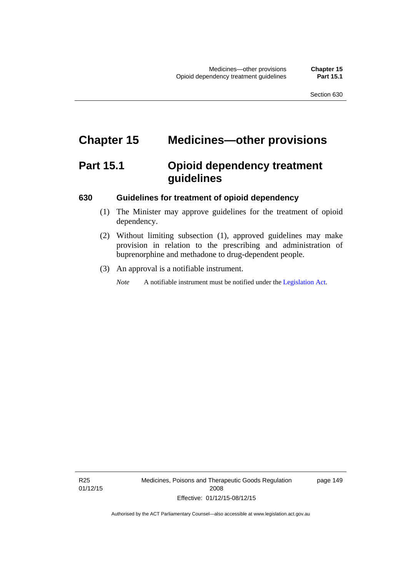# **Chapter 15 Medicines—other provisions**

# **Part 15.1 Opioid dependency treatment guidelines**

### **630 Guidelines for treatment of opioid dependency**

- (1) The Minister may approve guidelines for the treatment of opioid dependency.
- (2) Without limiting subsection (1), approved guidelines may make provision in relation to the prescribing and administration of buprenorphine and methadone to drug-dependent people.
- (3) An approval is a notifiable instrument.

*Note* A notifiable instrument must be notified under the [Legislation Act](http://www.legislation.act.gov.au/a/2001-14).

R25 01/12/15 Medicines, Poisons and Therapeutic Goods Regulation 2008 Effective: 01/12/15-08/12/15

page 149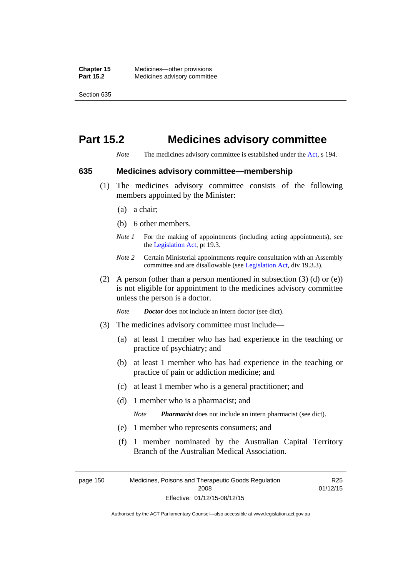# **Part 15.2 Medicines advisory committee**

*Note* The medicines advisory committee is established under the [Act](http://www.legislation.act.gov.au/a/2008-26/default.asp), s 194.

#### **635 Medicines advisory committee—membership**

- (1) The medicines advisory committee consists of the following members appointed by the Minister:
	- (a) a chair;
	- (b) 6 other members.
	- *Note 1* For the making of appointments (including acting appointments), see the [Legislation Act,](http://www.legislation.act.gov.au/a/2001-14) pt 19.3.
	- *Note 2* Certain Ministerial appointments require consultation with an Assembly committee and are disallowable (see [Legislation Act,](http://www.legislation.act.gov.au/a/2001-14) div 19.3.3).
- (2) A person (other than a person mentioned in subsection  $(3)$  (d) or  $(e)$ ) is not eligible for appointment to the medicines advisory committee unless the person is a doctor.

*Note Doctor* does not include an intern doctor (see dict).

- (3) The medicines advisory committee must include—
	- (a) at least 1 member who has had experience in the teaching or practice of psychiatry; and
	- (b) at least 1 member who has had experience in the teaching or practice of pain or addiction medicine; and
	- (c) at least 1 member who is a general practitioner; and
	- (d) 1 member who is a pharmacist; and

*Note Pharmacist* does not include an intern pharmacist (see dict).

- (e) 1 member who represents consumers; and
- (f) 1 member nominated by the Australian Capital Territory Branch of the Australian Medical Association.

page 150 Medicines, Poisons and Therapeutic Goods Regulation 2008 Effective: 01/12/15-08/12/15 R25 01/12/15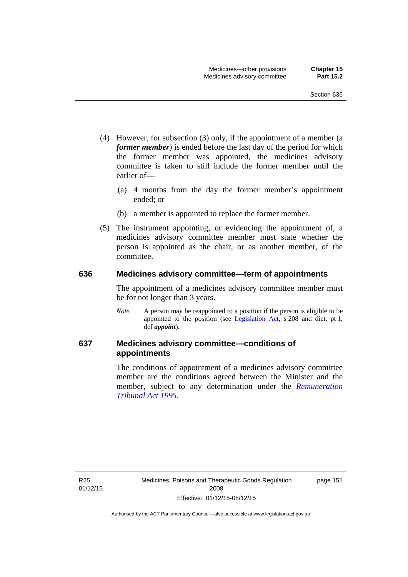- (4) However, for subsection (3) only, if the appointment of a member (a *former member*) is ended before the last day of the period for which the former member was appointed, the medicines advisory committee is taken to still include the former member until the earlier of—
	- (a) 4 months from the day the former member's appointment ended; or
	- (b) a member is appointed to replace the former member.
- (5) The instrument appointing, or evidencing the appointment of, a medicines advisory committee member must state whether the person is appointed as the chair, or as another member, of the committee.

#### **636 Medicines advisory committee—term of appointments**

The appointment of a medicines advisory committee member must be for not longer than 3 years.

*Note* A person may be reappointed to a position if the person is eligible to be appointed to the position (see [Legislation Act,](http://www.legislation.act.gov.au/a/2001-14) s 208 and dict, pt 1, def *appoint*).

## **637 Medicines advisory committee—conditions of appointments**

The conditions of appointment of a medicines advisory committee member are the conditions agreed between the Minister and the member, subject to any determination under the *[Remuneration](http://www.legislation.act.gov.au/a/1995-55)  [Tribunal Act 1995](http://www.legislation.act.gov.au/a/1995-55)*.

page 151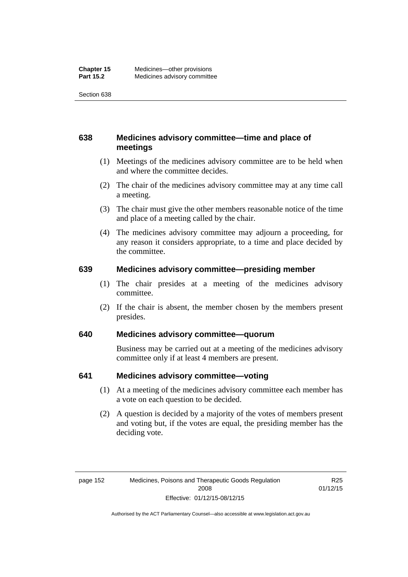## **638 Medicines advisory committee—time and place of meetings**

- (1) Meetings of the medicines advisory committee are to be held when and where the committee decides.
- (2) The chair of the medicines advisory committee may at any time call a meeting.
- (3) The chair must give the other members reasonable notice of the time and place of a meeting called by the chair.
- (4) The medicines advisory committee may adjourn a proceeding, for any reason it considers appropriate, to a time and place decided by the committee.

### **639 Medicines advisory committee—presiding member**

- (1) The chair presides at a meeting of the medicines advisory committee.
- (2) If the chair is absent, the member chosen by the members present presides.

## **640 Medicines advisory committee—quorum**

Business may be carried out at a meeting of the medicines advisory committee only if at least 4 members are present.

## **641 Medicines advisory committee—voting**

- (1) At a meeting of the medicines advisory committee each member has a vote on each question to be decided.
- (2) A question is decided by a majority of the votes of members present and voting but, if the votes are equal, the presiding member has the deciding vote.

R25 01/12/15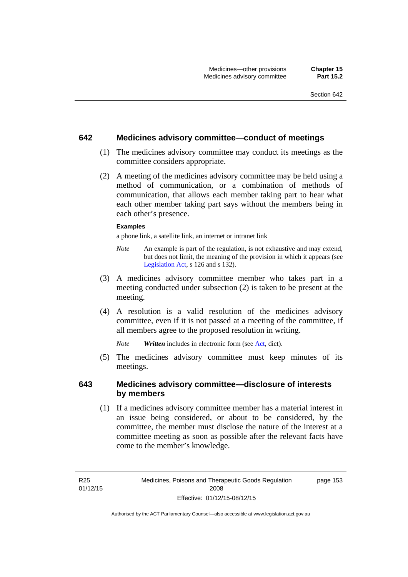### **642 Medicines advisory committee—conduct of meetings**

- (1) The medicines advisory committee may conduct its meetings as the committee considers appropriate.
- (2) A meeting of the medicines advisory committee may be held using a method of communication, or a combination of methods of communication, that allows each member taking part to hear what each other member taking part says without the members being in each other's presence.

#### **Examples**

a phone link, a satellite link, an internet or intranet link

- *Note* An example is part of the regulation, is not exhaustive and may extend, but does not limit, the meaning of the provision in which it appears (see [Legislation Act,](http://www.legislation.act.gov.au/a/2001-14) s 126 and s 132).
- (3) A medicines advisory committee member who takes part in a meeting conducted under subsection (2) is taken to be present at the meeting.
- (4) A resolution is a valid resolution of the medicines advisory committee, even if it is not passed at a meeting of the committee, if all members agree to the proposed resolution in writing.

*Note Written* includes in electronic form (see [Act,](http://www.legislation.act.gov.au/a/2008-26/default.asp) dict).

 (5) The medicines advisory committee must keep minutes of its meetings.

### **643 Medicines advisory committee—disclosure of interests by members**

 (1) If a medicines advisory committee member has a material interest in an issue being considered, or about to be considered, by the committee, the member must disclose the nature of the interest at a committee meeting as soon as possible after the relevant facts have come to the member's knowledge.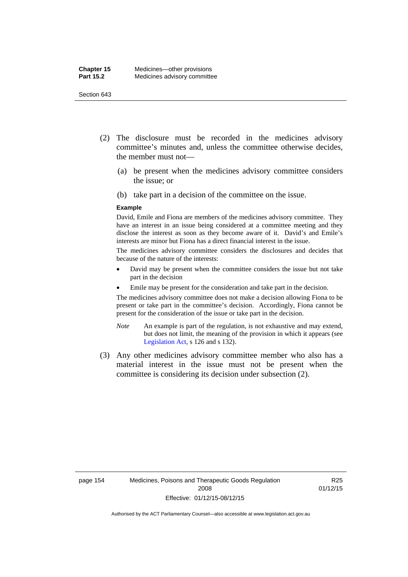- (2) The disclosure must be recorded in the medicines advisory committee's minutes and, unless the committee otherwise decides, the member must not—
	- (a) be present when the medicines advisory committee considers the issue; or
	- (b) take part in a decision of the committee on the issue.

#### **Example**

David, Emile and Fiona are members of the medicines advisory committee. They have an interest in an issue being considered at a committee meeting and they disclose the interest as soon as they become aware of it. David's and Emile's interests are minor but Fiona has a direct financial interest in the issue.

The medicines advisory committee considers the disclosures and decides that because of the nature of the interests:

- David may be present when the committee considers the issue but not take part in the decision
- Emile may be present for the consideration and take part in the decision.

The medicines advisory committee does not make a decision allowing Fiona to be present or take part in the committee's decision. Accordingly, Fiona cannot be present for the consideration of the issue or take part in the decision.

- *Note* An example is part of the regulation, is not exhaustive and may extend, but does not limit, the meaning of the provision in which it appears (see [Legislation Act,](http://www.legislation.act.gov.au/a/2001-14) s 126 and s 132).
- (3) Any other medicines advisory committee member who also has a material interest in the issue must not be present when the committee is considering its decision under subsection (2).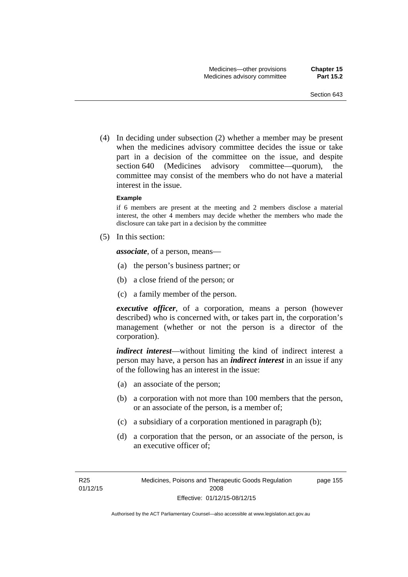(4) In deciding under subsection (2) whether a member may be present when the medicines advisory committee decides the issue or take part in a decision of the committee on the issue, and despite section 640 (Medicines advisory committee—quorum), the committee may consist of the members who do not have a material interest in the issue.

#### **Example**

if 6 members are present at the meeting and 2 members disclose a material interest, the other 4 members may decide whether the members who made the disclosure can take part in a decision by the committee

(5) In this section:

*associate*, of a person, means—

- (a) the person's business partner; or
- (b) a close friend of the person; or
- (c) a family member of the person.

*executive officer*, of a corporation, means a person (however described) who is concerned with, or takes part in, the corporation's management (whether or not the person is a director of the corporation).

*indirect interest*—without limiting the kind of indirect interest a person may have, a person has an *indirect interest* in an issue if any of the following has an interest in the issue:

- (a) an associate of the person;
- (b) a corporation with not more than 100 members that the person, or an associate of the person, is a member of;
- (c) a subsidiary of a corporation mentioned in paragraph (b);
- (d) a corporation that the person, or an associate of the person, is an executive officer of;

page 155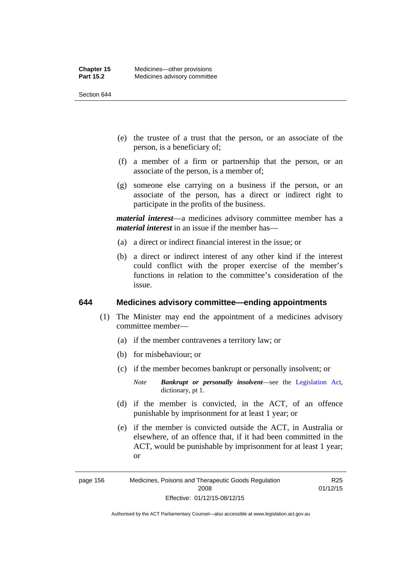- (e) the trustee of a trust that the person, or an associate of the person, is a beneficiary of;
- (f) a member of a firm or partnership that the person, or an associate of the person, is a member of;
- (g) someone else carrying on a business if the person, or an associate of the person, has a direct or indirect right to participate in the profits of the business.

*material interest*—a medicines advisory committee member has a *material interest* in an issue if the member has—

- (a) a direct or indirect financial interest in the issue; or
- (b) a direct or indirect interest of any other kind if the interest could conflict with the proper exercise of the member's functions in relation to the committee's consideration of the issue.

### **644 Medicines advisory committee—ending appointments**

- (1) The Minister may end the appointment of a medicines advisory committee member—
	- (a) if the member contravenes a territory law; or
	- (b) for misbehaviour; or
	- (c) if the member becomes bankrupt or personally insolvent; or
		- *Note Bankrupt or personally insolvent*—see the [Legislation Act,](http://www.legislation.act.gov.au/a/2001-14) dictionary, pt 1.
	- (d) if the member is convicted, in the ACT, of an offence punishable by imprisonment for at least 1 year; or
	- (e) if the member is convicted outside the ACT, in Australia or elsewhere, of an offence that, if it had been committed in the ACT, would be punishable by imprisonment for at least 1 year; or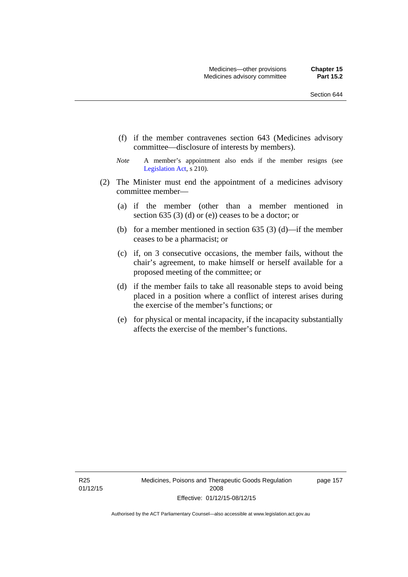- (f) if the member contravenes section 643 (Medicines advisory committee—disclosure of interests by members).
- *Note* A member's appointment also ends if the member resigns (see [Legislation Act,](http://www.legislation.act.gov.au/a/2001-14) s 210).
- (2) The Minister must end the appointment of a medicines advisory committee member—
	- (a) if the member (other than a member mentioned in section 635 (3) (d) or (e)) ceases to be a doctor; or
	- (b) for a member mentioned in section 635 (3) (d)—if the member ceases to be a pharmacist; or
	- (c) if, on 3 consecutive occasions, the member fails, without the chair's agreement, to make himself or herself available for a proposed meeting of the committee; or
	- (d) if the member fails to take all reasonable steps to avoid being placed in a position where a conflict of interest arises during the exercise of the member's functions; or
	- (e) for physical or mental incapacity, if the incapacity substantially affects the exercise of the member's functions.

R25 01/12/15 page 157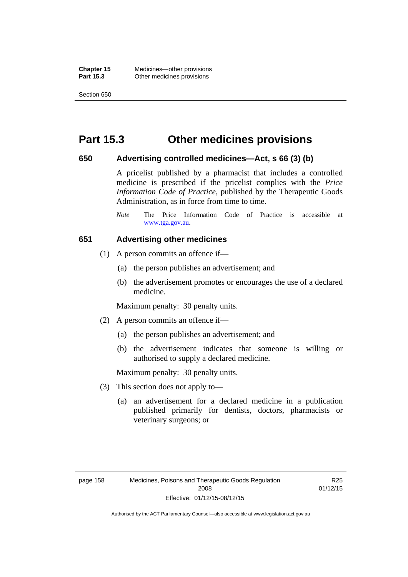**Chapter 15** Medicines—other provisions **Part 15.3 Other medicines provisions** 

Section 650

### **Part 15.3 Other medicines provisions**

#### **650 Advertising controlled medicines—Act, s 66 (3) (b)**

A pricelist published by a pharmacist that includes a controlled medicine is prescribed if the pricelist complies with the *Price Information Code of Practice*, published by the Therapeutic Goods Administration, as in force from time to time.

#### **651 Advertising other medicines**

- (1) A person commits an offence if—
	- (a) the person publishes an advertisement; and
	- (b) the advertisement promotes or encourages the use of a declared medicine.

Maximum penalty: 30 penalty units.

- (2) A person commits an offence if—
	- (a) the person publishes an advertisement; and
	- (b) the advertisement indicates that someone is willing or authorised to supply a declared medicine.

Maximum penalty: 30 penalty units.

- (3) This section does not apply to—
	- (a) an advertisement for a declared medicine in a publication published primarily for dentists, doctors, pharmacists or veterinary surgeons; or

*Note* The Price Information Code of Practice is accessible at [www.tga.gov.au.](http://www.tga.gov.au/)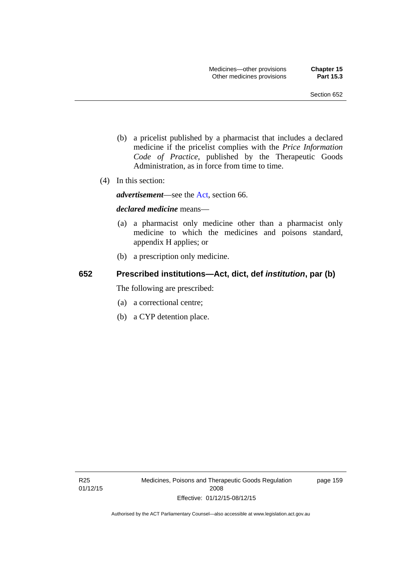- (b) a pricelist published by a pharmacist that includes a declared medicine if the pricelist complies with the *Price Information Code of Practice*, published by the Therapeutic Goods Administration, as in force from time to time.
- (4) In this section:

*advertisement*—see the [Act,](http://www.legislation.act.gov.au/a/2008-26/default.asp) section 66.

#### *declared medicine* means—

- (a) a pharmacist only medicine other than a pharmacist only medicine to which the medicines and poisons standard, appendix H applies; or
- (b) a prescription only medicine.

### **652 Prescribed institutions—Act, dict, def** *institution***, par (b)**

The following are prescribed:

- (a) a correctional centre;
- (b) a CYP detention place.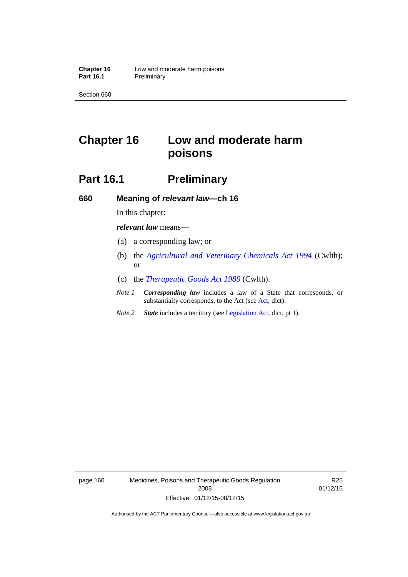# **Chapter 16 Low and moderate harm poisons**

# **Part 16.1** Preliminary

**660 Meaning of** *relevant law***—ch 16** 

In this chapter:

*relevant law* means—

- (a) a corresponding law; or
- (b) the *[Agricultural and Veterinary Chemicals Act 1994](http://www.comlaw.gov.au/Series/C2004A04712)* (Cwlth); or
- (c) the *[Therapeutic Goods Act 1989](http://www.comlaw.gov.au/Series/C2004A03952)* (Cwlth).
- *Note 1 Corresponding law* includes a law of a State that corresponds, or substantially corresponds, to the Act (see [Act](http://www.legislation.act.gov.au/a/2008-26/default.asp), dict).
- *Note 2 State* includes a territory (see [Legislation Act,](http://www.legislation.act.gov.au/a/2001-14) dict, pt 1).

page 160 Medicines, Poisons and Therapeutic Goods Regulation 2008 Effective: 01/12/15-08/12/15

R25 01/12/15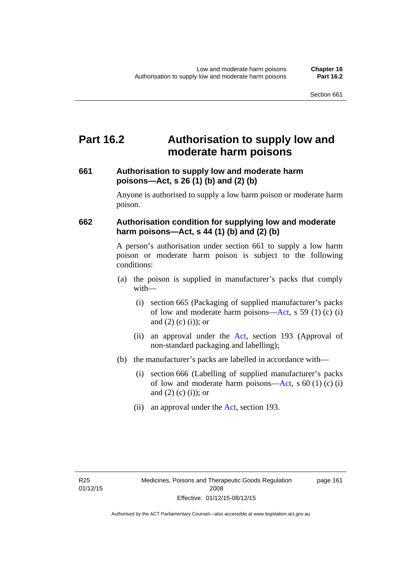## **Part 16.2 Authorisation to supply low and moderate harm poisons**

### **661 Authorisation to supply low and moderate harm poisons—Act, s 26 (1) (b) and (2) (b)**

Anyone is authorised to supply a low harm poison or moderate harm poison.

### **662 Authorisation condition for supplying low and moderate harm poisons—Act, s 44 (1) (b) and (2) (b)**

A person's authorisation under section 661 to supply a low harm poison or moderate harm poison is subject to the following conditions:

- (a) the poison is supplied in manufacturer's packs that comply with—
	- (i) section 665 (Packaging of supplied manufacturer's packs of low and moderate harm poisons—[Act](http://www.legislation.act.gov.au/a/2008-26/default.asp), s 59 (1) (c) (i) and  $(2)$  (c)  $(i)$ ; or
	- (ii) an approval under the [Act](http://www.legislation.act.gov.au/a/2008-26/default.asp), section 193 (Approval of non-standard packaging and labelling);
- (b) the manufacturer's packs are labelled in accordance with—
	- (i) section 666 (Labelling of supplied manufacturer's packs of low and moderate harm poisons—[Act](http://www.legislation.act.gov.au/a/2008-26/default.asp), s  $60(1)(c)(i)$ and  $(2)$  (c)  $(i)$ ; or
	- (ii) an approval under the [Act,](http://www.legislation.act.gov.au/a/2008-26/default.asp) section 193.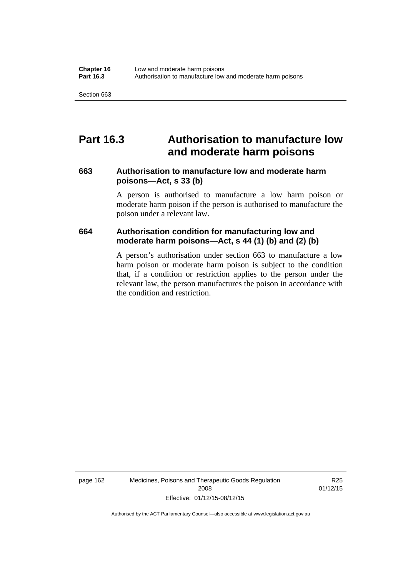## **Part 16.3 Authorisation to manufacture low and moderate harm poisons**

#### **663 Authorisation to manufacture low and moderate harm poisons—Act, s 33 (b)**

A person is authorised to manufacture a low harm poison or moderate harm poison if the person is authorised to manufacture the poison under a relevant law.

#### **664 Authorisation condition for manufacturing low and moderate harm poisons—Act, s 44 (1) (b) and (2) (b)**

A person's authorisation under section 663 to manufacture a low harm poison or moderate harm poison is subject to the condition that, if a condition or restriction applies to the person under the relevant law, the person manufactures the poison in accordance with the condition and restriction.

page 162 Medicines, Poisons and Therapeutic Goods Regulation 2008 Effective: 01/12/15-08/12/15

R25 01/12/15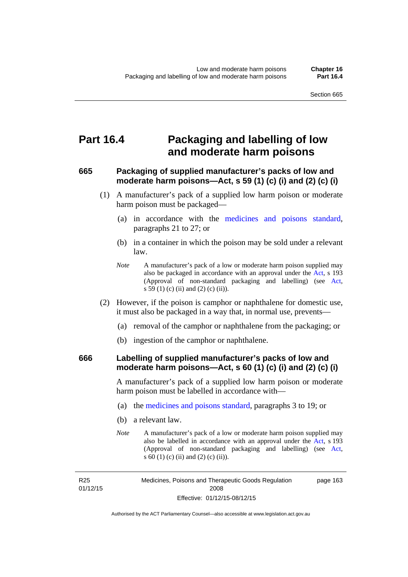## **Part 16.4 Packaging and labelling of low and moderate harm poisons**

### **665 Packaging of supplied manufacturer's packs of low and moderate harm poisons—Act, s 59 (1) (c) (i) and (2) (c) (i)**

- (1) A manufacturer's pack of a supplied low harm poison or moderate harm poison must be packaged—
	- (a) in accordance with the [medicines and poisons standard](http://www.comlaw.gov.au/Series/F2012L01200), paragraphs 21 to 27; or
	- (b) in a container in which the poison may be sold under a relevant law.
	- *Note* A manufacturer's pack of a low or moderate harm poison supplied may also be packaged in accordance with an approval under the [Act](http://www.legislation.act.gov.au/a/2008-26/default.asp), s 193 (Approval of non-standard packaging and labelling) (see [Act,](http://www.legislation.act.gov.au/a/2008-26/default.asp) s 59 (1) (c) (ii) and (2) (c) (ii)).
- (2) However, if the poison is camphor or naphthalene for domestic use, it must also be packaged in a way that, in normal use, prevents—
	- (a) removal of the camphor or naphthalene from the packaging; or
	- (b) ingestion of the camphor or naphthalene.

#### **666 Labelling of supplied manufacturer's packs of low and moderate harm poisons—Act, s 60 (1) (c) (i) and (2) (c) (i)**

A manufacturer's pack of a supplied low harm poison or moderate harm poison must be labelled in accordance with—

- (a) the [medicines and poisons standard](http://www.comlaw.gov.au/Series/F2012L01200), paragraphs 3 to 19; or
- (b) a relevant law.
- *Note* A manufacturer's pack of a low or moderate harm poison supplied may also be labelled in accordance with an approval under the [Act](http://www.legislation.act.gov.au/a/2008-26/default.asp), s 193 (Approval of non-standard packaging and labelling) (see [Act,](http://www.legislation.act.gov.au/a/2008-26/default.asp) s 60 (1) (c) (ii) and (2) (c) (ii)).

R25 01/12/15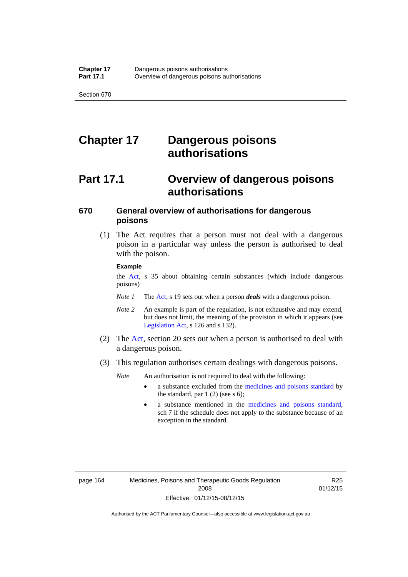# **Chapter 17 Dangerous poisons authorisations**

# **Part 17.1 Overview of dangerous poisons authorisations**

### **670 General overview of authorisations for dangerous poisons**

 (1) The Act requires that a person must not deal with a dangerous poison in a particular way unless the person is authorised to deal with the poison.

#### **Example**

the [Act,](http://www.legislation.act.gov.au/a/2008-26/default.asp) s 35 about obtaining certain substances (which include dangerous poisons)

- *Note 1* The [Act,](http://www.legislation.act.gov.au/a/2008-26/default.asp) s 19 sets out when a person *deals* with a dangerous poison.
- *Note 2* An example is part of the regulation, is not exhaustive and may extend, but does not limit, the meaning of the provision in which it appears (see [Legislation Act,](http://www.legislation.act.gov.au/a/2001-14) s 126 and s 132).
- (2) The [Act](http://www.legislation.act.gov.au/a/2008-26/default.asp), section 20 sets out when a person is authorised to deal with a dangerous poison.
- (3) This regulation authorises certain dealings with dangerous poisons.

*Note* An authorisation is not required to deal with the following:

- a substance excluded from the [medicines and poisons standard](http://www.comlaw.gov.au/Series/F2012L01200) by the standard, par  $1(2)$  (see s 6);
- a substance mentioned in the [medicines and poisons standard,](http://www.comlaw.gov.au/Series/F2012L01200) sch 7 if the schedule does not apply to the substance because of an exception in the standard.

R25 01/12/15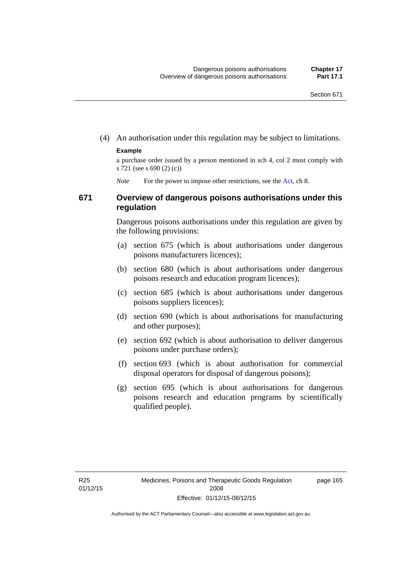(4) An authorisation under this regulation may be subject to limitations.

#### **Example**

a purchase order issued by a person mentioned in sch 4, col 2 must comply with s 721 (see s 690 (2) (c))

*Note* For the power to impose other restrictions, see the [Act](http://www.legislation.act.gov.au/a/2008-26/default.asp), ch 8.

#### **671 Overview of dangerous poisons authorisations under this regulation**

Dangerous poisons authorisations under this regulation are given by the following provisions:

- (a) section 675 (which is about authorisations under dangerous poisons manufacturers licences);
- (b) section 680 (which is about authorisations under dangerous poisons research and education program licences);
- (c) section 685 (which is about authorisations under dangerous poisons suppliers licences);
- (d) section 690 (which is about authorisations for manufacturing and other purposes);
- (e) section 692 (which is about authorisation to deliver dangerous poisons under purchase orders);
- (f) section 693 (which is about authorisation for commercial disposal operators for disposal of dangerous poisons);
- (g) section 695 (which is about authorisations for dangerous poisons research and education programs by scientifically qualified people).

page 165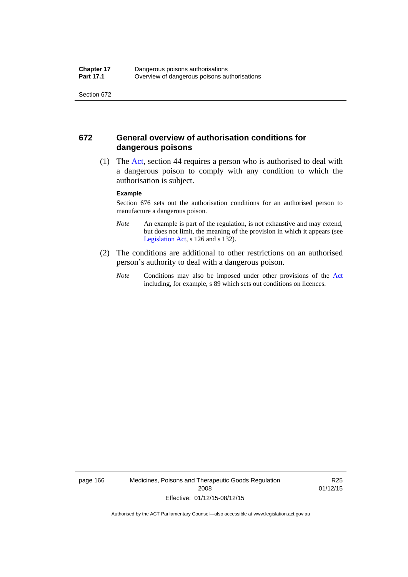#### **672 General overview of authorisation conditions for dangerous poisons**

 (1) The [Act](http://www.legislation.act.gov.au/a/2008-26/default.asp), section 44 requires a person who is authorised to deal with a dangerous poison to comply with any condition to which the authorisation is subject.

#### **Example**

Section 676 sets out the authorisation conditions for an authorised person to manufacture a dangerous poison.

- *Note* An example is part of the regulation, is not exhaustive and may extend, but does not limit, the meaning of the provision in which it appears (see [Legislation Act,](http://www.legislation.act.gov.au/a/2001-14) s 126 and s 132).
- (2) The conditions are additional to other restrictions on an authorised person's authority to deal with a dangerous poison.
	- *Note* Conditions may also be imposed under other provisions of the [Act](http://www.legislation.act.gov.au/a/2008-26/default.asp) including, for example, s 89 which sets out conditions on licences.

page 166 Medicines, Poisons and Therapeutic Goods Regulation 2008 Effective: 01/12/15-08/12/15

R25 01/12/15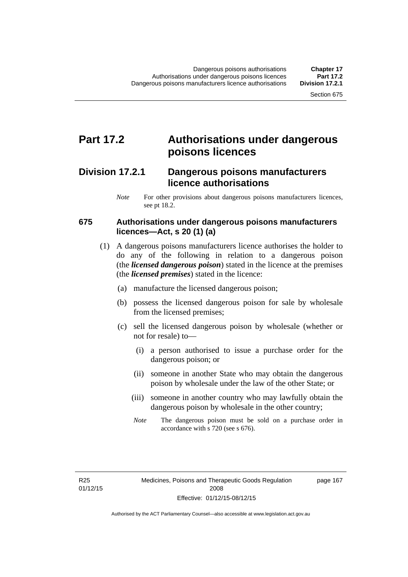### **Part 17.2 Authorisations under dangerous poisons licences**

### **Division 17.2.1 Dangerous poisons manufacturers licence authorisations**

*Note* For other provisions about dangerous poisons manufacturers licences, see pt 18.2.

#### **675 Authorisations under dangerous poisons manufacturers licences—Act, s 20 (1) (a)**

- (1) A dangerous poisons manufacturers licence authorises the holder to do any of the following in relation to a dangerous poison (the *licensed dangerous poison*) stated in the licence at the premises (the *licensed premises*) stated in the licence:
	- (a) manufacture the licensed dangerous poison;
	- (b) possess the licensed dangerous poison for sale by wholesale from the licensed premises;
	- (c) sell the licensed dangerous poison by wholesale (whether or not for resale) to—
		- (i) a person authorised to issue a purchase order for the dangerous poison; or
		- (ii) someone in another State who may obtain the dangerous poison by wholesale under the law of the other State; or
		- (iii) someone in another country who may lawfully obtain the dangerous poison by wholesale in the other country;
		- *Note* The dangerous poison must be sold on a purchase order in accordance with s 720 (see s 676).

R25 01/12/15 page 167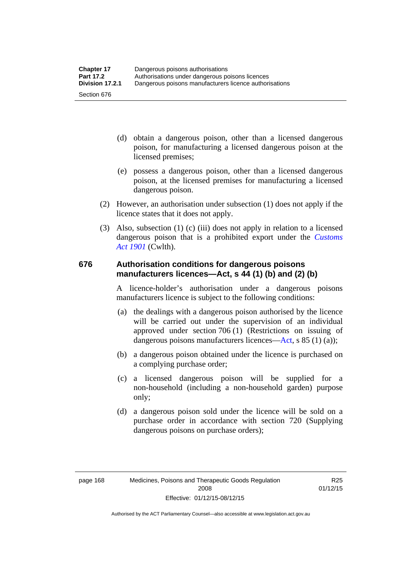- (d) obtain a dangerous poison, other than a licensed dangerous poison, for manufacturing a licensed dangerous poison at the licensed premises;
- (e) possess a dangerous poison, other than a licensed dangerous poison, at the licensed premises for manufacturing a licensed dangerous poison.
- (2) However, an authorisation under subsection (1) does not apply if the licence states that it does not apply.
- (3) Also, subsection (1) (c) (iii) does not apply in relation to a licensed dangerous poison that is a prohibited export under the *[Customs](http://www.comlaw.gov.au/Series/C1901A00006)  [Act 1901](http://www.comlaw.gov.au/Series/C1901A00006)* (Cwlth).

#### **676 Authorisation conditions for dangerous poisons manufacturers licences—Act, s 44 (1) (b) and (2) (b)**

A licence-holder's authorisation under a dangerous poisons manufacturers licence is subject to the following conditions:

- (a) the dealings with a dangerous poison authorised by the licence will be carried out under the supervision of an individual approved under section 706 (1) (Restrictions on issuing of dangerous poisons manufacturers licences[—Act,](http://www.legislation.act.gov.au/a/2008-26/default.asp) s 85 (1) (a));
- (b) a dangerous poison obtained under the licence is purchased on a complying purchase order;
- (c) a licensed dangerous poison will be supplied for a non-household (including a non-household garden) purpose only;
- (d) a dangerous poison sold under the licence will be sold on a purchase order in accordance with section 720 (Supplying dangerous poisons on purchase orders);

R25 01/12/15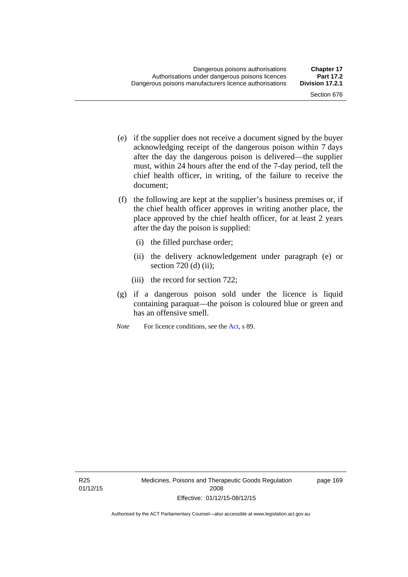- (e) if the supplier does not receive a document signed by the buyer acknowledging receipt of the dangerous poison within 7 days after the day the dangerous poison is delivered—the supplier must, within 24 hours after the end of the 7-day period, tell the chief health officer, in writing, of the failure to receive the document;
- (f) the following are kept at the supplier's business premises or, if the chief health officer approves in writing another place, the place approved by the chief health officer, for at least 2 years after the day the poison is supplied:
	- (i) the filled purchase order;
	- (ii) the delivery acknowledgement under paragraph (e) or section 720 (d) (ii);
	- (iii) the record for section 722;
- (g) if a dangerous poison sold under the licence is liquid containing paraquat—the poison is coloured blue or green and has an offensive smell.
- *Note* For licence conditions, see the [Act](http://www.legislation.act.gov.au/a/2008-26/default.asp), s 89.

page 169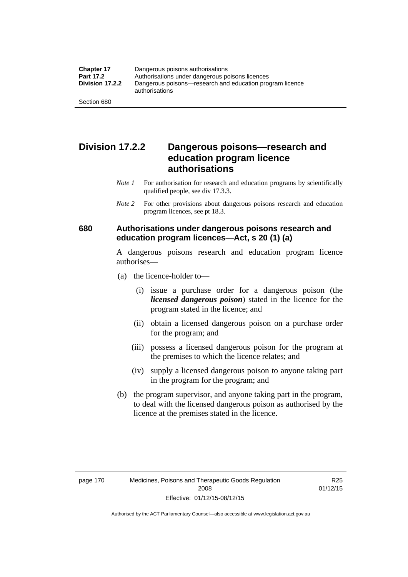### **Division 17.2.2 Dangerous poisons—research and education program licence authorisations**

- *Note 1* For authorisation for research and education programs by scientifically qualified people, see div 17.3.3.
- *Note 2* For other provisions about dangerous poisons research and education program licences, see pt 18.3.

#### **680 Authorisations under dangerous poisons research and education program licences—Act, s 20 (1) (a)**

A dangerous poisons research and education program licence authorises—

- (a) the licence-holder to—
	- (i) issue a purchase order for a dangerous poison (the *licensed dangerous poison*) stated in the licence for the program stated in the licence; and
	- (ii) obtain a licensed dangerous poison on a purchase order for the program; and
	- (iii) possess a licensed dangerous poison for the program at the premises to which the licence relates; and
	- (iv) supply a licensed dangerous poison to anyone taking part in the program for the program; and
- (b) the program supervisor, and anyone taking part in the program, to deal with the licensed dangerous poison as authorised by the licence at the premises stated in the licence.

R25 01/12/15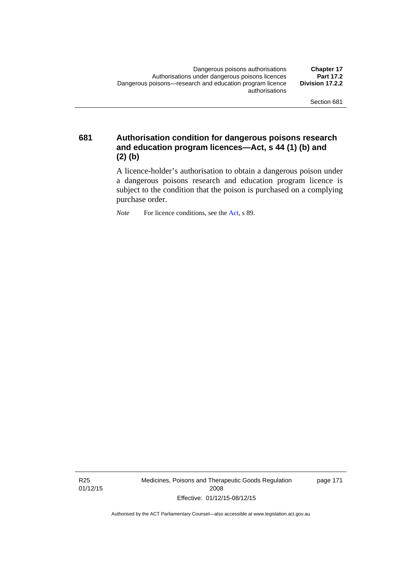**681 Authorisation condition for dangerous poisons research and education program licences—Act, s 44 (1) (b) and (2) (b)** 

> A licence-holder's authorisation to obtain a dangerous poison under a dangerous poisons research and education program licence is subject to the condition that the poison is purchased on a complying purchase order.

*Note* For licence conditions, see the [Act](http://www.legislation.act.gov.au/a/2008-26/default.asp), s 89.

R25 01/12/15 Medicines, Poisons and Therapeutic Goods Regulation 2008 Effective: 01/12/15-08/12/15

page 171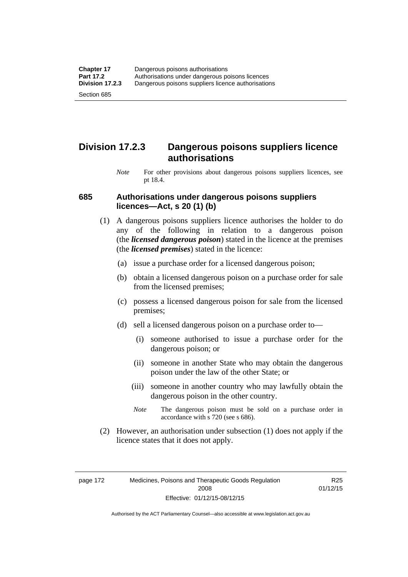### **Division 17.2.3 Dangerous poisons suppliers licence authorisations**

*Note* For other provisions about dangerous poisons suppliers licences, see pt 18.4.

#### **685 Authorisations under dangerous poisons suppliers licences—Act, s 20 (1) (b)**

- (1) A dangerous poisons suppliers licence authorises the holder to do any of the following in relation to a dangerous poison (the *licensed dangerous poison*) stated in the licence at the premises (the *licensed premises*) stated in the licence:
	- (a) issue a purchase order for a licensed dangerous poison;
	- (b) obtain a licensed dangerous poison on a purchase order for sale from the licensed premises;
	- (c) possess a licensed dangerous poison for sale from the licensed premises;
	- (d) sell a licensed dangerous poison on a purchase order to—
		- (i) someone authorised to issue a purchase order for the dangerous poison; or
		- (ii) someone in another State who may obtain the dangerous poison under the law of the other State; or
		- (iii) someone in another country who may lawfully obtain the dangerous poison in the other country.
		- *Note* The dangerous poison must be sold on a purchase order in accordance with s 720 (see s 686).
- (2) However, an authorisation under subsection (1) does not apply if the licence states that it does not apply.

page 172 Medicines, Poisons and Therapeutic Goods Regulation 2008 Effective: 01/12/15-08/12/15

R25 01/12/15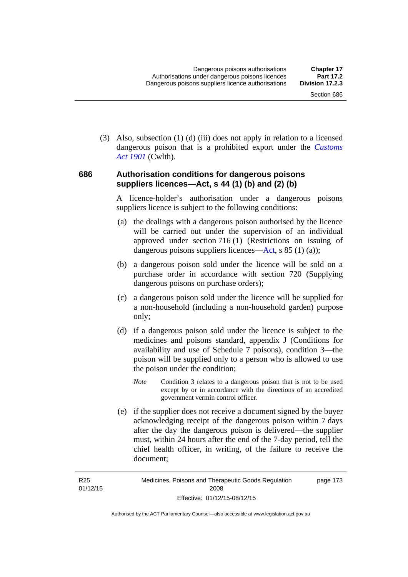(3) Also, subsection (1) (d) (iii) does not apply in relation to a licensed dangerous poison that is a prohibited export under the *[Customs](http://www.comlaw.gov.au/Series/C1901A00006)  [Act 1901](http://www.comlaw.gov.au/Series/C1901A00006)* (Cwlth).

#### **686 Authorisation conditions for dangerous poisons suppliers licences—Act, s 44 (1) (b) and (2) (b)**

A licence-holder's authorisation under a dangerous poisons suppliers licence is subject to the following conditions:

- (a) the dealings with a dangerous poison authorised by the licence will be carried out under the supervision of an individual approved under section 716 (1) (Restrictions on issuing of dangerous poisons suppliers licences—[Act](http://www.legislation.act.gov.au/a/2008-26/default.asp), s 85 (1) (a));
- (b) a dangerous poison sold under the licence will be sold on a purchase order in accordance with section 720 (Supplying dangerous poisons on purchase orders);
- (c) a dangerous poison sold under the licence will be supplied for a non-household (including a non-household garden) purpose only;
- (d) if a dangerous poison sold under the licence is subject to the medicines and poisons standard, appendix J (Conditions for availability and use of Schedule 7 poisons), condition 3—the poison will be supplied only to a person who is allowed to use the poison under the condition;
	- *Note* Condition 3 relates to a dangerous poison that is not to be used except by or in accordance with the directions of an accredited government vermin control officer.
- (e) if the supplier does not receive a document signed by the buyer acknowledging receipt of the dangerous poison within 7 days after the day the dangerous poison is delivered—the supplier must, within 24 hours after the end of the 7-day period, tell the chief health officer, in writing, of the failure to receive the document;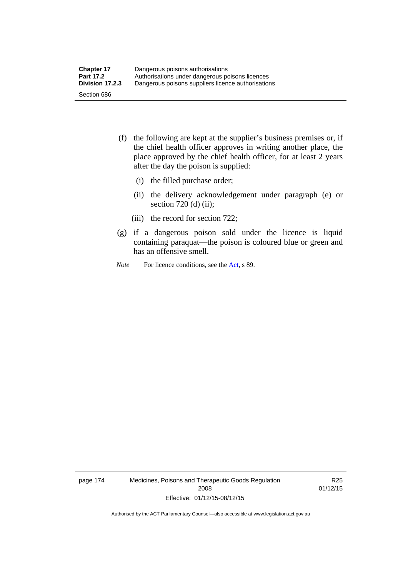- (f) the following are kept at the supplier's business premises or, if the chief health officer approves in writing another place, the place approved by the chief health officer, for at least 2 years after the day the poison is supplied:
	- (i) the filled purchase order;
	- (ii) the delivery acknowledgement under paragraph (e) or section 720 (d) (ii);
	- (iii) the record for section 722;
- (g) if a dangerous poison sold under the licence is liquid containing paraquat—the poison is coloured blue or green and has an offensive smell.
- *Note* For licence conditions, see the [Act](http://www.legislation.act.gov.au/a/2008-26/default.asp), s 89.

page 174 Medicines, Poisons and Therapeutic Goods Regulation 2008 Effective: 01/12/15-08/12/15

R25 01/12/15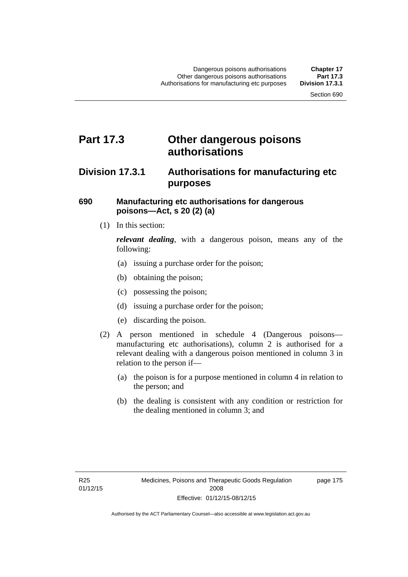## **Part 17.3 Other dangerous poisons authorisations**

### **Division 17.3.1 Authorisations for manufacturing etc purposes**

#### **690 Manufacturing etc authorisations for dangerous poisons—Act, s 20 (2) (a)**

(1) In this section:

*relevant dealing*, with a dangerous poison, means any of the following:

- (a) issuing a purchase order for the poison;
- (b) obtaining the poison;
- (c) possessing the poison;
- (d) issuing a purchase order for the poison;
- (e) discarding the poison.
- (2) A person mentioned in schedule 4 (Dangerous poisons manufacturing etc authorisations), column 2 is authorised for a relevant dealing with a dangerous poison mentioned in column 3 in relation to the person if—
	- (a) the poison is for a purpose mentioned in column 4 in relation to the person; and
	- (b) the dealing is consistent with any condition or restriction for the dealing mentioned in column 3; and

page 175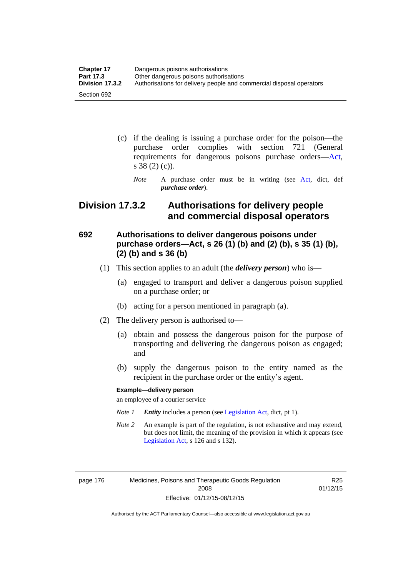| <b>Chapter 17</b> | Dangerous poisons authorisations                                     |
|-------------------|----------------------------------------------------------------------|
| <b>Part 17.3</b>  | Other dangerous poisons authorisations                               |
| Division 17.3.2   | Authorisations for delivery people and commercial disposal operators |
| Section 692       |                                                                      |

- (c) if the dealing is issuing a purchase order for the poison—the purchase order complies with section 721 (General requirements for dangerous poisons purchase orders[—Act](http://www.legislation.act.gov.au/a/2008-26/default.asp), s 38 (2) (c)).
	- *Note* A purchase order must be in writing (see [Act](http://www.legislation.act.gov.au/a/2008-26/default.asp), dict, def *purchase order*).

### **Division 17.3.2 Authorisations for delivery people and commercial disposal operators**

### **692 Authorisations to deliver dangerous poisons under purchase orders—Act, s 26 (1) (b) and (2) (b), s 35 (1) (b), (2) (b) and s 36 (b)**

- (1) This section applies to an adult (the *delivery person*) who is—
	- (a) engaged to transport and deliver a dangerous poison supplied on a purchase order; or
	- (b) acting for a person mentioned in paragraph (a).
- (2) The delivery person is authorised to—
	- (a) obtain and possess the dangerous poison for the purpose of transporting and delivering the dangerous poison as engaged; and
	- (b) supply the dangerous poison to the entity named as the recipient in the purchase order or the entity's agent.

#### **Example—delivery person**

an employee of a courier service

- *Note 1 Entity* includes a person (see [Legislation Act,](http://www.legislation.act.gov.au/a/2001-14) dict, pt 1).
- *Note 2* An example is part of the regulation, is not exhaustive and may extend, but does not limit, the meaning of the provision in which it appears (see [Legislation Act,](http://www.legislation.act.gov.au/a/2001-14) s 126 and s 132).

page 176 Medicines, Poisons and Therapeutic Goods Regulation 2008 Effective: 01/12/15-08/12/15

R25 01/12/15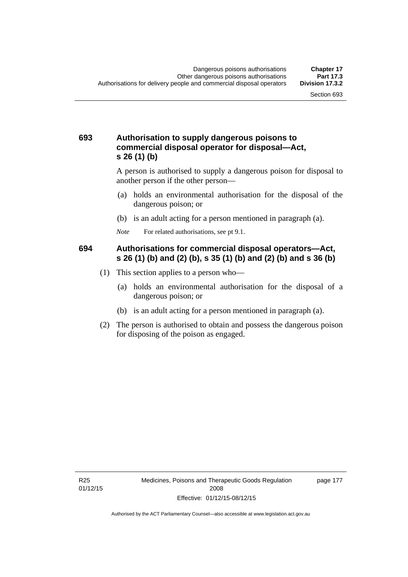#### **693 Authorisation to supply dangerous poisons to commercial disposal operator for disposal—Act, s 26 (1) (b)**

A person is authorised to supply a dangerous poison for disposal to another person if the other person—

- (a) holds an environmental authorisation for the disposal of the dangerous poison; or
- (b) is an adult acting for a person mentioned in paragraph (a).
- *Note* For related authorisations, see pt 9.1.

#### **694 Authorisations for commercial disposal operators—Act, s 26 (1) (b) and (2) (b), s 35 (1) (b) and (2) (b) and s 36 (b)**

- (1) This section applies to a person who—
	- (a) holds an environmental authorisation for the disposal of a dangerous poison; or
	- (b) is an adult acting for a person mentioned in paragraph (a).
- (2) The person is authorised to obtain and possess the dangerous poison for disposing of the poison as engaged.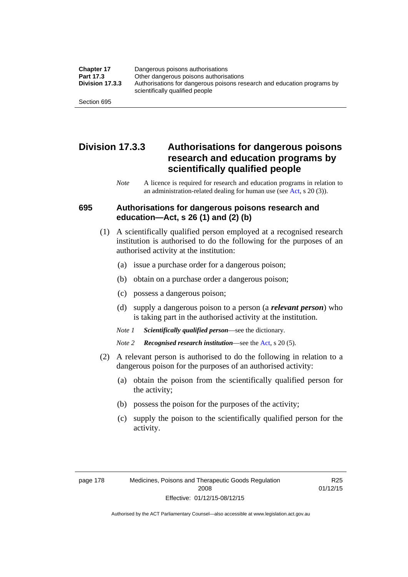| <b>Chapter 17</b> | Dangerous poisons authorisations                                                                           |
|-------------------|------------------------------------------------------------------------------------------------------------|
| Part 17.3         | Other dangerous poisons authorisations                                                                     |
| Division 17.3.3   | Authorisations for dangerous poisons research and education programs by<br>scientifically qualified people |
| Section 695       |                                                                                                            |

### **Division 17.3.3 Authorisations for dangerous poisons research and education programs by scientifically qualified people**

*Note* A licence is required for research and education programs in relation to an administration-related dealing for human use (see [Act](http://www.legislation.act.gov.au/a/2008-26/default.asp), s 20 (3)).

#### **695 Authorisations for dangerous poisons research and education—Act, s 26 (1) and (2) (b)**

- (1) A scientifically qualified person employed at a recognised research institution is authorised to do the following for the purposes of an authorised activity at the institution:
	- (a) issue a purchase order for a dangerous poison;
	- (b) obtain on a purchase order a dangerous poison;
	- (c) possess a dangerous poison;
	- (d) supply a dangerous poison to a person (a *relevant person*) who is taking part in the authorised activity at the institution.
	- *Note 1 Scientifically qualified person*—see the dictionary.
	- *Note 2 Recognised research institution*—see the [Act](http://www.legislation.act.gov.au/a/2008-26/default.asp), s 20 (5).
- (2) A relevant person is authorised to do the following in relation to a dangerous poison for the purposes of an authorised activity:
	- (a) obtain the poison from the scientifically qualified person for the activity;
	- (b) possess the poison for the purposes of the activity;
	- (c) supply the poison to the scientifically qualified person for the activity.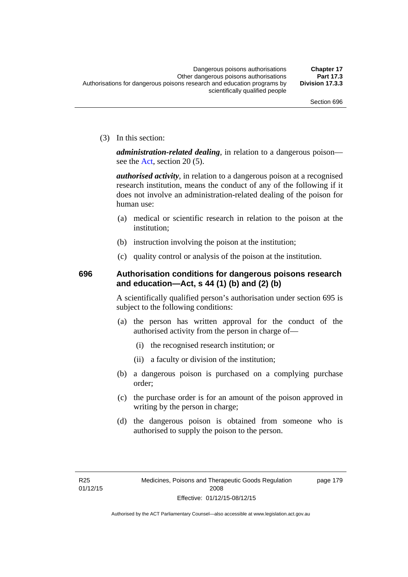(3) In this section:

*administration-related dealing*, in relation to a dangerous poison— see the [Act](http://www.legislation.act.gov.au/a/2008-26/default.asp), section 20 (5).

*authorised activity*, in relation to a dangerous poison at a recognised research institution, means the conduct of any of the following if it does not involve an administration-related dealing of the poison for human use:

- (a) medical or scientific research in relation to the poison at the institution;
- (b) instruction involving the poison at the institution;
- (c) quality control or analysis of the poison at the institution.

### **696 Authorisation conditions for dangerous poisons research and education—Act, s 44 (1) (b) and (2) (b)**

A scientifically qualified person's authorisation under section 695 is subject to the following conditions:

- (a) the person has written approval for the conduct of the authorised activity from the person in charge of—
	- (i) the recognised research institution; or
	- (ii) a faculty or division of the institution;
- (b) a dangerous poison is purchased on a complying purchase order;
- (c) the purchase order is for an amount of the poison approved in writing by the person in charge;
- (d) the dangerous poison is obtained from someone who is authorised to supply the poison to the person.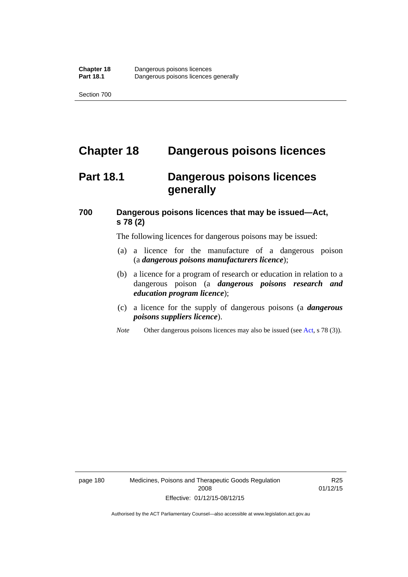## **Chapter 18 Dangerous poisons licences**

## **Part 18.1 Dangerous poisons licences generally**

### **700 Dangerous poisons licences that may be issued—Act, s 78 (2)**

The following licences for dangerous poisons may be issued:

- (a) a licence for the manufacture of a dangerous poison (a *dangerous poisons manufacturers licence*);
- (b) a licence for a program of research or education in relation to a dangerous poison (a *dangerous poisons research and education program licence*);
- (c) a licence for the supply of dangerous poisons (a *dangerous poisons suppliers licence*).
- *Note* Other dangerous poisons licences may also be issued (see [Act](http://www.legislation.act.gov.au/a/2008-26/default.asp), s 78 (3)).

page 180 Medicines, Poisons and Therapeutic Goods Regulation 2008 Effective: 01/12/15-08/12/15

R25 01/12/15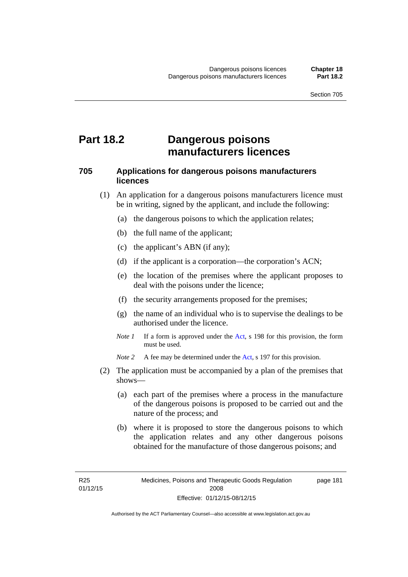### **Part 18.2 Dangerous poisons manufacturers licences**

#### **705 Applications for dangerous poisons manufacturers licences**

- (1) An application for a dangerous poisons manufacturers licence must be in writing, signed by the applicant, and include the following:
	- (a) the dangerous poisons to which the application relates;
	- (b) the full name of the applicant;
	- (c) the applicant's ABN (if any);
	- (d) if the applicant is a corporation—the corporation's ACN;
	- (e) the location of the premises where the applicant proposes to deal with the poisons under the licence;
	- (f) the security arrangements proposed for the premises;
	- (g) the name of an individual who is to supervise the dealings to be authorised under the licence.
	- *Note 1* If a form is approved under the [Act](http://www.legislation.act.gov.au/a/2008-26/default.asp), s 198 for this provision, the form must be used.

*Note 2* A fee may be determined under the [Act,](http://www.legislation.act.gov.au/a/2008-26/default.asp) s 197 for this provision.

- (2) The application must be accompanied by a plan of the premises that shows—
	- (a) each part of the premises where a process in the manufacture of the dangerous poisons is proposed to be carried out and the nature of the process; and
	- (b) where it is proposed to store the dangerous poisons to which the application relates and any other dangerous poisons obtained for the manufacture of those dangerous poisons; and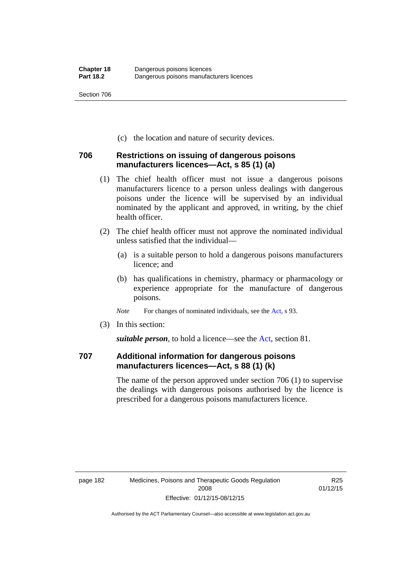(c) the location and nature of security devices.

#### **706 Restrictions on issuing of dangerous poisons manufacturers licences—Act, s 85 (1) (a)**

- (1) The chief health officer must not issue a dangerous poisons manufacturers licence to a person unless dealings with dangerous poisons under the licence will be supervised by an individual nominated by the applicant and approved, in writing, by the chief health officer.
- (2) The chief health officer must not approve the nominated individual unless satisfied that the individual—
	- (a) is a suitable person to hold a dangerous poisons manufacturers licence; and
	- (b) has qualifications in chemistry, pharmacy or pharmacology or experience appropriate for the manufacture of dangerous poisons.
	- *Note* For changes of nominated individuals, see the [Act,](http://www.legislation.act.gov.au/a/2008-26/default.asp) s 93.
- (3) In this section:

*suitable person*, to hold a licence—see the [Act](http://www.legislation.act.gov.au/a/2008-26/default.asp), section 81.

### **707 Additional information for dangerous poisons manufacturers licences—Act, s 88 (1) (k)**

The name of the person approved under section 706 (1) to supervise the dealings with dangerous poisons authorised by the licence is prescribed for a dangerous poisons manufacturers licence.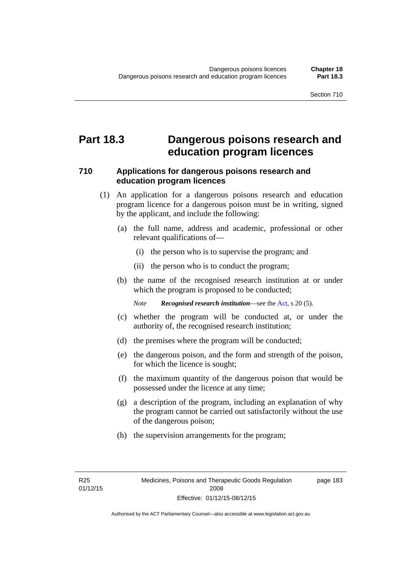### **Part 18.3 Dangerous poisons research and education program licences**

#### **710 Applications for dangerous poisons research and education program licences**

- (1) An application for a dangerous poisons research and education program licence for a dangerous poison must be in writing, signed by the applicant, and include the following:
	- (a) the full name, address and academic, professional or other relevant qualifications of—
		- (i) the person who is to supervise the program; and
		- (ii) the person who is to conduct the program;
	- (b) the name of the recognised research institution at or under which the program is proposed to be conducted;

*Note Recognised research institution*—see the [Act](http://www.legislation.act.gov.au/a/2008-26/default.asp), s 20 (5).

- (c) whether the program will be conducted at, or under the authority of, the recognised research institution;
- (d) the premises where the program will be conducted;
- (e) the dangerous poison, and the form and strength of the poison, for which the licence is sought;
- (f) the maximum quantity of the dangerous poison that would be possessed under the licence at any time;
- (g) a description of the program, including an explanation of why the program cannot be carried out satisfactorily without the use of the dangerous poison;
- (h) the supervision arrangements for the program;

page 183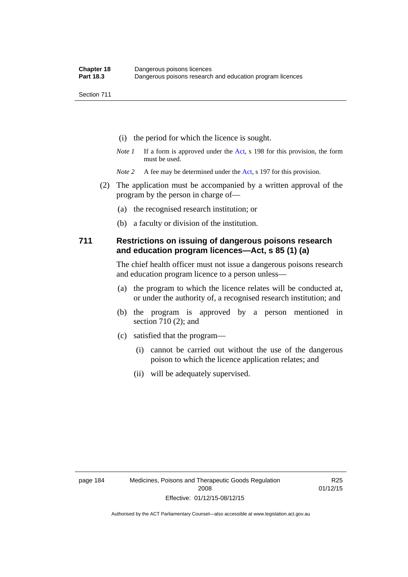- (i) the period for which the licence is sought.
- *Note 1* If a form is approved under the [Act](http://www.legislation.act.gov.au/a/2008-26/default.asp), s 198 for this provision, the form must be used.
- *Note* 2 A fee may be determined under the [Act,](http://www.legislation.act.gov.au/a/2008-26/default.asp) s 197 for this provision.
- (2) The application must be accompanied by a written approval of the program by the person in charge of—
	- (a) the recognised research institution; or
	- (b) a faculty or division of the institution.

#### **711 Restrictions on issuing of dangerous poisons research and education program licences—Act, s 85 (1) (a)**

The chief health officer must not issue a dangerous poisons research and education program licence to a person unless—

- (a) the program to which the licence relates will be conducted at, or under the authority of, a recognised research institution; and
- (b) the program is approved by a person mentioned in section 710 (2); and
- (c) satisfied that the program—
	- (i) cannot be carried out without the use of the dangerous poison to which the licence application relates; and
	- (ii) will be adequately supervised.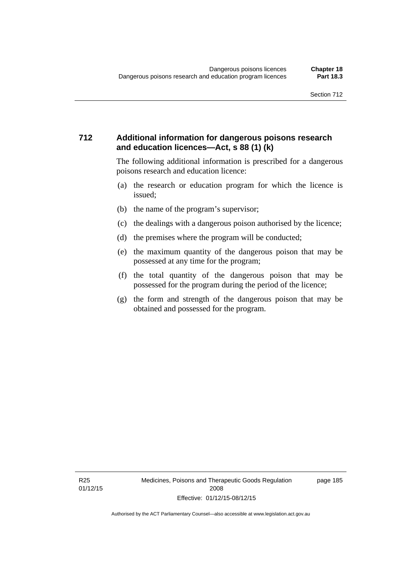#### **712 Additional information for dangerous poisons research and education licences—Act, s 88 (1) (k)**

The following additional information is prescribed for a dangerous poisons research and education licence:

- (a) the research or education program for which the licence is issued;
- (b) the name of the program's supervisor;
- (c) the dealings with a dangerous poison authorised by the licence;
- (d) the premises where the program will be conducted;
- (e) the maximum quantity of the dangerous poison that may be possessed at any time for the program;
- (f) the total quantity of the dangerous poison that may be possessed for the program during the period of the licence;
- (g) the form and strength of the dangerous poison that may be obtained and possessed for the program.

page 185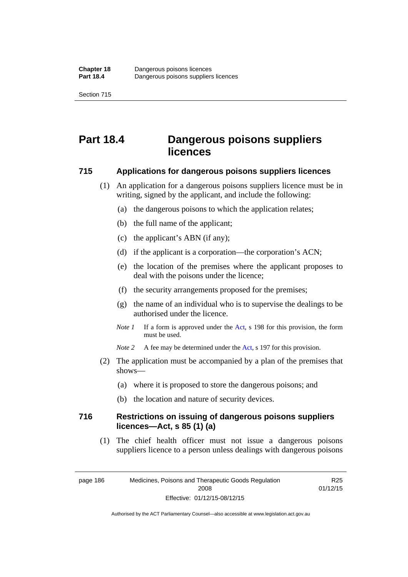## **Part 18.4 Dangerous poisons suppliers licences**

#### **715 Applications for dangerous poisons suppliers licences**

- (1) An application for a dangerous poisons suppliers licence must be in writing, signed by the applicant, and include the following:
	- (a) the dangerous poisons to which the application relates;
	- (b) the full name of the applicant;
	- (c) the applicant's ABN (if any);
	- (d) if the applicant is a corporation—the corporation's ACN;
	- (e) the location of the premises where the applicant proposes to deal with the poisons under the licence;
	- (f) the security arrangements proposed for the premises;
	- (g) the name of an individual who is to supervise the dealings to be authorised under the licence.
	- *Note 1* If a form is approved under the [Act](http://www.legislation.act.gov.au/a/2008-26/default.asp), s 198 for this provision, the form must be used.
	- *Note* 2 A fee may be determined under the [Act,](http://www.legislation.act.gov.au/a/2008-26/default.asp) s 197 for this provision.
- (2) The application must be accompanied by a plan of the premises that shows—
	- (a) where it is proposed to store the dangerous poisons; and
	- (b) the location and nature of security devices.

#### **716 Restrictions on issuing of dangerous poisons suppliers licences—Act, s 85 (1) (a)**

(1) The chief health officer must not issue a dangerous poisons suppliers licence to a person unless dealings with dangerous poisons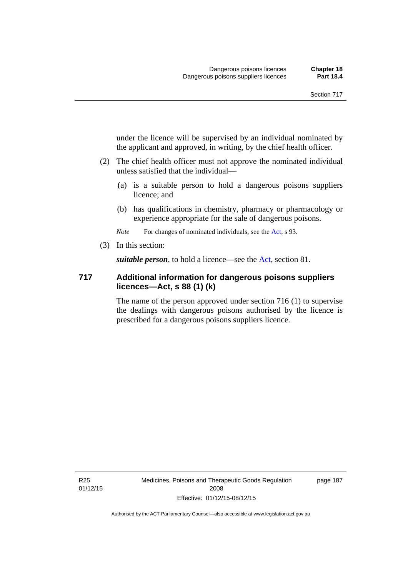under the licence will be supervised by an individual nominated by the applicant and approved, in writing, by the chief health officer.

- (2) The chief health officer must not approve the nominated individual unless satisfied that the individual—
	- (a) is a suitable person to hold a dangerous poisons suppliers licence; and
	- (b) has qualifications in chemistry, pharmacy or pharmacology or experience appropriate for the sale of dangerous poisons.

*Note* For changes of nominated individuals, see the [Act,](http://www.legislation.act.gov.au/a/2008-26/default.asp) s 93.

(3) In this section:

*suitable person*, to hold a licence—see the [Act](http://www.legislation.act.gov.au/a/2008-26/default.asp), section 81.

#### **717 Additional information for dangerous poisons suppliers licences—Act, s 88 (1) (k)**

The name of the person approved under section 716 (1) to supervise the dealings with dangerous poisons authorised by the licence is prescribed for a dangerous poisons suppliers licence.

R25 01/12/15 Medicines, Poisons and Therapeutic Goods Regulation 2008 Effective: 01/12/15-08/12/15

page 187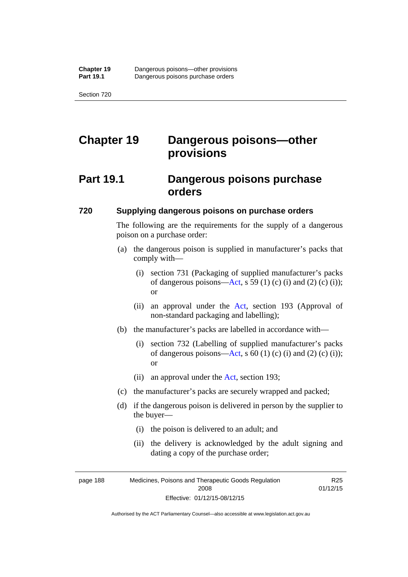# **Chapter 19 Dangerous poisons—other provisions**

## **Part 19.1 Dangerous poisons purchase orders**

#### **720 Supplying dangerous poisons on purchase orders**

The following are the requirements for the supply of a dangerous poison on a purchase order:

- (a) the dangerous poison is supplied in manufacturer's packs that comply with—
	- (i) section 731 (Packaging of supplied manufacturer's packs of dangerous poisons[—Act](http://www.legislation.act.gov.au/a/2008-26/default.asp), s 59 (1) (c) (i) and (2) (c) (i)); or
	- (ii) an approval under the [Act](http://www.legislation.act.gov.au/a/2008-26/default.asp), section 193 (Approval of non-standard packaging and labelling);
- (b) the manufacturer's packs are labelled in accordance with—
	- (i) section 732 (Labelling of supplied manufacturer's packs of dangerous poisons[—Act](http://www.legislation.act.gov.au/a/2008-26/default.asp), s  $60$  (1) (c) (i) and (2) (c) (i)); or
	- (ii) an approval under the [Act,](http://www.legislation.act.gov.au/a/2008-26/default.asp) section 193;
- (c) the manufacturer's packs are securely wrapped and packed;
- (d) if the dangerous poison is delivered in person by the supplier to the buyer—
	- (i) the poison is delivered to an adult; and
	- (ii) the delivery is acknowledged by the adult signing and dating a copy of the purchase order;

R25 01/12/15

page 188 Medicines, Poisons and Therapeutic Goods Regulation 2008 Effective: 01/12/15-08/12/15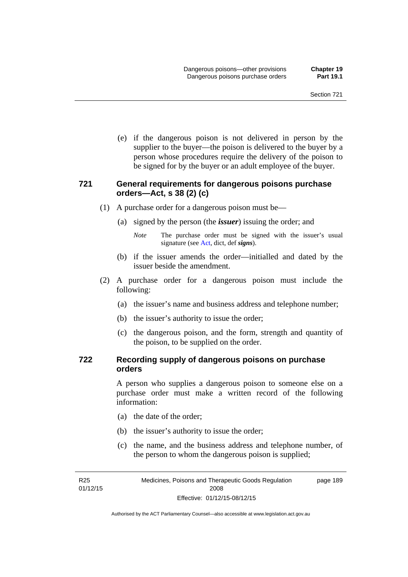(e) if the dangerous poison is not delivered in person by the supplier to the buyer—the poison is delivered to the buyer by a person whose procedures require the delivery of the poison to be signed for by the buyer or an adult employee of the buyer.

#### **721 General requirements for dangerous poisons purchase orders—Act, s 38 (2) (c)**

- (1) A purchase order for a dangerous poison must be—
	- (a) signed by the person (the *issuer*) issuing the order; and
		- *Note* The purchase order must be signed with the issuer's usual signature (see [Act](http://www.legislation.act.gov.au/a/2008-26/default.asp), dict, def *signs*).
	- (b) if the issuer amends the order—initialled and dated by the issuer beside the amendment.
- (2) A purchase order for a dangerous poison must include the following:
	- (a) the issuer's name and business address and telephone number;
	- (b) the issuer's authority to issue the order;
	- (c) the dangerous poison, and the form, strength and quantity of the poison, to be supplied on the order.

#### **722 Recording supply of dangerous poisons on purchase orders**

A person who supplies a dangerous poison to someone else on a purchase order must make a written record of the following information:

- (a) the date of the order;
- (b) the issuer's authority to issue the order;
- (c) the name, and the business address and telephone number, of the person to whom the dangerous poison is supplied;

R25 01/12/15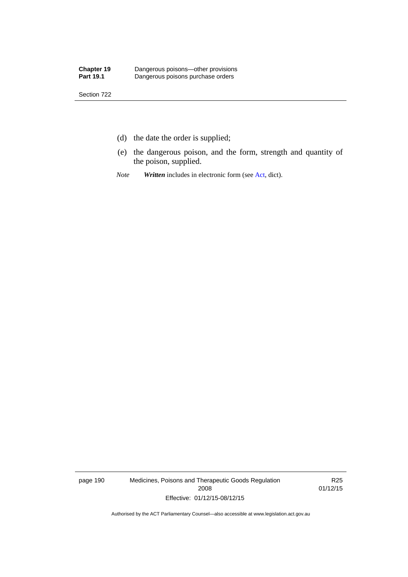- (d) the date the order is supplied;
- (e) the dangerous poison, and the form, strength and quantity of the poison, supplied.
- *Note Written* includes in electronic form (see [Act,](http://www.legislation.act.gov.au/a/2008-26/default.asp) dict).

page 190 Medicines, Poisons and Therapeutic Goods Regulation 2008 Effective: 01/12/15-08/12/15

R25 01/12/15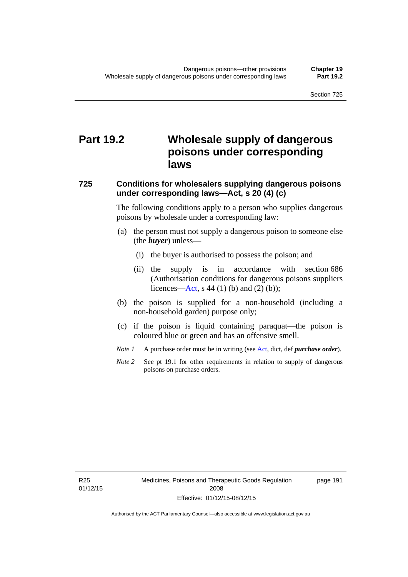# **Part 19.2 Wholesale supply of dangerous poisons under corresponding laws**

#### **725 Conditions for wholesalers supplying dangerous poisons under corresponding laws—Act, s 20 (4) (c)**

The following conditions apply to a person who supplies dangerous poisons by wholesale under a corresponding law:

- (a) the person must not supply a dangerous poison to someone else (the *buyer*) unless—
	- (i) the buyer is authorised to possess the poison; and
	- (ii) the supply is in accordance with section 686 (Authorisation conditions for dangerous poisons suppliers licences—[Act,](http://www.legislation.act.gov.au/a/2008-26/default.asp) s 44 (1) (b) and (2) (b));
- (b) the poison is supplied for a non-household (including a non-household garden) purpose only;
- (c) if the poison is liquid containing paraquat—the poison is coloured blue or green and has an offensive smell.
- *Note 1* A purchase order must be in writing (see [Act,](http://www.legislation.act.gov.au/a/2008-26/default.asp) dict, def *purchase order*).
- *Note* 2 See pt 19.1 for other requirements in relation to supply of dangerous poisons on purchase orders.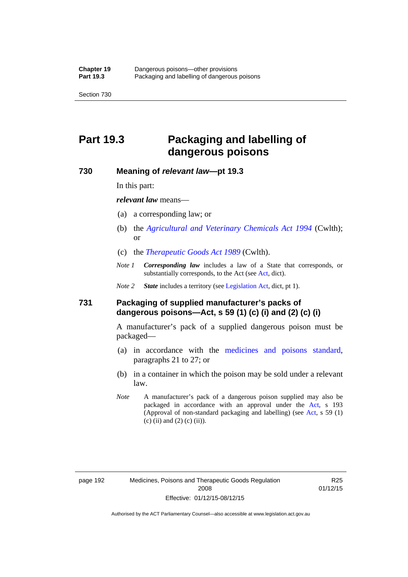# **Part 19.3 Packaging and labelling of dangerous poisons**

#### **730 Meaning of** *relevant law***—pt 19.3**

In this part:

*relevant law* means—

- (a) a corresponding law; or
- (b) the *[Agricultural and Veterinary Chemicals Act 1994](http://www.comlaw.gov.au/Series/C2004A04712)* (Cwlth); or
- (c) the *[Therapeutic Goods Act 1989](http://www.comlaw.gov.au/Series/C2004A03952)* (Cwlth).
- *Note 1 Corresponding law* includes a law of a State that corresponds, or substantially corresponds, to the [Act](http://www.legislation.act.gov.au/a/2008-26/default.asp) (see Act, dict).

*Note 2 State* includes a territory (see [Legislation Act,](http://www.legislation.act.gov.au/a/2001-14) dict, pt 1).

#### **731 Packaging of supplied manufacturer's packs of dangerous poisons—Act, s 59 (1) (c) (i) and (2) (c) (i)**

A manufacturer's pack of a supplied dangerous poison must be packaged—

- (a) in accordance with the [medicines and poisons standard](http://www.comlaw.gov.au/Series/F2012L01200), paragraphs 21 to 27; or
- (b) in a container in which the poison may be sold under a relevant law.
- *Note* A manufacturer's pack of a dangerous poison supplied may also be packaged in accordance with an approval under the [Act,](http://www.legislation.act.gov.au/a/2008-26/default.asp) s 193 (Approval of non-standard packaging and labelling) (see [Act](http://www.legislation.act.gov.au/a/2008-26/default.asp), s 59 (1)  $(c)$  (ii) and (2) (c) (ii)).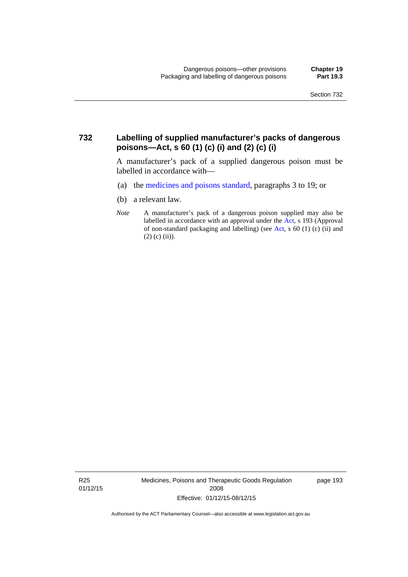#### **732 Labelling of supplied manufacturer's packs of dangerous poisons—Act, s 60 (1) (c) (i) and (2) (c) (i)**

A manufacturer's pack of a supplied dangerous poison must be labelled in accordance with—

- (a) the [medicines and poisons standard](http://www.comlaw.gov.au/Series/F2012L01200), paragraphs 3 to 19; or
- (b) a relevant law.
- *Note* A manufacturer's pack of a dangerous poison supplied may also be labelled in accordance with an approval under the [Act](http://www.legislation.act.gov.au/a/2008-26/default.asp), s 193 (Approval of non-standard packaging and labelling) (see [Act,](http://www.legislation.act.gov.au/a/2008-26/default.asp) s 60 (1) (c) (ii) and  $(2)$  (c) (ii)).

R25 01/12/15 Medicines, Poisons and Therapeutic Goods Regulation 2008 Effective: 01/12/15-08/12/15

page 193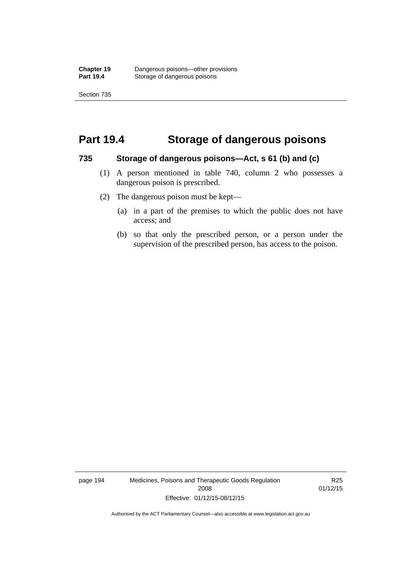Section 735

# **Part 19.4 Storage of dangerous poisons**

#### **735 Storage of dangerous poisons—Act, s 61 (b) and (c)**

- (1) A person mentioned in table 740, column 2 who possesses a dangerous poison is prescribed.
- (2) The dangerous poison must be kept—
	- (a) in a part of the premises to which the public does not have access; and
	- (b) so that only the prescribed person, or a person under the supervision of the prescribed person, has access to the poison.

page 194 Medicines, Poisons and Therapeutic Goods Regulation 2008 Effective: 01/12/15-08/12/15

R25 01/12/15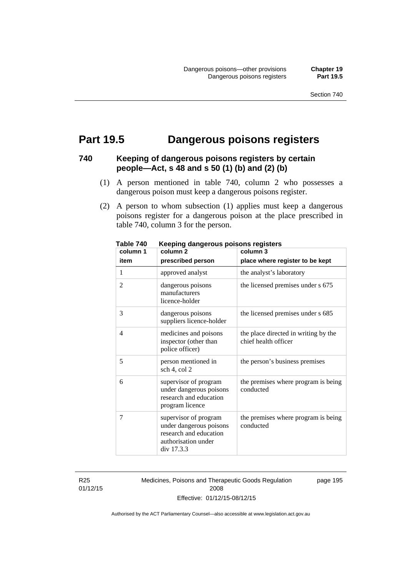# **Part 19.5 Dangerous poisons registers**

#### **740 Keeping of dangerous poisons registers by certain people—Act, s 48 and s 50 (1) (b) and (2) (b)**

- (1) A person mentioned in table 740, column 2 who possesses a dangerous poison must keep a dangerous poisons register.
- (2) A person to whom subsection (1) applies must keep a dangerous poisons register for a dangerous poison at the place prescribed in table 740, column 3 for the person.

| column 1       | nooping aangoroas poisons registers<br>column <sub>2</sub>                                                      | column 3                                                     |
|----------------|-----------------------------------------------------------------------------------------------------------------|--------------------------------------------------------------|
| item           | prescribed person                                                                                               | place where register to be kept                              |
| 1              | approved analyst                                                                                                | the analyst's laboratory                                     |
| $\overline{2}$ | dangerous poisons<br>manufacturers<br>licence-holder                                                            | the licensed premises under s 675                            |
| 3              | dangerous poisons<br>suppliers licence-holder                                                                   | the licensed premises under s 685                            |
| $\overline{4}$ | medicines and poisons<br>inspector (other than<br>police officer)                                               | the place directed in writing by the<br>chief health officer |
| 5              | person mentioned in<br>sch 4, col 2                                                                             | the person's business premises                               |
| 6              | supervisor of program<br>under dangerous poisons<br>research and education<br>program licence                   | the premises where program is being<br>conducted             |
| 7              | supervisor of program<br>under dangerous poisons<br>research and education<br>authorisation under<br>div 17.3.3 | the premises where program is being<br>conducted             |

**Table 740 Keeping dangerous poisons registers** 

R25 01/12/15 Medicines, Poisons and Therapeutic Goods Regulation 2008 Effective: 01/12/15-08/12/15

page 195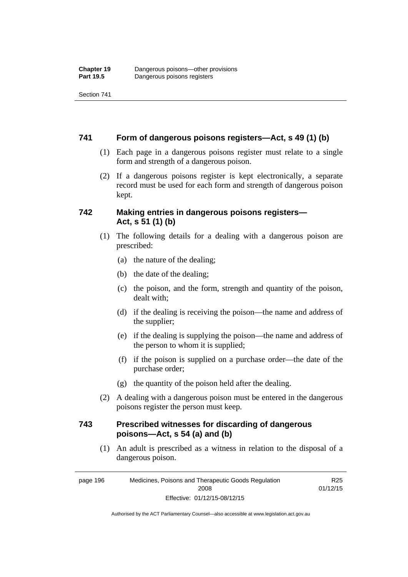Section 741

#### **741 Form of dangerous poisons registers—Act, s 49 (1) (b)**

- (1) Each page in a dangerous poisons register must relate to a single form and strength of a dangerous poison.
- (2) If a dangerous poisons register is kept electronically, a separate record must be used for each form and strength of dangerous poison kept.

#### **742 Making entries in dangerous poisons registers— Act, s 51 (1) (b)**

- (1) The following details for a dealing with a dangerous poison are prescribed:
	- (a) the nature of the dealing;
	- (b) the date of the dealing;
	- (c) the poison, and the form, strength and quantity of the poison, dealt with;
	- (d) if the dealing is receiving the poison—the name and address of the supplier;
	- (e) if the dealing is supplying the poison—the name and address of the person to whom it is supplied;
	- (f) if the poison is supplied on a purchase order—the date of the purchase order;
	- (g) the quantity of the poison held after the dealing.
- (2) A dealing with a dangerous poison must be entered in the dangerous poisons register the person must keep.

#### **743 Prescribed witnesses for discarding of dangerous poisons—Act, s 54 (a) and (b)**

 (1) An adult is prescribed as a witness in relation to the disposal of a dangerous poison.

> R25 01/12/15

page 196 Medicines, Poisons and Therapeutic Goods Regulation 2008 Effective: 01/12/15-08/12/15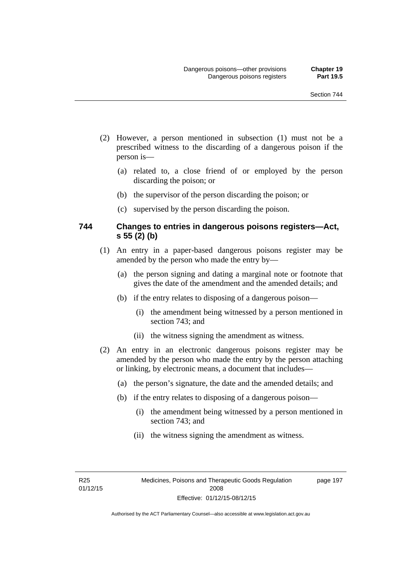page 197

- (2) However, a person mentioned in subsection (1) must not be a prescribed witness to the discarding of a dangerous poison if the person is—
	- (a) related to, a close friend of or employed by the person discarding the poison; or
	- (b) the supervisor of the person discarding the poison; or
	- (c) supervised by the person discarding the poison.

#### **744 Changes to entries in dangerous poisons registers—Act, s 55 (2) (b)**

- (1) An entry in a paper-based dangerous poisons register may be amended by the person who made the entry by—
	- (a) the person signing and dating a marginal note or footnote that gives the date of the amendment and the amended details; and
	- (b) if the entry relates to disposing of a dangerous poison—
		- (i) the amendment being witnessed by a person mentioned in section 743; and
		- (ii) the witness signing the amendment as witness.
- (2) An entry in an electronic dangerous poisons register may be amended by the person who made the entry by the person attaching or linking, by electronic means, a document that includes—
	- (a) the person's signature, the date and the amended details; and
	- (b) if the entry relates to disposing of a dangerous poison—
		- (i) the amendment being witnessed by a person mentioned in section 743; and
		- (ii) the witness signing the amendment as witness.

R25 01/12/15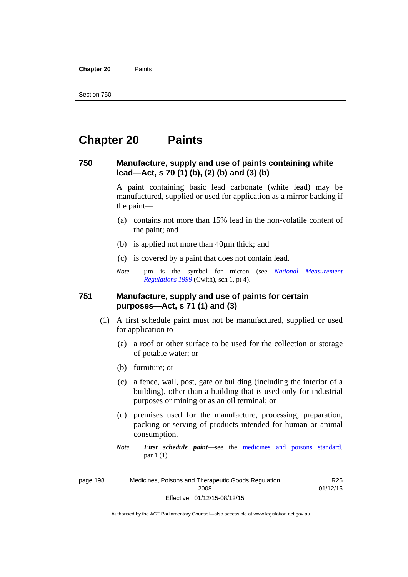**Chapter 20** Paints

# **Chapter 20 Paints**

#### **750 Manufacture, supply and use of paints containing white lead—Act, s 70 (1) (b), (2) (b) and (3) (b)**

A paint containing basic lead carbonate (white lead) may be manufactured, supplied or used for application as a mirror backing if the paint—

- (a) contains not more than 15% lead in the non-volatile content of the paint; and
- (b) is applied not more than 40µm thick; and
- (c) is covered by a paint that does not contain lead.
- *Note* um is the symbol for micron (see *National Measurement [Regulations 1999](http://www.comlaw.gov.au/Series/F1999B00110)* (Cwlth), sch 1, pt 4).

#### **751 Manufacture, supply and use of paints for certain purposes—Act, s 71 (1) and (3)**

- (1) A first schedule paint must not be manufactured, supplied or used for application to—
	- (a) a roof or other surface to be used for the collection or storage of potable water; or
	- (b) furniture; or
	- (c) a fence, wall, post, gate or building (including the interior of a building), other than a building that is used only for industrial purposes or mining or as an oil terminal; or
	- (d) premises used for the manufacture, processing, preparation, packing or serving of products intended for human or animal consumption.
	- *Note First schedule paint*—see the [medicines and poisons standard,](http://www.comlaw.gov.au/Series/F2012L01200) par 1 (1).

page 198 Medicines, Poisons and Therapeutic Goods Regulation 2008 Effective: 01/12/15-08/12/15

R25 01/12/15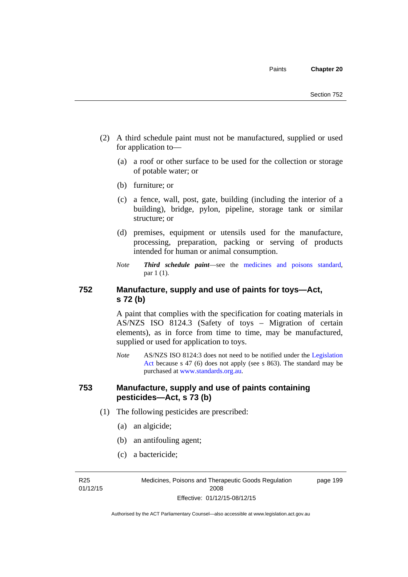- (2) A third schedule paint must not be manufactured, supplied or used for application to—
	- (a) a roof or other surface to be used for the collection or storage of potable water; or
	- (b) furniture; or
	- (c) a fence, wall, post, gate, building (including the interior of a building), bridge, pylon, pipeline, storage tank or similar structure; or
	- (d) premises, equipment or utensils used for the manufacture, processing, preparation, packing or serving of products intended for human or animal consumption.
	- *Note Third schedule paint*—see the [medicines and poisons standard,](http://www.comlaw.gov.au/Series/F2012L01200) par 1 (1).

#### **752 Manufacture, supply and use of paints for toys—Act, s 72 (b)**

A paint that complies with the specification for coating materials in AS/NZS ISO 8124.3 (Safety of toys – Migration of certain elements), as in force from time to time, may be manufactured, supplied or used for application to toys.

*Note* AS/NZS ISO 8124:3 does not need to be notified under the [Legislation](http://www.legislation.act.gov.au/a/2001-14)  [Act](http://www.legislation.act.gov.au/a/2001-14) because s 47 (6) does not apply (see s 863). The standard may be purchased at [www.standards.org.au.](http://www.standards.org.au/)

#### **753 Manufacture, supply and use of paints containing pesticides—Act, s 73 (b)**

- (1) The following pesticides are prescribed:
	- (a) an algicide;
	- (b) an antifouling agent;
	- (c) a bactericide;

R25 01/12/15 Medicines, Poisons and Therapeutic Goods Regulation 2008 Effective: 01/12/15-08/12/15

page 199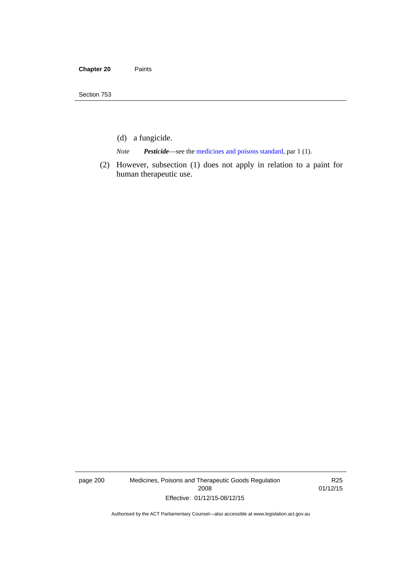- (d) a fungicide.
- *Note Pesticide*—see the [medicines and poisons standard,](http://www.comlaw.gov.au/Series/F2012L01200) par 1 (1).
- (2) However, subsection (1) does not apply in relation to a paint for human therapeutic use.

page 200 Medicines, Poisons and Therapeutic Goods Regulation 2008 Effective: 01/12/15-08/12/15

R25 01/12/15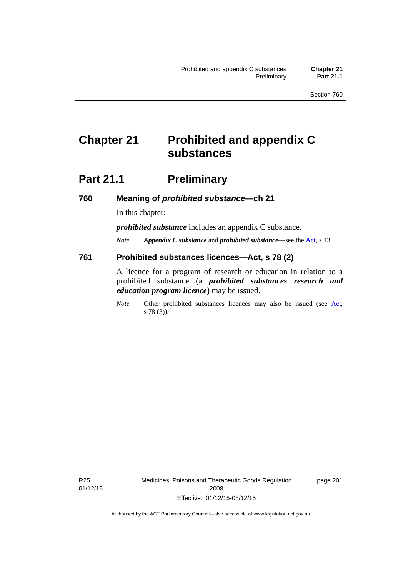# **Chapter 21 Prohibited and appendix C substances**

# **Part 21.1** Preliminary

**760 Meaning of** *prohibited substance***—ch 21** 

In this chapter:

*prohibited substance* includes an appendix C substance.

*Note Appendix C substance* and *prohibited substance*—see the [Act,](http://www.legislation.act.gov.au/a/2008-26/default.asp) s 13.

#### **761 Prohibited substances licences—Act, s 78 (2)**

A licence for a program of research or education in relation to a prohibited substance (a *prohibited substances research and education program licence*) may be issued.

*Note* Other prohibited substances licences may also be issued (see [Act,](http://www.legislation.act.gov.au/a/2008-26/default.asp) s 78 (3)).

R25 01/12/15 Medicines, Poisons and Therapeutic Goods Regulation 2008 Effective: 01/12/15-08/12/15

page 201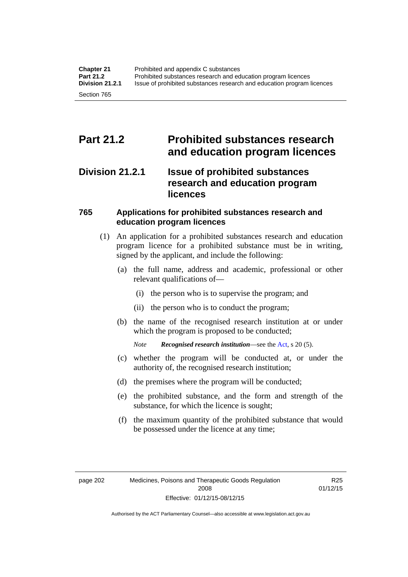# **Part 21.2 Prohibited substances research and education program licences**

#### **Division 21.2.1 Issue of prohibited substances research and education program licences**

#### **765 Applications for prohibited substances research and education program licences**

- (1) An application for a prohibited substances research and education program licence for a prohibited substance must be in writing, signed by the applicant, and include the following:
	- (a) the full name, address and academic, professional or other relevant qualifications of—
		- (i) the person who is to supervise the program; and
		- (ii) the person who is to conduct the program;
	- (b) the name of the recognised research institution at or under which the program is proposed to be conducted;
		- *Note Recognised research institution*—see the [Act](http://www.legislation.act.gov.au/a/2008-26/default.asp), s 20 (5).
	- (c) whether the program will be conducted at, or under the authority of, the recognised research institution;
	- (d) the premises where the program will be conducted;
	- (e) the prohibited substance, and the form and strength of the substance, for which the licence is sought;
	- (f) the maximum quantity of the prohibited substance that would be possessed under the licence at any time;

R25 01/12/15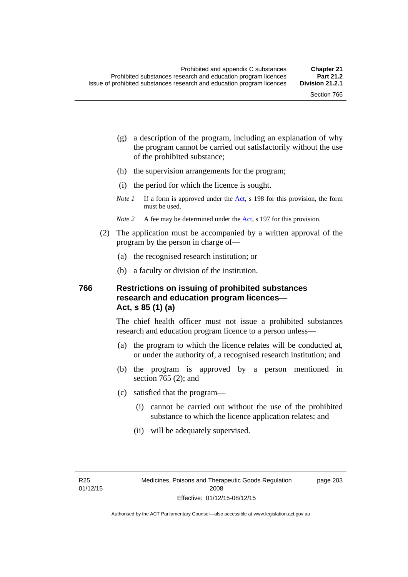- (g) a description of the program, including an explanation of why the program cannot be carried out satisfactorily without the use of the prohibited substance;
- (h) the supervision arrangements for the program;
- (i) the period for which the licence is sought.
- *Note 1* If a form is approved under the [Act](http://www.legislation.act.gov.au/a/2008-26/default.asp), s 198 for this provision, the form must be used.
- *Note* 2 A fee may be determined under the [Act,](http://www.legislation.act.gov.au/a/2008-26/default.asp) s 197 for this provision.
- (2) The application must be accompanied by a written approval of the program by the person in charge of—
	- (a) the recognised research institution; or
	- (b) a faculty or division of the institution.

#### **766 Restrictions on issuing of prohibited substances research and education program licences— Act, s 85 (1) (a)**

The chief health officer must not issue a prohibited substances research and education program licence to a person unless—

- (a) the program to which the licence relates will be conducted at, or under the authority of, a recognised research institution; and
- (b) the program is approved by a person mentioned in section 765 (2); and
- (c) satisfied that the program—
	- (i) cannot be carried out without the use of the prohibited substance to which the licence application relates; and
	- (ii) will be adequately supervised.

page 203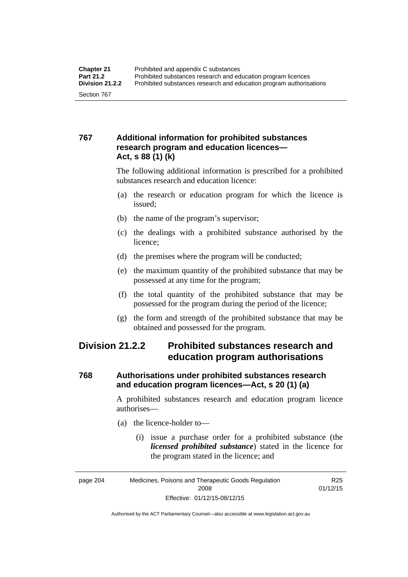#### **767 Additional information for prohibited substances research program and education licences— Act, s 88 (1) (k)**

The following additional information is prescribed for a prohibited substances research and education licence:

- (a) the research or education program for which the licence is issued;
- (b) the name of the program's supervisor;
- (c) the dealings with a prohibited substance authorised by the licence;
- (d) the premises where the program will be conducted;
- (e) the maximum quantity of the prohibited substance that may be possessed at any time for the program;
- (f) the total quantity of the prohibited substance that may be possessed for the program during the period of the licence;
- (g) the form and strength of the prohibited substance that may be obtained and possessed for the program.

### **Division 21.2.2 Prohibited substances research and education program authorisations**

#### **768 Authorisations under prohibited substances research and education program licences—Act, s 20 (1) (a)**

A prohibited substances research and education program licence authorises—

- (a) the licence-holder to—
	- (i) issue a purchase order for a prohibited substance (the *licensed prohibited substance*) stated in the licence for the program stated in the licence; and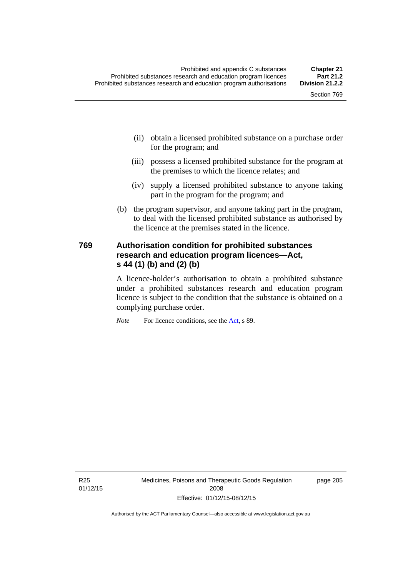- (ii) obtain a licensed prohibited substance on a purchase order for the program; and
- (iii) possess a licensed prohibited substance for the program at the premises to which the licence relates; and
- (iv) supply a licensed prohibited substance to anyone taking part in the program for the program; and
- (b) the program supervisor, and anyone taking part in the program, to deal with the licensed prohibited substance as authorised by the licence at the premises stated in the licence.

#### **769 Authorisation condition for prohibited substances research and education program licences—Act, s 44 (1) (b) and (2) (b)**

A licence-holder's authorisation to obtain a prohibited substance under a prohibited substances research and education program licence is subject to the condition that the substance is obtained on a complying purchase order.

*Note* For licence conditions, see the [Act](http://www.legislation.act.gov.au/a/2008-26/default.asp), s 89.

R25 01/12/15 Medicines, Poisons and Therapeutic Goods Regulation 2008 Effective: 01/12/15-08/12/15

page 205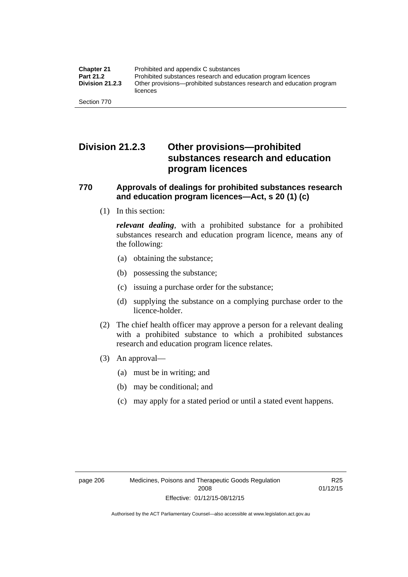## **Division 21.2.3 Other provisions—prohibited substances research and education program licences**

#### **770 Approvals of dealings for prohibited substances research and education program licences—Act, s 20 (1) (c)**

(1) In this section:

*relevant dealing*, with a prohibited substance for a prohibited substances research and education program licence, means any of the following:

- (a) obtaining the substance;
- (b) possessing the substance;
- (c) issuing a purchase order for the substance;
- (d) supplying the substance on a complying purchase order to the licence-holder.
- (2) The chief health officer may approve a person for a relevant dealing with a prohibited substance to which a prohibited substances research and education program licence relates.
- (3) An approval—
	- (a) must be in writing; and
	- (b) may be conditional; and
	- (c) may apply for a stated period or until a stated event happens.

R25 01/12/15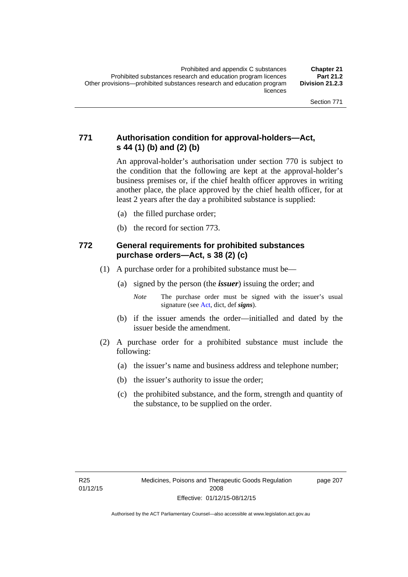#### **771 Authorisation condition for approval-holders—Act, s 44 (1) (b) and (2) (b)**

An approval-holder's authorisation under section 770 is subject to the condition that the following are kept at the approval-holder's business premises or, if the chief health officer approves in writing another place, the place approved by the chief health officer, for at least 2 years after the day a prohibited substance is supplied:

- (a) the filled purchase order;
- (b) the record for section 773.

#### **772 General requirements for prohibited substances purchase orders—Act, s 38 (2) (c)**

- (1) A purchase order for a prohibited substance must be—
	- (a) signed by the person (the *issuer*) issuing the order; and
		- *Note* The purchase order must be signed with the issuer's usual signature (see [Act](http://www.legislation.act.gov.au/a/2008-26/default.asp), dict, def *signs*).
	- (b) if the issuer amends the order—initialled and dated by the issuer beside the amendment.
- (2) A purchase order for a prohibited substance must include the following:
	- (a) the issuer's name and business address and telephone number;
	- (b) the issuer's authority to issue the order;
	- (c) the prohibited substance, and the form, strength and quantity of the substance, to be supplied on the order.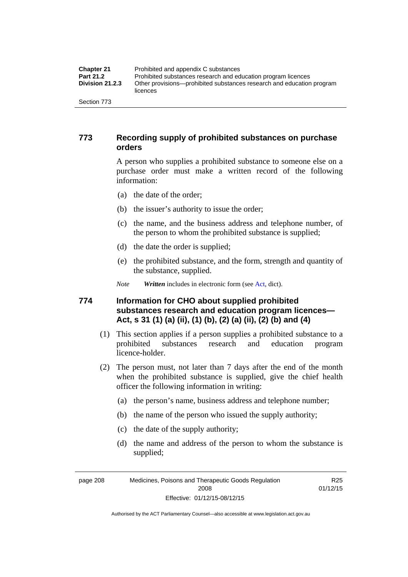| <b>Chapter 21</b>      | Prohibited and appendix C substances                                              |
|------------------------|-----------------------------------------------------------------------------------|
| <b>Part 21.2</b>       | Prohibited substances research and education program licences                     |
| <b>Division 21.2.3</b> | Other provisions—prohibited substances research and education program<br>licences |
| Section 773            |                                                                                   |

#### **773 Recording supply of prohibited substances on purchase orders**

A person who supplies a prohibited substance to someone else on a purchase order must make a written record of the following information:

- (a) the date of the order;
- (b) the issuer's authority to issue the order;
- (c) the name, and the business address and telephone number, of the person to whom the prohibited substance is supplied;
- (d) the date the order is supplied;
- (e) the prohibited substance, and the form, strength and quantity of the substance, supplied.
- *Note Written* includes in electronic form (see [Act,](http://www.legislation.act.gov.au/a/2008-26/default.asp) dict).

#### **774 Information for CHO about supplied prohibited substances research and education program licences— Act, s 31 (1) (a) (ii), (1) (b), (2) (a) (ii), (2) (b) and (4)**

- (1) This section applies if a person supplies a prohibited substance to a prohibited substances research and education program licence-holder.
- (2) The person must, not later than 7 days after the end of the month when the prohibited substance is supplied, give the chief health officer the following information in writing:
	- (a) the person's name, business address and telephone number;
	- (b) the name of the person who issued the supply authority;
	- (c) the date of the supply authority;
	- (d) the name and address of the person to whom the substance is supplied;

page 208 Medicines, Poisons and Therapeutic Goods Regulation 2008 Effective: 01/12/15-08/12/15

R25 01/12/15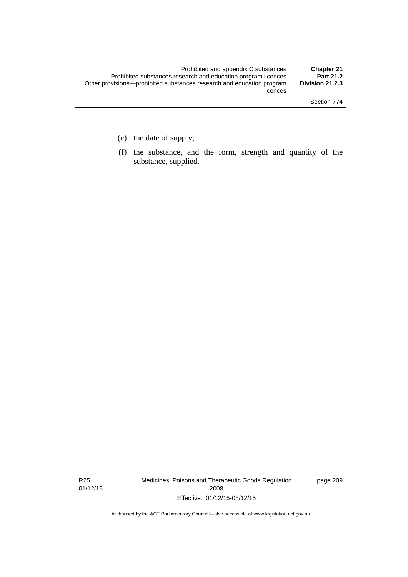- (e) the date of supply;
- (f) the substance, and the form, strength and quantity of the substance, supplied.

R25 01/12/15 Medicines, Poisons and Therapeutic Goods Regulation 2008 Effective: 01/12/15-08/12/15

page 209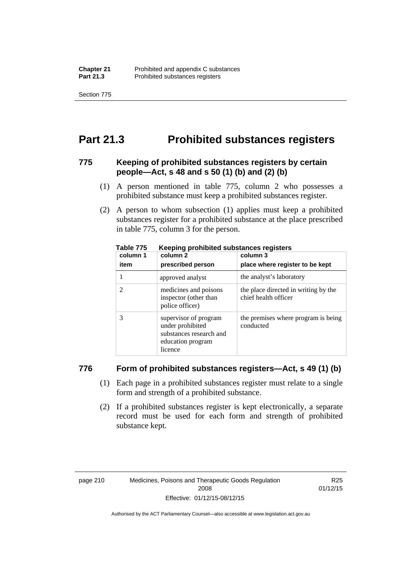Section 775

# **Part 21.3 Prohibited substances registers**

#### **775 Keeping of prohibited substances registers by certain people—Act, s 48 and s 50 (1) (b) and (2) (b)**

- (1) A person mentioned in table 775, column 2 who possesses a prohibited substance must keep a prohibited substances register.
- (2) A person to whom subsection (1) applies must keep a prohibited substances register for a prohibited substance at the place prescribed in table 775, column 3 for the person.

| column 1 | .<br>column 2                                                                                        | column 3                                                     |
|----------|------------------------------------------------------------------------------------------------------|--------------------------------------------------------------|
| item     | prescribed person                                                                                    | place where register to be kept                              |
|          | approved analyst                                                                                     | the analyst's laboratory                                     |
|          | medicines and poisons<br>inspector (other than<br>police officer)                                    | the place directed in writing by the<br>chief health officer |
|          | supervisor of program<br>under prohibited<br>substances research and<br>education program<br>licence | the premises where program is being<br>conducted             |

**Table 775 Keeping prohibited substances registers** 

#### **776 Form of prohibited substances registers—Act, s 49 (1) (b)**

- (1) Each page in a prohibited substances register must relate to a single form and strength of a prohibited substance.
- (2) If a prohibited substances register is kept electronically, a separate record must be used for each form and strength of prohibited substance kept.

R25 01/12/15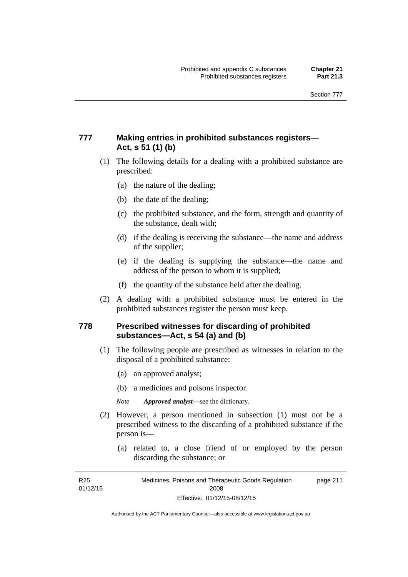#### **777 Making entries in prohibited substances registers— Act, s 51 (1) (b)**

- (1) The following details for a dealing with a prohibited substance are prescribed:
	- (a) the nature of the dealing;
	- (b) the date of the dealing;
	- (c) the prohibited substance, and the form, strength and quantity of the substance, dealt with;
	- (d) if the dealing is receiving the substance—the name and address of the supplier;
	- (e) if the dealing is supplying the substance—the name and address of the person to whom it is supplied;
	- (f) the quantity of the substance held after the dealing.
- (2) A dealing with a prohibited substance must be entered in the prohibited substances register the person must keep.

#### **778 Prescribed witnesses for discarding of prohibited substances—Act, s 54 (a) and (b)**

- (1) The following people are prescribed as witnesses in relation to the disposal of a prohibited substance:
	- (a) an approved analyst;
	- (b) a medicines and poisons inspector.

*Note Approved analyst*—see the dictionary.

- (2) However, a person mentioned in subsection (1) must not be a prescribed witness to the discarding of a prohibited substance if the person is—
	- (a) related to, a close friend of or employed by the person discarding the substance; or

R25 01/12/15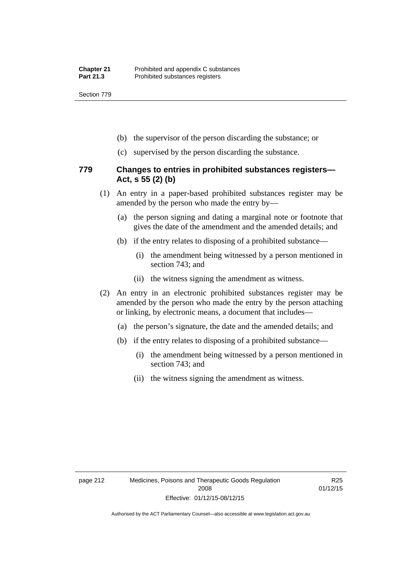Section 779

- (b) the supervisor of the person discarding the substance; or
- (c) supervised by the person discarding the substance.

#### **779 Changes to entries in prohibited substances registers— Act, s 55 (2) (b)**

- (1) An entry in a paper-based prohibited substances register may be amended by the person who made the entry by—
	- (a) the person signing and dating a marginal note or footnote that gives the date of the amendment and the amended details; and
	- (b) if the entry relates to disposing of a prohibited substance—
		- (i) the amendment being witnessed by a person mentioned in section 743; and
		- (ii) the witness signing the amendment as witness.
- (2) An entry in an electronic prohibited substances register may be amended by the person who made the entry by the person attaching or linking, by electronic means, a document that includes—
	- (a) the person's signature, the date and the amended details; and
	- (b) if the entry relates to disposing of a prohibited substance—
		- (i) the amendment being witnessed by a person mentioned in section 743; and
		- (ii) the witness signing the amendment as witness.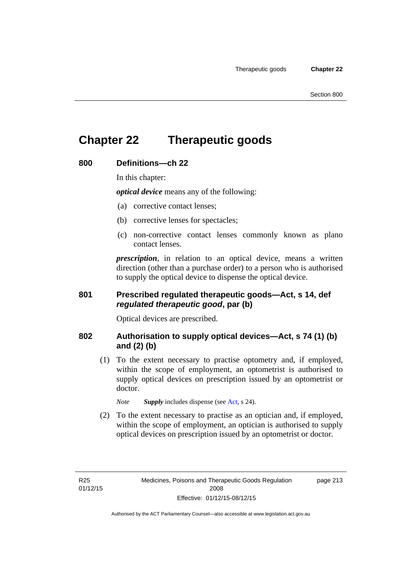# **Chapter 22 Therapeutic goods**

#### **800 Definitions—ch 22**

In this chapter:

*optical device* means any of the following:

- (a) corrective contact lenses;
- (b) corrective lenses for spectacles;
- (c) non-corrective contact lenses commonly known as plano contact lenses.

*prescription*, in relation to an optical device, means a written direction (other than a purchase order) to a person who is authorised to supply the optical device to dispense the optical device.

#### **801 Prescribed regulated therapeutic goods—Act, s 14, def**  *regulated therapeutic good***, par (b)**

Optical devices are prescribed.

#### **802 Authorisation to supply optical devices—Act, s 74 (1) (b) and (2) (b)**

 (1) To the extent necessary to practise optometry and, if employed, within the scope of employment, an optometrist is authorised to supply optical devices on prescription issued by an optometrist or doctor.

*Note Supply* includes dispense (see [Act,](http://www.legislation.act.gov.au/a/2008-26/default.asp) s 24).

 (2) To the extent necessary to practise as an optician and, if employed, within the scope of employment, an optician is authorised to supply optical devices on prescription issued by an optometrist or doctor.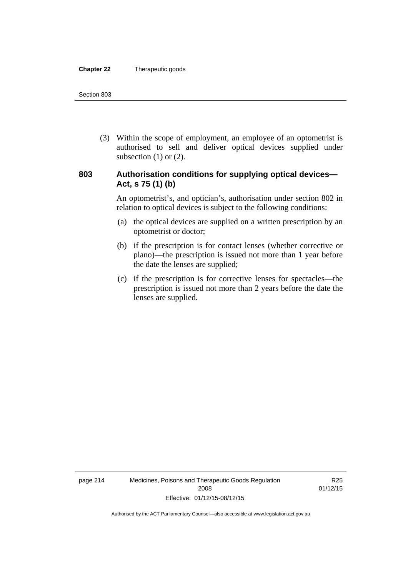#### **Chapter 22** Therapeutic goods

 (3) Within the scope of employment, an employee of an optometrist is authorised to sell and deliver optical devices supplied under subsection  $(1)$  or  $(2)$ .

#### **803 Authorisation conditions for supplying optical devices— Act, s 75 (1) (b)**

An optometrist's, and optician's, authorisation under section 802 in relation to optical devices is subject to the following conditions:

- (a) the optical devices are supplied on a written prescription by an optometrist or doctor;
- (b) if the prescription is for contact lenses (whether corrective or plano)—the prescription is issued not more than 1 year before the date the lenses are supplied;
- (c) if the prescription is for corrective lenses for spectacles—the prescription is issued not more than 2 years before the date the lenses are supplied.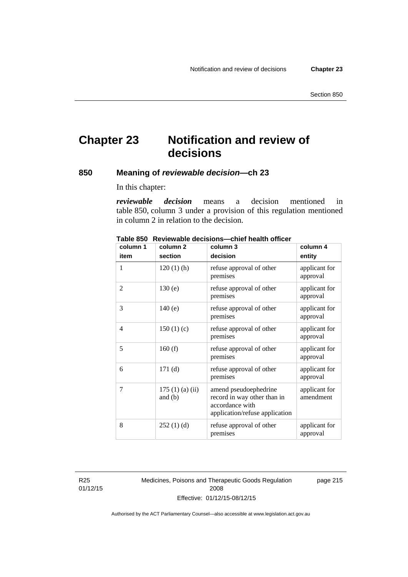# **Chapter 23 Notification and review of decisions**

#### **850 Meaning of** *reviewable decision—***ch 23**

In this chapter:

*reviewable decision* means a decision mentioned in table 850, column 3 under a provision of this regulation mentioned in column 2 in relation to the decision.

| column 1 | column <sub>2</sub>        | column 3                                                                                                  | column 4                   |
|----------|----------------------------|-----------------------------------------------------------------------------------------------------------|----------------------------|
| item     | section                    | decision                                                                                                  | entity                     |
| 1        | $120(1)$ (h)               | refuse approval of other<br>premises                                                                      | applicant for<br>approval  |
| 2        | 130(e)                     | refuse approval of other<br>premises                                                                      | applicant for<br>approval  |
| 3        | 140(e)                     | refuse approval of other<br>premises                                                                      | applicant for<br>approval  |
| 4        | 150(1)(c)                  | refuse approval of other<br>premises                                                                      | applicant for<br>approval  |
| 5        | 160(f)                     | refuse approval of other<br>premises                                                                      | applicant for<br>approval  |
| 6        | 171(d)                     | refuse approval of other<br>premises                                                                      | applicant for<br>approval  |
| 7        | 175(1)(a)(ii)<br>and $(b)$ | amend pseudoephedrine<br>record in way other than in<br>accordance with<br>application/refuse application | applicant for<br>amendment |
| 8        | 252(1)(d)                  | refuse approval of other<br>premises                                                                      | applicant for<br>approval  |

**Table 850 Reviewable decisions—chief health officer** 

R25 01/12/15 Medicines, Poisons and Therapeutic Goods Regulation 2008 Effective: 01/12/15-08/12/15

page 215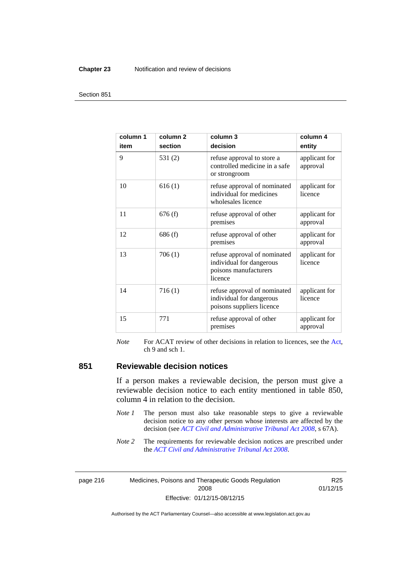#### **Chapter 23** Notification and review of decisions

#### Section 851

| column 1<br>item | column <sub>2</sub><br>section | column 3<br>decision                                                                         | column 4<br>entity        |
|------------------|--------------------------------|----------------------------------------------------------------------------------------------|---------------------------|
| 9                | 531(2)                         | refuse approval to store a<br>controlled medicine in a safe<br>or strongroom                 | applicant for<br>approval |
| 10               | 616(1)                         | refuse approval of nominated<br>individual for medicines<br>wholesales licence               | applicant for<br>licence  |
| 11               | 676(f)                         | refuse approval of other<br>premises                                                         | applicant for<br>approval |
| 12               | 686(f)                         | refuse approval of other<br>premises                                                         | applicant for<br>approval |
| 13               | 706(1)                         | refuse approval of nominated<br>individual for dangerous<br>poisons manufacturers<br>licence | applicant for<br>licence  |
| 14               | 716(1)                         | refuse approval of nominated<br>individual for dangerous<br>poisons suppliers licence        | applicant for<br>licence  |
| 15               | 771                            | refuse approval of other<br>premises                                                         | applicant for<br>approval |

*Note* For ACAT review of other decisions in relation to licences, see the [Act,](http://www.legislation.act.gov.au/a/2008-26/default.asp) ch 9 and sch 1.

#### **851 Reviewable decision notices**

If a person makes a reviewable decision, the person must give a reviewable decision notice to each entity mentioned in table 850, column 4 in relation to the decision.

- *Note 1* The person must also take reasonable steps to give a reviewable decision notice to any other person whose interests are affected by the decision (see *[ACT Civil and Administrative Tribunal Act 2008](http://www.legislation.act.gov.au/a/2008-35)*, s 67A).
- *Note* 2 The requirements for reviewable decision notices are prescribed under the *[ACT Civil and Administrative Tribunal Act 2008](http://www.legislation.act.gov.au/a/2008-35)*.

page 216 Medicines, Poisons and Therapeutic Goods Regulation 2008 Effective: 01/12/15-08/12/15

R25 01/12/15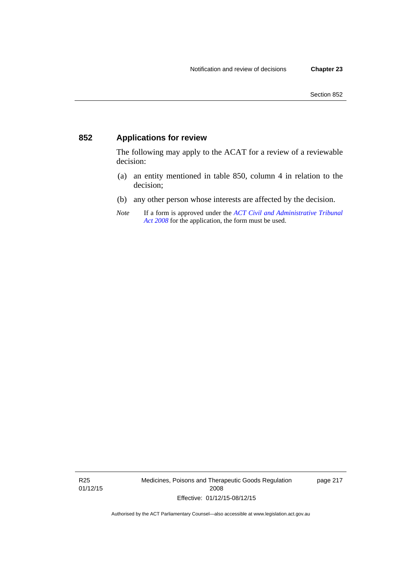#### **852 Applications for review**

The following may apply to the ACAT for a review of a reviewable decision:

- (a) an entity mentioned in table 850, column 4 in relation to the decision;
- (b) any other person whose interests are affected by the decision.
- *Note* If a form is approved under the *[ACT Civil and Administrative Tribunal](http://www.legislation.act.gov.au/a/2008-35)  [Act 2008](http://www.legislation.act.gov.au/a/2008-35)* for the application, the form must be used.

R25 01/12/15 Medicines, Poisons and Therapeutic Goods Regulation 2008 Effective: 01/12/15-08/12/15

page 217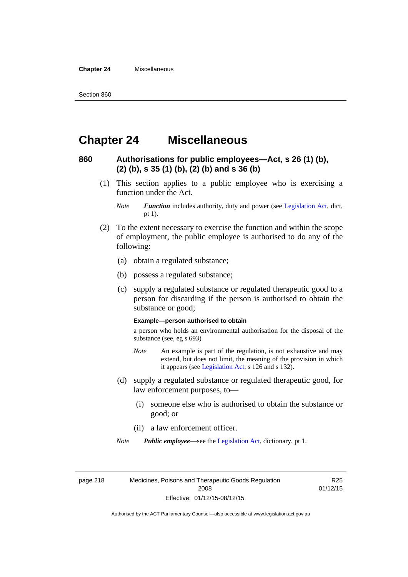**Chapter 24** Miscellaneous

# **Chapter 24 Miscellaneous**

#### **860 Authorisations for public employees—Act, s 26 (1) (b), (2) (b), s 35 (1) (b), (2) (b) and s 36 (b)**

 (1) This section applies to a public employee who is exercising a function under the Act.

- (2) To the extent necessary to exercise the function and within the scope of employment, the public employee is authorised to do any of the following:
	- (a) obtain a regulated substance;
	- (b) possess a regulated substance;
	- (c) supply a regulated substance or regulated therapeutic good to a person for discarding if the person is authorised to obtain the substance or good;

#### **Example—person authorised to obtain**

a person who holds an environmental authorisation for the disposal of the substance (see, eg s 693)

- *Note* An example is part of the regulation, is not exhaustive and may extend, but does not limit, the meaning of the provision in which it appears (see [Legislation Act,](http://www.legislation.act.gov.au/a/2001-14) s 126 and s 132).
- (d) supply a regulated substance or regulated therapeutic good, for law enforcement purposes, to—
	- (i) someone else who is authorised to obtain the substance or good; or
	- (ii) a law enforcement officer.

*Note Public employee*—see the [Legislation Act,](http://www.legislation.act.gov.au/a/2001-14) dictionary, pt 1.

page 218 Medicines, Poisons and Therapeutic Goods Regulation 2008 Effective: 01/12/15-08/12/15

R25 01/12/15

*Note Function* includes authority, duty and power (see [Legislation Act](http://www.legislation.act.gov.au/a/2001-14), dict, pt 1).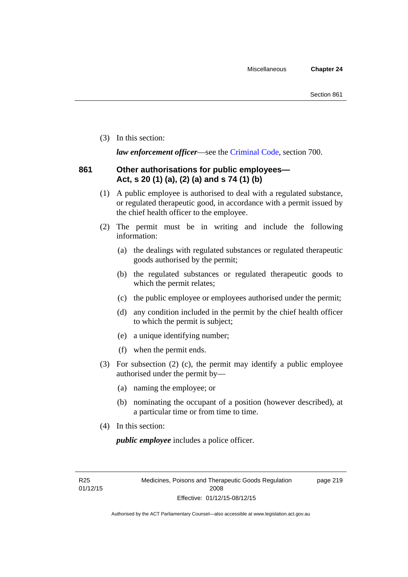(3) In this section:

*law enforcement officer*—see the [Criminal Code,](http://www.legislation.act.gov.au/a/2002-51) section 700.

#### **861 Other authorisations for public employees— Act, s 20 (1) (a), (2) (a) and s 74 (1) (b)**

- (1) A public employee is authorised to deal with a regulated substance, or regulated therapeutic good, in accordance with a permit issued by the chief health officer to the employee.
- (2) The permit must be in writing and include the following information:
	- (a) the dealings with regulated substances or regulated therapeutic goods authorised by the permit;
	- (b) the regulated substances or regulated therapeutic goods to which the permit relates;
	- (c) the public employee or employees authorised under the permit;
	- (d) any condition included in the permit by the chief health officer to which the permit is subject;
	- (e) a unique identifying number;
	- (f) when the permit ends.
- (3) For subsection (2) (c), the permit may identify a public employee authorised under the permit by—
	- (a) naming the employee; or
	- (b) nominating the occupant of a position (however described), at a particular time or from time to time.
- (4) In this section:

*public employee* includes a police officer.

R25 01/12/15 page 219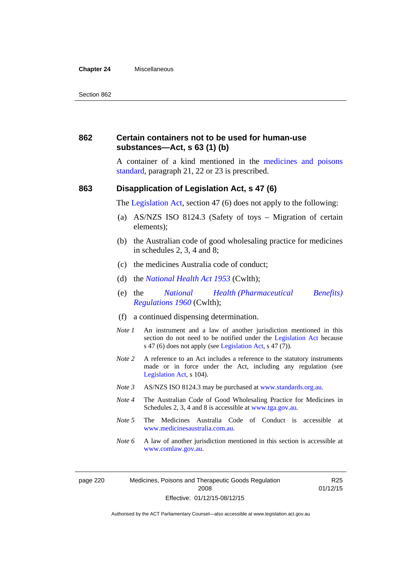#### **Chapter 24** Miscellaneous

#### **862 Certain containers not to be used for human-use substances—Act, s 63 (1) (b)**

A container of a kind mentioned in the [medicines and poisons](http://www.comlaw.gov.au/Series/F2012L01200)  [standard,](http://www.comlaw.gov.au/Series/F2012L01200) paragraph 21, 22 or 23 is prescribed.

#### **863 Disapplication of Legislation Act, s 47 (6)**

The [Legislation Act](http://www.legislation.act.gov.au/a/2001-14), section 47 (6) does not apply to the following:

- (a) AS/NZS ISO 8124.3 (Safety of toys Migration of certain elements);
- (b) the Australian code of good wholesaling practice for medicines in schedules 2, 3, 4 and 8;
- (c) the medicines Australia code of conduct;
- (d) the *[National Health Act 1953](http://www.comlaw.gov.au/Series/C1953A00095)* (Cwlth);
- (e) the *[National Health \(Pharmaceutical Benefits\)](http://www.comlaw.gov.au/Series/F1996B02844)  [Regulations 1960](http://www.comlaw.gov.au/Series/F1996B02844)* (Cwlth);
- (f) a continued dispensing determination.
- *Note 1* An instrument and a law of another jurisdiction mentioned in this section do not need to be notified under the [Legislation Act](http://www.legislation.act.gov.au/a/2001-14) because s 47 (6) does not apply (see [Legislation Act](http://www.legislation.act.gov.au/a/2001-14), s 47 (7)).
- *Note 2* A reference to an Act includes a reference to the statutory instruments made or in force under the Act, including any regulation (see [Legislation Act,](http://www.legislation.act.gov.au/a/2001-14) s 104).
- *Note 3* AS/NZS ISO 8124.3 may be purchased at [www.standards.org.au.](http://www.standards.org.au/)
- *Note 4* The Australian Code of Good Wholesaling Practice for Medicines in Schedules 2, 3, 4 and 8 is accessible at [www.tga.gov.au.](http://www.tga.gov.au/)
- *Note 5* The Medicines Australia Code of Conduct is accessible at [www.medicinesaustralia.com.au](http://www.medicinesaustralia.com.au/).
- *Note* 6 A law of another jurisdiction mentioned in this section is accessible at [www.comlaw.gov.au](http://www.comlaw.gov.au/).

page 220 Medicines, Poisons and Therapeutic Goods Regulation 2008 Effective: 01/12/15-08/12/15

R25 01/12/15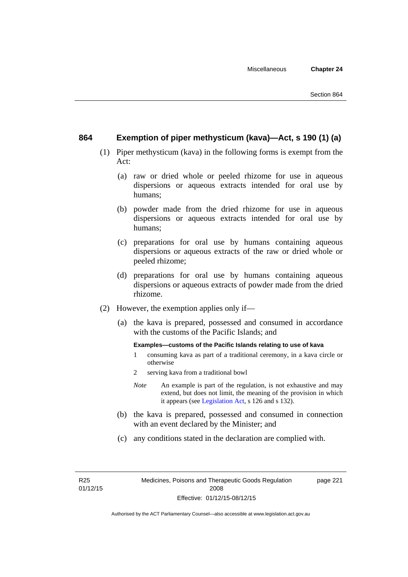#### **864 Exemption of piper methysticum (kava)—Act, s 190 (1) (a)**

- (1) Piper methysticum (kava) in the following forms is exempt from the Act:
	- (a) raw or dried whole or peeled rhizome for use in aqueous dispersions or aqueous extracts intended for oral use by humans;
	- (b) powder made from the dried rhizome for use in aqueous dispersions or aqueous extracts intended for oral use by humans;
	- (c) preparations for oral use by humans containing aqueous dispersions or aqueous extracts of the raw or dried whole or peeled rhizome;
	- (d) preparations for oral use by humans containing aqueous dispersions or aqueous extracts of powder made from the dried rhizome.
- (2) However, the exemption applies only if—
	- (a) the kava is prepared, possessed and consumed in accordance with the customs of the Pacific Islands; and

#### **Examples—customs of the Pacific Islands relating to use of kava**

- 1 consuming kava as part of a traditional ceremony, in a kava circle or otherwise
- 2 serving kava from a traditional bowl
- *Note* An example is part of the regulation, is not exhaustive and may extend, but does not limit, the meaning of the provision in which it appears (see [Legislation Act,](http://www.legislation.act.gov.au/a/2001-14) s 126 and s 132).
- (b) the kava is prepared, possessed and consumed in connection with an event declared by the Minister; and
- (c) any conditions stated in the declaration are complied with.

R25 01/12/15 page 221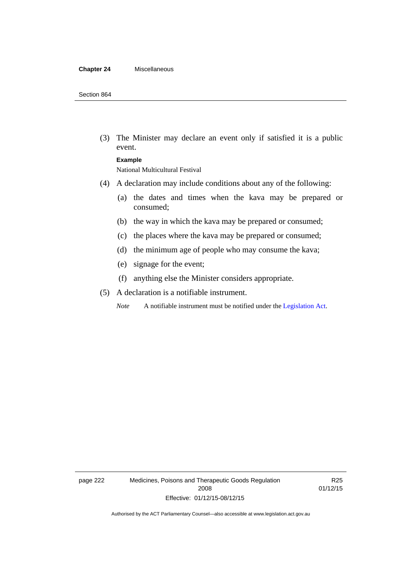#### **Chapter 24** Miscellaneous

 (3) The Minister may declare an event only if satisfied it is a public event.

#### **Example**

National Multicultural Festival

- (4) A declaration may include conditions about any of the following:
	- (a) the dates and times when the kava may be prepared or consumed;
	- (b) the way in which the kava may be prepared or consumed;
	- (c) the places where the kava may be prepared or consumed;
	- (d) the minimum age of people who may consume the kava;
	- (e) signage for the event;
	- (f) anything else the Minister considers appropriate.
- (5) A declaration is a notifiable instrument.
	- *Note* A notifiable instrument must be notified under the [Legislation Act](http://www.legislation.act.gov.au/a/2001-14).

page 222 Medicines, Poisons and Therapeutic Goods Regulation 2008 Effective: 01/12/15-08/12/15

R25 01/12/15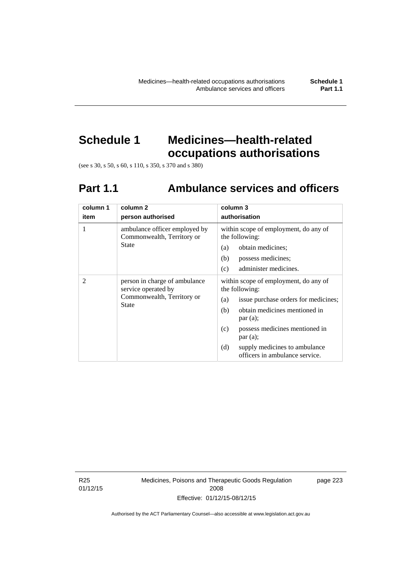# **Schedule 1 Medicines—health-related**

**occupations authorisations** 

(see s 30, s 50, s 60, s 110, s 350, s 370 and s 380)

# **Part 1.1 Ambulance services and officers**

| column 1<br>item | column <sub>2</sub><br>person authorised                                                           | column 3<br>authorisation                                                                                                                                                                                                                                                                                               |
|------------------|----------------------------------------------------------------------------------------------------|-------------------------------------------------------------------------------------------------------------------------------------------------------------------------------------------------------------------------------------------------------------------------------------------------------------------------|
| 1                | ambulance officer employed by<br>Commonwealth, Territory or<br><b>State</b>                        | within scope of employment, do any of<br>the following:<br>obtain medicines;<br>(a)<br>possess medicines;<br>(b)                                                                                                                                                                                                        |
| 2                | person in charge of ambulance<br>service operated by<br>Commonwealth, Territory or<br><b>State</b> | administer medicines.<br>(c)<br>within scope of employment, do any of<br>the following:<br>issue purchase orders for medicines;<br>(a)<br>obtain medicines mentioned in<br>(b)<br>par(a);<br>possess medicines mentioned in<br>(c)<br>par(a);<br>(d)<br>supply medicines to ambulance<br>officers in ambulance service. |

R25 01/12/15 Medicines, Poisons and Therapeutic Goods Regulation 2008 Effective: 01/12/15-08/12/15

page 223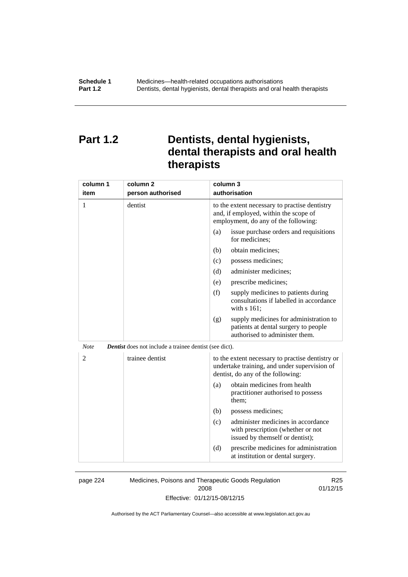# **Part 1.2 Dentists, dental hygienists, dental therapists and oral health therapists**

| column 1<br>item | column <sub>2</sub><br>person authorised               | column 3<br>authorisation                                                                                                             |
|------------------|--------------------------------------------------------|---------------------------------------------------------------------------------------------------------------------------------------|
| 1                | dentist                                                | to the extent necessary to practise dentistry<br>and, if employed, within the scope of<br>employment, do any of the following:        |
|                  |                                                        | issue purchase orders and requisitions<br>(a)<br>for medicines;                                                                       |
|                  |                                                        | obtain medicines;<br>(b)                                                                                                              |
|                  |                                                        | (c)<br>possess medicines;                                                                                                             |
|                  |                                                        | (d)<br>administer medicines;                                                                                                          |
|                  |                                                        | prescribe medicines;<br>(e)                                                                                                           |
|                  |                                                        | (f)<br>supply medicines to patients during<br>consultations if labelled in accordance<br>with s 161;                                  |
|                  |                                                        | supply medicines for administration to<br>(g)<br>patients at dental surgery to people<br>authorised to administer them.               |
| <b>Note</b>      | Dentist does not include a trainee dentist (see dict). |                                                                                                                                       |
| 2                | trainee dentist                                        | to the extent necessary to practise dentistry or<br>undertake training, and under supervision of<br>dentist, do any of the following: |
|                  |                                                        | obtain medicines from health<br>(a)<br>practitioner authorised to possess<br>them;                                                    |
|                  |                                                        | (b)<br>possess medicines;                                                                                                             |
|                  |                                                        | administer medicines in accordance<br>(c)<br>with prescription (whether or not<br>issued by themself or dentist);                     |
|                  |                                                        | (d)<br>prescribe medicines for administration<br>at institution or dental surgery.                                                    |

page 224 Medicines, Poisons and Therapeutic Goods Regulation 2008 Effective: 01/12/15-08/12/15

R25 01/12/15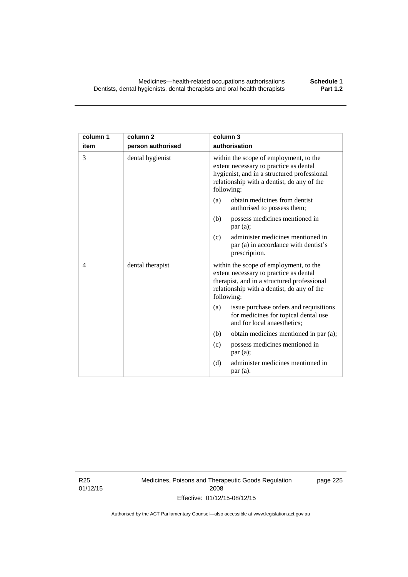| column 1<br>item | column <sub>2</sub><br>person authorised | column 3<br>authorisation                                                                                                                                                                   |
|------------------|------------------------------------------|---------------------------------------------------------------------------------------------------------------------------------------------------------------------------------------------|
| 3                | dental hygienist                         | within the scope of employment, to the<br>extent necessary to practice as dental<br>hygienist, and in a structured professional<br>relationship with a dentist, do any of the<br>following: |
|                  |                                          | obtain medicines from dentist<br>(a)<br>authorised to possess them;                                                                                                                         |
|                  |                                          | possess medicines mentioned in<br>(b)<br>par(a);                                                                                                                                            |
|                  |                                          | administer medicines mentioned in<br>(c)<br>par (a) in accordance with dentist's<br>prescription.                                                                                           |
| $\overline{4}$   | dental therapist                         | within the scope of employment, to the<br>extent necessary to practice as dental<br>therapist, and in a structured professional<br>relationship with a dentist, do any of the<br>following: |
|                  |                                          | issue purchase orders and requisitions<br>(a)<br>for medicines for topical dental use<br>and for local anaesthetics;                                                                        |
|                  |                                          | (b)<br>obtain medicines mentioned in par (a);                                                                                                                                               |
|                  |                                          | possess medicines mentioned in<br>(c)<br>par(a);                                                                                                                                            |
|                  |                                          | (d)<br>administer medicines mentioned in<br>par(a).                                                                                                                                         |

R25 01/12/15 Medicines, Poisons and Therapeutic Goods Regulation 2008 Effective: 01/12/15-08/12/15

page 225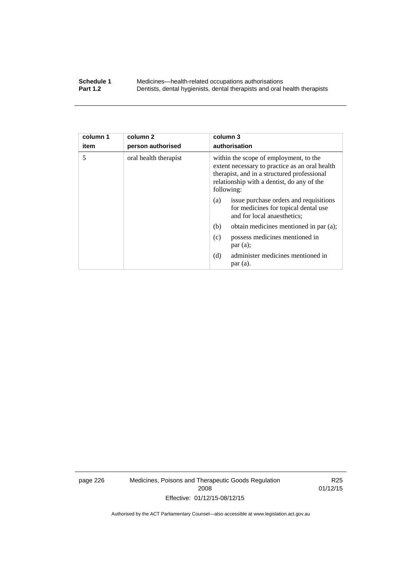#### **Schedule 1** Medicines—health-related occupations authorisations<br>**Part 1.2** Dentists, dental hygienists, dental therapists and oral health **Part 1.2** Dentists, dental hygienists, dental therapists and oral health therapists

| column 1<br>item | column <sub>2</sub><br>person authorised | column 3<br>authorisation                                                                                                                                                                           |
|------------------|------------------------------------------|-----------------------------------------------------------------------------------------------------------------------------------------------------------------------------------------------------|
| 5                | oral health therapist                    | within the scope of employment, to the<br>extent necessary to practice as an oral health<br>therapist, and in a structured professional<br>relationship with a dentist, do any of the<br>following: |
|                  |                                          | issue purchase orders and requisitions<br>(a)<br>for medicines for topical dental use<br>and for local anaesthetics;                                                                                |
|                  |                                          | obtain medicines mentioned in par (a);<br>(b)                                                                                                                                                       |
|                  |                                          | possess medicines mentioned in<br>(c)<br>par(a);                                                                                                                                                    |
|                  |                                          | administer medicines mentioned in<br>(d)<br>par (a).                                                                                                                                                |

page 226 Medicines, Poisons and Therapeutic Goods Regulation 2008 Effective: 01/12/15-08/12/15

R25 01/12/15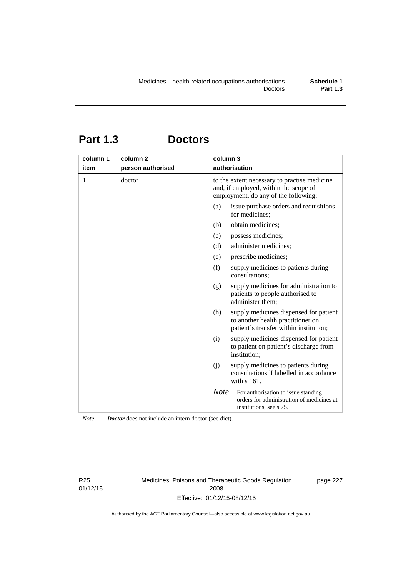# **Part 1.3 Doctors**

| column 1 | column <sub>2</sub> | column 3                                                                                                                      |
|----------|---------------------|-------------------------------------------------------------------------------------------------------------------------------|
| item     | person authorised   | authorisation                                                                                                                 |
| 1        | doctor              | to the extent necessary to practise medicine<br>and, if employed, within the scope of<br>employment, do any of the following: |
|          |                     | (a)<br>issue purchase orders and requisitions<br>for medicines;                                                               |
|          |                     | obtain medicines;<br>(b)                                                                                                      |
|          |                     | possess medicines;<br>(c)                                                                                                     |
|          |                     | administer medicines;<br>(d)                                                                                                  |
|          |                     | prescribe medicines;<br>(e)                                                                                                   |
|          |                     | (f)<br>supply medicines to patients during<br>consultations;                                                                  |
|          |                     | (g)<br>supply medicines for administration to<br>patients to people authorised to<br>administer them;                         |
|          |                     | supply medicines dispensed for patient<br>(h)<br>to another health practitioner on<br>patient's transfer within institution;  |
|          |                     | (i)<br>supply medicines dispensed for patient<br>to patient on patient's discharge from<br>institution;                       |
|          |                     | (i)<br>supply medicines to patients during<br>consultations if labelled in accordance<br>with s 161.                          |
|          |                     | <b>Note</b><br>For authorisation to issue standing<br>orders for administration of medicines at<br>institutions, see s 75.    |

*Note Doctor* does not include an intern doctor (see dict).

R25 01/12/15 Medicines, Poisons and Therapeutic Goods Regulation 2008 Effective: 01/12/15-08/12/15

page 227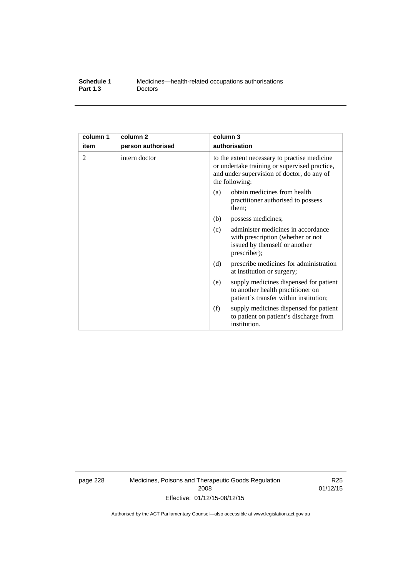| Schedule 1      | Medicines—health-related occupations authorisations |
|-----------------|-----------------------------------------------------|
| <b>Part 1.3</b> | <b>Doctors</b>                                      |

| column 1 | column <sub>2</sub> | column 3                                                                                                                                                      |
|----------|---------------------|---------------------------------------------------------------------------------------------------------------------------------------------------------------|
| item     | person authorised   | authorisation                                                                                                                                                 |
| 2        | intern doctor       | to the extent necessary to practise medicine<br>or undertake training or supervised practice,<br>and under supervision of doctor, do any of<br>the following: |
|          |                     | obtain medicines from health<br>(a)<br>practitioner authorised to possess<br>them:                                                                            |
|          |                     | (b)<br>possess medicines;                                                                                                                                     |
|          |                     | administer medicines in accordance<br>(c)<br>with prescription (whether or not<br>issued by themself or another<br>prescriber);                               |
|          |                     | (d)<br>prescribe medicines for administration<br>at institution or surgery;                                                                                   |
|          |                     | supply medicines dispensed for patient<br>(e)<br>to another health practitioner on<br>patient's transfer within institution;                                  |
|          |                     | (f)<br>supply medicines dispensed for patient<br>to patient on patient's discharge from<br>institution.                                                       |

page 228 Medicines, Poisons and Therapeutic Goods Regulation 2008 Effective: 01/12/15-08/12/15

R25 01/12/15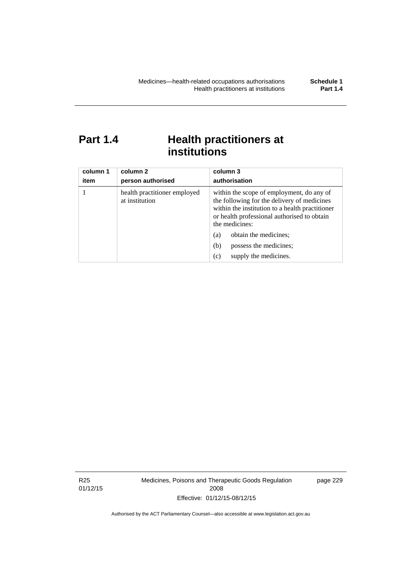### **Part 1.4 Health practitioners at institutions**

| column 1<br>item | column 2<br>person authorised                  | column 3<br>authorisation                                                                                                                                                                                    |
|------------------|------------------------------------------------|--------------------------------------------------------------------------------------------------------------------------------------------------------------------------------------------------------------|
|                  | health practitioner employed<br>at institution | within the scope of employment, do any of<br>the following for the delivery of medicines<br>within the institution to a health practitioner<br>or health professional authorised to obtain<br>the medicines: |
|                  |                                                | obtain the medicines;<br>(a)                                                                                                                                                                                 |
|                  |                                                | possess the medicines;<br>(b)                                                                                                                                                                                |
|                  |                                                | supply the medicines.<br>(c)                                                                                                                                                                                 |

R25 01/12/15 Medicines, Poisons and Therapeutic Goods Regulation 2008 Effective: 01/12/15-08/12/15

page 229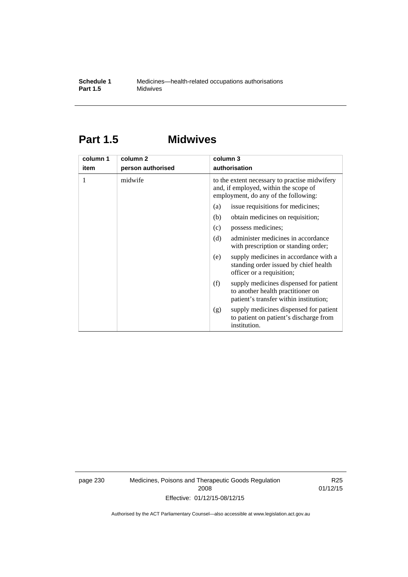### **Part 1.5 Midwives**

| column 1 | column 2          | column 3                                                                                                                       |  |  |
|----------|-------------------|--------------------------------------------------------------------------------------------------------------------------------|--|--|
| item     | person authorised | authorisation                                                                                                                  |  |  |
| 1        | midwife           | to the extent necessary to practise midwifery<br>and, if employed, within the scope of<br>employment, do any of the following: |  |  |
|          |                   | issue requisitions for medicines;<br>(a)                                                                                       |  |  |
|          |                   | (b)<br>obtain medicines on requisition;                                                                                        |  |  |
|          |                   | possess medicines;<br>(c)                                                                                                      |  |  |
|          |                   | administer medicines in accordance<br>(d)<br>with prescription or standing order;                                              |  |  |
|          |                   | supply medicines in accordance with a<br>(e)<br>standing order issued by chief health<br>officer or a requisition;             |  |  |
|          |                   | supply medicines dispensed for patient<br>(f)<br>to another health practitioner on<br>patient's transfer within institution;   |  |  |
|          |                   | supply medicines dispensed for patient<br>(g)<br>to patient on patient's discharge from<br>institution.                        |  |  |

page 230 Medicines, Poisons and Therapeutic Goods Regulation 2008 Effective: 01/12/15-08/12/15

R25 01/12/15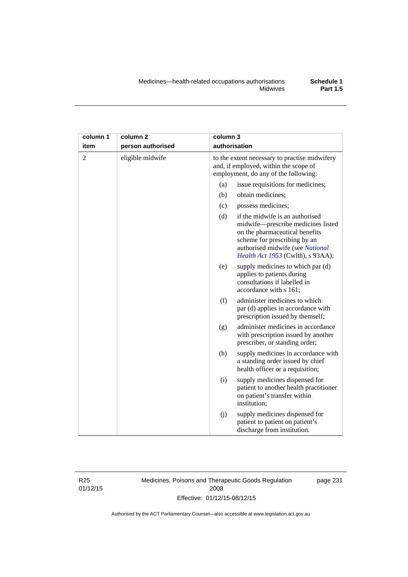| column 1       | column <sub>2</sub> | column 3 |                                                                                                                                                                                                                  |
|----------------|---------------------|----------|------------------------------------------------------------------------------------------------------------------------------------------------------------------------------------------------------------------|
| item           | person authorised   |          | authorisation                                                                                                                                                                                                    |
| $\overline{2}$ | eligible midwife    |          | to the extent necessary to practise midwifery<br>and, if employed, within the scope of<br>employment, do any of the following:                                                                                   |
|                |                     | (a)      | issue requisitions for medicines;                                                                                                                                                                                |
|                |                     | (b)      | obtain medicines;                                                                                                                                                                                                |
|                |                     | (c)      | possess medicines;                                                                                                                                                                                               |
|                |                     | (d)      | if the midwife is an authorised<br>midwife-prescribe medicines listed<br>on the pharmaceutical benefits<br>scheme for prescribing by an<br>authorised midwife (see National<br>Health Act 1953 (Cwlth), s 93AA); |
|                |                     | (e)      | supply medicines to which par (d)<br>applies to patients during<br>consultations if labelled in<br>accordance with s 161;                                                                                        |
|                |                     | (f)      | administer medicines to which<br>par (d) applies in accordance with<br>prescription issued by themself;                                                                                                          |
|                |                     | (g)      | administer medicines in accordance<br>with prescription issued by another<br>prescriber, or standing order;                                                                                                      |
|                |                     | (h)      | supply medicines in accordance with<br>a standing order issued by chief<br>health officer or a requisition;                                                                                                      |
|                |                     | (i)      | supply medicines dispensed for<br>patient to another health practitioner<br>on patient's transfer within<br>institution;                                                                                         |
|                |                     | (i)      | supply medicines dispensed for<br>patient to patient on patient's<br>discharge from institution.                                                                                                                 |

R25 01/12/15 Medicines, Poisons and Therapeutic Goods Regulation 2008 Effective: 01/12/15-08/12/15

page 231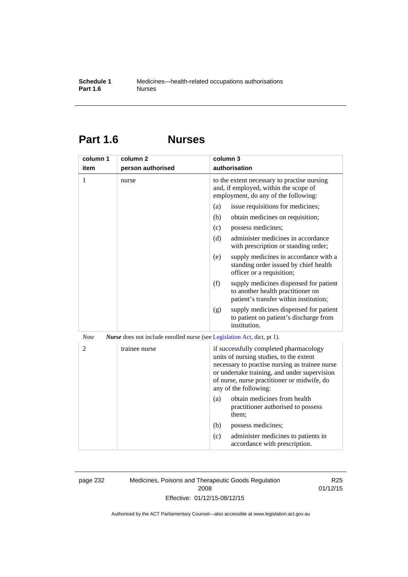### **Part 1.6 Nurses**

| column 1    | column <sub>2</sub>                                                             | column 3                                                                                                                                                                                                                                                    |
|-------------|---------------------------------------------------------------------------------|-------------------------------------------------------------------------------------------------------------------------------------------------------------------------------------------------------------------------------------------------------------|
| item        | person authorised                                                               | authorisation                                                                                                                                                                                                                                               |
| 1           | nurse                                                                           | to the extent necessary to practise nursing<br>and, if employed, within the scope of<br>employment, do any of the following:                                                                                                                                |
|             |                                                                                 | issue requisitions for medicines;<br>(a)                                                                                                                                                                                                                    |
|             |                                                                                 | (b)<br>obtain medicines on requisition;                                                                                                                                                                                                                     |
|             |                                                                                 | (c)<br>possess medicines;                                                                                                                                                                                                                                   |
|             |                                                                                 | (d)<br>administer medicines in accordance<br>with prescription or standing order;                                                                                                                                                                           |
|             |                                                                                 | (e)<br>supply medicines in accordance with a<br>standing order issued by chief health<br>officer or a requisition;                                                                                                                                          |
|             |                                                                                 | (f)<br>supply medicines dispensed for patient<br>to another health practitioner on<br>patient's transfer within institution;                                                                                                                                |
|             |                                                                                 | supply medicines dispensed for patient<br>(g)<br>to patient on patient's discharge from<br>institution.                                                                                                                                                     |
| <b>Note</b> | <i>Nurse</i> does not include enrolled nurse (see Legislation Act, dict, pt 1). |                                                                                                                                                                                                                                                             |
| 2           | trainee nurse                                                                   | if successfully completed pharmacology<br>units of nursing studies, to the extent<br>necessary to practise nursing as trainee nurse<br>or undertake training, and under supervision<br>of nurse, nurse practitioner or midwife, do<br>any of the following: |
|             |                                                                                 | obtain medicines from health<br>(a)<br>practitioner authorised to possess<br>them;                                                                                                                                                                          |
|             |                                                                                 | (b)<br>possess medicines;                                                                                                                                                                                                                                   |
|             |                                                                                 | administer medicines to patients in<br>(c)<br>accordance with prescription.                                                                                                                                                                                 |

page 232 Medicines, Poisons and Therapeutic Goods Regulation 2008 Effective: 01/12/15-08/12/15

R25 01/12/15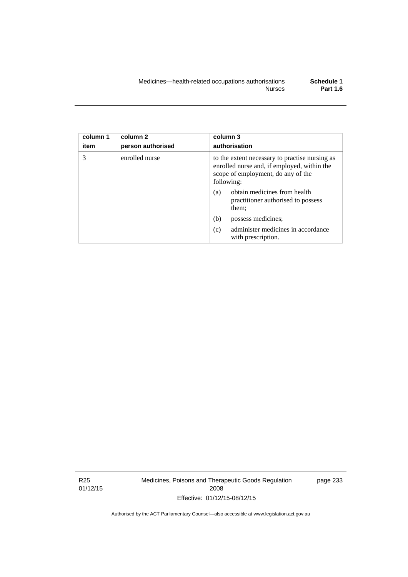| column 1<br>item | column 2<br>person authorised | column 3<br>authorisation                                                                                                                         |
|------------------|-------------------------------|---------------------------------------------------------------------------------------------------------------------------------------------------|
| 3                | enrolled nurse                | to the extent necessary to practise nursing as<br>enrolled nurse and, if employed, within the<br>scope of employment, do any of the<br>following: |
|                  |                               | obtain medicines from health<br>(a)<br>practitioner authorised to possess<br>them;                                                                |
|                  |                               | (b)<br>possess medicines;                                                                                                                         |
|                  |                               | administer medicines in accordance<br>(c)<br>with prescription.                                                                                   |

R25 01/12/15 Medicines, Poisons and Therapeutic Goods Regulation 2008 Effective: 01/12/15-08/12/15

page 233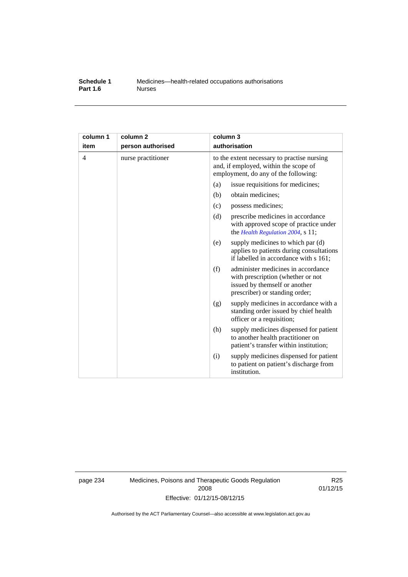#### **Schedule 1** Medicines—health-related occupations authorisations<br>**Part 1.6** Murses **Part 1.6**

| column 1<br>item | column <sub>2</sub><br>person authorised | column 3<br>authorisation                                                                                                                         |
|------------------|------------------------------------------|---------------------------------------------------------------------------------------------------------------------------------------------------|
| 4                | nurse practitioner                       | to the extent necessary to practise nursing<br>and, if employed, within the scope of<br>employment, do any of the following:                      |
|                  |                                          | issue requisitions for medicines;<br>(a)                                                                                                          |
|                  |                                          | obtain medicines;<br>(b)                                                                                                                          |
|                  |                                          | possess medicines;<br>(c)                                                                                                                         |
|                  |                                          | (d)<br>prescribe medicines in accordance<br>with approved scope of practice under<br>the Health Regulation 2004, s 11;                            |
|                  |                                          | supply medicines to which par (d)<br>(e)<br>applies to patients during consultations<br>if labelled in accordance with s 161;                     |
|                  |                                          | (f)<br>administer medicines in accordance<br>with prescription (whether or not<br>issued by themself or another<br>prescriber) or standing order; |
|                  |                                          | supply medicines in accordance with a<br>(g)<br>standing order issued by chief health<br>officer or a requisition;                                |
|                  |                                          | supply medicines dispensed for patient<br>(h)<br>to another health practitioner on<br>patient's transfer within institution;                      |
|                  |                                          | supply medicines dispensed for patient<br>(i)<br>to patient on patient's discharge from<br>institution.                                           |

page 234 Medicines, Poisons and Therapeutic Goods Regulation 2008 Effective: 01/12/15-08/12/15

R25 01/12/15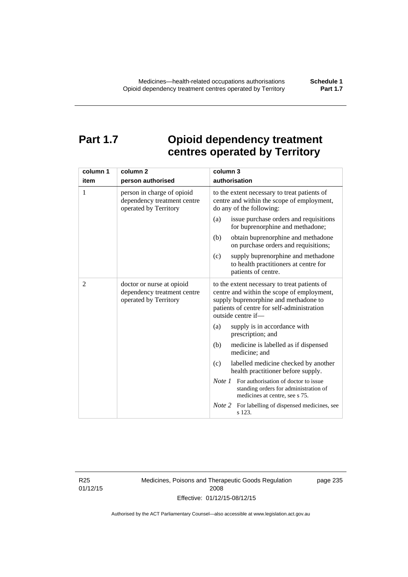### **Part 1.7 Opioid dependency treatment centres operated by Territory**

| column 1       | column <sub>2</sub>                                                                | column 3                                                                                                                                                                                                |
|----------------|------------------------------------------------------------------------------------|---------------------------------------------------------------------------------------------------------------------------------------------------------------------------------------------------------|
| item           | person authorised                                                                  | authorisation                                                                                                                                                                                           |
| 1              | person in charge of opioid<br>dependency treatment centre<br>operated by Territory | to the extent necessary to treat patients of<br>centre and within the scope of employment,<br>do any of the following:                                                                                  |
|                |                                                                                    | issue purchase orders and requisitions<br>(a)<br>for buprenorphine and methadone;                                                                                                                       |
|                |                                                                                    | obtain buprenorphine and methadone<br>(b)<br>on purchase orders and requisitions;                                                                                                                       |
|                |                                                                                    | supply buprenorphine and methadone<br>(c)<br>to health practitioners at centre for<br>patients of centre.                                                                                               |
| $\overline{2}$ | doctor or nurse at opioid<br>dependency treatment centre<br>operated by Territory  | to the extent necessary to treat patients of<br>centre and within the scope of employment,<br>supply buprenorphine and methadone to<br>patients of centre for self-administration<br>outside centre if- |
|                |                                                                                    | supply is in accordance with<br>(a)<br>prescription; and                                                                                                                                                |
|                |                                                                                    | (b)<br>medicine is labelled as if dispensed<br>medicine; and                                                                                                                                            |
|                |                                                                                    | (c)<br>labelled medicine checked by another<br>health practitioner before supply.                                                                                                                       |
|                |                                                                                    | <i>Note 1</i> For authorisation of doctor to issue<br>standing orders for administration of<br>medicines at centre, see s 75.                                                                           |
|                |                                                                                    | Note 2<br>For labelling of dispensed medicines, see<br>s 123.                                                                                                                                           |

R25 01/12/15 Medicines, Poisons and Therapeutic Goods Regulation 2008 Effective: 01/12/15-08/12/15

page 235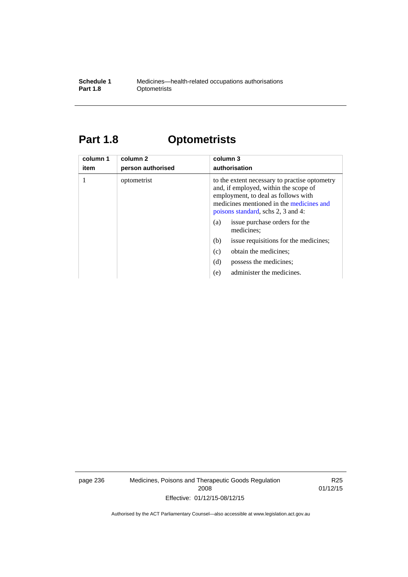#### **Schedule 1** Medicines—health-related occupations authorisations<br>**Part 1.8** Optometrists **Optometrists**

## **Part 1.8 Optometrists**

| column 1<br>item | column 2<br>person authorised | column 3<br>authorisation                                                                                                                                                                                       |
|------------------|-------------------------------|-----------------------------------------------------------------------------------------------------------------------------------------------------------------------------------------------------------------|
|                  | optometrist                   | to the extent necessary to practise optometry<br>and, if employed, within the scope of<br>employment, to deal as follows with<br>medicines mentioned in the medicines and<br>poisons standard, schs 2, 3 and 4: |
|                  |                               | issue purchase orders for the<br>(a)<br>medicines;                                                                                                                                                              |
|                  |                               | issue requisitions for the medicines;<br>(b)                                                                                                                                                                    |
|                  |                               | obtain the medicines;<br>(c)                                                                                                                                                                                    |
|                  |                               | (d)<br>possess the medicines:                                                                                                                                                                                   |
|                  |                               | administer the medicines.<br>(e)                                                                                                                                                                                |

page 236 Medicines, Poisons and Therapeutic Goods Regulation 2008 Effective: 01/12/15-08/12/15

R25 01/12/15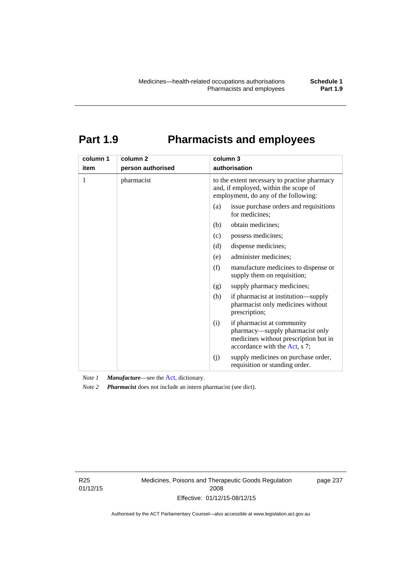# **Part 1.9 Pharmacists and employees**

| column 1 | column <sub>2</sub> | column 3                                                                                                                                       |  |  |
|----------|---------------------|------------------------------------------------------------------------------------------------------------------------------------------------|--|--|
| item     | person authorised   | authorisation                                                                                                                                  |  |  |
| 1        | pharmacist          | to the extent necessary to practise pharmacy<br>and, if employed, within the scope of<br>employment, do any of the following:                  |  |  |
|          |                     | issue purchase orders and requisitions<br>(a)<br>for medicines;                                                                                |  |  |
|          |                     | obtain medicines;<br>(b)                                                                                                                       |  |  |
|          |                     | possess medicines;<br>(c)                                                                                                                      |  |  |
|          |                     | dispense medicines;<br>(d)                                                                                                                     |  |  |
|          |                     | administer medicines;<br>(e)                                                                                                                   |  |  |
|          |                     | (f)<br>manufacture medicines to dispense or<br>supply them on requisition;                                                                     |  |  |
|          |                     | supply pharmacy medicines;<br>(g)                                                                                                              |  |  |
|          |                     | (h)<br>if pharmacist at institution—supply<br>pharmacist only medicines without<br>prescription;                                               |  |  |
|          |                     | if pharmacist at community<br>(i)<br>pharmacy—supply pharmacist only<br>medicines without prescription but in<br>accordance with the Act, s 7; |  |  |
|          |                     | supply medicines on purchase order,<br>(j)<br>requisition or standing order.                                                                   |  |  |

*Note 1 Manufacture*—see the [Act,](http://www.legislation.act.gov.au/a/2008-26/default.asp) dictionary.

*Note 2 Pharmacist* does not include an intern pharmacist (see dict).

R25 01/12/15 Medicines, Poisons and Therapeutic Goods Regulation 2008 Effective: 01/12/15-08/12/15

page 237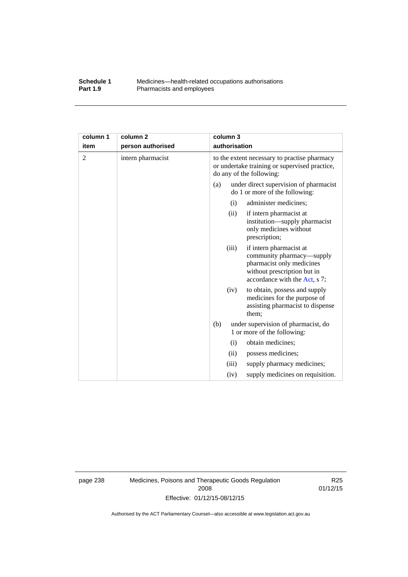#### **Schedule 1** Medicines—health-related occupations authorisations<br>**Part 1.9** Pharmacists and employees Pharmacists and employees

| column 1       | column <sub>2</sub> |     | column 3      |                                                                                                                                                   |
|----------------|---------------------|-----|---------------|---------------------------------------------------------------------------------------------------------------------------------------------------|
| item           | person authorised   |     | authorisation |                                                                                                                                                   |
| $\overline{c}$ | intern pharmacist   |     |               | to the extent necessary to practise pharmacy<br>or undertake training or supervised practice,<br>do any of the following:                         |
|                |                     | (a) |               | under direct supervision of pharmacist<br>do 1 or more of the following:                                                                          |
|                |                     |     | (i)           | administer medicines;                                                                                                                             |
|                |                     |     | (ii)          | if intern pharmacist at<br>institution-supply pharmacist<br>only medicines without<br>prescription;                                               |
|                |                     |     | (iii)         | if intern pharmacist at<br>community pharmacy—supply<br>pharmacist only medicines<br>without prescription but in<br>accordance with the Act, s 7; |
|                |                     |     | (iv)          | to obtain, possess and supply<br>medicines for the purpose of<br>assisting pharmacist to dispense<br>them;                                        |
|                |                     | (b) |               | under supervision of pharmacist, do<br>1 or more of the following:                                                                                |
|                |                     |     | (i)           | obtain medicines;                                                                                                                                 |
|                |                     |     | (ii)          | possess medicines;                                                                                                                                |
|                |                     |     | (iii)         | supply pharmacy medicines;                                                                                                                        |
|                |                     |     | (iv)          | supply medicines on requisition.                                                                                                                  |

page 238 Medicines, Poisons and Therapeutic Goods Regulation 2008 Effective: 01/12/15-08/12/15

R25 01/12/15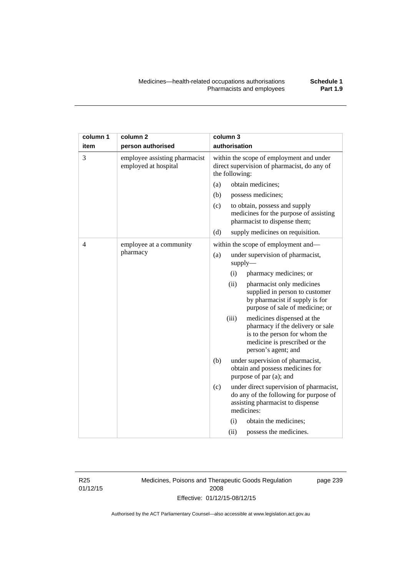| column 1 | column <sub>2</sub>                                   |                | column 3 |                                                                                                                                                         |
|----------|-------------------------------------------------------|----------------|----------|---------------------------------------------------------------------------------------------------------------------------------------------------------|
| item     | person authorised                                     | authorisation  |          |                                                                                                                                                         |
| 3        | employee assisting pharmacist<br>employed at hospital | the following: |          | within the scope of employment and under<br>direct supervision of pharmacist, do any of                                                                 |
|          |                                                       | (a)            |          | obtain medicines;                                                                                                                                       |
|          |                                                       | (b)            |          | possess medicines;                                                                                                                                      |
|          |                                                       | (c)            |          | to obtain, possess and supply<br>medicines for the purpose of assisting<br>pharmacist to dispense them;                                                 |
|          |                                                       | (d)            |          | supply medicines on requisition.                                                                                                                        |
| 4        | employee at a community                               |                |          | within the scope of employment and-                                                                                                                     |
| pharmacy |                                                       | (a)            |          | under supervision of pharmacist,<br>supply                                                                                                              |
|          |                                                       |                | (i)      | pharmacy medicines; or                                                                                                                                  |
|          |                                                       |                | (ii)     | pharmacist only medicines<br>supplied in person to customer<br>by pharmacist if supply is for<br>purpose of sale of medicine; or                        |
|          |                                                       |                | (iii)    | medicines dispensed at the<br>pharmacy if the delivery or sale<br>is to the person for whom the<br>medicine is prescribed or the<br>person's agent; and |
|          |                                                       | (b)            |          | under supervision of pharmacist,<br>obtain and possess medicines for<br>purpose of par (a); and                                                         |
|          |                                                       | (c)            |          | under direct supervision of pharmacist,<br>do any of the following for purpose of<br>assisting pharmacist to dispense<br>medicines:                     |
|          |                                                       |                | (i)      | obtain the medicines;                                                                                                                                   |
|          |                                                       |                | (ii)     | possess the medicines.                                                                                                                                  |

R25 01/12/15 Medicines, Poisons and Therapeutic Goods Regulation 2008 Effective: 01/12/15-08/12/15

page 239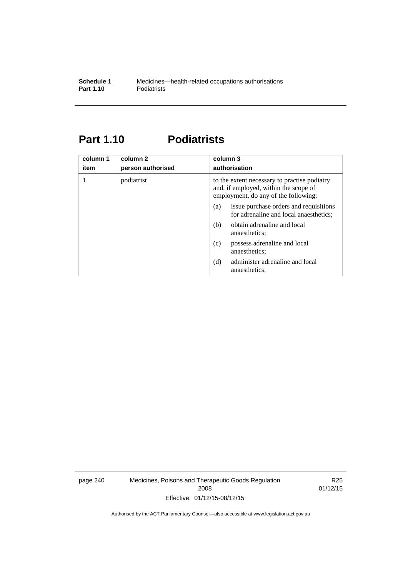### **Part 1.10 Podiatrists**

| column 1<br>item | column 2<br>person authorised | column 3<br>authorisation                                                                                                     |  |
|------------------|-------------------------------|-------------------------------------------------------------------------------------------------------------------------------|--|
|                  | podiatrist                    | to the extent necessary to practise podiatry<br>and, if employed, within the scope of<br>employment, do any of the following: |  |
|                  |                               | issue purchase orders and requisitions<br>(a)<br>for adrenaline and local anaesthetics;                                       |  |
|                  |                               | obtain adrenaline and local<br>(b)<br>anaesthetics:                                                                           |  |
|                  |                               | possess adrenaline and local<br>(c)<br>anaesthetics;                                                                          |  |
|                  |                               | administer adrenaline and local<br>(d)<br>anaesthetics.                                                                       |  |

page 240 Medicines, Poisons and Therapeutic Goods Regulation 2008 Effective: 01/12/15-08/12/15

R25 01/12/15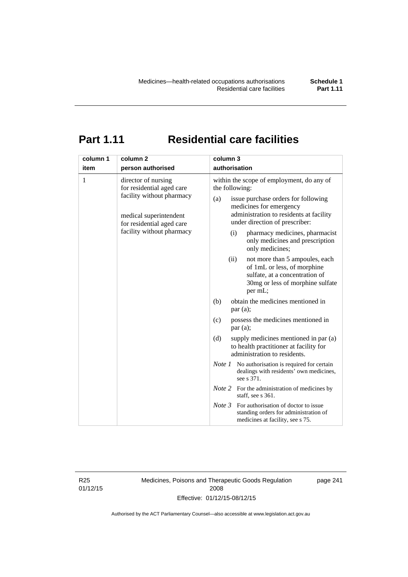## **Part 1.11 Residential care facilities**

| column 1 | column <sub>2</sub>                                                                                                                                               | column 3                                                                                                                                                                                                                                                                                                                                                                                  |
|----------|-------------------------------------------------------------------------------------------------------------------------------------------------------------------|-------------------------------------------------------------------------------------------------------------------------------------------------------------------------------------------------------------------------------------------------------------------------------------------------------------------------------------------------------------------------------------------|
| item     | person authorised                                                                                                                                                 | authorisation                                                                                                                                                                                                                                                                                                                                                                             |
| 1        | director of nursing<br>for residential aged care<br>facility without pharmacy<br>medical superintendent<br>for residential aged care<br>facility without pharmacy | within the scope of employment, do any of<br>the following:<br>issue purchase orders for following<br>(a)<br>medicines for emergency<br>administration to residents at facility<br>under direction of prescriber:<br>pharmacy medicines, pharmacist<br>(i)<br>only medicines and prescription<br>only medicines;<br>(ii)<br>not more than 5 ampoules, each<br>of 1mL or less, of morphine |
|          |                                                                                                                                                                   | sulfate, at a concentration of<br>30mg or less of morphine sulfate<br>per mL;                                                                                                                                                                                                                                                                                                             |
|          |                                                                                                                                                                   | obtain the medicines mentioned in<br>(b)<br>par(a);                                                                                                                                                                                                                                                                                                                                       |
|          |                                                                                                                                                                   | possess the medicines mentioned in<br>(c)<br>par(a);                                                                                                                                                                                                                                                                                                                                      |
|          |                                                                                                                                                                   | (d)<br>supply medicines mentioned in par (a)<br>to health practitioner at facility for<br>administration to residents.                                                                                                                                                                                                                                                                    |
|          |                                                                                                                                                                   | <i>Note 1</i> No authorisation is required for certain<br>dealings with residents' own medicines,<br>see s 371.                                                                                                                                                                                                                                                                           |
|          |                                                                                                                                                                   | <i>Note</i> 2 For the administration of medicines by<br>staff, see s 361.                                                                                                                                                                                                                                                                                                                 |
|          |                                                                                                                                                                   | Note 3<br>For authorisation of doctor to issue<br>standing orders for administration of<br>medicines at facility, see s 75.                                                                                                                                                                                                                                                               |

R25 01/12/15 Medicines, Poisons and Therapeutic Goods Regulation 2008 Effective: 01/12/15-08/12/15

page 241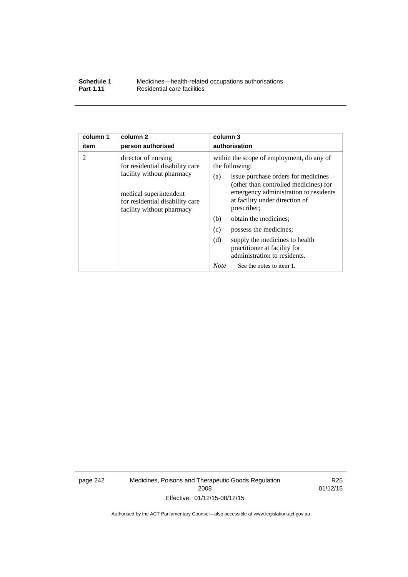| Schedule 1       | Medicines—health-related occupations authorisations |
|------------------|-----------------------------------------------------|
| <b>Part 1.11</b> | Residential care facilities                         |

| column 1<br>item                                                                                                                                       | column <sub>2</sub><br>person authorised                                                                                                                                      | column 3<br>authorisation                                                                             |  |
|--------------------------------------------------------------------------------------------------------------------------------------------------------|-------------------------------------------------------------------------------------------------------------------------------------------------------------------------------|-------------------------------------------------------------------------------------------------------|--|
| $\overline{2}$                                                                                                                                         | director of nursing                                                                                                                                                           | within the scope of employment, do any of                                                             |  |
| for residential disability care<br>facility without pharmacy<br>medical superintendent<br>for residential disability care<br>facility without pharmacy |                                                                                                                                                                               | the following:                                                                                        |  |
|                                                                                                                                                        | issue purchase orders for medicines<br>(a)<br>(other than controlled medicines) for<br>emergency administration to residents<br>at facility under direction of<br>prescriber; |                                                                                                       |  |
|                                                                                                                                                        |                                                                                                                                                                               | obtain the medicines;<br>(b)                                                                          |  |
|                                                                                                                                                        |                                                                                                                                                                               | (c)<br>possess the medicines;                                                                         |  |
|                                                                                                                                                        |                                                                                                                                                                               | (d)<br>supply the medicines to health<br>practitioner at facility for<br>administration to residents. |  |
|                                                                                                                                                        |                                                                                                                                                                               | <b>Note</b><br>See the notes to item 1.                                                               |  |

page 242 Medicines, Poisons and Therapeutic Goods Regulation 2008 Effective: 01/12/15-08/12/15

R25 01/12/15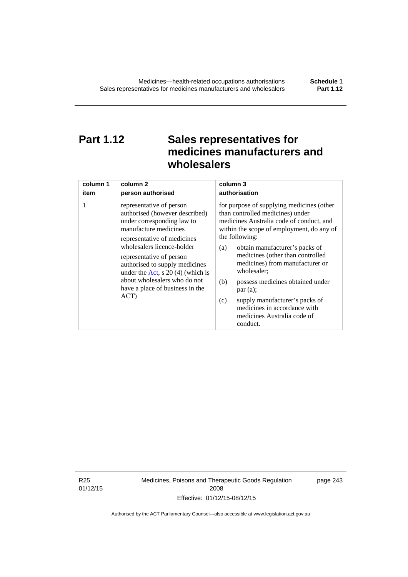### **Part 1.12 Sales representatives for medicines manufacturers and wholesalers**

| column 1 | column 2                                                                                                                                                                                                                                                                                                                                                      | column 3                                                                                                                                                                                                                                                                                                                                                                                                                                                                                          |  |
|----------|---------------------------------------------------------------------------------------------------------------------------------------------------------------------------------------------------------------------------------------------------------------------------------------------------------------------------------------------------------------|---------------------------------------------------------------------------------------------------------------------------------------------------------------------------------------------------------------------------------------------------------------------------------------------------------------------------------------------------------------------------------------------------------------------------------------------------------------------------------------------------|--|
| item     | person authorised                                                                                                                                                                                                                                                                                                                                             | authorisation                                                                                                                                                                                                                                                                                                                                                                                                                                                                                     |  |
| 1        | representative of person<br>authorised (however described)<br>under corresponding law to<br>manufacture medicines<br>representative of medicines<br>wholesalers licence-holder<br>representative of person<br>authorised to supply medicines<br>under the Act, s $20(4)$ (which is<br>about wholesalers who do not<br>have a place of business in the<br>ACT) | for purpose of supplying medicines (other<br>than controlled medicines) under<br>medicines Australia code of conduct, and<br>within the scope of employment, do any of<br>the following:<br>obtain manufacturer's packs of<br>(a)<br>medicines (other than controlled<br>medicines) from manufacturer or<br>wholesaler;<br>(b)<br>possess medicines obtained under<br>par(a);<br>supply manufacturer's packs of<br>(c)<br>medicines in accordance with<br>medicines Australia code of<br>conduct. |  |

R25 01/12/15 Medicines, Poisons and Therapeutic Goods Regulation 2008 Effective: 01/12/15-08/12/15

page 243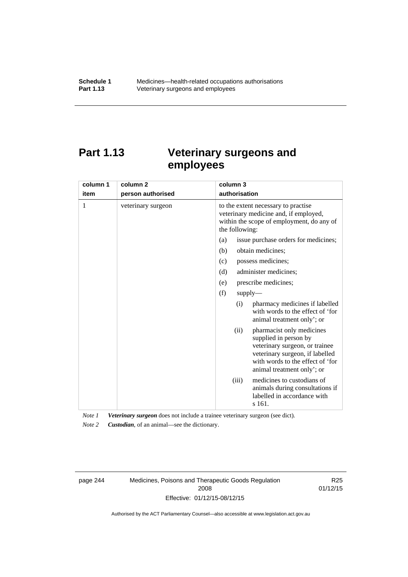### **Part 1.13 Veterinary surgeons and employees**

| column 1 | column <sub>2</sub> | column 3                                                                                                                                                                                          |  |  |
|----------|---------------------|---------------------------------------------------------------------------------------------------------------------------------------------------------------------------------------------------|--|--|
| item     | person authorised   | authorisation                                                                                                                                                                                     |  |  |
| 1        | veterinary surgeon  | to the extent necessary to practise<br>veterinary medicine and, if employed,<br>within the scope of employment, do any of<br>the following:                                                       |  |  |
|          |                     | issue purchase orders for medicines;<br>(a)                                                                                                                                                       |  |  |
|          |                     | (b)<br>obtain medicines;                                                                                                                                                                          |  |  |
|          |                     | possess medicines;<br>(c)                                                                                                                                                                         |  |  |
|          |                     | administer medicines;<br>(d)                                                                                                                                                                      |  |  |
|          |                     | prescribe medicines;<br>(e)                                                                                                                                                                       |  |  |
|          |                     | (f)<br>$supply$ —                                                                                                                                                                                 |  |  |
|          |                     | pharmacy medicines if labelled<br>(i)<br>with words to the effect of 'for<br>animal treatment only'; or                                                                                           |  |  |
|          |                     | (ii)<br>pharmacist only medicines<br>supplied in person by<br>veterinary surgeon, or trainee<br>veterinary surgeon, if labelled<br>with words to the effect of 'for<br>animal treatment only'; or |  |  |
|          |                     | medicines to custodians of<br>(iii)<br>animals during consultations if<br>labelled in accordance with<br>s 161.                                                                                   |  |  |

*Note 1 Veterinary surgeon* does not include a trainee veterinary surgeon (see dict).

*Note 2 Custodian*, of an animal—see the dictionary.

page 244 Medicines, Poisons and Therapeutic Goods Regulation 2008 Effective: 01/12/15-08/12/15

R25 01/12/15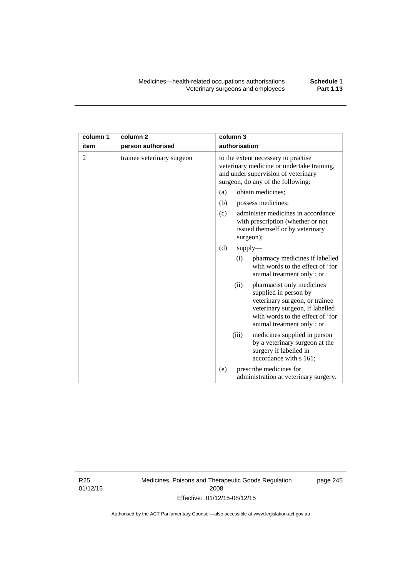| column 1 | column <sub>2</sub>        | column 3                                                                                                                                                                                          |  |  |
|----------|----------------------------|---------------------------------------------------------------------------------------------------------------------------------------------------------------------------------------------------|--|--|
| item     | person authorised          | authorisation                                                                                                                                                                                     |  |  |
| 2        | trainee veterinary surgeon | to the extent necessary to practise<br>veterinary medicine or undertake training,<br>and under supervision of veterinary<br>surgeon, do any of the following:                                     |  |  |
|          |                            | obtain medicines;<br>(a)                                                                                                                                                                          |  |  |
|          |                            | (b)<br>possess medicines;                                                                                                                                                                         |  |  |
|          |                            | administer medicines in accordance<br>(c)<br>with prescription (whether or not<br>issued themself or by veterinary<br>surgeon);                                                                   |  |  |
|          |                            | (d)<br>$supply$ —                                                                                                                                                                                 |  |  |
|          |                            | pharmacy medicines if labelled<br>(i)<br>with words to the effect of 'for<br>animal treatment only'; or                                                                                           |  |  |
|          |                            | (ii)<br>pharmacist only medicines<br>supplied in person by<br>veterinary surgeon, or trainee<br>veterinary surgeon, if labelled<br>with words to the effect of 'for<br>animal treatment only'; or |  |  |
|          |                            | (iii)<br>medicines supplied in person<br>by a veterinary surgeon at the<br>surgery if labelled in<br>accordance with s 161;                                                                       |  |  |
|          |                            | prescribe medicines for<br>(e)<br>administration at veterinary surgery.                                                                                                                           |  |  |

R25 01/12/15 Medicines, Poisons and Therapeutic Goods Regulation 2008 Effective: 01/12/15-08/12/15

page 245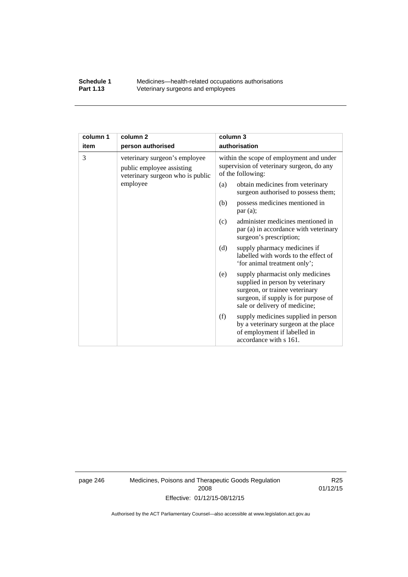#### **Schedule 1** Medicines—health-related occupations authorisations<br>**Part 1.13** Veterinary surgeons and employees Veterinary surgeons and employees

| column 1 | column 2                                                                                       | column 3                                                                                                                                                                               |  |
|----------|------------------------------------------------------------------------------------------------|----------------------------------------------------------------------------------------------------------------------------------------------------------------------------------------|--|
| item     | person authorised                                                                              | authorisation                                                                                                                                                                          |  |
| 3        | veterinary surgeon's employee<br>public employee assisting<br>veterinary surgeon who is public | within the scope of employment and under<br>supervision of veterinary surgeon, do any<br>of the following:                                                                             |  |
|          | employee                                                                                       | obtain medicines from veterinary<br>(a)<br>surgeon authorised to possess them;                                                                                                         |  |
|          |                                                                                                | possess medicines mentioned in<br>(b)<br>par $(a)$ ;                                                                                                                                   |  |
|          |                                                                                                | administer medicines mentioned in<br>(c)<br>par (a) in accordance with veterinary<br>surgeon's prescription;                                                                           |  |
|          |                                                                                                | (d)<br>supply pharmacy medicines if<br>labelled with words to the effect of<br>'for animal treatment only';                                                                            |  |
|          |                                                                                                | supply pharmacist only medicines<br>(e)<br>supplied in person by veterinary<br>surgeon, or trainee veterinary<br>surgeon, if supply is for purpose of<br>sale or delivery of medicine; |  |
|          |                                                                                                | supply medicines supplied in person<br>(f)<br>by a veterinary surgeon at the place<br>of employment if labelled in<br>accordance with s 161.                                           |  |

page 246 Medicines, Poisons and Therapeutic Goods Regulation 2008 Effective: 01/12/15-08/12/15

R25 01/12/15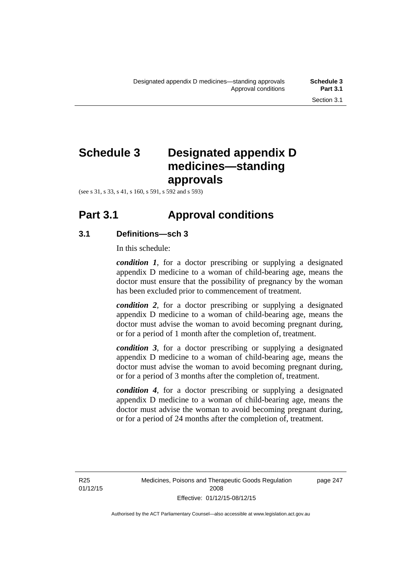## **Schedule 3 Designated appendix D medicines—standing approvals**

(see s 31, s 33, s 41, s 160, s 591, s 592 and s 593)

### **Part 3.1 Approval conditions**

#### **3.1 Definitions—sch 3**

In this schedule:

*condition 1*, for a doctor prescribing or supplying a designated appendix D medicine to a woman of child-bearing age, means the doctor must ensure that the possibility of pregnancy by the woman has been excluded prior to commencement of treatment.

*condition 2*, for a doctor prescribing or supplying a designated appendix D medicine to a woman of child-bearing age, means the doctor must advise the woman to avoid becoming pregnant during, or for a period of 1 month after the completion of, treatment.

*condition 3*, for a doctor prescribing or supplying a designated appendix D medicine to a woman of child-bearing age, means the doctor must advise the woman to avoid becoming pregnant during, or for a period of 3 months after the completion of, treatment.

*condition 4*, for a doctor prescribing or supplying a designated appendix D medicine to a woman of child-bearing age, means the doctor must advise the woman to avoid becoming pregnant during, or for a period of 24 months after the completion of, treatment.

R25 01/12/15 page 247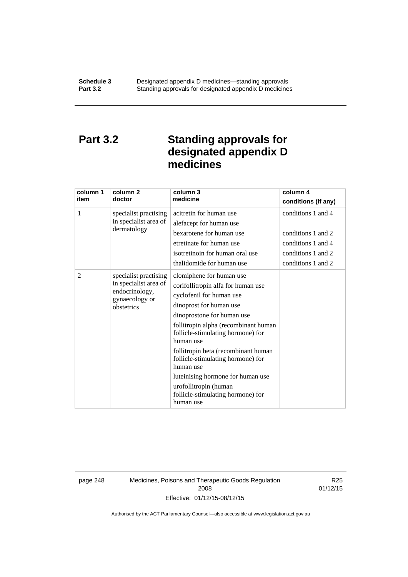### **Part 3.2 Standing approvals for designated appendix D medicines**

| column 1<br>item | column <sub>2</sub><br>doctor                                                                    | column 3<br>medicine                                                                                                                                                                                                                                                                                                                                                                                                                                   | column 4<br>conditions (if any)                                                                            |
|------------------|--------------------------------------------------------------------------------------------------|--------------------------------------------------------------------------------------------------------------------------------------------------------------------------------------------------------------------------------------------------------------------------------------------------------------------------------------------------------------------------------------------------------------------------------------------------------|------------------------------------------------------------------------------------------------------------|
| 1                | specialist practising<br>in specialist area of<br>dermatology                                    | acitretin for human use<br>alefacept for human use<br>bexarotene for human use<br>etretinate for human use<br>isotretinoin for human oral use<br>thalidomide for human use                                                                                                                                                                                                                                                                             | conditions 1 and 4<br>conditions 1 and 2<br>conditions 1 and 4<br>conditions 1 and 2<br>conditions 1 and 2 |
| 2                | specialist practising<br>in specialist area of<br>endocrinology,<br>gynaecology or<br>obstetrics | clomiphene for human use<br>corifollitropin alfa for human use<br>cyclofenil for human use<br>dinoprost for human use<br>dinoprostone for human use<br>follitropin alpha (recombinant human<br>follicle-stimulating hormone) for<br>human use<br>follitropin beta (recombinant human<br>follicle-stimulating hormone) for<br>human use<br>luteinising hormone for human use<br>urofollitropin (human<br>follicle-stimulating hormone) for<br>human use |                                                                                                            |

page 248 Medicines, Poisons and Therapeutic Goods Regulation 2008 Effective: 01/12/15-08/12/15

R25 01/12/15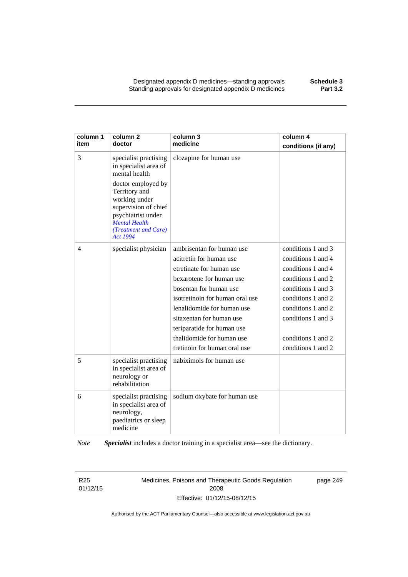Designated appendix D medicines—standing approvals **Schedule 3** Standing approvals for designated appendix D medicines

| column 1<br>item | column <sub>2</sub><br>doctor                                                                                                                                                                                                     | column 3<br>medicine                                                                                                                                                                                                                                                                                                           | column 4<br>conditions (if any)                                                                                                                                                                                          |
|------------------|-----------------------------------------------------------------------------------------------------------------------------------------------------------------------------------------------------------------------------------|--------------------------------------------------------------------------------------------------------------------------------------------------------------------------------------------------------------------------------------------------------------------------------------------------------------------------------|--------------------------------------------------------------------------------------------------------------------------------------------------------------------------------------------------------------------------|
| 3                | specialist practising<br>in specialist area of<br>mental health<br>doctor employed by<br>Territory and<br>working under<br>supervision of chief<br>psychiatrist under<br><b>Mental Health</b><br>(Treatment and Care)<br>Act 1994 | clozapine for human use                                                                                                                                                                                                                                                                                                        |                                                                                                                                                                                                                          |
| $\overline{4}$   | specialist physician                                                                                                                                                                                                              | ambrisentan for human use<br>acitretin for human use<br>etretinate for human use<br>bexarotene for human use<br>bosentan for human use<br>isotretinoin for human oral use<br>lenalidomide for human use<br>sitaxentan for human use<br>teriparatide for human use<br>thalidomide for human use<br>tretinoin for human oral use | conditions 1 and 3<br>conditions 1 and 4<br>conditions 1 and 4<br>conditions 1 and 2<br>conditions 1 and 3<br>conditions 1 and 2<br>conditions 1 and 2<br>conditions 1 and 3<br>conditions 1 and 2<br>conditions 1 and 2 |
| 5                | specialist practising<br>in specialist area of<br>neurology or<br>rehabilitation                                                                                                                                                  | nabiximols for human use                                                                                                                                                                                                                                                                                                       |                                                                                                                                                                                                                          |
| 6                | specialist practising<br>in specialist area of<br>neurology,<br>paediatrics or sleep<br>medicine                                                                                                                                  | sodium oxybate for human use                                                                                                                                                                                                                                                                                                   |                                                                                                                                                                                                                          |

*Note Specialist* includes a doctor training in a specialist area—see the dictionary.

R25 01/12/15 Medicines, Poisons and Therapeutic Goods Regulation 2008 Effective: 01/12/15-08/12/15

page 249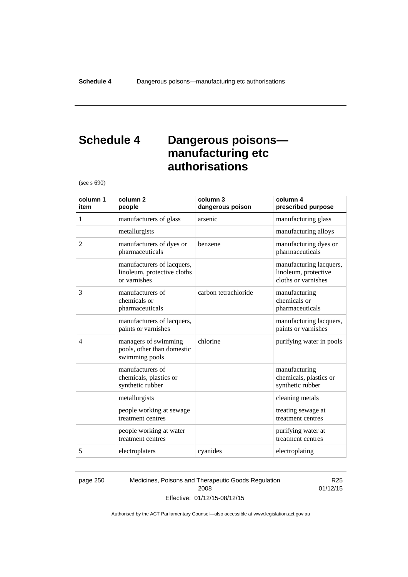### **Schedule 4 Dangerous poisons manufacturing etc authorisations**

(see s 690)

| column 1<br>item | column <sub>2</sub><br>people                                             | column 3<br>dangerous poison | column 4<br>prescribed purpose                                         |
|------------------|---------------------------------------------------------------------------|------------------------------|------------------------------------------------------------------------|
| 1                | manufacturers of glass                                                    | arsenic                      | manufacturing glass                                                    |
|                  | metallurgists                                                             |                              | manufacturing alloys                                                   |
| $\overline{2}$   | manufacturers of dyes or<br>pharmaceuticals                               | benzene                      | manufacturing dyes or<br>pharmaceuticals                               |
|                  | manufacturers of lacquers,<br>linoleum, protective cloths<br>or varnishes |                              | manufacturing lacquers,<br>linoleum, protective<br>cloths or varnishes |
| 3                | manufacturers of<br>chemicals or<br>pharmaceuticals                       | carbon tetrachloride         | manufacturing<br>chemicals or<br>pharmaceuticals                       |
|                  | manufacturers of lacquers,<br>paints or varnishes                         |                              | manufacturing lacquers,<br>paints or varnishes                         |
| $\overline{4}$   | managers of swimming<br>pools, other than domestic<br>swimming pools      | chlorine                     | purifying water in pools                                               |
|                  | manufacturers of<br>chemicals, plastics or<br>synthetic rubber            |                              | manufacturing<br>chemicals, plastics or<br>synthetic rubber            |
|                  | metallurgists                                                             |                              | cleaning metals                                                        |
|                  | people working at sewage<br>treatment centres                             |                              | treating sewage at<br>treatment centres                                |
|                  | people working at water<br>treatment centres                              |                              | purifying water at<br>treatment centres                                |
| 5                | electroplaters                                                            | cyanides                     | electroplating                                                         |

page 250 Medicines, Poisons and Therapeutic Goods Regulation 2008 Effective: 01/12/15-08/12/15

R25 01/12/15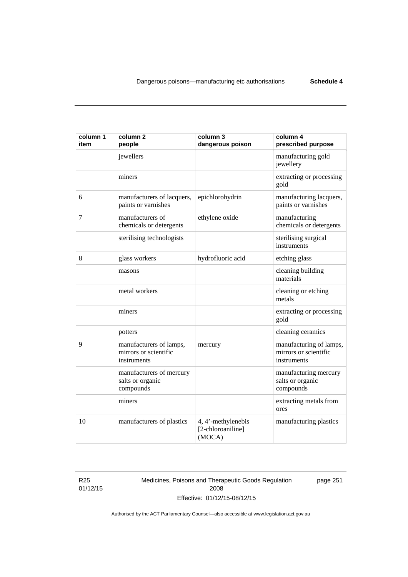| column 1<br>item | column <sub>2</sub><br>people                                   | column 3<br>dangerous poison                      | column 4<br>prescribed purpose                                  |
|------------------|-----------------------------------------------------------------|---------------------------------------------------|-----------------------------------------------------------------|
|                  | jewellers                                                       |                                                   | manufacturing gold<br>jewellery                                 |
|                  | miners                                                          |                                                   | extracting or processing<br>gold                                |
| 6                | manufacturers of lacquers,<br>paints or varnishes               | epichlorohydrin                                   | manufacturing lacquers,<br>paints or varnishes                  |
| 7                | manufacturers of<br>chemicals or detergents                     | ethylene oxide                                    | manufacturing<br>chemicals or detergents                        |
|                  | sterilising technologists                                       |                                                   | sterilising surgical<br>instruments                             |
| 8                | glass workers                                                   | hydrofluoric acid                                 | etching glass                                                   |
|                  | masons                                                          |                                                   | cleaning building<br>materials                                  |
|                  | metal workers                                                   |                                                   | cleaning or etching<br>metals                                   |
|                  | miners                                                          |                                                   | extracting or processing<br>gold                                |
|                  | potters                                                         |                                                   | cleaning ceramics                                               |
| 9                | manufacturers of lamps,<br>mirrors or scientific<br>instruments | mercury                                           | manufacturing of lamps,<br>mirrors or scientific<br>instruments |
|                  | manufacturers of mercury<br>salts or organic<br>compounds       |                                                   | manufacturing mercury<br>salts or organic<br>compounds          |
|                  | miners                                                          |                                                   | extracting metals from<br>ores                                  |
| 10               | manufacturers of plastics                                       | 4, 4'-methylenebis<br>[2-chloroaniline]<br>(MOCA) | manufacturing plastics                                          |

R25 01/12/15 Medicines, Poisons and Therapeutic Goods Regulation 2008 Effective: 01/12/15-08/12/15

page 251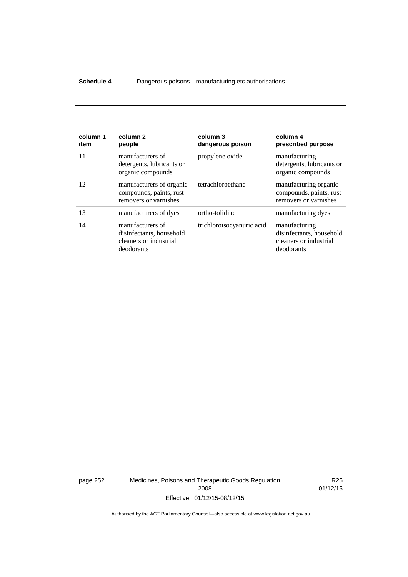#### **Schedule 4** Dangerous poisons—manufacturing etc authorisations

| column 1<br>item | column <sub>2</sub><br>people                                                        | column 3<br>dangerous poison | column 4<br>prescribed purpose                                                    |
|------------------|--------------------------------------------------------------------------------------|------------------------------|-----------------------------------------------------------------------------------|
| 11               | manufacturers of<br>detergents, lubricants or<br>organic compounds                   | propylene oxide              | manufacturing<br>detergents, lubricants or<br>organic compounds                   |
| 12               | manufacturers of organic<br>compounds, paints, rust<br>removers or varnishes         | tetrachloroethane            | manufacturing organic<br>compounds, paints, rust<br>removers or varnishes         |
| 13               | manufacturers of dyes                                                                | ortho-tolidine               | manufacturing dyes                                                                |
| 14               | manufacturers of<br>disinfectants, household<br>cleaners or industrial<br>deodorants | trichloroisocyanuric acid    | manufacturing<br>disinfectants, household<br>cleaners or industrial<br>deodorants |

page 252 Medicines, Poisons and Therapeutic Goods Regulation 2008 Effective: 01/12/15-08/12/15

R25 01/12/15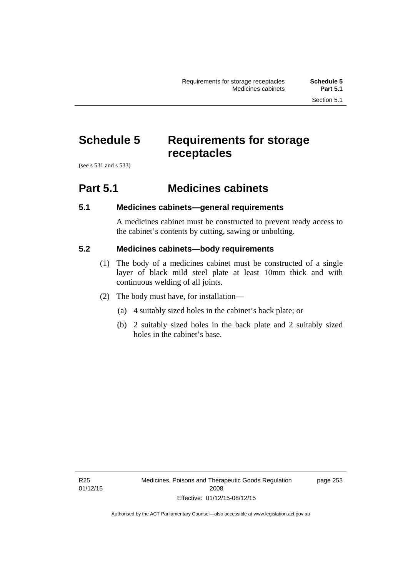### **Schedule 5 Requirements for storage receptacles**

(see s 531 and s 533)

#### **Part 5.1 Medicines cabinets**

#### **5.1 Medicines cabinets—general requirements**

A medicines cabinet must be constructed to prevent ready access to the cabinet's contents by cutting, sawing or unbolting.

#### **5.2 Medicines cabinets—body requirements**

- (1) The body of a medicines cabinet must be constructed of a single layer of black mild steel plate at least 10mm thick and with continuous welding of all joints.
- (2) The body must have, for installation—
	- (a) 4 suitably sized holes in the cabinet's back plate; or
	- (b) 2 suitably sized holes in the back plate and 2 suitably sized holes in the cabinet's base.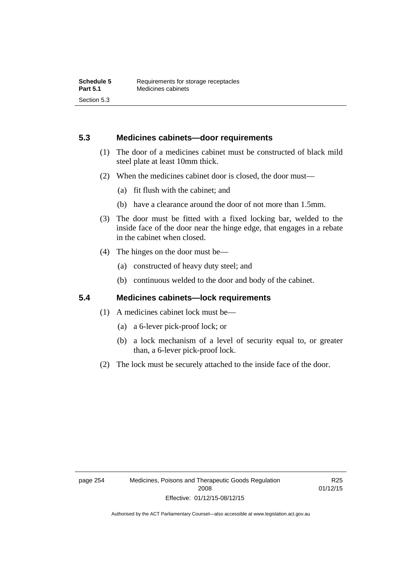#### **5.3 Medicines cabinets—door requirements**

- (1) The door of a medicines cabinet must be constructed of black mild steel plate at least 10mm thick.
- (2) When the medicines cabinet door is closed, the door must—
	- (a) fit flush with the cabinet; and
	- (b) have a clearance around the door of not more than 1.5mm.
- (3) The door must be fitted with a fixed locking bar, welded to the inside face of the door near the hinge edge, that engages in a rebate in the cabinet when closed.
- (4) The hinges on the door must be—
	- (a) constructed of heavy duty steel; and
	- (b) continuous welded to the door and body of the cabinet.

#### **5.4 Medicines cabinets—lock requirements**

- (1) A medicines cabinet lock must be—
	- (a) a 6-lever pick-proof lock; or
	- (b) a lock mechanism of a level of security equal to, or greater than, a 6-lever pick-proof lock.
- (2) The lock must be securely attached to the inside face of the door.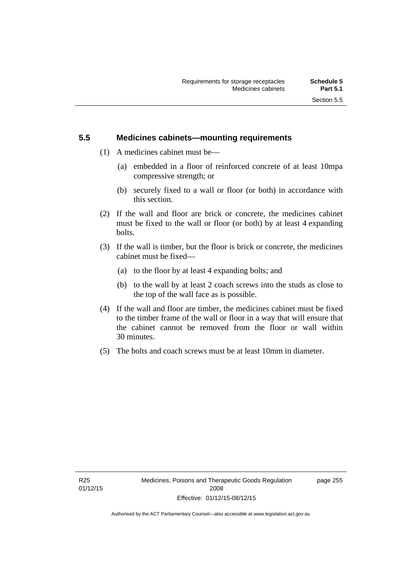#### **5.5 Medicines cabinets—mounting requirements**

- (1) A medicines cabinet must be—
	- (a) embedded in a floor of reinforced concrete of at least 10mpa compressive strength; or
	- (b) securely fixed to a wall or floor (or both) in accordance with this section.
- (2) If the wall and floor are brick or concrete, the medicines cabinet must be fixed to the wall or floor (or both) by at least 4 expanding bolts.
- (3) If the wall is timber, but the floor is brick or concrete, the medicines cabinet must be fixed—
	- (a) to the floor by at least 4 expanding bolts; and
	- (b) to the wall by at least 2 coach screws into the studs as close to the top of the wall face as is possible.
- (4) If the wall and floor are timber, the medicines cabinet must be fixed to the timber frame of the wall or floor in a way that will ensure that the cabinet cannot be removed from the floor or wall within 30 minutes.
- (5) The bolts and coach screws must be at least 10mm in diameter.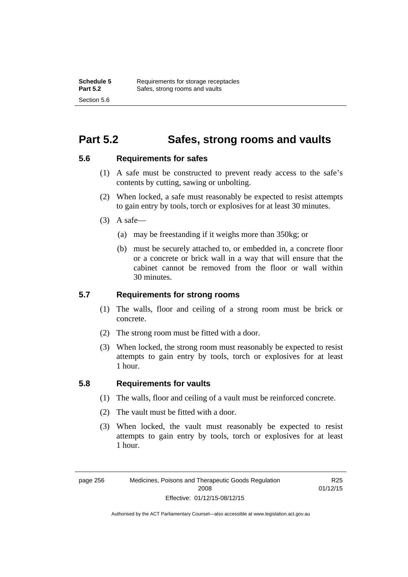### **Part 5.2 Safes, strong rooms and vaults**

#### **5.6 Requirements for safes**

- (1) A safe must be constructed to prevent ready access to the safe's contents by cutting, sawing or unbolting.
- (2) When locked, a safe must reasonably be expected to resist attempts to gain entry by tools, torch or explosives for at least 30 minutes.
- $(3)$  A safe-
	- (a) may be freestanding if it weighs more than 350kg; or
	- (b) must be securely attached to, or embedded in, a concrete floor or a concrete or brick wall in a way that will ensure that the cabinet cannot be removed from the floor or wall within 30 minutes.

#### **5.7 Requirements for strong rooms**

- (1) The walls, floor and ceiling of a strong room must be brick or concrete.
- (2) The strong room must be fitted with a door.
- (3) When locked, the strong room must reasonably be expected to resist attempts to gain entry by tools, torch or explosives for at least 1 hour.

#### **5.8 Requirements for vaults**

- (1) The walls, floor and ceiling of a vault must be reinforced concrete.
- (2) The vault must be fitted with a door.
- (3) When locked, the vault must reasonably be expected to resist attempts to gain entry by tools, torch or explosives for at least 1 hour.

R25 01/12/15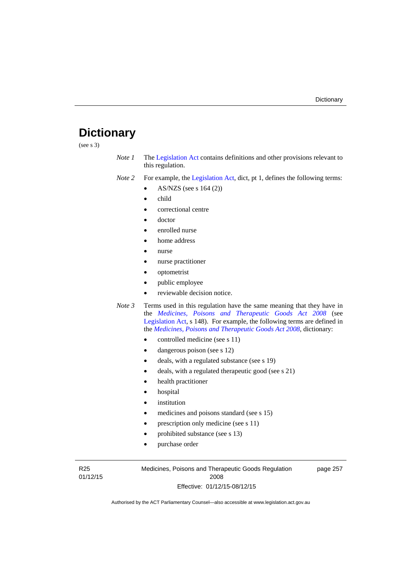### **Dictionary**

(see s 3)

- *Note 1* The [Legislation Act](http://www.legislation.act.gov.au/a/2001-14) contains definitions and other provisions relevant to this regulation.
- *Note 2* For example, the [Legislation Act,](http://www.legislation.act.gov.au/a/2001-14) dict, pt 1, defines the following terms:
	- AS/NZS (see s 164 (2))
	- child
	- correctional centre
	- doctor
	- enrolled nurse
	- home address
	- nurse
	- nurse practitioner
	- optometrist
	- public employee
	- reviewable decision notice.
- *Note 3* Terms used in this regulation have the same meaning that they have in the *[Medicines, Poisons and Therapeutic Goods Act 2008](http://www.legislation.act.gov.au/a/2008-26)* (see [Legislation Act,](http://www.legislation.act.gov.au/a/2001-14) s 148). For example, the following terms are defined in the *[Medicines, Poisons and Therapeutic Goods Act 2008](http://www.legislation.act.gov.au/a/2008-26)*, dictionary:
	- controlled medicine (see s 11)
	- dangerous poison (see s 12)
	- deals, with a regulated substance (see s 19)
	- deals, with a regulated therapeutic good (see s 21)
	- health practitioner
	- hospital
	- institution
	- medicines and poisons standard (see s 15)
	- prescription only medicine (see s 11)
	- prohibited substance (see s 13)
	- purchase order

R25 01/12/15 Medicines, Poisons and Therapeutic Goods Regulation 2008 Effective: 01/12/15-08/12/15

page 257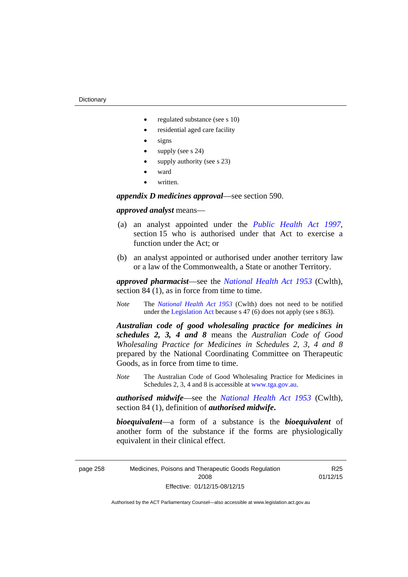- regulated substance (see s 10)
- residential aged care facility
- signs
- supply (see s 24)
- supply authority (see s 23)
- ward
- written.

*appendix D medicines approval*—see section 590.

#### *approved analyst* means—

- (a) an analyst appointed under the *[Public Health Act 1997](http://www.legislation.act.gov.au/a/1997-69)*, section 15 who is authorised under that Act to exercise a function under the Act; or
- (b) an analyst appointed or authorised under another territory law or a law of the Commonwealth, a State or another Territory.

*approved pharmacist*––see the *[National Health Act 1953](http://www.comlaw.gov.au/Series/C1953A00095)* (Cwlth), section 84 (1), as in force from time to time.

*Note* The *[National Health Act 1953](http://www.comlaw.gov.au/Series/C1953A00095)* (Cwlth) does not need to be notified under the [Legislation Act](http://www.legislation.act.gov.au/a/2001-14) because s 47 (6) does not apply (see s 863).

*Australian code of good wholesaling practice for medicines in schedules 2, 3, 4 and 8* means the *Australian Code of Good Wholesaling Practice for Medicines in Schedules 2, 3, 4 and 8* prepared by the National Coordinating Committee on Therapeutic Goods, as in force from time to time.

*Note* The Australian Code of Good Wholesaling Practice for Medicines in Schedules 2, 3, 4 and 8 is accessible at [www.tga.gov.au.](http://www.tga.gov.au/)

*authorised midwife*—see the *[National Health Act 1953](http://www.comlaw.gov.au/Series/C1953A00095)* (Cwlth), section 84 (1), definition of *authorised midwife***.**

*bioequivalent*—a form of a substance is the *bioequivalent* of another form of the substance if the forms are physiologically equivalent in their clinical effect.

page 258 Medicines, Poisons and Therapeutic Goods Regulation 2008 Effective: 01/12/15-08/12/15

R25 01/12/15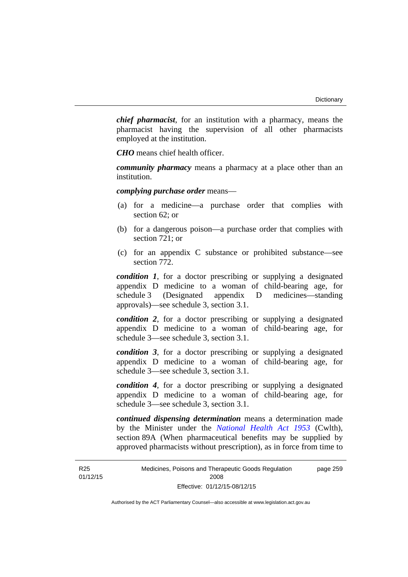*chief pharmacist*, for an institution with a pharmacy, means the pharmacist having the supervision of all other pharmacists employed at the institution.

*CHO* means chief health officer.

*community pharmacy* means a pharmacy at a place other than an institution.

*complying purchase order* means—

- (a) for a medicine—a purchase order that complies with section 62; or
- (b) for a dangerous poison—a purchase order that complies with section 721; or
- (c) for an appendix C substance or prohibited substance—see section 772.

*condition 1*, for a doctor prescribing or supplying a designated appendix D medicine to a woman of child-bearing age, for schedule 3 (Designated appendix D medicines—standing approvals)—see schedule 3, section 3.1.

*condition 2*, for a doctor prescribing or supplying a designated appendix D medicine to a woman of child-bearing age, for schedule 3—see schedule 3, section 3.1.

*condition 3*, for a doctor prescribing or supplying a designated appendix D medicine to a woman of child-bearing age, for schedule 3—see schedule 3, section 3.1.

*condition 4*, for a doctor prescribing or supplying a designated appendix D medicine to a woman of child-bearing age, for schedule 3—see schedule 3, section 3.1.

*continued dispensing determination* means a determination made by the Minister under the *[National Health Act 1953](http://www.comlaw.gov.au/Series/C1953A00095)* (Cwlth), section 89A (When pharmaceutical benefits may be supplied by approved pharmacists without prescription), as in force from time to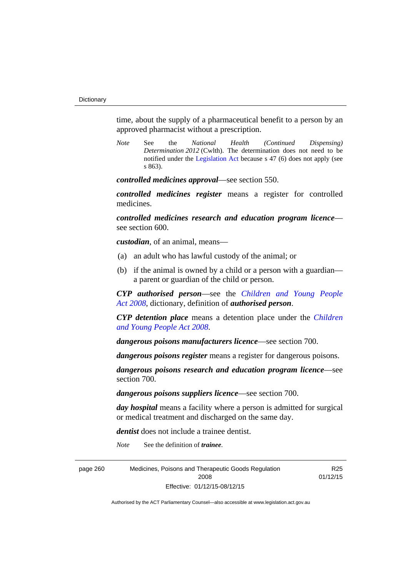time, about the supply of a pharmaceutical benefit to a person by an approved pharmacist without a prescription.

*Note* See the *National Health (Continued Dispensing) Determination 2012* (Cwlth). The determination does not need to be notified under the [Legislation Act](http://www.legislation.act.gov.au/a/2001-14) because s 47 (6) does not apply (see s 863).

*controlled medicines approval*—see section 550.

*controlled medicines register* means a register for controlled medicines.

*controlled medicines research and education program licence* see section 600.

*custodian*, of an animal, means—

- (a) an adult who has lawful custody of the animal; or
- (b) if the animal is owned by a child or a person with a guardian a parent or guardian of the child or person.

*CYP authorised person*—see the *[Children and Young People](http://www.legislation.act.gov.au/a/2008-19)  [Act 2008](http://www.legislation.act.gov.au/a/2008-19)*, dictionary, definition of *authorised person*.

*CYP detention place* means a detention place under the *[Children](http://www.legislation.act.gov.au/a/2008-19)  [and Young People Act 2008](http://www.legislation.act.gov.au/a/2008-19)*.

*dangerous poisons manufacturers licence*—see section 700.

*dangerous poisons register* means a register for dangerous poisons.

*dangerous poisons research and education program licence*—see section 700.

*dangerous poisons suppliers licence*—see section 700.

*day hospital* means a facility where a person is admitted for surgical or medical treatment and discharged on the same day.

*dentist* does not include a trainee dentist.

*Note* See the definition of *trainee*.

page 260 Medicines, Poisons and Therapeutic Goods Regulation 2008 Effective: 01/12/15-08/12/15 R25 01/12/15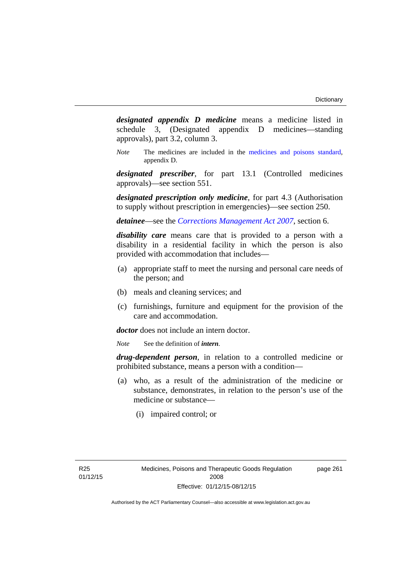*designated appendix D medicine* means a medicine listed in schedule 3, (Designated appendix D medicines—standing approvals), part 3.2, column 3.

*Note* The medicines are included in the [medicines and poisons standard,](http://www.comlaw.gov.au/Series/F2012L01200) appendix D.

*designated prescriber*, for part 13.1 (Controlled medicines approvals)—see section 551.

*designated prescription only medicine*, for part 4.3 (Authorisation to supply without prescription in emergencies)—see section 250.

*detainee*—see the *[Corrections Management Act 2007](http://www.legislation.act.gov.au/a/2007-15)*, section 6.

*disability care* means care that is provided to a person with a disability in a residential facility in which the person is also provided with accommodation that includes—

- (a) appropriate staff to meet the nursing and personal care needs of the person; and
- (b) meals and cleaning services; and
- (c) furnishings, furniture and equipment for the provision of the care and accommodation.

*doctor* does not include an intern doctor.

*Note* See the definition of *intern*.

*drug-dependent person*, in relation to a controlled medicine or prohibited substance, means a person with a condition—

- (a) who, as a result of the administration of the medicine or substance, demonstrates, in relation to the person's use of the medicine or substance—
	- (i) impaired control; or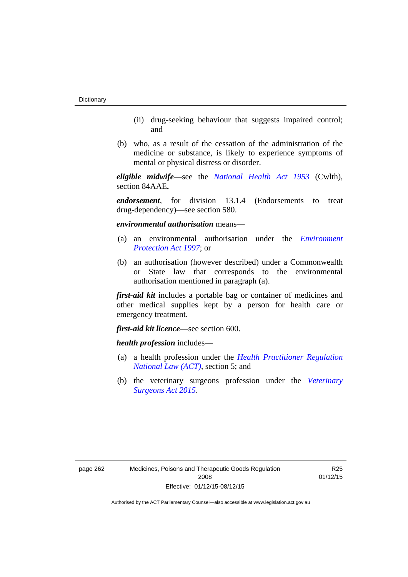- (ii) drug-seeking behaviour that suggests impaired control; and
- (b) who, as a result of the cessation of the administration of the medicine or substance, is likely to experience symptoms of mental or physical distress or disorder.

*eligible midwife*—see the *[National Health Act 1953](http://www.comlaw.gov.au/Series/C1953A00095)* (Cwlth), section 84AAE**.**

*endorsement*, for division 13.1.4 (Endorsements to treat drug-dependency)—see section 580.

*environmental authorisation* means—

- (a) an environmental authorisation under the *[Environment](http://www.legislation.act.gov.au/a/1997-92)  [Protection Act 1997](http://www.legislation.act.gov.au/a/1997-92)*; or
- (b) an authorisation (however described) under a Commonwealth or State law that corresponds to the environmental authorisation mentioned in paragraph (a).

*first-aid kit* includes a portable bag or container of medicines and other medical supplies kept by a person for health care or emergency treatment.

*first-aid kit licence*—see section 600.

*health profession* includes—

- (a) a health profession under the *[Health Practitioner Regulation](http://www.legislation.act.gov.au/a/db_39269/default.asp)  [National Law \(ACT\)](http://www.legislation.act.gov.au/a/db_39269/default.asp)*, section 5; and
- (b) the veterinary surgeons profession under the *[Veterinary](http://www.legislation.act.gov.au/a/2015-29/default.asp)  [Surgeons Act 2015](http://www.legislation.act.gov.au/a/2015-29/default.asp)*.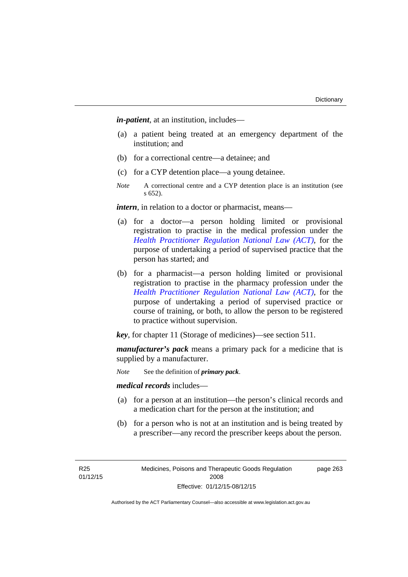*in-patient*, at an institution, includes—

- (a) a patient being treated at an emergency department of the institution; and
- (b) for a correctional centre—a detainee; and
- (c) for a CYP detention place—a young detainee.
- *Note* A correctional centre and a CYP detention place is an institution (see s 652).

*intern*, in relation to a doctor or pharmacist, means—

- (a) for a doctor—a person holding limited or provisional registration to practise in the medical profession under the *[Health Practitioner Regulation National Law \(ACT\)](http://www.legislation.act.gov.au/a/db_39269/default.asp)*, for the purpose of undertaking a period of supervised practice that the person has started; and
- (b) for a pharmacist—a person holding limited or provisional registration to practise in the pharmacy profession under the *[Health Practitioner Regulation National Law \(ACT\)](http://www.legislation.act.gov.au/a/db_39269/default.asp)*, for the purpose of undertaking a period of supervised practice or course of training, or both, to allow the person to be registered to practice without supervision.

*key*, for chapter 11 (Storage of medicines)—see section 511.

*manufacturer's pack* means a primary pack for a medicine that is supplied by a manufacturer.

*Note* See the definition of *primary pack*.

*medical records* includes—

- (a) for a person at an institution—the person's clinical records and a medication chart for the person at the institution; and
- (b) for a person who is not at an institution and is being treated by a prescriber—any record the prescriber keeps about the person.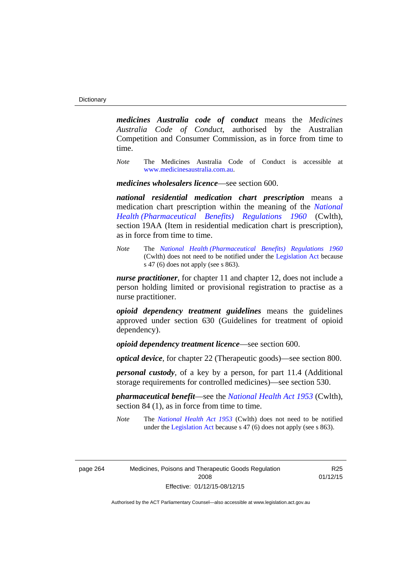*medicines Australia code of conduct* means the *Medicines Australia Code of Conduct*, authorised by the Australian Competition and Consumer Commission, as in force from time to time.

*Note* The Medicines Australia Code of Conduct is accessible at [www.medicinesaustralia.com.au](http://www.medicinesaustralia.com.au/).

*medicines wholesalers licence*—see section 600.

*national residential medication chart prescription* means a medication chart prescription within the meaning of the *[National](http://www.comlaw.gov.au/Series/F1996B02844)  [Health \(Pharmaceutical Benefits\) Regulations 1960](http://www.comlaw.gov.au/Series/F1996B02844)* (Cwlth), section 19AA (Item in residential medication chart is prescription), as in force from time to time.

*Note* The *[National Health \(Pharmaceutical Benefits\) Regulations 1960](http://www.comlaw.gov.au/Series/F1996B02844)* (Cwlth) does not need to be notified under the [Legislation Act](http://www.legislation.act.gov.au/a/2001-14) because s 47 (6) does not apply (see s 863).

*nurse practitioner*, for chapter 11 and chapter 12, does not include a person holding limited or provisional registration to practise as a nurse practitioner.

*opioid dependency treatment guidelines* means the guidelines approved under section 630 (Guidelines for treatment of opioid dependency).

*opioid dependency treatment licence*—see section 600.

*optical device*, for chapter 22 (Therapeutic goods)—see section 800.

*personal custody*, of a key by a person, for part 11.4 (Additional storage requirements for controlled medicines)—see section 530.

*pharmaceutical benefit*—see the *[National Health Act 1953](http://www.comlaw.gov.au/Series/C1953A00095)* (Cwlth), section 84 (1), as in force from time to time.

*Note* The *[National Health Act 1953](http://www.comlaw.gov.au/Series/C1953A00095)* (Cwlth) does not need to be notified under the [Legislation Act](http://www.legislation.act.gov.au/a/2001-14) because s 47 (6) does not apply (see s 863).

R25 01/12/15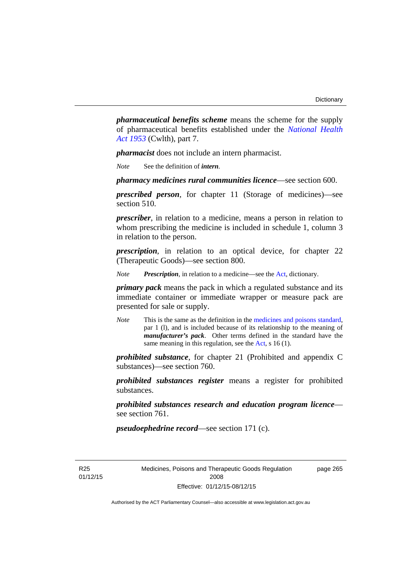*pharmaceutical benefits scheme* means the scheme for the supply of pharmaceutical benefits established under the *[National Health](http://www.comlaw.gov.au/Series/C1953A00095)  [Act 1953](http://www.comlaw.gov.au/Series/C1953A00095)* (Cwlth), part 7.

*pharmacist* does not include an intern pharmacist.

*Note* See the definition of *intern*.

*pharmacy medicines rural communities licence*—see section 600.

*prescribed person*, for chapter 11 (Storage of medicines)—see section 510.

*prescriber*, in relation to a medicine, means a person in relation to whom prescribing the medicine is included in schedule 1, column 3 in relation to the person.

*prescription*, in relation to an optical device, for chapter 22 (Therapeutic Goods)—see section 800.

*Note Prescription*, in relation to a medicine—see the [Act](http://www.legislation.act.gov.au/a/2008-26/default.asp), dictionary.

*primary pack* means the pack in which a regulated substance and its immediate container or immediate wrapper or measure pack are presented for sale or supply.

*Note* This is the same as the definition in the [medicines and poisons standard,](http://www.comlaw.gov.au/Series/F2012L01200) par 1 (l), and is included because of its relationship to the meaning of *manufacturer's pack*. Other terms defined in the standard have the same meaning in this regulation, see the [Act](http://www.legislation.act.gov.au/a/2008-26/default.asp), s 16 (1).

*prohibited substance*, for chapter 21 (Prohibited and appendix C substances)—see section 760.

*prohibited substances register* means a register for prohibited substances.

*prohibited substances research and education program licence* see section 761.

*pseudoephedrine record*—see section 171 (c).

R25 01/12/15 Medicines, Poisons and Therapeutic Goods Regulation 2008 Effective: 01/12/15-08/12/15

page 265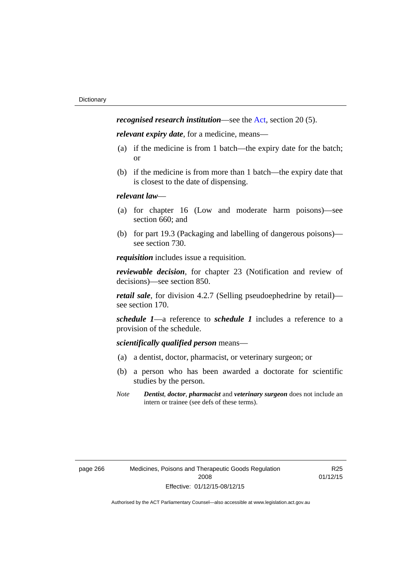*recognised research institution*—see the [Act](http://www.legislation.act.gov.au/a/2008-26/default.asp), section 20 (5).

*relevant expiry date*, for a medicine, means—

- (a) if the medicine is from 1 batch—the expiry date for the batch; or
- (b) if the medicine is from more than 1 batch—the expiry date that is closest to the date of dispensing.

## *relevant law*—

- (a) for chapter 16 (Low and moderate harm poisons)—see section 660; and
- (b) for part 19.3 (Packaging and labelling of dangerous poisons) see section 730.

*requisition* includes issue a requisition.

*reviewable decision*, for chapter 23 (Notification and review of decisions)—see section 850.

*retail sale*, for division 4.2.7 (Selling pseudoephedrine by retail) see section 170.

*schedule 1*—a reference to *schedule 1* includes a reference to a provision of the schedule.

*scientifically qualified person* means—

- (a) a dentist, doctor, pharmacist, or veterinary surgeon; or
- (b) a person who has been awarded a doctorate for scientific studies by the person.
- *Note Dentist*, *doctor*, *pharmacist* and *veterinary surgeon* does not include an intern or trainee (see defs of these terms).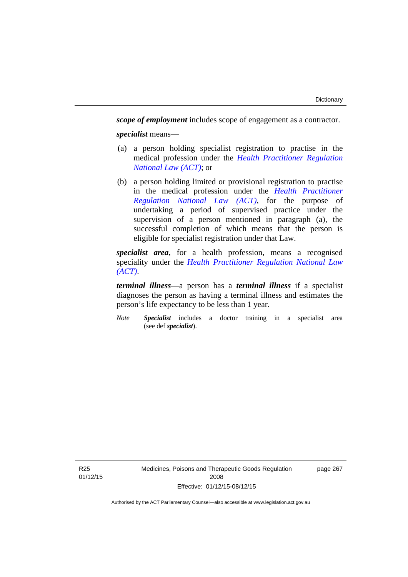*scope of employment* includes scope of engagement as a contractor. *specialist* means—

- (a) a person holding specialist registration to practise in the medical profession under the *[Health Practitioner Regulation](http://www.legislation.act.gov.au/a/db_39269/default.asp)  [National Law \(ACT\)](http://www.legislation.act.gov.au/a/db_39269/default.asp)*; or
- (b) a person holding limited or provisional registration to practise in the medical profession under the *[Health Practitioner](http://www.legislation.act.gov.au/a/db_39269/default.asp)  [Regulation National Law \(ACT\)](http://www.legislation.act.gov.au/a/db_39269/default.asp)*, for the purpose of undertaking a period of supervised practice under the supervision of a person mentioned in paragraph (a), the successful completion of which means that the person is eligible for specialist registration under that Law.

*specialist area*, for a health profession, means a recognised speciality under the *[Health Practitioner Regulation National Law](http://www.legislation.act.gov.au/a/db_39269/default.asp)  [\(ACT\)](http://www.legislation.act.gov.au/a/db_39269/default.asp)*.

*terminal illness*—a person has a *terminal illness* if a specialist diagnoses the person as having a terminal illness and estimates the person's life expectancy to be less than 1 year.

*Note Specialist* includes a doctor training in a specialist area (see def *specialist*).

page 267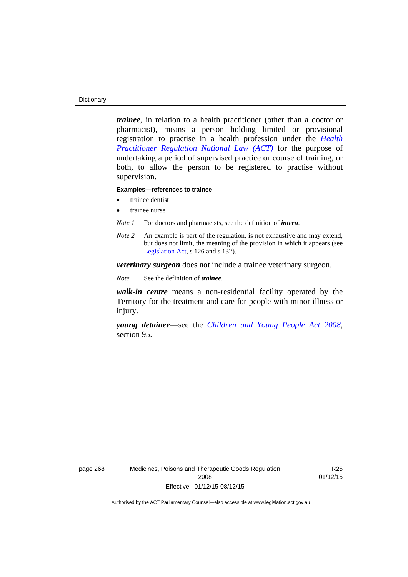#### **Dictionary**

*trainee*, in relation to a health practitioner (other than a doctor or pharmacist), means a person holding limited or provisional registration to practise in a health profession under the *[Health](http://www.legislation.act.gov.au/a/db_39269/default.asp)  [Practitioner Regulation National Law \(ACT\)](http://www.legislation.act.gov.au/a/db_39269/default.asp)* for the purpose of undertaking a period of supervised practice or course of training, or both, to allow the person to be registered to practise without supervision.

#### **Examples—references to trainee**

- trainee dentist
- trainee nurse
- *Note 1* For doctors and pharmacists, see the definition of *intern*.
- *Note 2* An example is part of the regulation, is not exhaustive and may extend, but does not limit, the meaning of the provision in which it appears (see [Legislation Act,](http://www.legislation.act.gov.au/a/2001-14) s 126 and s 132).

*veterinary surgeon* does not include a trainee veterinary surgeon.

*Note* See the definition of *trainee*.

*walk-in centre* means a non-residential facility operated by the Territory for the treatment and care for people with minor illness or injury.

*young detainee*—see the *[Children and Young People Act 2008](http://www.legislation.act.gov.au/a/2008-19)*, section 95.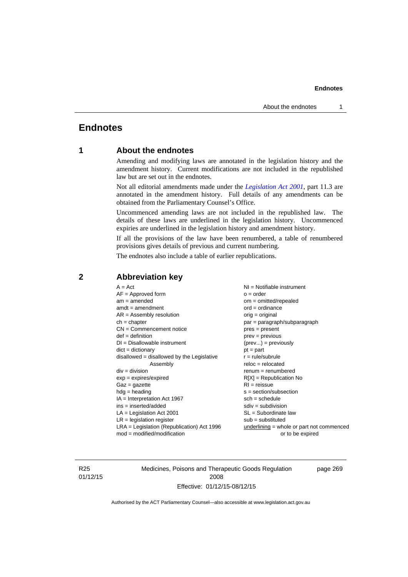# **Endnotes**

# **1 About the endnotes**

Amending and modifying laws are annotated in the legislation history and the amendment history. Current modifications are not included in the republished law but are set out in the endnotes.

Not all editorial amendments made under the *[Legislation Act 2001](http://www.legislation.act.gov.au/a/2001-14)*, part 11.3 are annotated in the amendment history. Full details of any amendments can be obtained from the Parliamentary Counsel's Office.

Uncommenced amending laws are not included in the republished law. The details of these laws are underlined in the legislation history. Uncommenced expiries are underlined in the legislation history and amendment history.

If all the provisions of the law have been renumbered, a table of renumbered provisions gives details of previous and current numbering.

The endnotes also include a table of earlier republications.

| $LRA =$ Legislation (Republication) Act 1996<br>underlining = whole or part not commenced<br>$mod = modified/modification$<br>or to be expired |
|------------------------------------------------------------------------------------------------------------------------------------------------|
|                                                                                                                                                |

## **2 Abbreviation key**

R25 01/12/15 Medicines, Poisons and Therapeutic Goods Regulation 2008 Effective: 01/12/15-08/12/15

page 269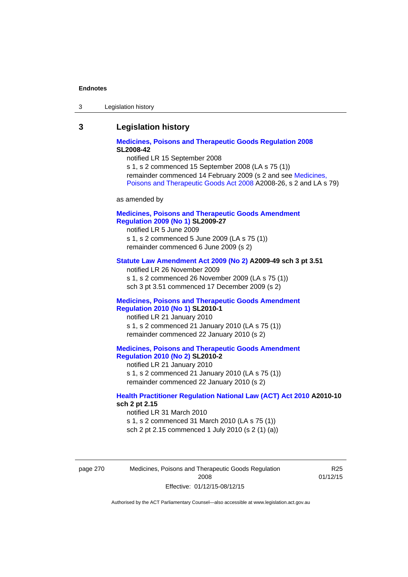| Legislation history<br>-3 |
|---------------------------|
|---------------------------|

## **3 Legislation history**

## **[Medicines, Poisons and Therapeutic Goods Regulation 2008](http://www.legislation.act.gov.au/sl/2008-42) SL2008-42**

notified LR 15 September 2008

s 1, s 2 commenced 15 September 2008 (LA s 75 (1)) remainder commenced 14 February 2009 (s 2 and see [Medicines,](http://www.legislation.act.gov.au/a/2008-26)  [Poisons and Therapeutic Goods Act 2008](http://www.legislation.act.gov.au/a/2008-26) A2008-26, s 2 and LA s 79)

as amended by

## **[Medicines, Poisons and Therapeutic Goods Amendment](http://www.legislation.act.gov.au/sl/2009-27)  [Regulation 2009 \(No 1\)](http://www.legislation.act.gov.au/sl/2009-27) SL2009-27**

notified LR 5 June 2009 s 1, s 2 commenced 5 June 2009 (LA s 75 (1)) remainder commenced 6 June 2009 (s 2)

### **[Statute Law Amendment Act 2009 \(No 2\)](http://www.legislation.act.gov.au/a/2009-49) A2009-49 sch 3 pt 3.51**

notified LR 26 November 2009 s 1, s 2 commenced 26 November 2009 (LA s 75 (1)) sch 3 pt 3.51 commenced 17 December 2009 (s 2)

#### **[Medicines, Poisons and Therapeutic Goods Amendment](http://www.legislation.act.gov.au/sl/2010-1)  [Regulation 2010 \(No 1\)](http://www.legislation.act.gov.au/sl/2010-1) SL2010-1**

notified LR 21 January 2010 s 1, s 2 commenced 21 January 2010 (LA s 75 (1)) remainder commenced 22 January 2010 (s 2)

### **[Medicines, Poisons and Therapeutic Goods Amendment](http://www.legislation.act.gov.au/sl/2010-2)  [Regulation 2010 \(No 2\)](http://www.legislation.act.gov.au/sl/2010-2) SL2010-2**

notified LR 21 January 2010 s 1, s 2 commenced 21 January 2010 (LA s 75 (1)) remainder commenced 22 January 2010 (s 2)

## **[Health Practitioner Regulation National Law \(ACT\) Act 2010](http://www.legislation.act.gov.au/a/2010-10) A2010-10 sch 2 pt 2.15**

notified LR 31 March 2010 s 1, s 2 commenced 31 March 2010 (LA s 75 (1)) sch 2 pt 2.15 commenced 1 July 2010 (s 2 (1) (a))

page 270 Medicines, Poisons and Therapeutic Goods Regulation 2008 Effective: 01/12/15-08/12/15

R25 01/12/15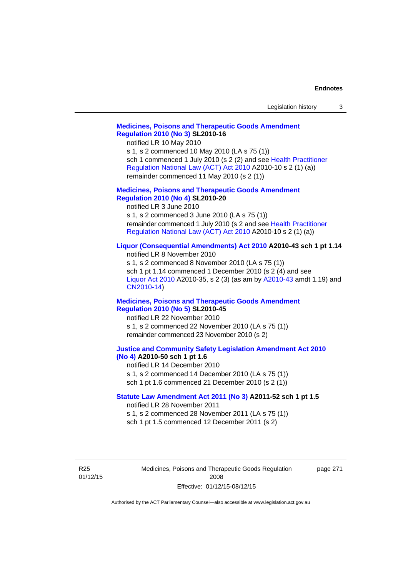| Legislation history |  |
|---------------------|--|
|---------------------|--|

## **[Medicines, Poisons and Therapeutic Goods Amendment](http://www.legislation.act.gov.au/sl/2010-16)  [Regulation 2010 \(No 3\)](http://www.legislation.act.gov.au/sl/2010-16) SL2010-16**

notified LR 10 May 2010

s 1, s 2 commenced 10 May 2010 (LA s 75 (1)) sch 1 commenced 1 July 2010 (s 2 (2) and see [Health Practitioner](http://www.legislation.act.gov.au/a/2010-10)  [Regulation National Law \(ACT\) Act 2010](http://www.legislation.act.gov.au/a/2010-10) A2010-10 s 2 (1) (a)) remainder commenced 11 May 2010 (s 2 (1))

#### **[Medicines, Poisons and Therapeutic Goods Amendment](http://www.legislation.act.gov.au/sl/2010-20)  [Regulation 2010 \(No 4\)](http://www.legislation.act.gov.au/sl/2010-20) SL2010-20**

notified LR 3 June 2010 s 1, s 2 commenced 3 June 2010 (LA s 75 (1)) remainder commenced 1 July 2010 (s 2 and see [Health Practitioner](http://www.legislation.act.gov.au/a/2010-10)  [Regulation National Law \(ACT\) Act 2010](http://www.legislation.act.gov.au/a/2010-10) A2010-10 s 2 (1) (a))

### **[Liquor \(Consequential Amendments\) Act 2010](http://www.legislation.act.gov.au/a/2010-43) A2010-43 sch 1 pt 1.14**

notified LR 8 November 2010 s 1, s 2 commenced 8 November 2010 (LA s 75 (1)) sch 1 pt 1.14 commenced 1 December 2010 (s 2 (4) and see [Liquor Act 2010](http://www.legislation.act.gov.au/a/2010-35) A2010-35, s 2 (3) (as am by [A2010-43](http://www.legislation.act.gov.au/a/2010-43) amdt 1.19) and [CN2010-14](http://www.legislation.act.gov.au/cn/2010-14/default.asp))

#### **[Medicines, Poisons and Therapeutic Goods Amendment](http://www.legislation.act.gov.au/sl/2010-45)  [Regulation 2010 \(No 5\)](http://www.legislation.act.gov.au/sl/2010-45) SL2010-45**

notified LR 22 November 2010 s 1, s 2 commenced 22 November 2010 (LA s 75 (1)) remainder commenced 23 November 2010 (s 2)

#### **[Justice and Community Safety Legislation Amendment Act 2010](http://www.legislation.act.gov.au/a/2010-50)  [\(No 4\)](http://www.legislation.act.gov.au/a/2010-50) A2010-50 sch 1 pt 1.6**

notified LR 14 December 2010 s 1, s 2 commenced 14 December 2010 (LA s 75 (1)) sch 1 pt 1.6 commenced 21 December 2010 (s 2 (1))

### **[Statute Law Amendment Act 2011 \(No 3\)](http://www.legislation.act.gov.au/a/2011-52) A2011-52 sch 1 pt 1.5**  notified LR 28 November 2011

s 1, s 2 commenced 28 November 2011 (LA s 75 (1))

sch 1 pt 1.5 commenced 12 December 2011 (s 2)

R25 01/12/15 Medicines, Poisons and Therapeutic Goods Regulation 2008 Effective: 01/12/15-08/12/15

page 271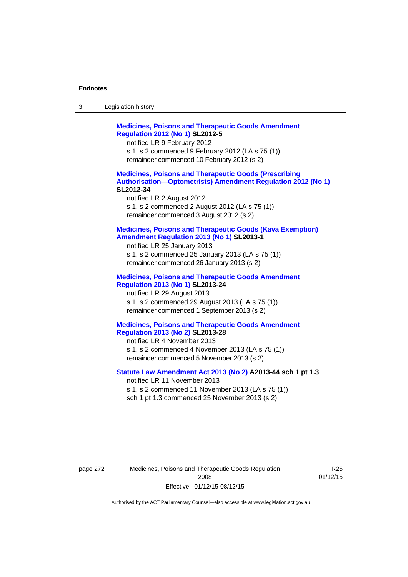| -3 | Legislation history |  |
|----|---------------------|--|
|----|---------------------|--|

**[Medicines, Poisons and Therapeutic Goods Amendment](http://www.legislation.act.gov.au/sl/2012-5)  [Regulation 2012 \(No 1\)](http://www.legislation.act.gov.au/sl/2012-5) SL2012-5**  notified LR 9 February 2012 s 1, s 2 commenced 9 February 2012 (LA s 75 (1)) remainder commenced 10 February 2012 (s 2) **[Medicines, Poisons and Therapeutic Goods \(Prescribing](http://www.legislation.act.gov.au/sl/2012-34)  [Authorisation—Optometrists\) Amendment Regulation 2012 \(No 1\)](http://www.legislation.act.gov.au/sl/2012-34) SL2012-34**  notified LR 2 August 2012 s 1, s 2 commenced 2 August 2012 (LA s 75 (1)) remainder commenced 3 August 2012 (s 2) **[Medicines, Poisons and Therapeutic Goods \(Kava Exemption\)](http://www.legislation.act.gov.au/sl/2013-1/default.asp)  [Amendment Regulation 2013 \(No 1\)](http://www.legislation.act.gov.au/sl/2013-1/default.asp) SL2013-1**  notified LR 25 January 2013 s 1, s 2 commenced 25 January 2013 (LA s 75 (1)) remainder commenced 26 January 2013 (s 2) **[Medicines, Poisons and Therapeutic Goods Amendment](http://www.legislation.act.gov.au/sl/2013-24/default.asp)  [Regulation 2013 \(No 1\)](http://www.legislation.act.gov.au/sl/2013-24/default.asp) SL2013-24**  notified LR 29 August 2013 s 1, s 2 commenced 29 August 2013 (LA s 75 (1)) remainder commenced 1 September 2013 (s 2) **[Medicines, Poisons and Therapeutic Goods Amendment](http://www.legislation.act.gov.au/sl/2013-28)  [Regulation 2013 \(No 2\)](http://www.legislation.act.gov.au/sl/2013-28) SL2013-28**  notified LR 4 November 2013 s 1, s 2 commenced 4 November 2013 (LA s 75 (1)) remainder commenced 5 November 2013 (s 2) **[Statute Law Amendment Act 2013 \(No 2\)](http://www.legislation.act.gov.au/a/2013-44) A2013-44 sch 1 pt 1.3**  notified LR 11 November 2013 s 1, s 2 commenced 11 November 2013 (LA s 75 (1)) sch 1 pt 1.3 commenced 25 November 2013 (s 2)

page 272 Medicines, Poisons and Therapeutic Goods Regulation 2008 Effective: 01/12/15-08/12/15

R25 01/12/15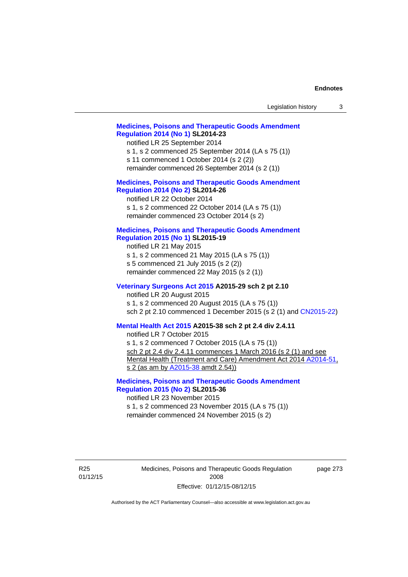| Legislation history                                                                                                                                                                                                                                                                                                  |          | 3 |
|----------------------------------------------------------------------------------------------------------------------------------------------------------------------------------------------------------------------------------------------------------------------------------------------------------------------|----------|---|
| <b>Medicines, Poisons and Therapeutic Goods Amendment</b><br><b>Regulation 2014 (No 1) SL2014-23</b><br>notified LR 25 September 2014<br>s 1, s 2 commenced 25 September 2014 (LA s 75 (1))<br>s 11 commenced 1 October 2014 (s 2 (2))<br>remainder commenced 26 September 2014 (s 2 (1))                            |          |   |
| <b>Medicines, Poisons and Therapeutic Goods Amendment</b><br><b>Regulation 2014 (No 2) SL2014-26</b><br>notified LR 22 October 2014<br>s 1, s 2 commenced 22 October 2014 (LA s 75 (1))<br>remainder commenced 23 October 2014 (s 2)                                                                                 |          |   |
| <b>Medicines, Poisons and Therapeutic Goods Amendment</b><br><b>Regulation 2015 (No 1) SL2015-19</b><br>notified LR 21 May 2015<br>s 1, s 2 commenced 21 May 2015 (LA s 75 (1))<br>s 5 commenced 21 July 2015 (s 2 (2))<br>remainder commenced 22 May 2015 (s 2 (1))                                                 |          |   |
| Veterinary Surgeons Act 2015 A2015-29 sch 2 pt 2.10<br>notified LR 20 August 2015<br>s 1, s 2 commenced 20 August 2015 (LA s 75 (1))<br>sch 2 pt 2.10 commenced 1 December 2015 (s 2 (1) and CN2015-22)                                                                                                              |          |   |
| Mental Health Act 2015 A2015-38 sch 2 pt 2.4 div 2.4.11<br>notified LR 7 October 2015<br>s 1, s 2 commenced 7 October 2015 (LA s 75 (1))<br>sch 2 pt 2.4 div 2.4.11 commences 1 March 2016 (s 2 (1) and see<br>Mental Health (Treatment and Care) Amendment Act 2014 A2014-51,<br>s 2 (as am by A2015-38 amdt 2.54)) |          |   |
| <b>Medicines, Poisons and Therapeutic Goods Amendment</b><br><b>Regulation 2015 (No 2) SL2015-36</b><br>notified LR 23 November 2015<br>s 1, s 2 commenced 23 November 2015 (LA s 75 (1))<br>remainder commenced 24 November 2015 (s 2)                                                                              |          |   |
| Medicines, Poisons and Therapeutic Goods Regulation<br>2008                                                                                                                                                                                                                                                          | page 273 |   |

Authorised by the ACT Parliamentary Counsel—also accessible at www.legislation.act.gov.au

Effective: 01/12/15-08/12/15

R25 01/12/15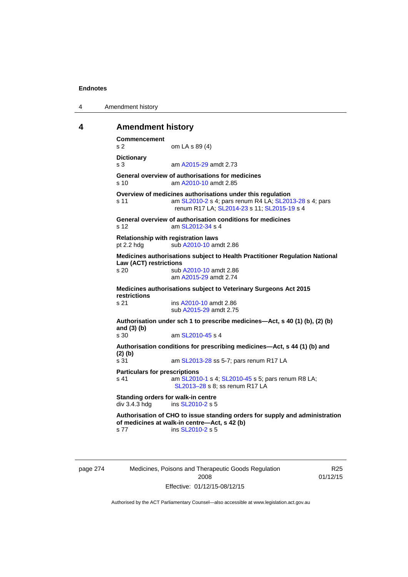| 4 | Amendment history |
|---|-------------------|
|---|-------------------|

### **4 Amendment history**

**Commencement**  s 2 om LA s 89 (4) **Dictionary**  s 3 am [A2015-29](http://www.legislation.act.gov.au/a/2015-29) amdt 2.73 **General overview of authorisations for medicines**  s 10 am [A2010-10](http://www.legislation.act.gov.au/a/2010-10) amdt 2.85 **Overview of medicines authorisations under this regulation**  s 11 am [SL2010-2](http://www.legislation.act.gov.au/sl/2010-2) s 4; pars renum R4 LA; [SL2013-28](http://www.legislation.act.gov.au/sl/2013-28) s 4; pars renum R17 LA; [SL2014-23](http://www.legislation.act.gov.au/sl/2014-23) s 11; [SL2015-19](http://www.legislation.act.gov.au/sl/2015-19) s 4 **General overview of authorisation conditions for medicines**  s 12 am [SL2012-34](http://www.legislation.act.gov.au/sl/2012-34) s 4 **Relationship with registration laws**  pt 2.2 hdg sub  $A2010-10$  amdt 2.86 **Medicines authorisations subject to Health Practitioner Regulation National Law (ACT) restrictions**  s 20 sub [A2010-10](http://www.legislation.act.gov.au/a/2010-10) amdt 2.86 am [A2015-29](http://www.legislation.act.gov.au/a/2015-29) amdt 2.74 **Medicines authorisations subject to Veterinary Surgeons Act 2015 restrictions**  s 21 ins [A2010-10](http://www.legislation.act.gov.au/a/2010-10) amdt 2.86 sub [A2015-29](http://www.legislation.act.gov.au/a/2015-29) amdt 2.75 **Authorisation under sch 1 to prescribe medicines—Act, s 40 (1) (b), (2) (b) and (3) (b)**  am [SL2010-45](http://www.legislation.act.gov.au/sl/2010-45) s 4 **Authorisation conditions for prescribing medicines—Act, s 44 (1) (b) and (2) (b)**   $\frac{31}{10}$  am [SL2013-28](http://www.legislation.act.gov.au/sl/2013-28) ss 5-7; pars renum R17 LA **Particulars for prescriptions**  s 41 **am [SL2010-1](http://www.legislation.act.gov.au/sl/2010-1) s 4; [SL2010-45](http://www.legislation.act.gov.au/sl/2010-45) s 5; pars renum R8 LA;** [SL2013–28](http://www.legislation.act.gov.au/sl/2013-28) s 8; ss renum R17 LA **Standing orders for walk-in centre div 3.4.3 hdd** ins **SL2010-2 s 5** ins [SL2010-2](http://www.legislation.act.gov.au/sl/2010-2) s 5 **Authorisation of CHO to issue standing orders for supply and administration of medicines at walk-in centre—Act, s 42 (b)**  s 77 ins [SL2010-2](http://www.legislation.act.gov.au/sl/2010-2) s 5

page 274 Medicines, Poisons and Therapeutic Goods Regulation 2008 Effective: 01/12/15-08/12/15

R25 01/12/15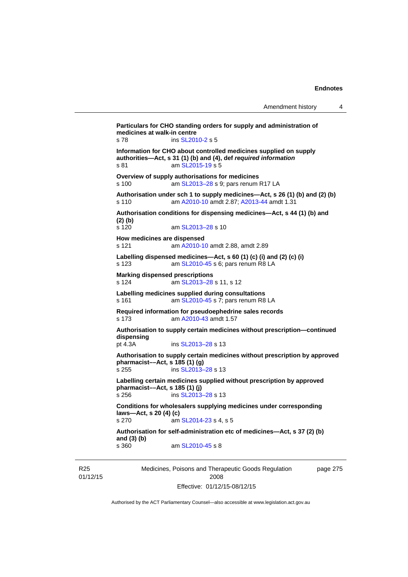```
Medicines, Poisons and Therapeutic Goods Regulation 
                                                            page 275 
Particulars for CHO standing orders for supply and administration of 
medicines at walk-in centre 
s 78 ins SL2010-2 s 5
Information for CHO about controlled medicines supplied on supply 
authorities—Act, s 31 (1) (b) and (4), def required information 
 SL2015-19 s 5
Overview of supply authorisations for medicines 
s 100 am SL2013-28 s 9; pars renum R17 LA
Authorisation under sch 1 to supply medicines—Act, s 26 (1) (b) and (2) (b) 
s 110 am A2010-10 amdt 2.87; A2013-44 amdt 1.31 
Authorisation conditions for dispensing medicines—Act, s 44 (1) (b) and 
(2) (b) 
s 120 am SL2013–28 s 10 
How medicines are dispensed 
s 121 am A2010-10 amdt 2.88, amdt 2.89 
Labelling dispensed medicines—Act, s 60 (1) (c) (i) and (2) (c) (i) 
s 123  SL2010-45 s 6; pars renum R8 LA
Marking dispensed prescriptions 
 SL2013–28 s 11, s 12
Labelling medicines supplied during consultations 
s 161  SL2010-45 s 7; pars renum R8 LA
Required information for pseudoephedrine sales records 
s 173 am A2010-43 amdt 1.57
Authorisation to supply certain medicines without prescription—continued 
dispensing 
pt 4.3A ins SL2013–28 s 13 
Authorisation to supply certain medicines without prescription by approved 
pharmacist––Act, s 185 (1) (g) 
SL2013–28 s 13
Labelling certain medicines supplied without prescription by approved 
pharmacist––Act, s 185 (1) (j) 
SL2013–28 s 13
Conditions for wholesalers supplying medicines under corresponding 
laws—Act, s 20 (4) (c) 
s 270 am SL2014-23 s 4, s 5
Authorisation for self-administration etc of medicines—Act, s 37 (2) (b) 
and (3) (b) 
                 SL2010-45 s 8
```
01/12/15

R25

Authorised by the ACT Parliamentary Counsel—also accessible at www.legislation.act.gov.au

2008 Effective: 01/12/15-08/12/15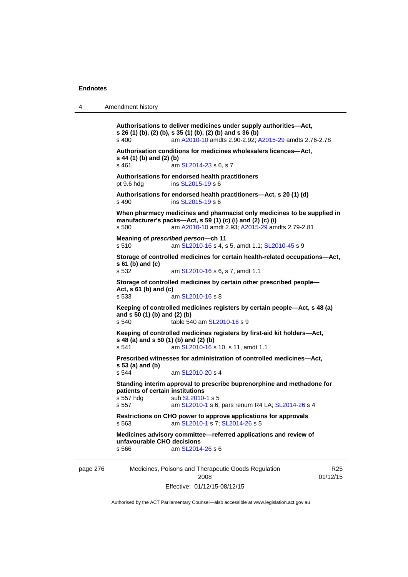| 4 | Amendment history |
|---|-------------------|
|---|-------------------|

```
page 276 Medicines, Poisons and Therapeutic Goods Regulation 
                                     2008 
                                                                               R25
                                                                          01/12/15 
           Authorisations to deliver medicines under supply authorities—Act, 
           s 26 (1) (b), (2) (b), s 35 (1) (b), (2) (b) and s 36 (b) 
           s 400 am A2010-10 amdts 2.90-2.92; A2015-29 amdts 2.76-2.78 
           Authorisation conditions for medicines wholesalers licences—Act, 
           s 44 (1) (b) and (2) (b) 
           s 461  SL2014-23 s 6, s 7
           Authorisations for endorsed health practitioners 
           pt 9.6 hdg ins SL2015-19 s 6 
           Authorisations for endorsed health practitioners—Act, s 20 (1) (d) 
           SL2015-19 s 6
           When pharmacy medicines and pharmacist only medicines to be supplied in 
           manufacturer's packs—Act, s 59 (1) (c) (i) and (2) (c) (i) 
           s 500 am A2010-10 amdt 2.93; A2015-29 amdts 2.79-2.81 
           Meaning of prescribed person—ch 11 
           s 510 am SL2010-16 s 4, s 5, amdt 1.1; SL2010-45 s 9 
           Storage of controlled medicines for certain health-related occupations—Act, 
           s 61 (b) and (c) 
                             SL2010-16 s 6, s 7, amdt 1.1
           Storage of controlled medicines by certain other prescribed people—
           Act, s 61 (b) and (c) 
                            \frac{1}{2} SL2010-16 s 8
           Keeping of controlled medicines registers by certain people—Act, s 48 (a) 
           and s 50 (1) (b) and (2) (b) 
           s 540 table 540 am SL2010-16 s 9 
           Keeping of controlled medicines registers by first-aid kit holders—Act, 
           s 48 (a) and s 50 (1) (b) and (2) (b) 
           s 541 am SL2010-16 s 10, s 11, amdt 1.1 
           Prescribed witnesses for administration of controlled medicines—Act, 
           s 53 (a) and (b)<br>s 544
                             SL2010-20 s 4
           Standing interim approval to prescribe buprenorphine and methadone for 
           patients of certain institutions 
           SL2010-1 s 5
            SL2010-1SL2014-26 s 4
           Restrictions on CHO power to approve applications for approvals 
           s 563 am SL2010-1 s 7; SL2014-26 s 5 
           Medicines advisory committee—referred applications and review of 
           unfavourable CHO decisions 
           s 566 am SL2014-26 s 6
```
Effective: 01/12/15-08/12/15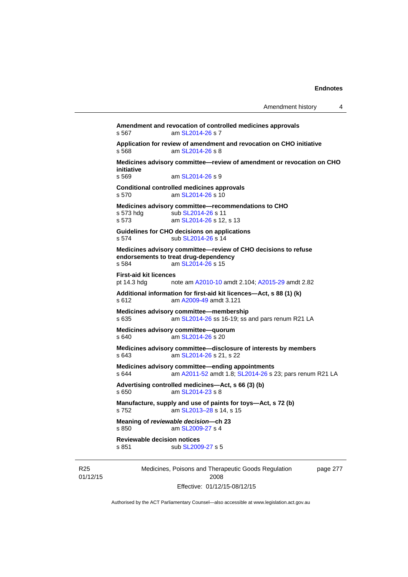| Amendment history |  |
|-------------------|--|
|-------------------|--|

Medicines, Poisons and Therapeutic Goods Regulation page 277 **Amendment and revocation of controlled medicines approvals**  s 567 am [SL2014-26](http://www.legislation.act.gov.au/sl/2014-26) s 7 **Application for review of amendment and revocation on CHO initiative**  s 568 am [SL2014-26](http://www.legislation.act.gov.au/sl/2014-26) s 8 **Medicines advisory committee—review of amendment or revocation on CHO initiative**  s 569 am [SL2014-26](http://www.legislation.act.gov.au/sl/2014-26) s 9 **Conditional controlled medicines approvals**  s 570 am SL 2014-26 s 10 **Medicines advisory committee—recommendations to CHO**  s 573 hdg sub [SL2014-26](http://www.legislation.act.gov.au/sl/2014-26) s 11<br>s 573 am SL2014-26 s 12 am [SL2014-26](http://www.legislation.act.gov.au/sl/2014-26) s 12, s 13 **Guidelines for CHO decisions on applications**  s 574 sub [SL2014-26](http://www.legislation.act.gov.au/sl/2014-26) s 14 **Medicines advisory committee—review of CHO decisions to refuse endorsements to treat drug-dependency**  s 584 am [SL2014-26](http://www.legislation.act.gov.au/sl/2014-26) s 15 **First-aid kit licences**  pt 14.3 hdg note am [A2010-10](http://www.legislation.act.gov.au/a/2010-10) amdt 2.104; [A2015-29](http://www.legislation.act.gov.au/a/2015-29) amdt 2.82 **Additional information for first-aid kit licences—Act, s 88 (1) (k)**  s 612 am [A2009-49](http://www.legislation.act.gov.au/a/2009-49) amdt 3.121 **Medicines advisory committee—membership**  s 635 am [SL2014-26](http://www.legislation.act.gov.au/sl/2014-26) ss 16-19; ss and pars renum R21 LA **Medicines advisory committee—quorum**  s 640 am [SL2014-26](http://www.legislation.act.gov.au/sl/2014-26) s 20 **Medicines advisory committee—disclosure of interests by members**  s 643 am [SL2014-26](http://www.legislation.act.gov.au/sl/2014-26) s 21, s 22 **Medicines advisory committee—ending appointments**  s 644 am [A2011-52](http://www.legislation.act.gov.au/a/2011-52) amdt 1.8; [SL2014-26](http://www.legislation.act.gov.au/sl/2014-26) s 23; pars renum R21 LA **Advertising controlled medicines—Act, s 66 (3) (b)**  s 650 am [SL2014-23](http://www.legislation.act.gov.au/sl/2014-23) s 8 **Manufacture, supply and use of paints for toys—Act, s 72 (b)**  s 752 am [SL2013–28](http://www.legislation.act.gov.au/sl/2013-28) s 14, s 15 **Meaning of** *reviewable decision—***ch 23**  s 850 am [SL2009-27](http://www.legislation.act.gov.au/sl/2009-27) s 4 **Reviewable decision notices**  sub [SL2009-27](http://www.legislation.act.gov.au/sl/2009-27) s 5

R25 01/12/15

> Effective: 01/12/15-08/12/15 Authorised by the ACT Parliamentary Counsel—also accessible at www.legislation.act.gov.au

2008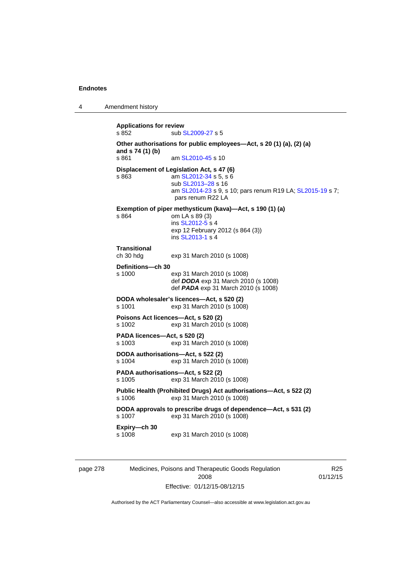4 Amendment history

```
Applications for review 
                 SL2009-27 s 5
Other authorisations for public employees—Act, s 20 (1) (a), (2) (a) 
and s 74 (1) (b) 
                 SL2010-45 s 10
Displacement of Legislation Act, s 47 (6) 
s 863 am SL2012-34 s 5, s 6
                  sub SL2013–28 s 16 
                  am SL2014-23 s 9, s 10; pars renum R19 LA; SL2015-19 s 7; 
                  pars renum R22 LA 
Exemption of piper methysticum (kava)—Act, s 190 (1) (a) s 864 om LA s 89 (3)
                 om LA s 89 (3)
                  ins SL2012-5 s 4
                 exp 12 February 2012 (s 864 (3)) 
                  ins SL2013-1 s 4
Transitional 
ch 30 hdg exp 31 March 2010 (s 1008) 
Definitions—ch 30 
                 exp 31 March 2010 (s 1008)
                  def DODA exp 31 March 2010 (s 1008) 
                  def PADA exp 31 March 2010 (s 1008) 
DODA wholesaler's licences—Act, s 520 (2) 
s 1001 exp 31 March 2010 (s 1008) 
Poisons Act licences—Act, s 520 (2) 
s 1002 exp 31 March 2010 (s 1008) 
PADA licences—Act, s 520 (2) 
s 1003 exp 31 March 2010 (s 1008) 
DODA authorisations—Act, s 522 (2) 
s 1004 exp 31 March 2010 (s 1008) 
PADA authorisations—Act, s 522 (2) 
s 1005 exp 31 March 2010 (s 1008) 
Public Health (Prohibited Drugs) Act authorisations—Act, s 522 (2) 
s 1006 exp 31 March 2010 (s 1008) 
DODA approvals to prescribe drugs of dependence—Act, s 531 (2) 
s 1007 exp 31 March 2010 (s 1008) 
Expiry—ch 30 
s 1008 exp 31 March 2010 (s 1008)
```
page 278 Medicines, Poisons and Therapeutic Goods Regulation 2008 Effective: 01/12/15-08/12/15

R25 01/12/15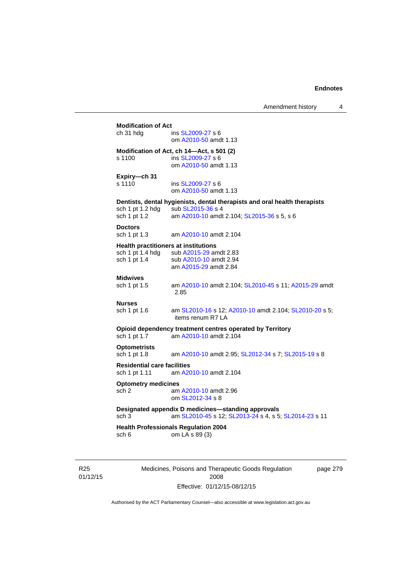|                                                     | AILICHUILICHL HISIUI Y                                                                                                                       |
|-----------------------------------------------------|----------------------------------------------------------------------------------------------------------------------------------------------|
| <b>Modification of Act</b><br>ch 31 hdg             | ins SL2009-27 s 6<br>om A2010-50 amdt 1.13                                                                                                   |
| s 1100                                              | Modification of Act, ch 14—Act, s 501 (2)<br>ins SL2009-27 s 6                                                                               |
|                                                     | om A2010-50 amdt 1.13                                                                                                                        |
| Expiry-ch 31<br>s 1110                              | ins SL2009-27 s 6<br>om A2010-50 amdt 1.13                                                                                                   |
| sch 1 pt 1.2 hdg<br>sch 1 pt 1.2                    | Dentists, dental hygienists, dental therapists and oral health therapists<br>sub SL2015-36 s 4<br>am A2010-10 amdt 2.104; SL2015-36 s 5, s 6 |
| <b>Doctors</b><br>sch 1 pt 1.3                      | am A2010-10 amdt 2.104                                                                                                                       |
| sch 1 pt 1.4 hdg<br>sch 1 pt 1.4                    | <b>Health practitioners at institutions</b><br>sub A2015-29 amdt 2.83<br>sub A2010-10 amdt 2.94<br>am A2015-29 amdt 2.84                     |
| <b>Midwives</b><br>sch 1 pt 1.5                     | am A2010-10 amdt 2.104; SL2010-45 s 11; A2015-29 amdt<br>2.85                                                                                |
| <b>Nurses</b><br>sch 1 pt 1.6                       | am SL2010-16 s 12; A2010-10 amdt 2.104; SL2010-20 s 5;<br>items renum R7 LA                                                                  |
| sch 1 pt 1.7                                        | Opioid dependency treatment centres operated by Territory<br>am A2010-10 amdt 2.104                                                          |
| <b>Optometrists</b><br>sch 1 pt 1.8                 | am A2010-10 amdt 2.95; SL2012-34 s 7; SL2015-19 s 8                                                                                          |
| <b>Residential care facilities</b><br>sch 1 pt 1.11 | am A2010-10 amdt 2.104                                                                                                                       |
| <b>Optometry medicines</b><br>sch <sub>2</sub>      | am A2010-10 amdt 2.96<br>om SL2012-34 s 8                                                                                                    |
| sch <sub>3</sub>                                    | Designated appendix D medicines-standing approvals<br>am SL2010-45 s 12; SL2013-24 s 4, s 5; SL2014-23 s 11                                  |
| sch 6                                               | <b>Health Professionals Regulation 2004</b><br>om LA s 89 (3)                                                                                |
|                                                     |                                                                                                                                              |

R25 01/12/15 Medicines, Poisons and Therapeutic Goods Regulation 2008 Effective: 01/12/15-08/12/15

page 279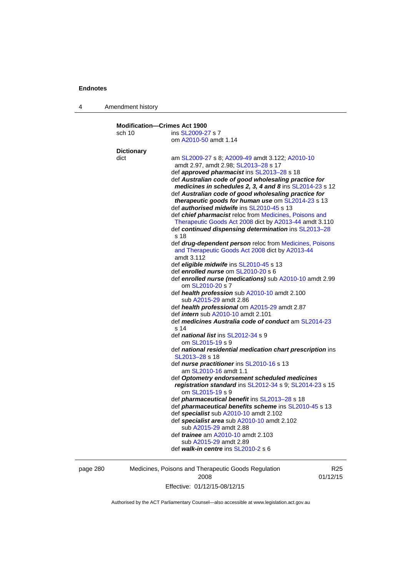4 Amendment history

| sch 10            | ins SL2009-27 s 7                                                                                     |
|-------------------|-------------------------------------------------------------------------------------------------------|
|                   | om A2010-50 amdt 1.14                                                                                 |
| <b>Dictionary</b> |                                                                                                       |
| dict              | am SL2009-27 s 8; A2009-49 amdt 3.122; A2010-10                                                       |
|                   | amdt 2.97, amdt 2.98; SL2013-28 s 17                                                                  |
|                   | def approved pharmacist ins SL2013-28 s 18                                                            |
|                   | def Australian code of good wholesaling practice for                                                  |
|                   | medicines in schedules 2, 3, 4 and 8 ins SL2014-23 s 12                                               |
|                   | def Australian code of good wholesaling practice for                                                  |
|                   | therapeutic goods for human use om SL2014-23 s 13<br>def <i>authorised midwife</i> ins SL2010-45 s 13 |
|                   | def chief pharmacist reloc from Medicines, Poisons and                                                |
|                   | Therapeutic Goods Act 2008 dict by A2013-44 amdt 3.110                                                |
|                   | def continued dispensing determination ins SL2013-28                                                  |
|                   | s 18                                                                                                  |
|                   | def drug-dependent person reloc from Medicines, Poisons                                               |
|                   | and Therapeutic Goods Act 2008 dict by A2013-44                                                       |
|                   | amdt 3.112                                                                                            |
|                   | def eligible midwife ins SL2010-45 s 13                                                               |
|                   | def enrolled nurse om SL2010-20 s 6                                                                   |
|                   | def enrolled nurse (medications) sub A2010-10 amdt 2.99                                               |
|                   | om SL2010-20 s 7                                                                                      |
|                   | def health profession sub A2010-10 amdt 2.100<br>sub A2015-29 amdt 2.86                               |
|                   | def health professional om A2015-29 amdt 2.87                                                         |
|                   | def <i>intern</i> sub A2010-10 amdt 2.101                                                             |
|                   | def medicines Australia code of conduct am SL2014-23                                                  |
|                   | s <sub>14</sub>                                                                                       |
|                   | def national list ins SL2012-34 s 9                                                                   |
|                   | om SL2015-19 s 9                                                                                      |
|                   | def national residential medication chart prescription ins                                            |
|                   | SL2013-28 s 18                                                                                        |
|                   | def nurse practitioner ins SL2010-16 s 13                                                             |
|                   | am SL2010-16 amdt 1.1<br>def Optometry endorsement scheduled medicines                                |
|                   | registration standard ins SL2012-34 s 9; SL2014-23 s 15                                               |
|                   | om SL2015-19 s 9                                                                                      |
|                   | def pharmaceutical benefit ins SL2013-28 s 18                                                         |
|                   | def pharmaceutical benefits scheme ins SL2010-45 s 13                                                 |
|                   | def specialist sub A2010-10 amdt 2.102                                                                |
|                   | def specialist area sub A2010-10 amdt 2.102                                                           |
|                   | sub A2015-29 amdt 2.88                                                                                |
|                   | def <i>trainee</i> am A2010-10 amdt 2.103                                                             |
|                   | sub A2015-29 amdt 2.89                                                                                |
|                   | def walk-in centre ins SL2010-2 s 6                                                                   |

page 280 Medicines, Poisons and Therapeutic Goods Regulation 2008 Effective: 01/12/15-08/12/15

R25 01/12/15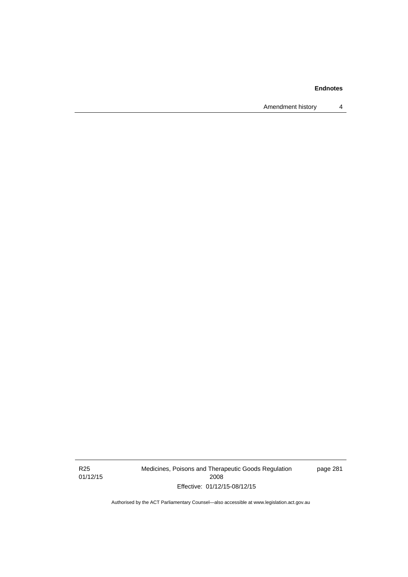| Amendment history |  |
|-------------------|--|
|-------------------|--|

R25 01/12/15 Medicines, Poisons and Therapeutic Goods Regulation 2008 Effective: 01/12/15-08/12/15

page 281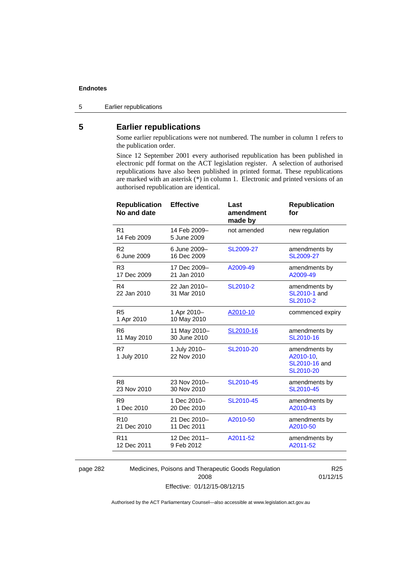5 Earlier republications

# **5 Earlier republications**

Some earlier republications were not numbered. The number in column 1 refers to the publication order.

Since 12 September 2001 every authorised republication has been published in electronic pdf format on the ACT legislation register. A selection of authorised republications have also been published in printed format. These republications are marked with an asterisk (\*) in column 1. Electronic and printed versions of an authorised republication are identical.

| <b>Republication</b><br>No and date | <b>Effective</b>            | Last<br>amendment<br>made by | <b>Republication</b><br>for                              |
|-------------------------------------|-----------------------------|------------------------------|----------------------------------------------------------|
| R <sub>1</sub><br>14 Feb 2009       | 14 Feb 2009-<br>5 June 2009 | not amended                  | new regulation                                           |
| R <sub>2</sub>                      | 6 June 2009-                | SL2009-27                    | amendments by                                            |
| 6 June 2009                         | 16 Dec 2009                 |                              | SL2009-27                                                |
| R <sub>3</sub>                      | 17 Dec 2009-                | A2009-49                     | amendments by                                            |
| 17 Dec 2009                         | 21 Jan 2010                 |                              | A2009-49                                                 |
| R <sub>4</sub><br>22 Jan 2010       | 22 Jan 2010-<br>31 Mar 2010 | SL2010-2                     | amendments by<br>SL2010-1 and<br>SL2010-2                |
| R <sub>5</sub><br>1 Apr 2010        | 1 Apr 2010-<br>10 May 2010  | A2010-10                     | commenced expiry                                         |
| R6                                  | 11 May 2010-                | SL2010-16                    | amendments by                                            |
| 11 May 2010                         | 30 June 2010                |                              | SL2010-16                                                |
| R7<br>1 July 2010                   | 1 July 2010-<br>22 Nov 2010 | SL2010-20                    | amendments by<br>A2010-10,<br>SL2010-16 and<br>SL2010-20 |
| R <sub>8</sub>                      | 23 Nov 2010-                | SL2010-45                    | amendments by                                            |
| 23 Nov 2010                         | 30 Nov 2010                 |                              | SL2010-45                                                |
| R <sub>9</sub>                      | 1 Dec 2010-                 | SL2010-45                    | amendments by                                            |
| 1 Dec 2010                          | 20 Dec 2010                 |                              | A2010-43                                                 |
| R <sub>10</sub>                     | 21 Dec 2010-                | A2010-50                     | amendments by                                            |
| 21 Dec 2010                         | 11 Dec 2011                 |                              | A2010-50                                                 |
| R <sub>11</sub>                     | 12 Dec 2011-                | A2011-52                     | amendments by                                            |
| 12 Dec 2011                         | 9 Feb 2012                  |                              | A2011-52                                                 |
|                                     |                             |                              |                                                          |

page 282 Medicines, Poisons and Therapeutic Goods Regulation 2008 Effective: 01/12/15-08/12/15

R25 01/12/15